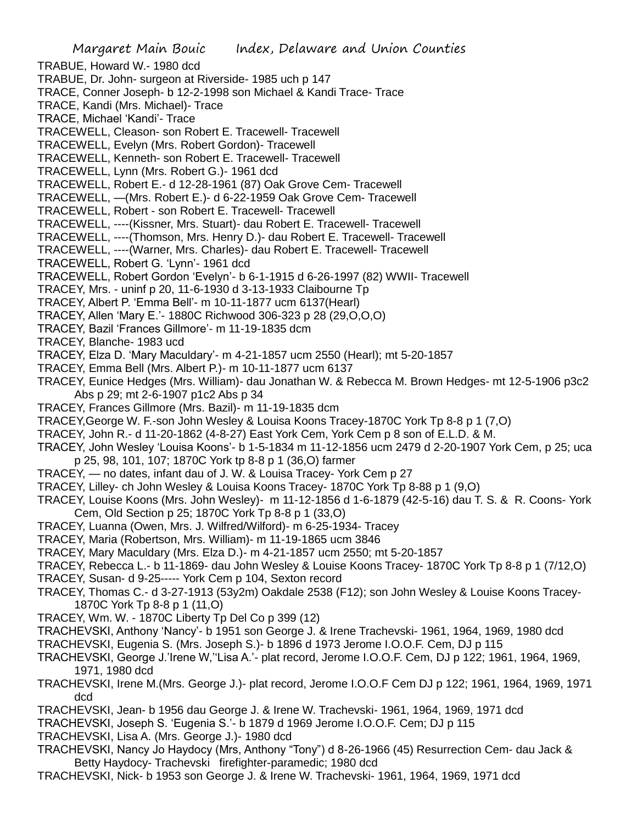TRABUE, Howard W.- 1980 dcd TRABUE, Dr. John- surgeon at Riverside- 1985 uch p 147 TRACE, Conner Joseph- b 12-2-1998 son Michael & Kandi Trace- Trace TRACE, Kandi (Mrs. Michael)- Trace TRACE, Michael 'Kandi'- Trace TRACEWELL, Cleason- son Robert E. Tracewell- Tracewell TRACEWELL, Evelyn (Mrs. Robert Gordon)- Tracewell TRACEWELL, Kenneth- son Robert E. Tracewell- Tracewell TRACEWELL, Lynn (Mrs. Robert G.)- 1961 dcd TRACEWELL, Robert E.- d 12-28-1961 (87) Oak Grove Cem- Tracewell TRACEWELL, —(Mrs. Robert E.)- d 6-22-1959 Oak Grove Cem- Tracewell TRACEWELL, Robert - son Robert E. Tracewell- Tracewell

- TRACEWELL, ----(Kissner, Mrs. Stuart)- dau Robert E. Tracewell- Tracewell
- TRACEWELL, ----(Thomson, Mrs. Henry D.)- dau Robert E. Tracewell- Tracewell
- TRACEWELL, ----(Warner, Mrs. Charles)- dau Robert E. Tracewell- Tracewell
- TRACEWELL, Robert G. 'Lynn'- 1961 dcd
- TRACEWELL, Robert Gordon 'Evelyn'- b 6-1-1915 d 6-26-1997 (82) WWII- Tracewell
- TRACEY, Mrs. uninf p 20, 11-6-1930 d 3-13-1933 Claibourne Tp
- TRACEY, Albert P. 'Emma Bell'- m 10-11-1877 ucm 6137(Hearl)
- TRACEY, Allen 'Mary E.'- 1880C Richwood 306-323 p 28 (29,O,O,O)
- TRACEY, Bazil 'Frances Gillmore'- m 11-19-1835 dcm
- TRACEY, Blanche- 1983 ucd
- TRACEY, Elza D. 'Mary Maculdary'- m 4-21-1857 ucm 2550 (Hearl); mt 5-20-1857
- TRACEY, Emma Bell (Mrs. Albert P.)- m 10-11-1877 ucm 6137
- TRACEY, Eunice Hedges (Mrs. William)- dau Jonathan W. & Rebecca M. Brown Hedges- mt 12-5-1906 p3c2 Abs p 29; mt 2-6-1907 p1c2 Abs p 34
- TRACEY, Frances Gillmore (Mrs. Bazil)- m 11-19-1835 dcm
- TRACEY,George W. F.-son John Wesley & Louisa Koons Tracey-1870C York Tp 8-8 p 1 (7,O)
- TRACEY, John R.- d 11-20-1862 (4-8-27) East York Cem, York Cem p 8 son of E.L.D. & M.
- TRACEY, John Wesley 'Louisa Koons'- b 1-5-1834 m 11-12-1856 ucm 2479 d 2-20-1907 York Cem, p 25; uca p 25, 98, 101, 107; 1870C York tp 8-8 p 1 (36,O) farmer
- TRACEY, no dates, infant dau of J. W. & Louisa Tracey- York Cem p 27
- TRACEY, Lilley- ch John Wesley & Louisa Koons Tracey- 1870C York Tp 8-88 p 1 (9,O)
- TRACEY, Louise Koons (Mrs. John Wesley)- m 11-12-1856 d 1-6-1879 (42-5-16) dau T. S. & R. Coons- York Cem, Old Section p 25; 1870C York Tp 8-8 p 1 (33,O)
- TRACEY, Luanna (Owen, Mrs. J. Wilfred/Wilford)- m 6-25-1934- Tracey
- TRACEY, Maria (Robertson, Mrs. William)- m 11-19-1865 ucm 3846
- TRACEY, Mary Maculdary (Mrs. Elza D.)- m 4-21-1857 ucm 2550; mt 5-20-1857
- TRACEY, Rebecca L.- b 11-1869- dau John Wesley & Louise Koons Tracey- 1870C York Tp 8-8 p 1 (7/12,O)
- TRACEY, Susan- d 9-25----- York Cem p 104, Sexton record
- TRACEY, Thomas C.- d 3-27-1913 (53y2m) Oakdale 2538 (F12); son John Wesley & Louise Koons Tracey-1870C York Tp 8-8 p 1 (11,O)
- TRACEY, Wm. W. 1870C Liberty Tp Del Co p 399 (12)
- TRACHEVSKI, Anthony 'Nancy'- b 1951 son George J. & Irene Trachevski- 1961, 1964, 1969, 1980 dcd
- TRACHEVSKI, Eugenia S. (Mrs. Joseph S.)- b 1896 d 1973 Jerome I.O.O.F. Cem, DJ p 115
- TRACHEVSKI, George J.'Irene W,''Lisa A.'- plat record, Jerome I.O.O.F. Cem, DJ p 122; 1961, 1964, 1969, 1971, 1980 dcd
- TRACHEVSKI, Irene M.(Mrs. George J.)- plat record, Jerome I.O.O.F Cem DJ p 122; 1961, 1964, 1969, 1971 dcd
- TRACHEVSKI, Jean- b 1956 dau George J. & Irene W. Trachevski- 1961, 1964, 1969, 1971 dcd
- TRACHEVSKI, Joseph S. 'Eugenia S.'- b 1879 d 1969 Jerome I.O.O.F. Cem; DJ p 115
- TRACHEVSKI, Lisa A. (Mrs. George J.)- 1980 dcd
- TRACHEVSKI, Nancy Jo Haydocy (Mrs, Anthony "Tony") d 8-26-1966 (45) Resurrection Cem- dau Jack & Betty Haydocy- Trachevski firefighter-paramedic; 1980 dcd
- TRACHEVSKI, Nick- b 1953 son George J. & Irene W. Trachevski- 1961, 1964, 1969, 1971 dcd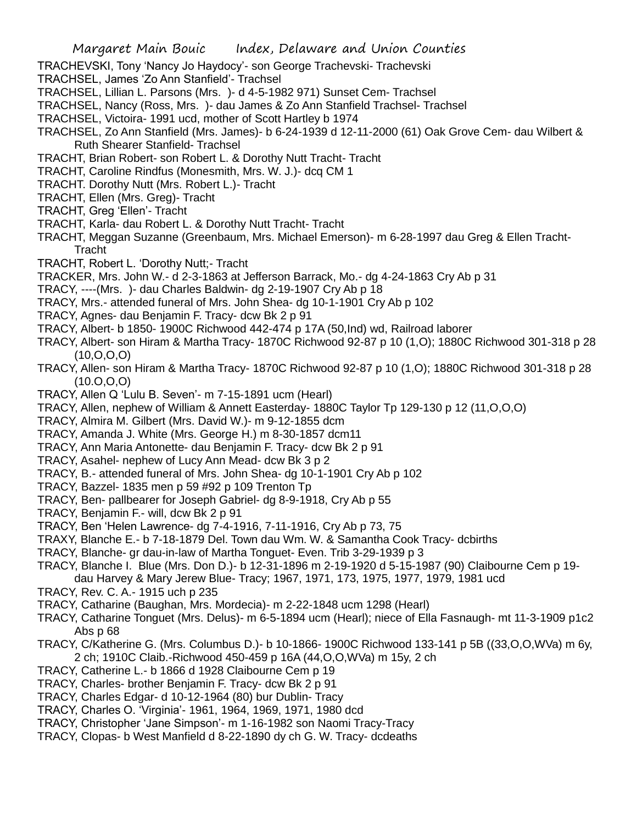- TRACHEVSKI, Tony 'Nancy Jo Haydocy'- son George Trachevski- Trachevski
- TRACHSEL, James 'Zo Ann Stanfield'- Trachsel
- TRACHSEL, Lillian L. Parsons (Mrs. )- d 4-5-1982 971) Sunset Cem- Trachsel
- TRACHSEL, Nancy (Ross, Mrs. )- dau James & Zo Ann Stanfield Trachsel- Trachsel
- TRACHSEL, Victoira- 1991 ucd, mother of Scott Hartley b 1974
- TRACHSEL, Zo Ann Stanfield (Mrs. James)- b 6-24-1939 d 12-11-2000 (61) Oak Grove Cem- dau Wilbert & Ruth Shearer Stanfield- Trachsel
- TRACHT, Brian Robert- son Robert L. & Dorothy Nutt Tracht- Tracht
- TRACHT, Caroline Rindfus (Monesmith, Mrs. W. J.)- dcq CM 1
- TRACHT. Dorothy Nutt (Mrs. Robert L.)- Tracht
- TRACHT, Ellen (Mrs. Greg)- Tracht
- TRACHT, Greg 'Ellen'- Tracht
- TRACHT, Karla- dau Robert L. & Dorothy Nutt Tracht- Tracht
- TRACHT, Meggan Suzanne (Greenbaum, Mrs. Michael Emerson)- m 6-28-1997 dau Greg & Ellen Tracht-Tracht
- TRACHT, Robert L. 'Dorothy Nutt;- Tracht
- TRACKER, Mrs. John W.- d 2-3-1863 at Jefferson Barrack, Mo.- dg 4-24-1863 Cry Ab p 31
- TRACY, ----(Mrs. )- dau Charles Baldwin- dg 2-19-1907 Cry Ab p 18
- TRACY, Mrs.- attended funeral of Mrs. John Shea- dg 10-1-1901 Cry Ab p 102
- TRACY, Agnes- dau Benjamin F. Tracy- dcw Bk 2 p 91
- TRACY, Albert- b 1850- 1900C Richwood 442-474 p 17A (50,Ind) wd, Railroad laborer
- TRACY, Albert- son Hiram & Martha Tracy- 1870C Richwood 92-87 p 10 (1,O); 1880C Richwood 301-318 p 28 (10,O,O,O)
- TRACY, Allen- son Hiram & Martha Tracy- 1870C Richwood 92-87 p 10 (1,O); 1880C Richwood 301-318 p 28  $(10.0, 0, 0)$
- TRACY, Allen Q 'Lulu B. Seven'- m 7-15-1891 ucm (Hearl)
- TRACY, Allen, nephew of William & Annett Easterday- 1880C Taylor Tp 129-130 p 12 (11,O,O,O)
- TRACY, Almira M. Gilbert (Mrs. David W.)- m 9-12-1855 dcm
- TRACY, Amanda J. White (Mrs. George H.) m 8-30-1857 dcm11
- TRACY, Ann Maria Antonette- dau Benjamin F. Tracy- dcw Bk 2 p 91
- TRACY, Asahel- nephew of Lucy Ann Mead- dcw Bk 3 p 2
- TRACY, B.- attended funeral of Mrs. John Shea- dg 10-1-1901 Cry Ab p 102
- TRACY, Bazzel- 1835 men p 59 #92 p 109 Trenton Tp
- TRACY, Ben- pallbearer for Joseph Gabriel- dg 8-9-1918, Cry Ab p 55
- TRACY, Benjamin F.- will, dcw Bk 2 p 91
- TRACY, Ben 'Helen Lawrence- dg 7-4-1916, 7-11-1916, Cry Ab p 73, 75
- TRAXY, Blanche E.- b 7-18-1879 Del. Town dau Wm. W. & Samantha Cook Tracy- dcbirths
- TRACY, Blanche- gr dau-in-law of Martha Tonguet- Even. Trib 3-29-1939 p 3
- TRACY, Blanche I. Blue (Mrs. Don D.)- b 12-31-1896 m 2-19-1920 d 5-15-1987 (90) Claibourne Cem p 19 dau Harvey & Mary Jerew Blue- Tracy; 1967, 1971, 173, 1975, 1977, 1979, 1981 ucd
- TRACY, Rev. C. A.- 1915 uch p 235
- TRACY, Catharine (Baughan, Mrs. Mordecia)- m 2-22-1848 ucm 1298 (Hearl)
- TRACY, Catharine Tonguet (Mrs. Delus)- m 6-5-1894 ucm (Hearl); niece of Ella Fasnaugh- mt 11-3-1909 p1c2 Abs p 68
- TRACY, C/Katherine G. (Mrs. Columbus D.)- b 10-1866- 1900C Richwood 133-141 p 5B ((33,O,O,WVa) m 6y, 2 ch; 1910C Claib.-Richwood 450-459 p 16A (44,O,O,WVa) m 15y, 2 ch
- TRACY, Catherine L.- b 1866 d 1928 Claibourne Cem p 19
- TRACY, Charles- brother Benjamin F. Tracy- dcw Bk 2 p 91
- TRACY, Charles Edgar- d 10-12-1964 (80) bur Dublin- Tracy
- TRACY, Charles O. 'Virginia'- 1961, 1964, 1969, 1971, 1980 dcd
- TRACY, Christopher 'Jane Simpson'- m 1-16-1982 son Naomi Tracy-Tracy
- TRACY, Clopas- b West Manfield d 8-22-1890 dy ch G. W. Tracy- dcdeaths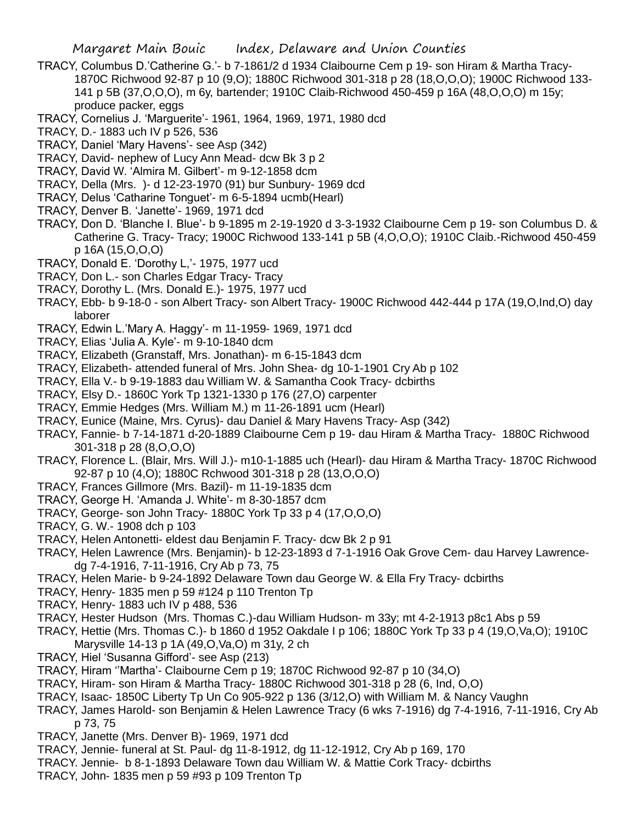- TRACY, Columbus D.'Catherine G.'- b 7-1861/2 d 1934 Claibourne Cem p 19- son Hiram & Martha Tracy-1870C Richwood 92-87 p 10 (9,O); 1880C Richwood 301-318 p 28 (18,O,O,O); 1900C Richwood 133- 141 p 5B (37,O,O,O), m 6y, bartender; 1910C Claib-Richwood 450-459 p 16A (48,O,O,O) m 15y; produce packer, eggs
- TRACY, Cornelius J. 'Marguerite'- 1961, 1964, 1969, 1971, 1980 dcd
- TRACY, D.- 1883 uch IV p 526, 536
- TRACY, Daniel 'Mary Havens'- see Asp (342)
- TRACY, David- nephew of Lucy Ann Mead- dcw Bk 3 p 2
- TRACY, David W. 'Almira M. Gilbert'- m 9-12-1858 dcm
- TRACY, Della (Mrs. )- d 12-23-1970 (91) bur Sunbury- 1969 dcd
- TRACY, Delus 'Catharine Tonguet'- m 6-5-1894 ucmb(Hearl)
- TRACY, Denver B. 'Janette'- 1969, 1971 dcd
- TRACY, Don D. 'Blanche I. Blue'- b 9-1895 m 2-19-1920 d 3-3-1932 Claibourne Cem p 19- son Columbus D. & Catherine G. Tracy- Tracy; 1900C Richwood 133-141 p 5B (4,O,O,O); 1910C Claib.-Richwood 450-459 p 16A (15,O,O,O)
- TRACY, Donald E. 'Dorothy L,'- 1975, 1977 ucd
- TRACY, Don L.- son Charles Edgar Tracy- Tracy
- TRACY, Dorothy L. (Mrs. Donald E.)- 1975, 1977 ucd
- TRACY, Ebb- b 9-18-0 son Albert Tracy- son Albert Tracy- 1900C Richwood 442-444 p 17A (19,O,Ind,O) day laborer
- TRACY, Edwin L.'Mary A. Haggy'- m 11-1959- 1969, 1971 dcd
- TRACY, Elias 'Julia A. Kyle'- m 9-10-1840 dcm
- TRACY, Elizabeth (Granstaff, Mrs. Jonathan)- m 6-15-1843 dcm
- TRACY, Elizabeth- attended funeral of Mrs. John Shea- dg 10-1-1901 Cry Ab p 102
- TRACY, Ella V.- b 9-19-1883 dau William W. & Samantha Cook Tracy- dcbirths
- TRACY, Elsy D.- 1860C York Tp 1321-1330 p 176 (27,O) carpenter
- TRACY, Emmie Hedges (Mrs. William M.) m 11-26-1891 ucm (Hearl)
- TRACY, Eunice (Maine, Mrs. Cyrus)- dau Daniel & Mary Havens Tracy- Asp (342)
- TRACY, Fannie- b 7-14-1871 d-20-1889 Claibourne Cem p 19- dau Hiram & Martha Tracy- 1880C Richwood 301-318 p 28 (8,O,O,O)
- TRACY, Florence L. (Blair, Mrs. Will J.)- m10-1-1885 uch (Hearl)- dau Hiram & Martha Tracy- 1870C Richwood 92-87 p 10 (4,O); 1880C Rchwood 301-318 p 28 (13,O,O,O)
- TRACY, Frances Gillmore (Mrs. Bazil)- m 11-19-1835 dcm
- TRACY, George H. 'Amanda J. White'- m 8-30-1857 dcm
- TRACY, George- son John Tracy- 1880C York Tp 33 p 4 (17,O,O,O)
- TRACY, G. W.- 1908 dch p 103
- TRACY, Helen Antonetti- eldest dau Benjamin F. Tracy- dcw Bk 2 p 91
- TRACY, Helen Lawrence (Mrs. Benjamin)- b 12-23-1893 d 7-1-1916 Oak Grove Cem- dau Harvey Lawrencedg 7-4-1916, 7-11-1916, Cry Ab p 73, 75
- TRACY, Helen Marie- b 9-24-1892 Delaware Town dau George W. & Ella Fry Tracy- dcbirths
- TRACY, Henry- 1835 men p 59 #124 p 110 Trenton Tp
- TRACY, Henry- 1883 uch IV p 488, 536
- TRACY, Hester Hudson (Mrs. Thomas C.)-dau William Hudson- m 33y; mt 4-2-1913 p8c1 Abs p 59
- TRACY, Hettie (Mrs. Thomas C.)- b 1860 d 1952 Oakdale I p 106; 1880C York Tp 33 p 4 (19,O,Va,O); 1910C Marysville 14-13 p 1A (49,O,Va,O) m 31y, 2 ch
- TRACY, Hiel 'Susanna Gifford'- see Asp (213)
- TRACY, Hiram ''Martha'- Claibourne Cem p 19; 1870C Richwood 92-87 p 10 (34,O)
- TRACY, Hiram- son Hiram & Martha Tracy- 1880C Richwood 301-318 p 28 (6, Ind, O,O)
- TRACY, Isaac- 1850C Liberty Tp Un Co 905-922 p 136 (3/12,O) with William M. & Nancy Vaughn
- TRACY, James Harold- son Benjamin & Helen Lawrence Tracy (6 wks 7-1916) dg 7-4-1916, 7-11-1916, Cry Ab p 73, 75
- TRACY, Janette (Mrs. Denver B)- 1969, 1971 dcd
- TRACY, Jennie- funeral at St. Paul- dg 11-8-1912, dg 11-12-1912, Cry Ab p 169, 170
- TRACY. Jennie- b 8-1-1893 Delaware Town dau William W. & Mattie Cork Tracy- dcbirths
- TRACY, John- 1835 men p 59 #93 p 109 Trenton Tp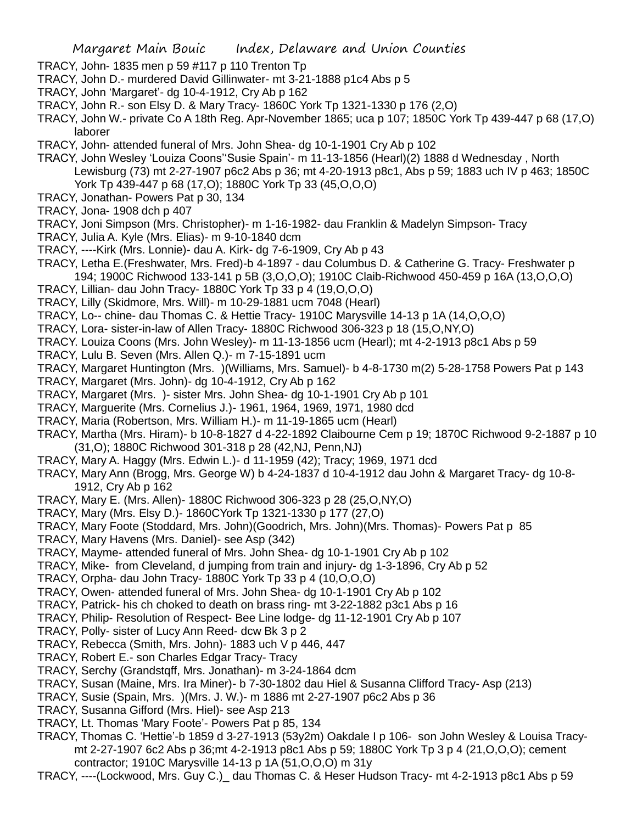- TRACY, John- 1835 men p 59 #117 p 110 Trenton Tp
- TRACY, John D.- murdered David Gillinwater- mt 3-21-1888 p1c4 Abs p 5
- TRACY, John 'Margaret'- dg 10-4-1912, Cry Ab p 162
- TRACY, John R.- son Elsy D. & Mary Tracy- 1860C York Tp 1321-1330 p 176 (2,O)
- TRACY, John W.- private Co A 18th Reg. Apr-November 1865; uca p 107; 1850C York Tp 439-447 p 68 (17,O) laborer
- TRACY, John- attended funeral of Mrs. John Shea- dg 10-1-1901 Cry Ab p 102
- TRACY, John Wesley 'Louiza Coons''Susie Spain'- m 11-13-1856 (Hearl)(2) 1888 d Wednesday , North Lewisburg (73) mt 2-27-1907 p6c2 Abs p 36; mt 4-20-1913 p8c1, Abs p 59; 1883 uch IV p 463; 1850C York Tp 439-447 p 68 (17,O); 1880C York Tp 33 (45,O,O,O)
- TRACY, Jonathan- Powers Pat p 30, 134
- TRACY, Jona- 1908 dch p 407
- TRACY, Joni Simpson (Mrs. Christopher)- m 1-16-1982- dau Franklin & Madelyn Simpson- Tracy
- TRACY, Julia A. Kyle (Mrs. Elias)- m 9-10-1840 dcm
- TRACY, ----Kirk (Mrs. Lonnie)- dau A. Kirk- dg 7-6-1909, Cry Ab p 43
- TRACY, Letha E.(Freshwater, Mrs. Fred)-b 4-1897 dau Columbus D. & Catherine G. Tracy- Freshwater p 194; 1900C Richwood 133-141 p 5B (3,O,O,O); 1910C Claib-Richwood 450-459 p 16A (13,O,O,O)
- TRACY, Lillian- dau John Tracy- 1880C York Tp 33 p 4 (19,O,O,O)
- TRACY, Lilly (Skidmore, Mrs. Will)- m 10-29-1881 ucm 7048 (Hearl)
- TRACY, Lo-- chine- dau Thomas C. & Hettie Tracy- 1910C Marysville 14-13 p 1A (14,O,O,O)
- TRACY, Lora- sister-in-law of Allen Tracy- 1880C Richwood 306-323 p 18 (15,O,NY,O)
- TRACY. Louiza Coons (Mrs. John Wesley)- m 11-13-1856 ucm (Hearl); mt 4-2-1913 p8c1 Abs p 59
- TRACY, Lulu B. Seven (Mrs. Allen Q.)- m 7-15-1891 ucm
- TRACY, Margaret Huntington (Mrs. )(Williams, Mrs. Samuel)- b 4-8-1730 m(2) 5-28-1758 Powers Pat p 143
- TRACY, Margaret (Mrs. John)- dg 10-4-1912, Cry Ab p 162
- TRACY, Margaret (Mrs. )- sister Mrs. John Shea- dg 10-1-1901 Cry Ab p 101
- TRACY, Marguerite (Mrs. Cornelius J.)- 1961, 1964, 1969, 1971, 1980 dcd
- TRACY, Maria (Robertson, Mrs. William H.)- m 11-19-1865 ucm (Hearl)
- TRACY, Martha (Mrs. Hiram)- b 10-8-1827 d 4-22-1892 Claibourne Cem p 19; 1870C Richwood 9-2-1887 p 10 (31,O); 1880C Richwood 301-318 p 28 (42,NJ, Penn,NJ)
- TRACY, Mary A. Haggy (Mrs. Edwin L.)- d 11-1959 (42); Tracy; 1969, 1971 dcd
- TRACY, Mary Ann (Brogg, Mrs. George W) b 4-24-1837 d 10-4-1912 dau John & Margaret Tracy- dg 10-8- 1912, Cry Ab p 162
- TRACY, Mary E. (Mrs. Allen)- 1880C Richwood 306-323 p 28 (25,O,NY,O)
- TRACY, Mary (Mrs. Elsy D.)- 1860CYork Tp 1321-1330 p 177 (27,O)
- TRACY, Mary Foote (Stoddard, Mrs. John)(Goodrich, Mrs. John)(Mrs. Thomas)- Powers Pat p 85
- TRACY, Mary Havens (Mrs. Daniel)- see Asp (342)
- TRACY, Mayme- attended funeral of Mrs. John Shea- dg 10-1-1901 Cry Ab p 102
- TRACY, Mike- from Cleveland, d jumping from train and injury- dg 1-3-1896, Cry Ab p 52
- TRACY, Orpha- dau John Tracy- 1880C York Tp 33 p 4 (10,O,O,O)
- TRACY, Owen- attended funeral of Mrs. John Shea- dg 10-1-1901 Cry Ab p 102
- TRACY, Patrick- his ch choked to death on brass ring- mt 3-22-1882 p3c1 Abs p 16
- TRACY, Philip- Resolution of Respect- Bee Line lodge- dg 11-12-1901 Cry Ab p 107
- TRACY, Polly- sister of Lucy Ann Reed- dcw Bk 3 p 2
- TRACY, Rebecca (Smith, Mrs. John)- 1883 uch V p 446, 447
- TRACY, Robert E.- son Charles Edgar Tracy- Tracy
- TRACY, Serchy (Grandstqff, Mrs. Jonathan)- m 3-24-1864 dcm
- TRACY, Susan (Maine, Mrs. Ira Miner)- b 7-30-1802 dau Hiel & Susanna Clifford Tracy- Asp (213)
- TRACY, Susie (Spain, Mrs. )(Mrs. J. W.)- m 1886 mt 2-27-1907 p6c2 Abs p 36
- TRACY, Susanna Gifford (Mrs. Hiel)- see Asp 213
- TRACY, Lt. Thomas 'Mary Foote'- Powers Pat p 85, 134
- TRACY, Thomas C. 'Hettie'-b 1859 d 3-27-1913 (53y2m) Oakdale I p 106- son John Wesley & Louisa Tracymt 2-27-1907 6c2 Abs p 36;mt 4-2-1913 p8c1 Abs p 59; 1880C York Tp 3 p 4 (21,O,O,O); cement contractor; 1910C Marysville 14-13 p 1A (51,O,O,O) m 31y
- TRACY, ----(Lockwood, Mrs. Guy C.)\_ dau Thomas C. & Heser Hudson Tracy- mt 4-2-1913 p8c1 Abs p 59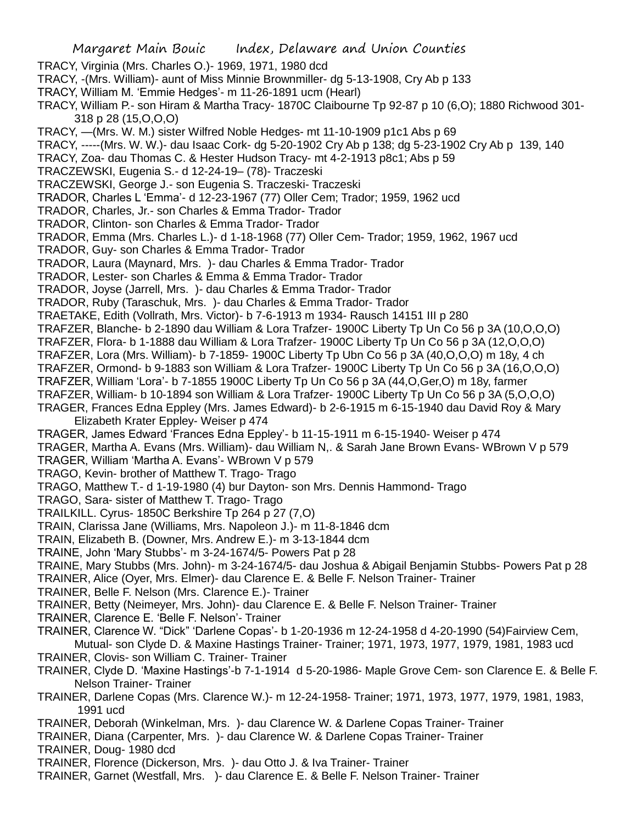TRACY, Virginia (Mrs. Charles O.)- 1969, 1971, 1980 dcd

TRACY, -(Mrs. William)- aunt of Miss Minnie Brownmiller- dg 5-13-1908, Cry Ab p 133

- TRACY, William M. 'Emmie Hedges'- m 11-26-1891 ucm (Hearl)
- TRACY, William P.- son Hiram & Martha Tracy- 1870C Claibourne Tp 92-87 p 10 (6,O); 1880 Richwood 301- 318 p 28 (15,O,O,O)
- TRACY, —(Mrs. W. M.) sister Wilfred Noble Hedges- mt 11-10-1909 p1c1 Abs p 69
- TRACY, -----(Mrs. W. W.)- dau Isaac Cork- dg 5-20-1902 Cry Ab p 138; dg 5-23-1902 Cry Ab p 139, 140
- TRACY, Zoa- dau Thomas C. & Hester Hudson Tracy- mt 4-2-1913 p8c1; Abs p 59

TRACZEWSKI, Eugenia S.- d 12-24-19– (78)- Traczeski

TRACZEWSKI, George J.- son Eugenia S. Traczeski- Traczeski

TRADOR, Charles L 'Emma'- d 12-23-1967 (77) Oller Cem; Trador; 1959, 1962 ucd

- TRADOR, Charles, Jr.- son Charles & Emma Trador- Trador
- TRADOR, Clinton- son Charles & Emma Trador- Trador
- TRADOR, Emma (Mrs. Charles L.)- d 1-18-1968 (77) Oller Cem- Trador; 1959, 1962, 1967 ucd
- TRADOR, Guy- son Charles & Emma Trador- Trador
- TRADOR, Laura (Maynard, Mrs. )- dau Charles & Emma Trador- Trador
- TRADOR, Lester- son Charles & Emma & Emma Trador- Trador

TRADOR, Joyse (Jarrell, Mrs. )- dau Charles & Emma Trador- Trador

TRADOR, Ruby (Taraschuk, Mrs. )- dau Charles & Emma Trador- Trador

- TRAETAKE, Edith (Vollrath, Mrs. Victor)- b 7-6-1913 m 1934- Rausch 14151 III p 280
- TRAFZER, Blanche- b 2-1890 dau William & Lora Trafzer- 1900C Liberty Tp Un Co 56 p 3A (10,O,O,O)
- TRAFZER, Flora- b 1-1888 dau William & Lora Trafzer- 1900C Liberty Tp Un Co 56 p 3A (12,O,O,O)
- TRAFZER, Lora (Mrs. William)- b 7-1859- 1900C Liberty Tp Ubn Co 56 p 3A (40,O,O,O) m 18y, 4 ch
- TRAFZER, Ormond- b 9-1883 son William & Lora Trafzer- 1900C Liberty Tp Un Co 56 p 3A (16,O,O,O)

TRAFZER, William 'Lora'- b 7-1855 1900C Liberty Tp Un Co 56 p 3A (44,O,Ger,O) m 18y, farmer

TRAFZER, William- b 10-1894 son William & Lora Trafzer- 1900C Liberty Tp Un Co 56 p 3A (5,O,O,O)

TRAGER, Frances Edna Eppley (Mrs. James Edward)- b 2-6-1915 m 6-15-1940 dau David Roy & Mary Elizabeth Krater Eppley- Weiser p 474

TRAGER, James Edward 'Frances Edna Eppley'- b 11-15-1911 m 6-15-1940- Weiser p 474

TRAGER, Martha A. Evans (Mrs. William)- dau William N,. & Sarah Jane Brown Evans- WBrown V p 579

#### TRAGER, William 'Martha A. Evans'- WBrown V p 579

- TRAGO, Kevin- brother of Matthew T. Trago- Trago
- TRAGO, Matthew T.- d 1-19-1980 (4) bur Dayton- son Mrs. Dennis Hammond- Trago
- TRAGO, Sara- sister of Matthew T. Trago- Trago
- TRAILKILL. Cyrus- 1850C Berkshire Tp 264 p 27 (7,O)
- TRAIN, Clarissa Jane (Williams, Mrs. Napoleon J.)- m 11-8-1846 dcm
- TRAIN, Elizabeth B. (Downer, Mrs. Andrew E.)- m 3-13-1844 dcm
- TRAINE, John 'Mary Stubbs'- m 3-24-1674/5- Powers Pat p 28
- TRAINE, Mary Stubbs (Mrs. John)- m 3-24-1674/5- dau Joshua & Abigail Benjamin Stubbs- Powers Pat p 28
- TRAINER, Alice (Oyer, Mrs. Elmer)- dau Clarence E. & Belle F. Nelson Trainer- Trainer
- TRAINER, Belle F. Nelson (Mrs. Clarence E.)- Trainer
- TRAINER, Betty (Neimeyer, Mrs. John)- dau Clarence E. & Belle F. Nelson Trainer- Trainer
- TRAINER, Clarence E. 'Belle F. Nelson'- Trainer
- TRAINER, Clarence W. "Dick" 'Darlene Copas'- b 1-20-1936 m 12-24-1958 d 4-20-1990 (54)Fairview Cem,
- Mutual- son Clyde D. & Maxine Hastings Trainer- Trainer; 1971, 1973, 1977, 1979, 1981, 1983 ucd TRAINER, Clovis- son William C. Trainer- Trainer
- TRAINER, Clyde D. 'Maxine Hastings'-b 7-1-1914 d 5-20-1986- Maple Grove Cem- son Clarence E. & Belle F. Nelson Trainer- Trainer
- TRAINER, Darlene Copas (Mrs. Clarence W.)- m 12-24-1958- Trainer; 1971, 1973, 1977, 1979, 1981, 1983, 1991 ucd
- TRAINER, Deborah (Winkelman, Mrs. )- dau Clarence W. & Darlene Copas Trainer- Trainer
- TRAINER, Diana (Carpenter, Mrs. )- dau Clarence W. & Darlene Copas Trainer- Trainer
- TRAINER, Doug- 1980 dcd
- TRAINER, Florence (Dickerson, Mrs. )- dau Otto J. & Iva Trainer- Trainer
- TRAINER, Garnet (Westfall, Mrs. )- dau Clarence E. & Belle F. Nelson Trainer- Trainer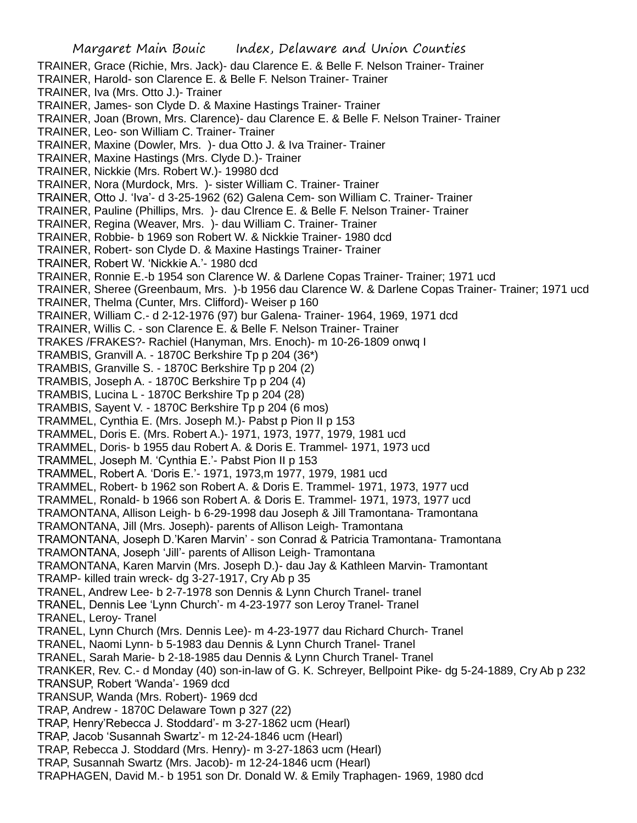TRAINER, Grace (Richie, Mrs. Jack)- dau Clarence E. & Belle F. Nelson Trainer- Trainer

TRAINER, Harold- son Clarence E. & Belle F. Nelson Trainer- Trainer

TRAINER, Iva (Mrs. Otto J.)- Trainer

- TRAINER, James- son Clyde D. & Maxine Hastings Trainer- Trainer
- TRAINER, Joan (Brown, Mrs. Clarence)- dau Clarence E. & Belle F. Nelson Trainer- Trainer
- TRAINER, Leo- son William C. Trainer- Trainer
- TRAINER, Maxine (Dowler, Mrs. )- dua Otto J. & Iva Trainer- Trainer
- TRAINER, Maxine Hastings (Mrs. Clyde D.)- Trainer
- TRAINER, Nickkie (Mrs. Robert W.)- 19980 dcd
- TRAINER, Nora (Murdock, Mrs. )- sister William C. Trainer- Trainer
- TRAINER, Otto J. 'Iva'- d 3-25-1962 (62) Galena Cem- son William C. Trainer- Trainer
- TRAINER, Pauline (Phillips, Mrs. )- dau Clrence E. & Belle F. Nelson Trainer- Trainer
- TRAINER, Regina (Weaver, Mrs. )- dau William C. Trainer- Trainer
- TRAINER, Robbie- b 1969 son Robert W. & Nickkie Trainer- 1980 dcd
- TRAINER, Robert- son Clyde D. & Maxine Hastings Trainer- Trainer
- TRAINER, Robert W. 'Nickkie A.'- 1980 dcd
- TRAINER, Ronnie E.-b 1954 son Clarence W. & Darlene Copas Trainer- Trainer; 1971 ucd
- TRAINER, Sheree (Greenbaum, Mrs. )-b 1956 dau Clarence W. & Darlene Copas Trainer- Trainer; 1971 ucd
- TRAINER, Thelma (Cunter, Mrs. Clifford)- Weiser p 160
- TRAINER, William C.- d 2-12-1976 (97) bur Galena- Trainer- 1964, 1969, 1971 dcd
- TRAINER, Willis C. son Clarence E. & Belle F. Nelson Trainer- Trainer
- TRAKES /FRAKES?- Rachiel (Hanyman, Mrs. Enoch)- m 10-26-1809 onwq I
- TRAMBIS, Granvill A. 1870C Berkshire Tp p 204 (36\*)
- TRAMBIS, Granville S. 1870C Berkshire Tp p 204 (2)
- TRAMBIS, Joseph A. 1870C Berkshire Tp p 204 (4)
- TRAMBIS, Lucina L 1870C Berkshire Tp p 204 (28)
- TRAMBIS, Sayent V. 1870C Berkshire Tp p 204 (6 mos)
- TRAMMEL, Cynthia E. (Mrs. Joseph M.)- Pabst p Pion II p 153
- TRAMMEL, Doris E. (Mrs. Robert A.)- 1971, 1973, 1977, 1979, 1981 ucd
- TRAMMEL, Doris- b 1955 dau Robert A. & Doris E. Trammel- 1971, 1973 ucd
- TRAMMEL, Joseph M. 'Cynthia E.'- Pabst Pion II p 153
- TRAMMEL, Robert A. 'Doris E.'- 1971, 1973,m 1977, 1979, 1981 ucd
- TRAMMEL, Robert- b 1962 son Robert A. & Doris E. Trammel- 1971, 1973, 1977 ucd
- TRAMMEL, Ronald- b 1966 son Robert A. & Doris E. Trammel- 1971, 1973, 1977 ucd
- TRAMONTANA, Allison Leigh- b 6-29-1998 dau Joseph & Jill Tramontana- Tramontana
- TRAMONTANA, Jill (Mrs. Joseph)- parents of Allison Leigh- Tramontana
- TRAMONTANA, Joseph D.'Karen Marvin' son Conrad & Patricia Tramontana- Tramontana
- TRAMONTANA, Joseph 'Jill'- parents of Allison Leigh- Tramontana
- TRAMONTANA, Karen Marvin (Mrs. Joseph D.)- dau Jay & Kathleen Marvin- Tramontant
- TRAMP- killed train wreck- dg 3-27-1917, Cry Ab p 35
- TRANEL, Andrew Lee- b 2-7-1978 son Dennis & Lynn Church Tranel- tranel
- TRANEL, Dennis Lee 'Lynn Church'- m 4-23-1977 son Leroy Tranel- Tranel
- TRANEL, Leroy- Tranel
- TRANEL, Lynn Church (Mrs. Dennis Lee)- m 4-23-1977 dau Richard Church- Tranel
- TRANEL, Naomi Lynn- b 5-1983 dau Dennis & Lynn Church Tranel- Tranel
- TRANEL, Sarah Marie- b 2-18-1985 dau Dennis & Lynn Church Tranel- Tranel
- TRANKER, Rev. C.- d Monday (40) son-in-law of G. K. Schreyer, Bellpoint Pike- dg 5-24-1889, Cry Ab p 232
- TRANSUP, Robert 'Wanda'- 1969 dcd
- TRANSUP, Wanda (Mrs. Robert)- 1969 dcd
- TRAP, Andrew 1870C Delaware Town p 327 (22)
- TRAP, Henry'Rebecca J. Stoddard'- m 3-27-1862 ucm (Hearl)
- TRAP, Jacob 'Susannah Swartz'- m 12-24-1846 ucm (Hearl)
- TRAP, Rebecca J. Stoddard (Mrs. Henry)- m 3-27-1863 ucm (Hearl)
- TRAP, Susannah Swartz (Mrs. Jacob)- m 12-24-1846 ucm (Hearl)
- TRAPHAGEN, David M.- b 1951 son Dr. Donald W. & Emily Traphagen- 1969, 1980 dcd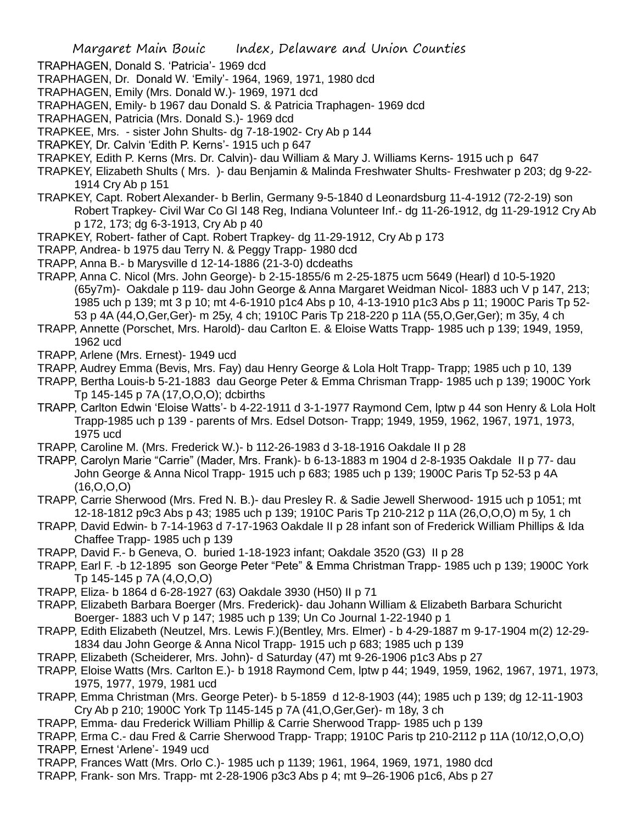TRAPHAGEN, Donald S. 'Patricia'- 1969 dcd

- TRAPHAGEN, Dr. Donald W. 'Emily'- 1964, 1969, 1971, 1980 dcd
- TRAPHAGEN, Emily (Mrs. Donald W.)- 1969, 1971 dcd
- TRAPHAGEN, Emily- b 1967 dau Donald S. & Patricia Traphagen- 1969 dcd
- TRAPHAGEN, Patricia (Mrs. Donald S.)- 1969 dcd
- TRAPKEE, Mrs. sister John Shults- dg 7-18-1902- Cry Ab p 144
- TRAPKEY, Dr. Calvin 'Edith P. Kerns'- 1915 uch p 647
- TRAPKEY, Edith P. Kerns (Mrs. Dr. Calvin)- dau William & Mary J. Williams Kerns- 1915 uch p 647
- TRAPKEY, Elizabeth Shults ( Mrs. )- dau Benjamin & Malinda Freshwater Shults- Freshwater p 203; dg 9-22- 1914 Cry Ab p 151
- TRAPKEY, Capt. Robert Alexander- b Berlin, Germany 9-5-1840 d Leonardsburg 11-4-1912 (72-2-19) son Robert Trapkey- Civil War Co Gl 148 Reg, Indiana Volunteer Inf.- dg 11-26-1912, dg 11-29-1912 Cry Ab p 172, 173; dg 6-3-1913, Cry Ab p 40
- TRAPKEY, Robert- father of Capt. Robert Trapkey- dg 11-29-1912, Cry Ab p 173
- TRAPP, Andrea- b 1975 dau Terry N. & Peggy Trapp- 1980 dcd
- TRAPP, Anna B.- b Marysville d 12-14-1886 (21-3-0) dcdeaths
- TRAPP, Anna C. Nicol (Mrs. John George)- b 2-15-1855/6 m 2-25-1875 ucm 5649 (Hearl) d 10-5-1920 (65y7m)- Oakdale p 119- dau John George & Anna Margaret Weidman Nicol- 1883 uch V p 147, 213; 1985 uch p 139; mt 3 p 10; mt 4-6-1910 p1c4 Abs p 10, 4-13-1910 p1c3 Abs p 11; 1900C Paris Tp 52- 53 p 4A (44,O,Ger,Ger)- m 25y, 4 ch; 1910C Paris Tp 218-220 p 11A (55,O,Ger,Ger); m 35y, 4 ch
- TRAPP, Annette (Porschet, Mrs. Harold)- dau Carlton E. & Eloise Watts Trapp- 1985 uch p 139; 1949, 1959, 1962 ucd
- TRAPP, Arlene (Mrs. Ernest)- 1949 ucd
- TRAPP, Audrey Emma (Bevis, Mrs. Fay) dau Henry George & Lola Holt Trapp- Trapp; 1985 uch p 10, 139
- TRAPP, Bertha Louis-b 5-21-1883 dau George Peter & Emma Chrisman Trapp- 1985 uch p 139; 1900C York Tp 145-145 p 7A (17,O,O,O); dcbirths
- TRAPP, Carlton Edwin 'Eloise Watts'- b 4-22-1911 d 3-1-1977 Raymond Cem, lptw p 44 son Henry & Lola Holt Trapp-1985 uch p 139 - parents of Mrs. Edsel Dotson- Trapp; 1949, 1959, 1962, 1967, 1971, 1973, 1975 ucd
- TRAPP, Caroline M. (Mrs. Frederick W.)- b 112-26-1983 d 3-18-1916 Oakdale II p 28
- TRAPP, Carolyn Marie "Carrie" (Mader, Mrs. Frank)- b 6-13-1883 m 1904 d 2-8-1935 Oakdale II p 77- dau John George & Anna Nicol Trapp- 1915 uch p 683; 1985 uch p 139; 1900C Paris Tp 52-53 p 4A (16,O,O,O)
- TRAPP, Carrie Sherwood (Mrs. Fred N. B.)- dau Presley R. & Sadie Jewell Sherwood- 1915 uch p 1051; mt 12-18-1812 p9c3 Abs p 43; 1985 uch p 139; 1910C Paris Tp 210-212 p 11A (26,O,O,O) m 5y, 1 ch
- TRAPP, David Edwin- b 7-14-1963 d 7-17-1963 Oakdale II p 28 infant son of Frederick William Phillips & Ida Chaffee Trapp- 1985 uch p 139
- TRAPP, David F.- b Geneva, O. buried 1-18-1923 infant; Oakdale 3520 (G3) II p 28
- TRAPP, Earl F. -b 12-1895 son George Peter "Pete" & Emma Christman Trapp- 1985 uch p 139; 1900C York Tp 145-145 p 7A (4,O,O,O)
- TRAPP, Eliza- b 1864 d 6-28-1927 (63) Oakdale 3930 (H50) II p 71
- TRAPP, Elizabeth Barbara Boerger (Mrs. Frederick)- dau Johann William & Elizabeth Barbara Schuricht Boerger- 1883 uch V p 147; 1985 uch p 139; Un Co Journal 1-22-1940 p 1
- TRAPP, Edith Elizabeth (Neutzel, Mrs. Lewis F.)(Bentley, Mrs. Elmer) b 4-29-1887 m 9-17-1904 m(2) 12-29- 1834 dau John George & Anna Nicol Trapp- 1915 uch p 683; 1985 uch p 139
- TRAPP, Elizabeth (Scheiderer, Mrs. John)- d Saturday (47) mt 9-26-1906 p1c3 Abs p 27
- TRAPP, Eloise Watts (Mrs. Carlton E.)- b 1918 Raymond Cem, lptw p 44; 1949, 1959, 1962, 1967, 1971, 1973, 1975, 1977, 1979, 1981 ucd
- TRAPP, Emma Christman (Mrs. George Peter)- b 5-1859 d 12-8-1903 (44); 1985 uch p 139; dg 12-11-1903 Cry Ab p 210; 1900C York Tp 1145-145 p 7A (41,O,Ger,Ger)- m 18y, 3 ch
- TRAPP, Emma- dau Frederick William Phillip & Carrie Sherwood Trapp- 1985 uch p 139
- TRAPP, Erma C.- dau Fred & Carrie Sherwood Trapp- Trapp; 1910C Paris tp 210-2112 p 11A (10/12,O,O,O) TRAPP, Ernest 'Arlene'- 1949 ucd
- TRAPP, Frances Watt (Mrs. Orlo C.)- 1985 uch p 1139; 1961, 1964, 1969, 1971, 1980 dcd
- TRAPP, Frank- son Mrs. Trapp- mt 2-28-1906 p3c3 Abs p 4; mt 9–26-1906 p1c6, Abs p 27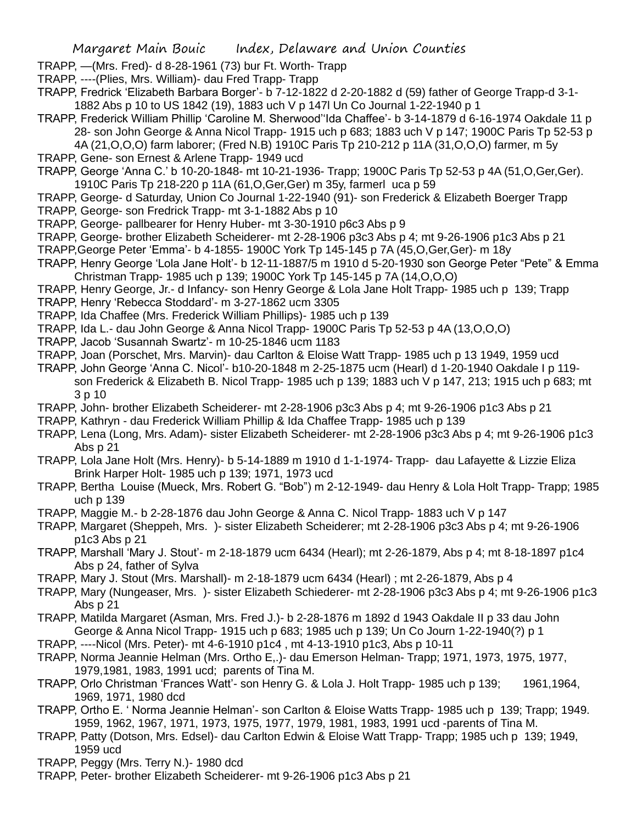- TRAPP, —(Mrs. Fred)- d 8-28-1961 (73) bur Ft. Worth- Trapp
- TRAPP, ----(Plies, Mrs. William)- dau Fred Trapp- Trapp
- TRAPP, Fredrick 'Elizabeth Barbara Borger'- b 7-12-1822 d 2-20-1882 d (59) father of George Trapp-d 3-1- 1882 Abs p 10 to US 1842 (19), 1883 uch V p 147l Un Co Journal 1-22-1940 p 1
- TRAPP, Frederick William Phillip 'Caroline M. Sherwood''Ida Chaffee'- b 3-14-1879 d 6-16-1974 Oakdale 11 p 28- son John George & Anna Nicol Trapp- 1915 uch p 683; 1883 uch V p 147; 1900C Paris Tp 52-53 p

4A (21,O,O,O) farm laborer; (Fred N.B) 1910C Paris Tp 210-212 p 11A (31,O,O,O) farmer, m 5y TRAPP, Gene- son Ernest & Arlene Trapp- 1949 ucd

- TRAPP, George 'Anna C.' b 10-20-1848- mt 10-21-1936- Trapp; 1900C Paris Tp 52-53 p 4A (51,O,Ger,Ger). 1910C Paris Tp 218-220 p 11A (61,O,Ger,Ger) m 35y, farmerl uca p 59
- TRAPP, George- d Saturday, Union Co Journal 1-22-1940 (91)- son Frederick & Elizabeth Boerger Trapp TRAPP, George- son Fredrick Trapp- mt 3-1-1882 Abs p 10
- TRAPP, George- pallbearer for Henry Huber- mt 3-30-1910 p6c3 Abs p 9
- TRAPP, George- brother Elizabeth Scheiderer- mt 2-28-1906 p3c3 Abs p 4; mt 9-26-1906 p1c3 Abs p 21
- TRAPP,George Peter 'Emma'- b 4-1855- 1900C York Tp 145-145 p 7A (45,O,Ger,Ger)- m 18y
- TRAPP, Henry George 'Lola Jane Holt'- b 12-11-1887/5 m 1910 d 5-20-1930 son George Peter "Pete" & Emma Christman Trapp- 1985 uch p 139; 1900C York Tp 145-145 p 7A (14,O,O,O)
- TRAPP, Henry George, Jr.- d Infancy- son Henry George & Lola Jane Holt Trapp- 1985 uch p 139; Trapp TRAPP, Henry 'Rebecca Stoddard'- m 3-27-1862 ucm 3305
- TRAPP, Ida Chaffee (Mrs. Frederick William Phillips)- 1985 uch p 139
- TRAPP, Ida L.- dau John George & Anna Nicol Trapp- 1900C Paris Tp 52-53 p 4A (13,O,O,O)
- TRAPP, Jacob 'Susannah Swartz'- m 10-25-1846 ucm 1183
- TRAPP, Joan (Porschet, Mrs. Marvin)- dau Carlton & Eloise Watt Trapp- 1985 uch p 13 1949, 1959 ucd
- TRAPP, John George 'Anna C. Nicol'- b10-20-1848 m 2-25-1875 ucm (Hearl) d 1-20-1940 Oakdale I p 119 son Frederick & Elizabeth B. Nicol Trapp- 1985 uch p 139; 1883 uch V p 147, 213; 1915 uch p 683; mt 3 p 10
- TRAPP, John- brother Elizabeth Scheiderer- mt 2-28-1906 p3c3 Abs p 4; mt 9-26-1906 p1c3 Abs p 21
- TRAPP, Kathryn dau Frederick William Phillip & Ida Chaffee Trapp- 1985 uch p 139
- TRAPP, Lena (Long, Mrs. Adam)- sister Elizabeth Scheiderer- mt 2-28-1906 p3c3 Abs p 4; mt 9-26-1906 p1c3 Abs p 21
- TRAPP, Lola Jane Holt (Mrs. Henry)- b 5-14-1889 m 1910 d 1-1-1974- Trapp- dau Lafayette & Lizzie Eliza Brink Harper Holt- 1985 uch p 139; 1971, 1973 ucd
- TRAPP, Bertha Louise (Mueck, Mrs. Robert G. "Bob") m 2-12-1949- dau Henry & Lola Holt Trapp- Trapp; 1985 uch p 139
- TRAPP, Maggie M.- b 2-28-1876 dau John George & Anna C. Nicol Trapp- 1883 uch V p 147
- TRAPP, Margaret (Sheppeh, Mrs. )- sister Elizabeth Scheiderer; mt 2-28-1906 p3c3 Abs p 4; mt 9-26-1906 p1c3 Abs p 21
- TRAPP, Marshall 'Mary J. Stout'- m 2-18-1879 ucm 6434 (Hearl); mt 2-26-1879, Abs p 4; mt 8-18-1897 p1c4 Abs p 24, father of Sylva
- TRAPP, Mary J. Stout (Mrs. Marshall)- m 2-18-1879 ucm 6434 (Hearl) ; mt 2-26-1879, Abs p 4
- TRAPP, Mary (Nungeaser, Mrs. )- sister Elizabeth Schiederer- mt 2-28-1906 p3c3 Abs p 4; mt 9-26-1906 p1c3 Abs p 21
- TRAPP, Matilda Margaret (Asman, Mrs. Fred J.)- b 2-28-1876 m 1892 d 1943 Oakdale II p 33 dau John George & Anna Nicol Trapp- 1915 uch p 683; 1985 uch p 139; Un Co Journ 1-22-1940(?) p 1
- TRAPP, ----Nicol (Mrs. Peter)- mt 4-6-1910 p1c4 , mt 4-13-1910 p1c3, Abs p 10-11
- TRAPP, Norma Jeannie Helman (Mrs. Ortho E,.)- dau Emerson Helman- Trapp; 1971, 1973, 1975, 1977, 1979,1981, 1983, 1991 ucd; parents of Tina M.
- TRAPP, Orlo Christman 'Frances Watt'- son Henry G. & Lola J. Holt Trapp- 1985 uch p 139; 1961,1964, 1969, 1971, 1980 dcd
- TRAPP, Ortho E. ' Norma Jeannie Helman'- son Carlton & Eloise Watts Trapp- 1985 uch p 139; Trapp; 1949. 1959, 1962, 1967, 1971, 1973, 1975, 1977, 1979, 1981, 1983, 1991 ucd -parents of Tina M.
- TRAPP, Patty (Dotson, Mrs. Edsel)- dau Carlton Edwin & Eloise Watt Trapp- Trapp; 1985 uch p 139; 1949, 1959 ucd
- TRAPP, Peggy (Mrs. Terry N.)- 1980 dcd
- TRAPP, Peter- brother Elizabeth Scheiderer- mt 9-26-1906 p1c3 Abs p 21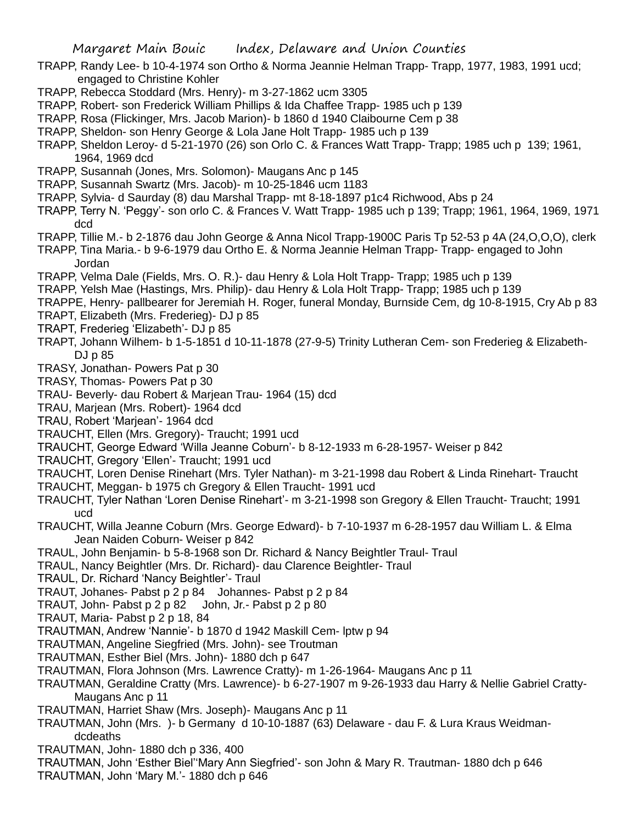- TRAPP, Randy Lee- b 10-4-1974 son Ortho & Norma Jeannie Helman Trapp- Trapp, 1977, 1983, 1991 ucd; engaged to Christine Kohler
- TRAPP, Rebecca Stoddard (Mrs. Henry)- m 3-27-1862 ucm 3305
- TRAPP, Robert- son Frederick William Phillips & Ida Chaffee Trapp- 1985 uch p 139
- TRAPP, Rosa (Flickinger, Mrs. Jacob Marion)- b 1860 d 1940 Claibourne Cem p 38
- TRAPP, Sheldon- son Henry George & Lola Jane Holt Trapp- 1985 uch p 139
- TRAPP, Sheldon Leroy- d 5-21-1970 (26) son Orlo C. & Frances Watt Trapp- Trapp; 1985 uch p 139; 1961, 1964, 1969 dcd
- TRAPP, Susannah (Jones, Mrs. Solomon)- Maugans Anc p 145
- TRAPP, Susannah Swartz (Mrs. Jacob)- m 10-25-1846 ucm 1183
- TRAPP, Sylvia- d Saurday (8) dau Marshal Trapp- mt 8-18-1897 p1c4 Richwood, Abs p 24
- TRAPP, Terry N. 'Peggy'- son orlo C. & Frances V. Watt Trapp- 1985 uch p 139; Trapp; 1961, 1964, 1969, 1971 dcd
- TRAPP, Tillie M.- b 2-1876 dau John George & Anna Nicol Trapp-1900C Paris Tp 52-53 p 4A (24,O,O,O), clerk TRAPP, Tina Maria.- b 9-6-1979 dau Ortho E. & Norma Jeannie Helman Trapp- Trapp- engaged to John
- Jordan
- TRAPP, Velma Dale (Fields, Mrs. O. R.)- dau Henry & Lola Holt Trapp- Trapp; 1985 uch p 139
- TRAPP, Yelsh Mae (Hastings, Mrs. Philip)- dau Henry & Lola Holt Trapp- Trapp; 1985 uch p 139
- TRAPPE, Henry- pallbearer for Jeremiah H. Roger, funeral Monday, Burnside Cem, dg 10-8-1915, Cry Ab p 83
- TRAPT, Elizabeth (Mrs. Frederieg)- DJ p 85
- TRAPT, Frederieg 'Elizabeth'- DJ p 85
- TRAPT, Johann Wilhem- b 1-5-1851 d 10-11-1878 (27-9-5) Trinity Lutheran Cem- son Frederieg & Elizabeth-DJ p 85
- TRASY, Jonathan- Powers Pat p 30
- TRASY, Thomas- Powers Pat p 30
- TRAU- Beverly- dau Robert & Marjean Trau- 1964 (15) dcd
- TRAU, Marjean (Mrs. Robert)- 1964 dcd
- TRAU, Robert 'Marjean'- 1964 dcd
- TRAUCHT, Ellen (Mrs. Gregory)- Traucht; 1991 ucd
- TRAUCHT, George Edward 'Willa Jeanne Coburn'- b 8-12-1933 m 6-28-1957- Weiser p 842
- TRAUCHT, Gregory 'Ellen'- Traucht; 1991 ucd
- TRAUCHT, Loren Denise Rinehart (Mrs. Tyler Nathan)- m 3-21-1998 dau Robert & Linda Rinehart- Traucht
- TRAUCHT, Meggan- b 1975 ch Gregory & Ellen Traucht- 1991 ucd
- TRAUCHT, Tyler Nathan 'Loren Denise Rinehart'- m 3-21-1998 son Gregory & Ellen Traucht- Traucht; 1991 ucd
- TRAUCHT, Willa Jeanne Coburn (Mrs. George Edward)- b 7-10-1937 m 6-28-1957 dau William L. & Elma Jean Naiden Coburn- Weiser p 842
- TRAUL, John Benjamin- b 5-8-1968 son Dr. Richard & Nancy Beightler Traul- Traul
- TRAUL, Nancy Beightler (Mrs. Dr. Richard)- dau Clarence Beightler- Traul
- TRAUL, Dr. Richard 'Nancy Beightler'- Traul
- TRAUT, Johanes- Pabst p 2 p 84 Johannes- Pabst p 2 p 84
- TRAUT, John- Pabst p 2 p 82 John, Jr.- Pabst p 2 p 80
- TRAUT, Maria- Pabst p 2 p 18, 84
- TRAUTMAN, Andrew 'Nannie'- b 1870 d 1942 Maskill Cem- lptw p 94
- TRAUTMAN, Angeline Siegfried (Mrs. John)- see Troutman
- TRAUTMAN, Esther Biel (Mrs. John)- 1880 dch p 647
- TRAUTMAN, Flora Johnson (Mrs. Lawrence Cratty)- m 1-26-1964- Maugans Anc p 11
- TRAUTMAN, Geraldine Cratty (Mrs. Lawrence)- b 6-27-1907 m 9-26-1933 dau Harry & Nellie Gabriel Cratty-Maugans Anc p 11
- TRAUTMAN, Harriet Shaw (Mrs. Joseph)- Maugans Anc p 11
- TRAUTMAN, John (Mrs. )- b Germany d 10-10-1887 (63) Delaware dau F. & Lura Kraus Weidmandcdeaths
- TRAUTMAN, John- 1880 dch p 336, 400
- TRAUTMAN, John 'Esther Biel''Mary Ann Siegfried'- son John & Mary R. Trautman- 1880 dch p 646 TRAUTMAN, John 'Mary M.'- 1880 dch p 646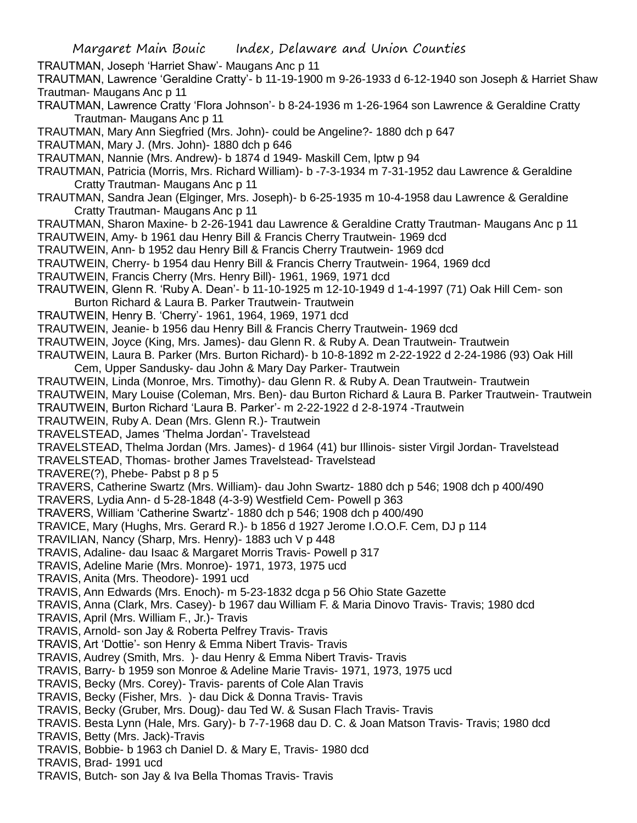- Margaret Main Bouic Index, Delaware and Union Counties TRAUTMAN, Joseph 'Harriet Shaw'- Maugans Anc p 11 TRAUTMAN, Lawrence 'Geraldine Cratty'- b 11-19-1900 m 9-26-1933 d 6-12-1940 son Joseph & Harriet Shaw Trautman- Maugans Anc p 11 TRAUTMAN, Lawrence Cratty 'Flora Johnson'- b 8-24-1936 m 1-26-1964 son Lawrence & Geraldine Cratty Trautman- Maugans Anc p 11 TRAUTMAN, Mary Ann Siegfried (Mrs. John)- could be Angeline?- 1880 dch p 647 TRAUTMAN, Mary J. (Mrs. John)- 1880 dch p 646 TRAUTMAN, Nannie (Mrs. Andrew)- b 1874 d 1949- Maskill Cem, lptw p 94 TRAUTMAN, Patricia (Morris, Mrs. Richard William)- b -7-3-1934 m 7-31-1952 dau Lawrence & Geraldine Cratty Trautman- Maugans Anc p 11 TRAUTMAN, Sandra Jean (Elginger, Mrs. Joseph)- b 6-25-1935 m 10-4-1958 dau Lawrence & Geraldine Cratty Trautman- Maugans Anc p 11 TRAUTMAN, Sharon Maxine- b 2-26-1941 dau Lawrence & Geraldine Cratty Trautman- Maugans Anc p 11 TRAUTWEIN, Amy- b 1961 dau Henry Bill & Francis Cherry Trautwein- 1969 dcd TRAUTWEIN, Ann- b 1952 dau Henry Bill & Francis Cherry Trautwein- 1969 dcd TRAUTWEIN, Cherry- b 1954 dau Henry Bill & Francis Cherry Trautwein- 1964, 1969 dcd TRAUTWEIN, Francis Cherry (Mrs. Henry Bill)- 1961, 1969, 1971 dcd TRAUTWEIN, Glenn R. 'Ruby A. Dean'- b 11-10-1925 m 12-10-1949 d 1-4-1997 (71) Oak Hill Cem- son Burton Richard & Laura B. Parker Trautwein- Trautwein TRAUTWEIN, Henry B. 'Cherry'- 1961, 1964, 1969, 1971 dcd TRAUTWEIN, Jeanie- b 1956 dau Henry Bill & Francis Cherry Trautwein- 1969 dcd TRAUTWEIN, Joyce (King, Mrs. James)- dau Glenn R. & Ruby A. Dean Trautwein- Trautwein TRAUTWEIN, Laura B. Parker (Mrs. Burton Richard)- b 10-8-1892 m 2-22-1922 d 2-24-1986 (93) Oak Hill Cem, Upper Sandusky- dau John & Mary Day Parker- Trautwein TRAUTWEIN, Linda (Monroe, Mrs. Timothy)- dau Glenn R. & Ruby A. Dean Trautwein- Trautwein TRAUTWEIN, Mary Louise (Coleman, Mrs. Ben)- dau Burton Richard & Laura B. Parker Trautwein- Trautwein TRAUTWEIN, Burton Richard 'Laura B. Parker'- m 2-22-1922 d 2-8-1974 -Trautwein TRAUTWEIN, Ruby A. Dean (Mrs. Glenn R.)- Trautwein TRAVELSTEAD, James 'Thelma Jordan'- Travelstead TRAVELSTEAD, Thelma Jordan (Mrs. James)- d 1964 (41) bur Illinois- sister Virgil Jordan- Travelstead TRAVELSTEAD, Thomas- brother James Travelstead- Travelstead TRAVERE(?), Phebe- Pabst p 8 p 5 TRAVERS, Catherine Swartz (Mrs. William)- dau John Swartz- 1880 dch p 546; 1908 dch p 400/490 TRAVERS, Lydia Ann- d 5-28-1848 (4-3-9) Westfield Cem- Powell p 363 TRAVERS, William 'Catherine Swartz'- 1880 dch p 546; 1908 dch p 400/490 TRAVICE, Mary (Hughs, Mrs. Gerard R.)- b 1856 d 1927 Jerome I.O.O.F. Cem, DJ p 114 TRAVILIAN, Nancy (Sharp, Mrs. Henry)- 1883 uch V p 448 TRAVIS, Adaline- dau Isaac & Margaret Morris Travis- Powell p 317 TRAVIS, Adeline Marie (Mrs. Monroe)- 1971, 1973, 1975 ucd TRAVIS, Anita (Mrs. Theodore)- 1991 ucd TRAVIS, Ann Edwards (Mrs. Enoch)- m 5-23-1832 dcga p 56 Ohio State Gazette TRAVIS, Anna (Clark, Mrs. Casey)- b 1967 dau William F. & Maria Dinovo Travis- Travis; 1980 dcd TRAVIS, April (Mrs. William F., Jr.)- Travis TRAVIS, Arnold- son Jay & Roberta Pelfrey Travis- Travis TRAVIS, Art 'Dottie'- son Henry & Emma Nibert Travis- Travis TRAVIS, Audrey (Smith, Mrs. )- dau Henry & Emma Nibert Travis- Travis TRAVIS, Barry- b 1959 son Monroe & Adeline Marie Travis- 1971, 1973, 1975 ucd TRAVIS, Becky (Mrs. Corey)- Travis- parents of Cole Alan Travis TRAVIS, Becky (Fisher, Mrs. )- dau Dick & Donna Travis- Travis TRAVIS, Becky (Gruber, Mrs. Doug)- dau Ted W. & Susan Flach Travis- Travis TRAVIS. Besta Lynn (Hale, Mrs. Gary)- b 7-7-1968 dau D. C. & Joan Matson Travis- Travis; 1980 dcd TRAVIS, Betty (Mrs. Jack)-Travis TRAVIS, Bobbie- b 1963 ch Daniel D. & Mary E, Travis- 1980 dcd TRAVIS, Brad- 1991 ucd
- TRAVIS, Butch- son Jay & Iva Bella Thomas Travis- Travis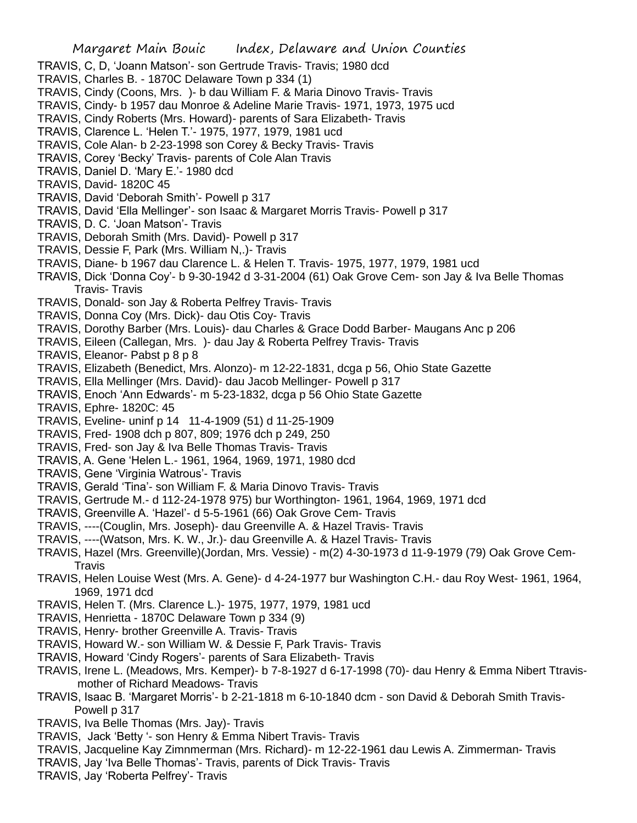- TRAVIS, C, D, 'Joann Matson'- son Gertrude Travis- Travis; 1980 dcd
- TRAVIS, Charles B. 1870C Delaware Town p 334 (1)
- TRAVIS, Cindy (Coons, Mrs. )- b dau William F. & Maria Dinovo Travis- Travis
- TRAVIS, Cindy- b 1957 dau Monroe & Adeline Marie Travis- 1971, 1973, 1975 ucd
- TRAVIS, Cindy Roberts (Mrs. Howard)- parents of Sara Elizabeth- Travis
- TRAVIS, Clarence L. 'Helen T.'- 1975, 1977, 1979, 1981 ucd
- TRAVIS, Cole Alan- b 2-23-1998 son Corey & Becky Travis- Travis
- TRAVIS, Corey 'Becky' Travis- parents of Cole Alan Travis
- TRAVIS, Daniel D. 'Mary E.'- 1980 dcd
- TRAVIS, David- 1820C 45
- TRAVIS, David 'Deborah Smith'- Powell p 317
- TRAVIS, David 'Ella Mellinger'- son Isaac & Margaret Morris Travis- Powell p 317
- TRAVIS, D. C. 'Joan Matson'- Travis
- TRAVIS, Deborah Smith (Mrs. David)- Powell p 317
- TRAVIS, Dessie F, Park (Mrs. William N,.)- Travis
- TRAVIS, Diane- b 1967 dau Clarence L. & Helen T. Travis- 1975, 1977, 1979, 1981 ucd
- TRAVIS, Dick 'Donna Coy'- b 9-30-1942 d 3-31-2004 (61) Oak Grove Cem- son Jay & Iva Belle Thomas Travis- Travis
- TRAVIS, Donald- son Jay & Roberta Pelfrey Travis- Travis
- TRAVIS, Donna Coy (Mrs. Dick)- dau Otis Coy- Travis
- TRAVIS, Dorothy Barber (Mrs. Louis)- dau Charles & Grace Dodd Barber- Maugans Anc p 206
- TRAVIS, Eileen (Callegan, Mrs. )- dau Jay & Roberta Pelfrey Travis- Travis
- TRAVIS, Eleanor- Pabst p 8 p 8
- TRAVIS, Elizabeth (Benedict, Mrs. Alonzo)- m 12-22-1831, dcga p 56, Ohio State Gazette
- TRAVIS, Ella Mellinger (Mrs. David)- dau Jacob Mellinger- Powell p 317
- TRAVIS, Enoch 'Ann Edwards'- m 5-23-1832, dcga p 56 Ohio State Gazette
- TRAVIS, Ephre- 1820C: 45
- TRAVIS, Eveline- uninf p 14 11-4-1909 (51) d 11-25-1909
- TRAVIS, Fred- 1908 dch p 807, 809; 1976 dch p 249, 250
- TRAVIS, Fred- son Jay & Iva Belle Thomas Travis- Travis
- TRAVIS, A. Gene 'Helen L.- 1961, 1964, 1969, 1971, 1980 dcd
- TRAVIS, Gene 'Virginia Watrous'- Travis
- TRAVIS, Gerald 'Tina'- son William F. & Maria Dinovo Travis- Travis
- TRAVIS, Gertrude M.- d 112-24-1978 975) bur Worthington- 1961, 1964, 1969, 1971 dcd
- TRAVIS, Greenville A. 'Hazel'- d 5-5-1961 (66) Oak Grove Cem- Travis
- TRAVIS, ----(Couglin, Mrs. Joseph)- dau Greenville A. & Hazel Travis- Travis
- TRAVIS, ----(Watson, Mrs. K. W., Jr.)- dau Greenville A. & Hazel Travis- Travis
- TRAVIS, Hazel (Mrs. Greenville)(Jordan, Mrs. Vessie) m(2) 4-30-1973 d 11-9-1979 (79) Oak Grove Cem-**Travis**
- TRAVIS, Helen Louise West (Mrs. A. Gene)- d 4-24-1977 bur Washington C.H.- dau Roy West- 1961, 1964, 1969, 1971 dcd
- TRAVIS, Helen T. (Mrs. Clarence L.)- 1975, 1977, 1979, 1981 ucd
- TRAVIS, Henrietta 1870C Delaware Town p 334 (9)
- TRAVIS, Henry- brother Greenville A. Travis- Travis
- TRAVIS, Howard W.- son William W. & Dessie F, Park Travis- Travis
- TRAVIS, Howard 'Cindy Rogers'- parents of Sara Elizabeth- Travis
- TRAVIS, Irene L. (Meadows, Mrs. Kemper)- b 7-8-1927 d 6-17-1998 (70)- dau Henry & Emma Nibert Ttravismother of Richard Meadows- Travis
- TRAVIS, Isaac B. 'Margaret Morris'- b 2-21-1818 m 6-10-1840 dcm son David & Deborah Smith Travis-Powell p 317
- TRAVIS, Iva Belle Thomas (Mrs. Jay)- Travis
- TRAVIS, Jack 'Betty '- son Henry & Emma Nibert Travis- Travis
- TRAVIS, Jacqueline Kay Zimnmerman (Mrs. Richard)- m 12-22-1961 dau Lewis A. Zimmerman- Travis
- TRAVIS, Jay 'Iva Belle Thomas'- Travis, parents of Dick Travis- Travis
- TRAVIS, Jay 'Roberta Pelfrey'- Travis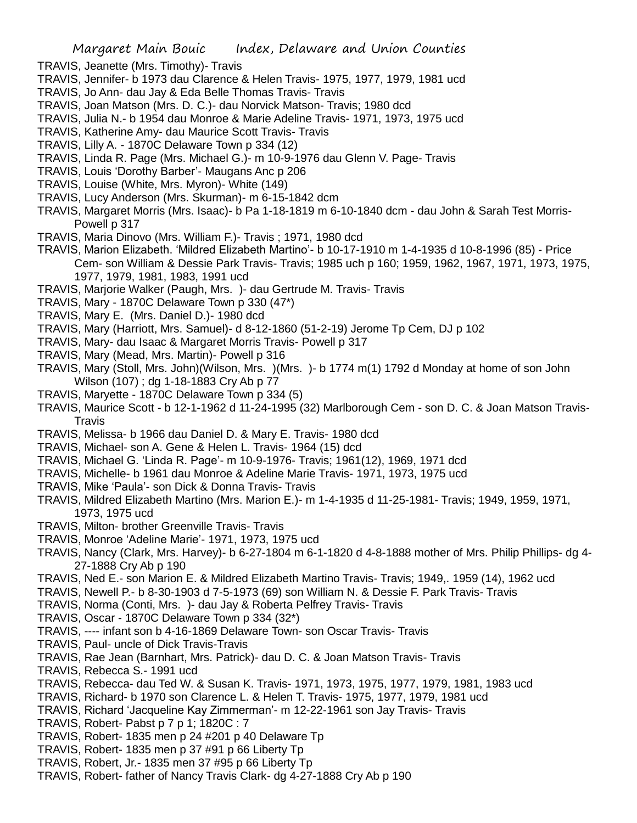- TRAVIS, Jeanette (Mrs. Timothy)- Travis
- TRAVIS, Jennifer- b 1973 dau Clarence & Helen Travis- 1975, 1977, 1979, 1981 ucd
- TRAVIS, Jo Ann- dau Jay & Eda Belle Thomas Travis- Travis
- TRAVIS, Joan Matson (Mrs. D. C.)- dau Norvick Matson- Travis; 1980 dcd
- TRAVIS, Julia N.- b 1954 dau Monroe & Marie Adeline Travis- 1971, 1973, 1975 ucd
- TRAVIS, Katherine Amy- dau Maurice Scott Travis- Travis
- TRAVIS, Lilly A. 1870C Delaware Town p 334 (12)
- TRAVIS, Linda R. Page (Mrs. Michael G.)- m 10-9-1976 dau Glenn V. Page- Travis
- TRAVIS, Louis 'Dorothy Barber'- Maugans Anc p 206
- TRAVIS, Louise (White, Mrs. Myron)- White (149)
- TRAVIS, Lucy Anderson (Mrs. Skurman)- m 6-15-1842 dcm
- TRAVIS, Margaret Morris (Mrs. Isaac)- b Pa 1-18-1819 m 6-10-1840 dcm dau John & Sarah Test Morris-Powell p 317
- TRAVIS, Maria Dinovo (Mrs. William F.)- Travis ; 1971, 1980 dcd
- TRAVIS, Marion Elizabeth. 'Mildred Elizabeth Martino'- b 10-17-1910 m 1-4-1935 d 10-8-1996 (85) Price Cem- son William & Dessie Park Travis- Travis; 1985 uch p 160; 1959, 1962, 1967, 1971, 1973, 1975, 1977, 1979, 1981, 1983, 1991 ucd
- TRAVIS, Marjorie Walker (Paugh, Mrs. )- dau Gertrude M. Travis- Travis
- TRAVIS, Mary 1870C Delaware Town p 330 (47\*)
- TRAVIS, Mary E. (Mrs. Daniel D.)- 1980 dcd
- TRAVIS, Mary (Harriott, Mrs. Samuel)- d 8-12-1860 (51-2-19) Jerome Tp Cem, DJ p 102
- TRAVIS, Mary- dau Isaac & Margaret Morris Travis- Powell p 317
- TRAVIS, Mary (Mead, Mrs. Martin)- Powell p 316
- TRAVIS, Mary (Stoll, Mrs. John)(Wilson, Mrs. )(Mrs. )- b 1774 m(1) 1792 d Monday at home of son John Wilson (107) ; dg 1-18-1883 Cry Ab p 77
- TRAVIS, Maryette 1870C Delaware Town p 334 (5)
- TRAVIS, Maurice Scott b 12-1-1962 d 11-24-1995 (32) Marlborough Cem son D. C. & Joan Matson Travis-**Travis**
- TRAVIS, Melissa- b 1966 dau Daniel D. & Mary E. Travis- 1980 dcd
- TRAVIS, Michael- son A. Gene & Helen L. Travis- 1964 (15) dcd
- TRAVIS, Michael G. 'Linda R. Page'- m 10-9-1976- Travis; 1961(12), 1969, 1971 dcd
- TRAVIS, Michelle- b 1961 dau Monroe & Adeline Marie Travis- 1971, 1973, 1975 ucd
- TRAVIS, Mike 'Paula'- son Dick & Donna Travis- Travis
- TRAVIS, Mildred Elizabeth Martino (Mrs. Marion E.)- m 1-4-1935 d 11-25-1981- Travis; 1949, 1959, 1971, 1973, 1975 ucd
- TRAVIS, Milton- brother Greenville Travis- Travis
- TRAVIS, Monroe 'Adeline Marie'- 1971, 1973, 1975 ucd
- TRAVIS, Nancy (Clark, Mrs. Harvey)- b 6-27-1804 m 6-1-1820 d 4-8-1888 mother of Mrs. Philip Phillips- dg 4- 27-1888 Cry Ab p 190
- TRAVIS, Ned E.- son Marion E. & Mildred Elizabeth Martino Travis- Travis; 1949,. 1959 (14), 1962 ucd
- TRAVIS, Newell P.- b 8-30-1903 d 7-5-1973 (69) son William N. & Dessie F. Park Travis- Travis
- TRAVIS, Norma (Conti, Mrs. )- dau Jay & Roberta Pelfrey Travis- Travis
- TRAVIS, Oscar 1870C Delaware Town p 334 (32\*)
- TRAVIS, ---- infant son b 4-16-1869 Delaware Town- son Oscar Travis- Travis
- TRAVIS, Paul- uncle of Dick Travis-Travis
- TRAVIS, Rae Jean (Barnhart, Mrs. Patrick)- dau D. C. & Joan Matson Travis- Travis
- TRAVIS, Rebecca S.- 1991 ucd
- TRAVIS, Rebecca- dau Ted W. & Susan K. Travis- 1971, 1973, 1975, 1977, 1979, 1981, 1983 ucd
- TRAVIS, Richard- b 1970 son Clarence L. & Helen T. Travis- 1975, 1977, 1979, 1981 ucd
- TRAVIS, Richard 'Jacqueline Kay Zimmerman'- m 12-22-1961 son Jay Travis- Travis
- TRAVIS, Robert- Pabst p 7 p 1; 1820C : 7
- TRAVIS, Robert- 1835 men p 24 #201 p 40 Delaware Tp
- TRAVIS, Robert- 1835 men p 37 #91 p 66 Liberty Tp
- TRAVIS, Robert, Jr.- 1835 men 37 #95 p 66 Liberty Tp
- TRAVIS, Robert- father of Nancy Travis Clark- dg 4-27-1888 Cry Ab p 190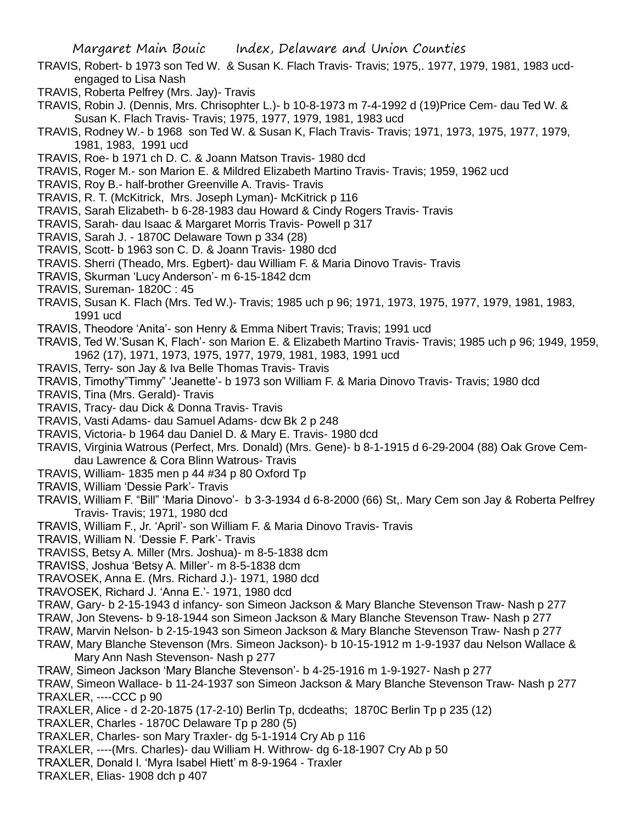- TRAVIS, Robert- b 1973 son Ted W. & Susan K. Flach Travis- Travis; 1975,. 1977, 1979, 1981, 1983 ucdengaged to Lisa Nash
- TRAVIS, Roberta Pelfrey (Mrs. Jay)- Travis
- TRAVIS, Robin J. (Dennis, Mrs. Chrisophter L.)- b 10-8-1973 m 7-4-1992 d (19)Price Cem- dau Ted W. & Susan K. Flach Travis- Travis; 1975, 1977, 1979, 1981, 1983 ucd
- TRAVIS, Rodney W.- b 1968 son Ted W. & Susan K, Flach Travis- Travis; 1971, 1973, 1975, 1977, 1979, 1981, 1983, 1991 ucd
- TRAVIS, Roe- b 1971 ch D. C. & Joann Matson Travis- 1980 dcd
- TRAVIS, Roger M.- son Marion E. & Mildred Elizabeth Martino Travis- Travis; 1959, 1962 ucd
- TRAVIS, Roy B.- half-brother Greenville A. Travis- Travis
- TRAVIS, R. T. (McKitrick, Mrs. Joseph Lyman)- McKitrick p 116
- TRAVIS, Sarah Elizabeth- b 6-28-1983 dau Howard & Cindy Rogers Travis- Travis
- TRAVIS, Sarah- dau Isaac & Margaret Morris Travis- Powell p 317
- TRAVIS, Sarah J. 1870C Delaware Town p 334 (28)
- TRAVIS, Scott- b 1963 son C. D. & Joann Travis- 1980 dcd
- TRAVIS. Sherri (Theado, Mrs. Egbert)- dau William F. & Maria Dinovo Travis- Travis
- TRAVIS, Skurman 'Lucy Anderson'- m 6-15-1842 dcm
- TRAVIS, Sureman- 1820C : 45
- TRAVIS, Susan K. Flach (Mrs. Ted W.)- Travis; 1985 uch p 96; 1971, 1973, 1975, 1977, 1979, 1981, 1983, 1991 ucd
- TRAVIS, Theodore 'Anita'- son Henry & Emma Nibert Travis; Travis; 1991 ucd
- TRAVIS, Ted W.'Susan K, Flach'- son Marion E. & Elizabeth Martino Travis- Travis; 1985 uch p 96; 1949, 1959, 1962 (17), 1971, 1973, 1975, 1977, 1979, 1981, 1983, 1991 ucd
- TRAVIS, Terry- son Jay & Iva Belle Thomas Travis- Travis
- TRAVIS, Timothy"Timmy" 'Jeanette'- b 1973 son William F. & Maria Dinovo Travis- Travis; 1980 dcd
- TRAVIS, Tina (Mrs. Gerald)- Travis
- TRAVIS, Tracy- dau Dick & Donna Travis- Travis
- TRAVIS, Vasti Adams- dau Samuel Adams- dcw Bk 2 p 248
- TRAVIS, Victoria- b 1964 dau Daniel D. & Mary E. Travis- 1980 dcd
- TRAVIS, Virginia Watrous (Perfect, Mrs. Donald) (Mrs. Gene)- b 8-1-1915 d 6-29-2004 (88) Oak Grove Cemdau Lawrence & Cora Blinn Watrous- Travis
- TRAVIS, William- 1835 men p 44 #34 p 80 Oxford Tp
- TRAVIS, William 'Dessie Park'- Travis
- TRAVIS, William F. "Bill" 'Maria Dinovo'- b 3-3-1934 d 6-8-2000 (66) St,. Mary Cem son Jay & Roberta Pelfrey Travis- Travis; 1971, 1980 dcd
- TRAVIS, William F., Jr. 'April'- son William F. & Maria Dinovo Travis- Travis
- TRAVIS, William N. 'Dessie F. Park'- Travis
- TRAVISS, Betsy A. Miller (Mrs. Joshua)- m 8-5-1838 dcm
- TRAVISS, Joshua 'Betsy A. Miller'- m 8-5-1838 dcm
- TRAVOSEK, Anna E. (Mrs. Richard J.)- 1971, 1980 dcd
- TRAVOSEK, Richard J. 'Anna E.'- 1971, 1980 dcd
- TRAW, Gary- b 2-15-1943 d infancy- son Simeon Jackson & Mary Blanche Stevenson Traw- Nash p 277
- TRAW, Jon Stevens- b 9-18-1944 son Simeon Jackson & Mary Blanche Stevenson Traw- Nash p 277
- TRAW, Marvin Nelson- b 2-15-1943 son Simeon Jackson & Mary Blanche Stevenson Traw- Nash p 277
- TRAW, Mary Blanche Stevenson (Mrs. Simeon Jackson)- b 10-15-1912 m 1-9-1937 dau Nelson Wallace & Mary Ann Nash Stevenson- Nash p 277
- TRAW, Simeon Jackson 'Mary Blanche Stevenson'- b 4-25-1916 m 1-9-1927- Nash p 277
- TRAW, Simeon Wallace- b 11-24-1937 son Simeon Jackson & Mary Blanche Stevenson Traw- Nash p 277 TRAXLER, ----CCC p 90
- TRAXLER, Alice d 2-20-1875 (17-2-10) Berlin Tp, dcdeaths; 1870C Berlin Tp p 235 (12)
- TRAXLER, Charles 1870C Delaware Tp p 280 (5)
- TRAXLER, Charles- son Mary Traxler- dg 5-1-1914 Cry Ab p 116
- TRAXLER, ----(Mrs. Charles)- dau William H. Withrow- dg 6-18-1907 Cry Ab p 50
- TRAXLER, Donald l. 'Myra Isabel Hiett' m 8-9-1964 Traxler
- TRAXLER, Elias- 1908 dch p 407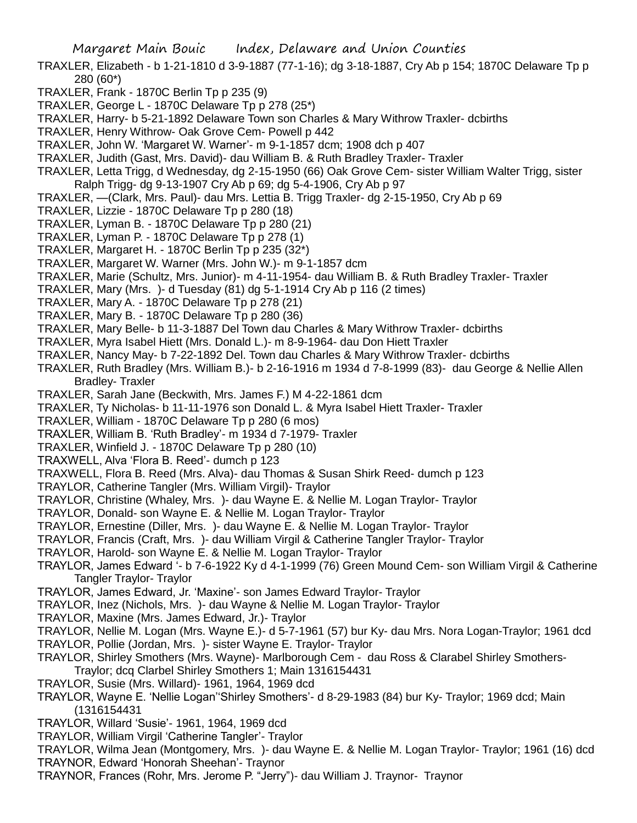- TRAXLER, Elizabeth b 1-21-1810 d 3-9-1887 (77-1-16); dg 3-18-1887, Cry Ab p 154; 1870C Delaware Tp p 280 (60\*)
- TRAXLER, Frank 1870C Berlin Tp p 235 (9)
- TRAXLER, George L 1870C Delaware Tp p 278 (25\*)
- TRAXLER, Harry- b 5-21-1892 Delaware Town son Charles & Mary Withrow Traxler- dcbirths
- TRAXLER, Henry Withrow- Oak Grove Cem- Powell p 442
- TRAXLER, John W. 'Margaret W. Warner'- m 9-1-1857 dcm; 1908 dch p 407
- TRAXLER, Judith (Gast, Mrs. David)- dau William B. & Ruth Bradley Traxler- Traxler
- TRAXLER, Letta Trigg, d Wednesday, dg 2-15-1950 (66) Oak Grove Cem- sister William Walter Trigg, sister Ralph Trigg- dg 9-13-1907 Cry Ab p 69; dg 5-4-1906, Cry Ab p 97
- TRAXLER, —(Clark, Mrs. Paul)- dau Mrs. Lettia B. Trigg Traxler- dg 2-15-1950, Cry Ab p 69
- TRAXLER, Lizzie 1870C Delaware Tp p 280 (18)
- TRAXLER, Lyman B. 1870C Delaware Tp p 280 (21)
- TRAXLER, Lyman P. 1870C Delaware Tp p 278 (1)
- TRAXLER, Margaret H. 1870C Berlin Tp p 235 (32\*)
- TRAXLER, Margaret W. Warner (Mrs. John W.)- m 9-1-1857 dcm
- TRAXLER, Marie (Schultz, Mrs. Junior)- m 4-11-1954- dau William B. & Ruth Bradley Traxler- Traxler
- TRAXLER, Mary (Mrs. )- d Tuesday (81) dg 5-1-1914 Cry Ab p 116 (2 times)
- TRAXLER, Mary A. 1870C Delaware Tp p 278 (21)
- TRAXLER, Mary B. 1870C Delaware Tp p 280 (36)
- TRAXLER, Mary Belle- b 11-3-1887 Del Town dau Charles & Mary Withrow Traxler- dcbirths
- TRAXLER, Myra Isabel Hiett (Mrs. Donald L.)- m 8-9-1964- dau Don Hiett Traxler
- TRAXLER, Nancy May- b 7-22-1892 Del. Town dau Charles & Mary Withrow Traxler- dcbirths
- TRAXLER, Ruth Bradley (Mrs. William B.)- b 2-16-1916 m 1934 d 7-8-1999 (83)- dau George & Nellie Allen Bradley- Traxler
- TRAXLER, Sarah Jane (Beckwith, Mrs. James F.) M 4-22-1861 dcm
- TRAXLER, Ty Nicholas- b 11-11-1976 son Donald L. & Myra Isabel Hiett Traxler- Traxler
- TRAXLER, William 1870C Delaware Tp p 280 (6 mos)
- TRAXLER, William B. 'Ruth Bradley'- m 1934 d 7-1979- Traxler
- TRAXLER, Winfield J. 1870C Delaware Tp p 280 (10)
- TRAXWELL, Alva 'Flora B. Reed'- dumch p 123
- TRAXWELL, Flora B. Reed (Mrs. Alva)- dau Thomas & Susan Shirk Reed- dumch p 123
- TRAYLOR, Catherine Tangler (Mrs. William Virgil)- Traylor
- TRAYLOR, Christine (Whaley, Mrs. )- dau Wayne E. & Nellie M. Logan Traylor- Traylor
- TRAYLOR, Donald- son Wayne E. & Nellie M. Logan Traylor- Traylor
- TRAYLOR, Ernestine (Diller, Mrs. )- dau Wayne E. & Nellie M. Logan Traylor- Traylor
- TRAYLOR, Francis (Craft, Mrs. )- dau William Virgil & Catherine Tangler Traylor- Traylor
- TRAYLOR, Harold- son Wayne E. & Nellie M. Logan Traylor- Traylor
- TRAYLOR, James Edward '- b 7-6-1922 Ky d 4-1-1999 (76) Green Mound Cem- son William Virgil & Catherine Tangler Traylor- Traylor
- TRAYLOR, James Edward, Jr. 'Maxine'- son James Edward Traylor- Traylor
- TRAYLOR, Inez (Nichols, Mrs. )- dau Wayne & Nellie M. Logan Traylor- Traylor
- TRAYLOR, Maxine (Mrs. James Edward, Jr.)- Traylor
- TRAYLOR, Nellie M. Logan (Mrs. Wayne E.)- d 5-7-1961 (57) bur Ky- dau Mrs. Nora Logan-Traylor; 1961 dcd
- TRAYLOR, Pollie (Jordan, Mrs. )- sister Wayne E. Traylor- Traylor
- TRAYLOR, Shirley Smothers (Mrs. Wayne)- Marlborough Cem dau Ross & Clarabel Shirley Smothers-Traylor; dcq Clarbel Shirley Smothers 1; Main 1316154431
- TRAYLOR, Susie (Mrs. Willard)- 1961, 1964, 1969 dcd
- TRAYLOR, Wayne E. 'Nellie Logan''Shirley Smothers'- d 8-29-1983 (84) bur Ky- Traylor; 1969 dcd; Main (1316154431
- TRAYLOR, Willard 'Susie'- 1961, 1964, 1969 dcd
- TRAYLOR, William Virgil 'Catherine Tangler'- Traylor
- TRAYLOR, Wilma Jean (Montgomery, Mrs. )- dau Wayne E. & Nellie M. Logan Traylor- Traylor; 1961 (16) dcd TRAYNOR, Edward 'Honorah Sheehan'- Traynor
- TRAYNOR, Frances (Rohr, Mrs. Jerome P. "Jerry")- dau William J. Traynor- Traynor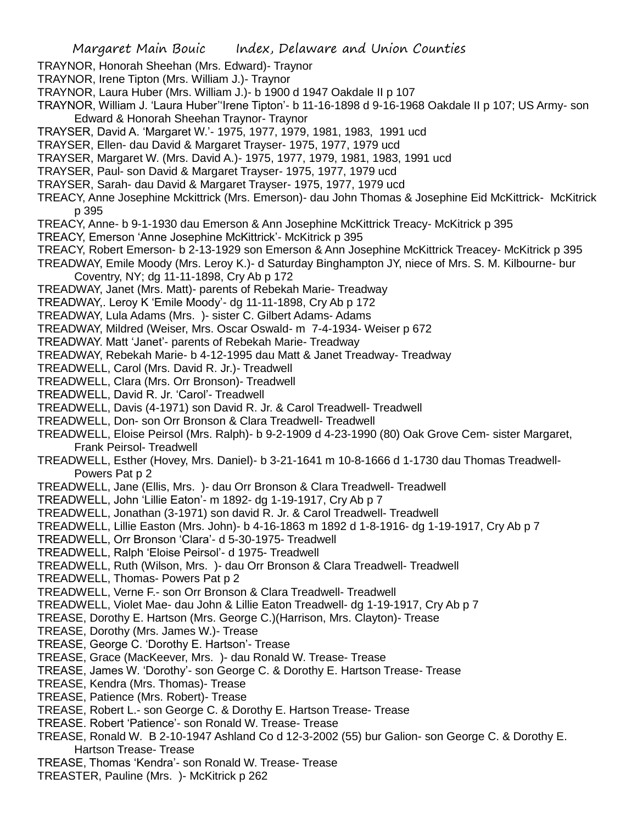- TRAYNOR, Honorah Sheehan (Mrs. Edward)- Traynor
- TRAYNOR, Irene Tipton (Mrs. William J.)- Traynor
- TRAYNOR, Laura Huber (Mrs. William J.)- b 1900 d 1947 Oakdale II p 107
- TRAYNOR, William J. 'Laura Huber''Irene Tipton'- b 11-16-1898 d 9-16-1968 Oakdale II p 107; US Army- son Edward & Honorah Sheehan Traynor- Traynor
- TRAYSER, David A. 'Margaret W.'- 1975, 1977, 1979, 1981, 1983, 1991 ucd
- TRAYSER, Ellen- dau David & Margaret Trayser- 1975, 1977, 1979 ucd
- TRAYSER, Margaret W. (Mrs. David A.)- 1975, 1977, 1979, 1981, 1983, 1991 ucd
- TRAYSER, Paul- son David & Margaret Trayser- 1975, 1977, 1979 ucd
- TRAYSER, Sarah- dau David & Margaret Trayser- 1975, 1977, 1979 ucd
- TREACY, Anne Josephine Mckittrick (Mrs. Emerson)- dau John Thomas & Josephine Eid McKittrick- McKitrick p 395
- TREACY, Anne- b 9-1-1930 dau Emerson & Ann Josephine McKittrick Treacy- McKitrick p 395
- TREACY, Emerson 'Anne Josephine McKittrick'- McKitrick p 395
- TREACY, Robert Emerson- b 2-13-1929 son Emerson & Ann Josephine McKittrick Treacey- McKitrick p 395
- TREADWAY, Emile Moody (Mrs. Leroy K.)- d Saturday Binghampton JY, niece of Mrs. S. M. Kilbourne- bur Coventry, NY; dg 11-11-1898, Cry Ab p 172
- TREADWAY, Janet (Mrs. Matt)- parents of Rebekah Marie- Treadway
- TREADWAY,. Leroy K 'Emile Moody'- dg 11-11-1898, Cry Ab p 172
- TREADWAY, Lula Adams (Mrs. )- sister C. Gilbert Adams- Adams
- TREADWAY, Mildred (Weiser, Mrs. Oscar Oswald- m 7-4-1934- Weiser p 672
- TREADWAY. Matt 'Janet'- parents of Rebekah Marie- Treadway
- TREADWAY, Rebekah Marie- b 4-12-1995 dau Matt & Janet Treadway- Treadway
- TREADWELL, Carol (Mrs. David R. Jr.)- Treadwell
- TREADWELL, Clara (Mrs. Orr Bronson)- Treadwell
- TREADWELL, David R. Jr. 'Carol'- Treadwell
- TREADWELL, Davis (4-1971) son David R. Jr. & Carol Treadwell- Treadwell
- TREADWELL, Don- son Orr Bronson & Clara Treadwell- Treadwell
- TREADWELL, Eloise Peirsol (Mrs. Ralph)- b 9-2-1909 d 4-23-1990 (80) Oak Grove Cem- sister Margaret, Frank Peirsol- Treadwell
- TREADWELL, Esther (Hovey, Mrs. Daniel)- b 3-21-1641 m 10-8-1666 d 1-1730 dau Thomas Treadwell-Powers Pat p 2
- TREADWELL, Jane (Ellis, Mrs. )- dau Orr Bronson & Clara Treadwell- Treadwell
- TREADWELL, John 'Lillie Eaton'- m 1892- dg 1-19-1917, Cry Ab p 7
- TREADWELL, Jonathan (3-1971) son david R. Jr. & Carol Treadwell- Treadwell
- TREADWELL, Lillie Easton (Mrs. John)- b 4-16-1863 m 1892 d 1-8-1916- dg 1-19-1917, Cry Ab p 7
- TREADWELL, Orr Bronson 'Clara'- d 5-30-1975- Treadwell
- TREADWELL, Ralph 'Eloise Peirsol'- d 1975- Treadwell
- TREADWELL, Ruth (Wilson, Mrs. )- dau Orr Bronson & Clara Treadwell- Treadwell
- TREADWELL, Thomas- Powers Pat p 2
- TREADWELL, Verne F.- son Orr Bronson & Clara Treadwell- Treadwell
- TREADWELL, Violet Mae- dau John & Lillie Eaton Treadwell- dg 1-19-1917, Cry Ab p 7
- TREASE, Dorothy E. Hartson (Mrs. George C.)(Harrison, Mrs. Clayton)- Trease
- TREASE, Dorothy (Mrs. James W.)- Trease
- TREASE, George C. 'Dorothy E. Hartson'- Trease
- TREASE, Grace (MacKeever, Mrs. )- dau Ronald W. Trease- Trease
- TREASE, James W. 'Dorothy'- son George C. & Dorothy E. Hartson Trease- Trease
- TREASE, Kendra (Mrs. Thomas)- Trease
- TREASE, Patience (Mrs. Robert)- Trease
- TREASE, Robert L.- son George C. & Dorothy E. Hartson Trease- Trease
- TREASE. Robert 'Patience'- son Ronald W. Trease- Trease
- TREASE, Ronald W. B 2-10-1947 Ashland Co d 12-3-2002 (55) bur Galion- son George C. & Dorothy E. Hartson Trease- Trease
- TREASE, Thomas 'Kendra'- son Ronald W. Trease- Trease
- TREASTER, Pauline (Mrs. )- McKitrick p 262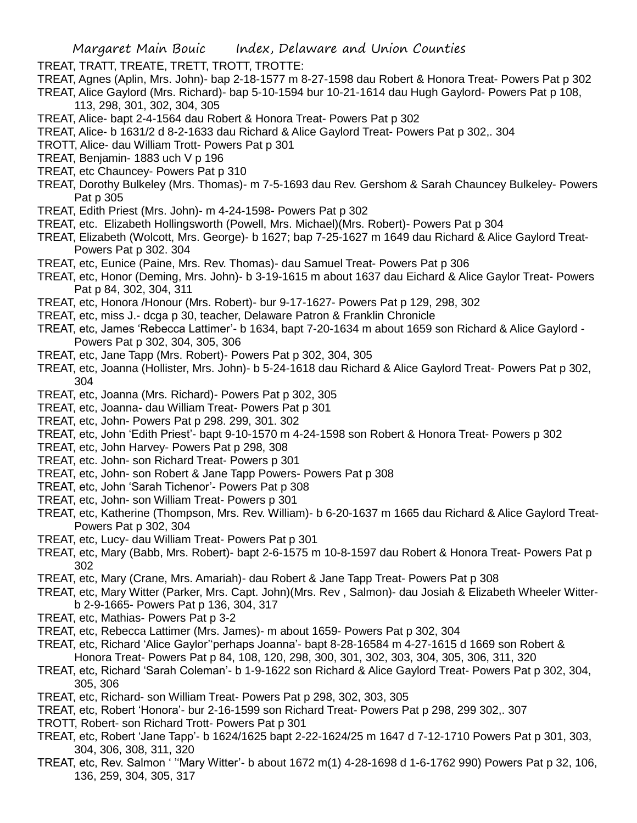- TREAT, TRATT, TREATE, TRETT, TROTT, TROTTE:
- TREAT, Agnes (Aplin, Mrs. John)- bap 2-18-1577 m 8-27-1598 dau Robert & Honora Treat- Powers Pat p 302
- TREAT, Alice Gaylord (Mrs. Richard)- bap 5-10-1594 bur 10-21-1614 dau Hugh Gaylord- Powers Pat p 108,
	- 113, 298, 301, 302, 304, 305
- TREAT, Alice- bapt 2-4-1564 dau Robert & Honora Treat- Powers Pat p 302
- TREAT, Alice- b 1631/2 d 8-2-1633 dau Richard & Alice Gaylord Treat- Powers Pat p 302,. 304
- TROTT, Alice- dau William Trott- Powers Pat p 301
- TREAT, Benjamin- 1883 uch V p 196
- TREAT, etc Chauncey- Powers Pat p 310
- TREAT, Dorothy Bulkeley (Mrs. Thomas)- m 7-5-1693 dau Rev. Gershom & Sarah Chauncey Bulkeley- Powers Pat p 305
- TREAT, Edith Priest (Mrs. John)- m 4-24-1598- Powers Pat p 302
- TREAT, etc. Elizabeth Hollingsworth (Powell, Mrs. Michael)(Mrs. Robert)- Powers Pat p 304
- TREAT, Elizabeth (Wolcott, Mrs. George)- b 1627; bap 7-25-1627 m 1649 dau Richard & Alice Gaylord Treat-Powers Pat p 302. 304
- TREAT, etc, Eunice (Paine, Mrs. Rev. Thomas)- dau Samuel Treat- Powers Pat p 306
- TREAT, etc, Honor (Deming, Mrs. John)- b 3-19-1615 m about 1637 dau Eichard & Alice Gaylor Treat- Powers Pat p 84, 302, 304, 311
- TREAT, etc, Honora /Honour (Mrs. Robert)- bur 9-17-1627- Powers Pat p 129, 298, 302
- TREAT, etc, miss J.- dcga p 30, teacher, Delaware Patron & Franklin Chronicle
- TREAT, etc, James 'Rebecca Lattimer'- b 1634, bapt 7-20-1634 m about 1659 son Richard & Alice Gaylord Powers Pat p 302, 304, 305, 306
- TREAT, etc, Jane Tapp (Mrs. Robert)- Powers Pat p 302, 304, 305
- TREAT, etc, Joanna (Hollister, Mrs. John)- b 5-24-1618 dau Richard & Alice Gaylord Treat- Powers Pat p 302, 304
- TREAT, etc, Joanna (Mrs. Richard)- Powers Pat p 302, 305
- TREAT, etc, Joanna- dau William Treat- Powers Pat p 301
- TREAT, etc, John- Powers Pat p 298. 299, 301. 302
- TREAT, etc, John 'Edith Priest'- bapt 9-10-1570 m 4-24-1598 son Robert & Honora Treat- Powers p 302
- TREAT, etc, John Harvey- Powers Pat p 298, 308
- TREAT, etc. John- son Richard Treat- Powers p 301
- TREAT, etc, John- son Robert & Jane Tapp Powers- Powers Pat p 308
- TREAT, etc, John 'Sarah Tichenor'- Powers Pat p 308
- TREAT, etc, John- son William Treat- Powers p 301
- TREAT, etc, Katherine (Thompson, Mrs. Rev. William)- b 6-20-1637 m 1665 dau Richard & Alice Gaylord Treat-Powers Pat p 302, 304
- TREAT, etc, Lucy- dau William Treat- Powers Pat p 301
- TREAT, etc, Mary (Babb, Mrs. Robert)- bapt 2-6-1575 m 10-8-1597 dau Robert & Honora Treat- Powers Pat p 302
- TREAT, etc, Mary (Crane, Mrs. Amariah)- dau Robert & Jane Tapp Treat- Powers Pat p 308
- TREAT, etc, Mary Witter (Parker, Mrs. Capt. John)(Mrs. Rev , Salmon)- dau Josiah & Elizabeth Wheeler Witterb 2-9-1665- Powers Pat p 136, 304, 317
- TREAT, etc, Mathias- Powers Pat p 3-2
- TREAT, etc, Rebecca Lattimer (Mrs. James)- m about 1659- Powers Pat p 302, 304
- TREAT, etc, Richard 'Alice Gaylor''perhaps Joanna'- bapt 8-28-16584 m 4-27-1615 d 1669 son Robert & Honora Treat- Powers Pat p 84, 108, 120, 298, 300, 301, 302, 303, 304, 305, 306, 311, 320
- TREAT, etc, Richard 'Sarah Coleman'- b 1-9-1622 son Richard & Alice Gaylord Treat- Powers Pat p 302, 304, 305, 306
- TREAT, etc, Richard- son William Treat- Powers Pat p 298, 302, 303, 305
- TREAT, etc, Robert 'Honora'- bur 2-16-1599 son Richard Treat- Powers Pat p 298, 299 302,. 307
- TROTT, Robert- son Richard Trott- Powers Pat p 301
- TREAT, etc, Robert 'Jane Tapp'- b 1624/1625 bapt 2-22-1624/25 m 1647 d 7-12-1710 Powers Pat p 301, 303, 304, 306, 308, 311, 320
- TREAT, etc, Rev. Salmon ' ''Mary Witter'- b about 1672 m(1) 4-28-1698 d 1-6-1762 990) Powers Pat p 32, 106, 136, 259, 304, 305, 317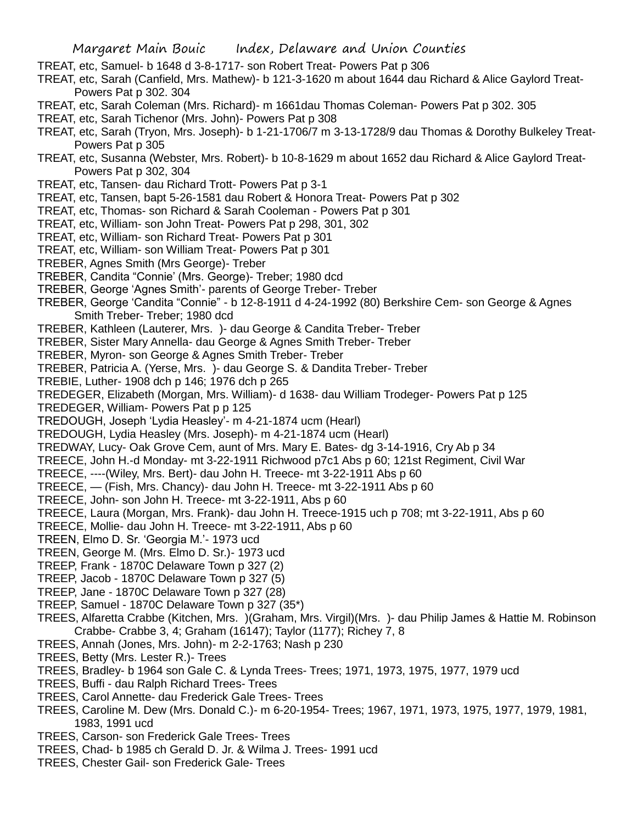- TREAT, etc, Samuel- b 1648 d 3-8-1717- son Robert Treat- Powers Pat p 306
- TREAT, etc, Sarah (Canfield, Mrs. Mathew)- b 121-3-1620 m about 1644 dau Richard & Alice Gaylord Treat-Powers Pat p 302. 304
- TREAT, etc, Sarah Coleman (Mrs. Richard)- m 1661dau Thomas Coleman- Powers Pat p 302. 305
- TREAT, etc, Sarah Tichenor (Mrs. John)- Powers Pat p 308
- TREAT, etc, Sarah (Tryon, Mrs. Joseph)- b 1-21-1706/7 m 3-13-1728/9 dau Thomas & Dorothy Bulkeley Treat-Powers Pat p 305
- TREAT, etc, Susanna (Webster, Mrs. Robert)- b 10-8-1629 m about 1652 dau Richard & Alice Gaylord Treat-Powers Pat p 302, 304
- TREAT, etc, Tansen- dau Richard Trott- Powers Pat p 3-1
- TREAT, etc, Tansen, bapt 5-26-1581 dau Robert & Honora Treat- Powers Pat p 302
- TREAT, etc, Thomas- son Richard & Sarah Cooleman Powers Pat p 301
- TREAT, etc, William- son John Treat- Powers Pat p 298, 301, 302
- TREAT, etc, William- son Richard Treat- Powers Pat p 301
- TREAT, etc, William- son William Treat- Powers Pat p 301
- TREBER, Agnes Smith (Mrs George)- Treber
- TREBER, Candita "Connie' (Mrs. George)- Treber; 1980 dcd
- TREBER, George 'Agnes Smith'- parents of George Treber- Treber
- TREBER, George 'Candita "Connie" b 12-8-1911 d 4-24-1992 (80) Berkshire Cem- son George & Agnes Smith Treber- Treber; 1980 dcd
- TREBER, Kathleen (Lauterer, Mrs. )- dau George & Candita Treber- Treber
- TREBER, Sister Mary Annella- dau George & Agnes Smith Treber- Treber
- TREBER, Myron- son George & Agnes Smith Treber- Treber
- TREBER, Patricia A. (Yerse, Mrs. )- dau George S. & Dandita Treber- Treber
- TREBIE, Luther- 1908 dch p 146; 1976 dch p 265
- TREDEGER, Elizabeth (Morgan, Mrs. William)- d 1638- dau William Trodeger- Powers Pat p 125
- TREDEGER, William- Powers Pat p p 125
- TREDOUGH, Joseph 'Lydia Heasley'- m 4-21-1874 ucm (Hearl)
- TREDOUGH, Lydia Heasley (Mrs. Joseph)- m 4-21-1874 ucm (Hearl)
- TREDWAY, Lucy- Oak Grove Cem, aunt of Mrs. Mary E. Bates- dg 3-14-1916, Cry Ab p 34
- TREECE, John H.-d Monday- mt 3-22-1911 Richwood p7c1 Abs p 60; 121st Regiment, Civil War
- TREECE, ----(Wiley, Mrs. Bert)- dau John H. Treece- mt 3-22-1911 Abs p 60
- TREECE, (Fish, Mrs. Chancy)- dau John H. Treece- mt 3-22-1911 Abs p 60
- TREECE, John- son John H. Treece- mt 3-22-1911, Abs p 60
- TREECE, Laura (Morgan, Mrs. Frank)- dau John H. Treece-1915 uch p 708; mt 3-22-1911, Abs p 60
- TREECE, Mollie- dau John H. Treece- mt 3-22-1911, Abs p 60
- TREEN, Elmo D. Sr. 'Georgia M.'- 1973 ucd
- TREEN, George M. (Mrs. Elmo D. Sr.)- 1973 ucd
- TREEP, Frank 1870C Delaware Town p 327 (2)
- TREEP, Jacob 1870C Delaware Town p 327 (5)
- TREEP, Jane 1870C Delaware Town p 327 (28)
- TREEP, Samuel 1870C Delaware Town p 327 (35\*)
- TREES, Alfaretta Crabbe (Kitchen, Mrs. )(Graham, Mrs. Virgil)(Mrs. )- dau Philip James & Hattie M. Robinson Crabbe- Crabbe 3, 4; Graham (16147); Taylor (1177); Richey 7, 8
- TREES, Annah (Jones, Mrs. John)- m 2-2-1763; Nash p 230
- TREES, Betty (Mrs. Lester R.)- Trees
- TREES, Bradley- b 1964 son Gale C. & Lynda Trees- Trees; 1971, 1973, 1975, 1977, 1979 ucd
- TREES, Buffi dau Ralph Richard Trees- Trees
- TREES, Carol Annette- dau Frederick Gale Trees- Trees
- TREES, Caroline M. Dew (Mrs. Donald C.)- m 6-20-1954- Trees; 1967, 1971, 1973, 1975, 1977, 1979, 1981, 1983, 1991 ucd
- TREES, Carson- son Frederick Gale Trees- Trees
- TREES, Chad- b 1985 ch Gerald D. Jr. & Wilma J. Trees- 1991 ucd
- TREES, Chester Gail- son Frederick Gale- Trees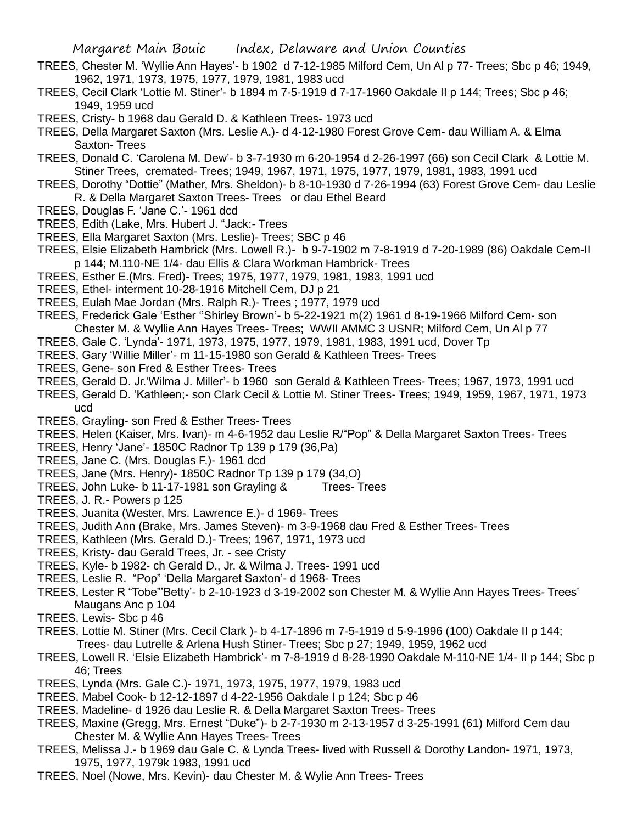- TREES, Chester M. 'Wyllie Ann Hayes'- b 1902 d 7-12-1985 Milford Cem, Un Al p 77- Trees; Sbc p 46; 1949, 1962, 1971, 1973, 1975, 1977, 1979, 1981, 1983 ucd
- TREES, Cecil Clark 'Lottie M. Stiner'- b 1894 m 7-5-1919 d 7-17-1960 Oakdale II p 144; Trees; Sbc p 46; 1949, 1959 ucd
- TREES, Cristy- b 1968 dau Gerald D. & Kathleen Trees- 1973 ucd
- TREES, Della Margaret Saxton (Mrs. Leslie A.)- d 4-12-1980 Forest Grove Cem- dau William A. & Elma Saxton- Trees
- TREES, Donald C. 'Carolena M. Dew'- b 3-7-1930 m 6-20-1954 d 2-26-1997 (66) son Cecil Clark & Lottie M. Stiner Trees, cremated- Trees; 1949, 1967, 1971, 1975, 1977, 1979, 1981, 1983, 1991 ucd
- TREES, Dorothy "Dottie" (Mather, Mrs. Sheldon)- b 8-10-1930 d 7-26-1994 (63) Forest Grove Cem- dau Leslie R. & Della Margaret Saxton Trees- Trees or dau Ethel Beard
- TREES, Douglas F. 'Jane C.'- 1961 dcd
- TREES, Edith (Lake, Mrs. Hubert J. "Jack:- Trees
- TREES, Ella Margaret Saxton (Mrs. Leslie)- Trees; SBC p 46
- TREES, Elsie Elizabeth Hambrick (Mrs. Lowell R.)- b 9-7-1902 m 7-8-1919 d 7-20-1989 (86) Oakdale Cem-II p 144; M.110-NE 1/4- dau Ellis & Clara Workman Hambrick- Trees
- TREES, Esther E.(Mrs. Fred)- Trees; 1975, 1977, 1979, 1981, 1983, 1991 ucd
- TREES, Ethel- interment 10-28-1916 Mitchell Cem, DJ p 21
- TREES, Eulah Mae Jordan (Mrs. Ralph R.)- Trees ; 1977, 1979 ucd
- TREES, Frederick Gale 'Esther ''Shirley Brown'- b 5-22-1921 m(2) 1961 d 8-19-1966 Milford Cem- son Chester M. & Wyllie Ann Hayes Trees- Trees; WWII AMMC 3 USNR; Milford Cem, Un Al p 77
- TREES, Gale C. 'Lynda'- 1971, 1973, 1975, 1977, 1979, 1981, 1983, 1991 ucd, Dover Tp
- TREES, Gary 'Willie Miller'- m 11-15-1980 son Gerald & Kathleen Trees- Trees
- TREES, Gene- son Fred & Esther Trees- Trees
- TREES, Gerald D. Jr.'Wilma J. Miller'- b 1960 son Gerald & Kathleen Trees- Trees; 1967, 1973, 1991 ucd
- TREES, Gerald D. 'Kathleen;- son Clark Cecil & Lottie M. Stiner Trees- Trees; 1949, 1959, 1967, 1971, 1973 ucd
- TREES, Grayling- son Fred & Esther Trees- Trees
- TREES, Helen (Kaiser, Mrs. Ivan)- m 4-6-1952 dau Leslie R/"Pop" & Della Margaret Saxton Trees- Trees
- TREES, Henry 'Jane'- 1850C Radnor Tp 139 p 179 (36,Pa)
- TREES, Jane C. (Mrs. Douglas F.)- 1961 dcd
- TREES, Jane (Mrs. Henry)- 1850C Radnor Tp 139 p 179 (34,O)
- TREES, John Luke- b 11-17-1981 son Grayling & Trees- Trees
- TREES, J. R.- Powers p 125
- TREES, Juanita (Wester, Mrs. Lawrence E.)- d 1969- Trees
- TREES, Judith Ann (Brake, Mrs. James Steven)- m 3-9-1968 dau Fred & Esther Trees- Trees
- TREES, Kathleen (Mrs. Gerald D.)- Trees; 1967, 1971, 1973 ucd
- TREES, Kristy- dau Gerald Trees, Jr. see Cristy
- TREES, Kyle- b 1982- ch Gerald D., Jr. & Wilma J. Trees- 1991 ucd
- TREES, Leslie R. "Pop" 'Della Margaret Saxton'- d 1968- Trees
- TREES, Lester R "Tobe"'Betty'- b 2-10-1923 d 3-19-2002 son Chester M. & Wyllie Ann Hayes Trees- Trees' Maugans Anc p 104
- TREES, Lewis- Sbc p 46
- TREES, Lottie M. Stiner (Mrs. Cecil Clark )- b 4-17-1896 m 7-5-1919 d 5-9-1996 (100) Oakdale II p 144; Trees- dau Lutrelle & Arlena Hush Stiner- Trees; Sbc p 27; 1949, 1959, 1962 ucd
- TREES, Lowell R. 'Elsie Elizabeth Hambrick'- m 7-8-1919 d 8-28-1990 Oakdale M-110-NE 1/4- II p 144; Sbc p 46; Trees
- TREES, Lynda (Mrs. Gale C.)- 1971, 1973, 1975, 1977, 1979, 1983 ucd
- TREES, Mabel Cook- b 12-12-1897 d 4-22-1956 Oakdale I p 124; Sbc p 46
- TREES, Madeline- d 1926 dau Leslie R. & Della Margaret Saxton Trees- Trees
- TREES, Maxine (Gregg, Mrs. Ernest "Duke")- b 2-7-1930 m 2-13-1957 d 3-25-1991 (61) Milford Cem dau Chester M. & Wyllie Ann Hayes Trees- Trees
- TREES, Melissa J.- b 1969 dau Gale C. & Lynda Trees- lived with Russell & Dorothy Landon- 1971, 1973, 1975, 1977, 1979k 1983, 1991 ucd
- TREES, Noel (Nowe, Mrs. Kevin)- dau Chester M. & Wylie Ann Trees- Trees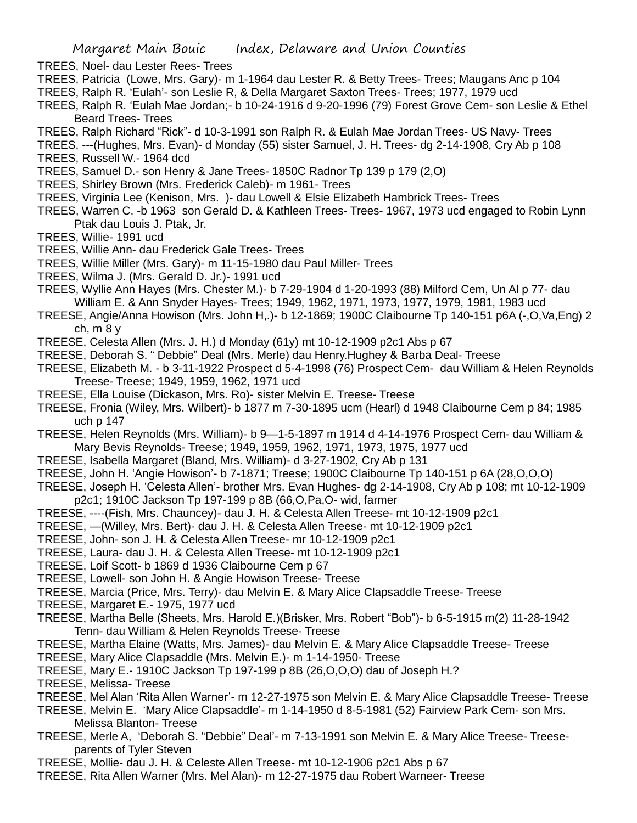- TREES, Noel- dau Lester Rees- Trees
- TREES, Patricia (Lowe, Mrs. Gary)- m 1-1964 dau Lester R. & Betty Trees- Trees; Maugans Anc p 104
- TREES, Ralph R. 'Eulah'- son Leslie R, & Della Margaret Saxton Trees- Trees; 1977, 1979 ucd
- TREES, Ralph R. 'Eulah Mae Jordan;- b 10-24-1916 d 9-20-1996 (79) Forest Grove Cem- son Leslie & Ethel Beard Trees- Trees
- TREES, Ralph Richard "Rick"- d 10-3-1991 son Ralph R. & Eulah Mae Jordan Trees- US Navy- Trees
- TREES, ---(Hughes, Mrs. Evan)- d Monday (55) sister Samuel, J. H. Trees- dg 2-14-1908, Cry Ab p 108 TREES, Russell W.- 1964 dcd
- TREES, Samuel D.- son Henry & Jane Trees- 1850C Radnor Tp 139 p 179 (2,O)
- TREES, Shirley Brown (Mrs. Frederick Caleb)- m 1961- Trees
- TREES, Virginia Lee (Kenison, Mrs. )- dau Lowell & Elsie Elizabeth Hambrick Trees- Trees
- TREES, Warren C. -b 1963 son Gerald D. & Kathleen Trees- Trees- 1967, 1973 ucd engaged to Robin Lynn Ptak dau Louis J. Ptak, Jr.
- TREES, Willie- 1991 ucd
- TREES, Willie Ann- dau Frederick Gale Trees- Trees
- TREES, Willie Miller (Mrs. Gary)- m 11-15-1980 dau Paul Miller- Trees
- TREES, Wilma J. (Mrs. Gerald D. Jr.)- 1991 ucd
- TREES, Wyllie Ann Hayes (Mrs. Chester M.)- b 7-29-1904 d 1-20-1993 (88) Milford Cem, Un Al p 77- dau William E. & Ann Snyder Hayes- Trees; 1949, 1962, 1971, 1973, 1977, 1979, 1981, 1983 ucd
- TREESE, Angie/Anna Howison (Mrs. John H,.)- b 12-1869; 1900C Claibourne Tp 140-151 p6A (-,O,Va,Eng) 2 ch, m 8 y
- TREESE, Celesta Allen (Mrs. J. H.) d Monday (61y) mt 10-12-1909 p2c1 Abs p 67
- TREESE, Deborah S. " Debbie" Deal (Mrs. Merle) dau Henry.Hughey & Barba Deal- Treese
- TREESE, Elizabeth M. b 3-11-1922 Prospect d 5-4-1998 (76) Prospect Cem- dau William & Helen Reynolds Treese- Treese; 1949, 1959, 1962, 1971 ucd
- TREESE, Ella Louise (Dickason, Mrs. Ro)- sister Melvin E. Treese- Treese
- TREESE, Fronia (Wiley, Mrs. Wilbert)- b 1877 m 7-30-1895 ucm (Hearl) d 1948 Claibourne Cem p 84; 1985 uch p 147
- TREESE, Helen Reynolds (Mrs. William)- b 9—1-5-1897 m 1914 d 4-14-1976 Prospect Cem- dau William & Mary Bevis Reynolds- Treese; 1949, 1959, 1962, 1971, 1973, 1975, 1977 ucd
- TREESE, Isabella Margaret (Bland, Mrs. William)- d 3-27-1902, Cry Ab p 131
- TREESE, John H. 'Angie Howison'- b 7-1871; Treese; 1900C Claibourne Tp 140-151 p 6A (28,O,O,O)
- TREESE, Joseph H. 'Celesta Allen'- brother Mrs. Evan Hughes- dg 2-14-1908, Cry Ab p 108; mt 10-12-1909 p2c1; 1910C Jackson Tp 197-199 p 8B (66,O,Pa,O- wid, farmer
- TREESE, ----(Fish, Mrs. Chauncey)- dau J. H. & Celesta Allen Treese- mt 10-12-1909 p2c1
- TREESE, —(Willey, Mrs. Bert)- dau J. H. & Celesta Allen Treese- mt 10-12-1909 p2c1
- TREESE, John- son J. H. & Celesta Allen Treese- mr 10-12-1909 p2c1
- TREESE, Laura- dau J. H. & Celesta Allen Treese- mt 10-12-1909 p2c1
- TREESE, Loif Scott- b 1869 d 1936 Claibourne Cem p 67
- TREESE, Lowell- son John H. & Angie Howison Treese- Treese
- TREESE, Marcia (Price, Mrs. Terry)- dau Melvin E. & Mary Alice Clapsaddle Treese- Treese
- TREESE, Margaret E.- 1975, 1977 ucd
- TREESE, Martha Belle (Sheets, Mrs. Harold E.)(Brisker, Mrs. Robert "Bob")- b 6-5-1915 m(2) 11-28-1942 Tenn- dau William & Helen Reynolds Treese- Treese
- TREESE, Martha Elaine (Watts, Mrs. James)- dau Melvin E. & Mary Alice Clapsaddle Treese- Treese
- TREESE, Mary Alice Clapsaddle (Mrs. Melvin E.)- m 1-14-1950- Treese
- TREESE, Mary E.- 1910C Jackson Tp 197-199 p 8B (26,O,O,O) dau of Joseph H.?
- TREESE, Melissa- Treese
- TREESE, Mel Alan 'Rita Allen Warner'- m 12-27-1975 son Melvin E. & Mary Alice Clapsaddle Treese- Treese
- TREESE, Melvin E. 'Mary Alice Clapsaddle'- m 1-14-1950 d 8-5-1981 (52) Fairview Park Cem- son Mrs. Melissa Blanton- Treese
- TREESE, Merle A, 'Deborah S. "Debbie" Deal'- m 7-13-1991 son Melvin E. & Mary Alice Treese- Treeseparents of Tyler Steven
- TREESE, Mollie- dau J. H. & Celeste Allen Treese- mt 10-12-1906 p2c1 Abs p 67
- TREESE, Rita Allen Warner (Mrs. Mel Alan)- m 12-27-1975 dau Robert Warneer- Treese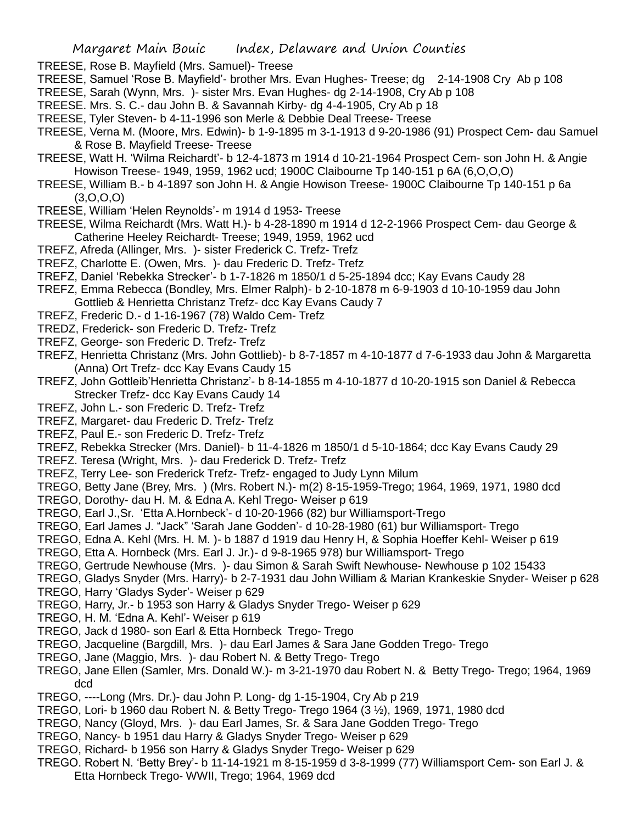- TREESE, Rose B. Mayfield (Mrs. Samuel)- Treese
- TREESE, Samuel 'Rose B. Mayfield'- brother Mrs. Evan Hughes- Treese; dg 2-14-1908 Cry Ab p 108
- TREESE, Sarah (Wynn, Mrs. )- sister Mrs. Evan Hughes- dg 2-14-1908, Cry Ab p 108
- TREESE. Mrs. S. C.- dau John B. & Savannah Kirby- dg 4-4-1905, Cry Ab p 18
- TREESE, Tyler Steven- b 4-11-1996 son Merle & Debbie Deal Treese- Treese
- TREESE, Verna M. (Moore, Mrs. Edwin)- b 1-9-1895 m 3-1-1913 d 9-20-1986 (91) Prospect Cem- dau Samuel & Rose B. Mayfield Treese- Treese
- TREESE, Watt H. 'Wilma Reichardt'- b 12-4-1873 m 1914 d 10-21-1964 Prospect Cem- son John H. & Angie Howison Treese- 1949, 1959, 1962 ucd; 1900C Claibourne Tp 140-151 p 6A (6,O,O,O)
- TREESE, William B.- b 4-1897 son John H. & Angie Howison Treese- 1900C Claibourne Tp 140-151 p 6a  $(3,0,0,0)$
- TREESE, William 'Helen Reynolds'- m 1914 d 1953- Treese
- TREESE, Wilma Reichardt (Mrs. Watt H.)- b 4-28-1890 m 1914 d 12-2-1966 Prospect Cem- dau George & Catherine Heeley Reichardt- Treese; 1949, 1959, 1962 ucd
- TREFZ, Afreda (Allinger, Mrs. )- sister Frederick C. Trefz- Trefz
- TREFZ, Charlotte E. (Owen, Mrs. )- dau Frederic D. Trefz- Trefz
- TREFZ, Daniel 'Rebekka Strecker'- b 1-7-1826 m 1850/1 d 5-25-1894 dcc; Kay Evans Caudy 28
- TREFZ, Emma Rebecca (Bondley, Mrs. Elmer Ralph)- b 2-10-1878 m 6-9-1903 d 10-10-1959 dau John Gottlieb & Henrietta Christanz Trefz- dcc Kay Evans Caudy 7
- TREFZ, Frederic D.- d 1-16-1967 (78) Waldo Cem- Trefz
- TREDZ, Frederick- son Frederic D. Trefz- Trefz
- TREFZ, George- son Frederic D. Trefz- Trefz
- TREFZ, Henrietta Christanz (Mrs. John Gottlieb)- b 8-7-1857 m 4-10-1877 d 7-6-1933 dau John & Margaretta (Anna) Ort Trefz- dcc Kay Evans Caudy 15
- TREFZ, John Gottleib'Henrietta Christanz'- b 8-14-1855 m 4-10-1877 d 10-20-1915 son Daniel & Rebecca Strecker Trefz- dcc Kay Evans Caudy 14
- TREFZ, John L.- son Frederic D. Trefz- Trefz
- TREFZ, Margaret- dau Frederic D. Trefz- Trefz
- TREFZ, Paul E.- son Frederic D. Trefz- Trefz
- TREFZ, Rebekka Strecker (Mrs. Daniel)- b 11-4-1826 m 1850/1 d 5-10-1864; dcc Kay Evans Caudy 29
- TREFZ. Teresa (Wright, Mrs. )- dau Frederick D. Trefz- Trefz
- TREFZ, Terry Lee- son Frederick Trefz- Trefz- engaged to Judy Lynn Milum
- TREGO, Betty Jane (Brey, Mrs. ) (Mrs. Robert N.)- m(2) 8-15-1959-Trego; 1964, 1969, 1971, 1980 dcd
- TREGO, Dorothy- dau H. M. & Edna A. Kehl Trego- Weiser p 619
- TREGO, Earl J.,Sr. 'Etta A.Hornbeck'- d 10-20-1966 (82) bur Williamsport-Trego
- TREGO, Earl James J. "Jack" 'Sarah Jane Godden'- d 10-28-1980 (61) bur Williamsport- Trego
- TREGO, Edna A. Kehl (Mrs. H. M. )- b 1887 d 1919 dau Henry H, & Sophia Hoeffer Kehl- Weiser p 619
- TREGO, Etta A. Hornbeck (Mrs. Earl J. Jr.)- d 9-8-1965 978) bur Williamsport- Trego
- TREGO, Gertrude Newhouse (Mrs. )- dau Simon & Sarah Swift Newhouse- Newhouse p 102 15433
- TREGO, Gladys Snyder (Mrs. Harry)- b 2-7-1931 dau John William & Marian Krankeskie Snyder- Weiser p 628
- TREGO, Harry 'Gladys Syder'- Weiser p 629
- TREGO, Harry, Jr.- b 1953 son Harry & Gladys Snyder Trego- Weiser p 629
- TREGO, H. M. 'Edna A. Kehl'- Weiser p 619
- TREGO, Jack d 1980- son Earl & Etta Hornbeck Trego- Trego
- TREGO, Jacqueline (Bargdill, Mrs. )- dau Earl James & Sara Jane Godden Trego- Trego
- TREGO, Jane (Maggio, Mrs. )- dau Robert N. & Betty Trego- Trego
- TREGO, Jane Ellen (Samler, Mrs. Donald W.)- m 3-21-1970 dau Robert N. & Betty Trego- Trego; 1964, 1969 dcd
- TREGO, ----Long (Mrs. Dr.)- dau John P. Long- dg 1-15-1904, Cry Ab p 219
- TREGO, Lori- b 1960 dau Robert N. & Betty Trego- Trego 1964 (3 ½), 1969, 1971, 1980 dcd
- TREGO, Nancy (Gloyd, Mrs. )- dau Earl James, Sr. & Sara Jane Godden Trego- Trego
- TREGO, Nancy- b 1951 dau Harry & Gladys Snyder Trego- Weiser p 629
- TREGO, Richard- b 1956 son Harry & Gladys Snyder Trego- Weiser p 629
- TREGO. Robert N. 'Betty Brey'- b 11-14-1921 m 8-15-1959 d 3-8-1999 (77) Williamsport Cem- son Earl J. & Etta Hornbeck Trego- WWII, Trego; 1964, 1969 dcd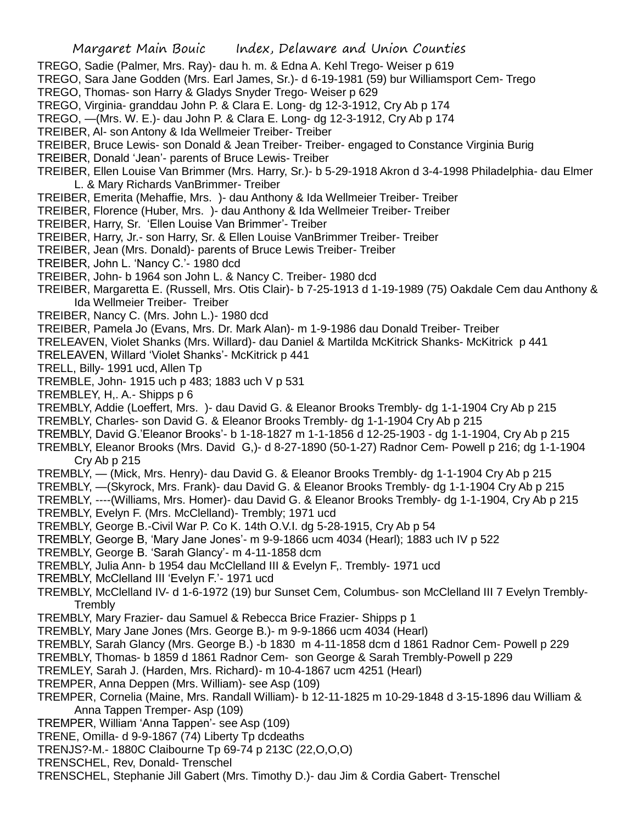- TREGO, Sadie (Palmer, Mrs. Ray)- dau h. m. & Edna A. Kehl Trego- Weiser p 619
- TREGO, Sara Jane Godden (Mrs. Earl James, Sr.)- d 6-19-1981 (59) bur Williamsport Cem- Trego
- TREGO, Thomas- son Harry & Gladys Snyder Trego- Weiser p 629
- TREGO, Virginia- granddau John P. & Clara E. Long- dg 12-3-1912, Cry Ab p 174
- TREGO, —(Mrs. W. E.)- dau John P. & Clara E. Long- dg 12-3-1912, Cry Ab p 174
- TREIBER, Al- son Antony & Ida Wellmeier Treiber- Treiber
- TREIBER, Bruce Lewis- son Donald & Jean Treiber- Treiber- engaged to Constance Virginia Burig
- TREIBER, Donald 'Jean'- parents of Bruce Lewis- Treiber
- TREIBER, Ellen Louise Van Brimmer (Mrs. Harry, Sr.)- b 5-29-1918 Akron d 3-4-1998 Philadelphia- dau Elmer L. & Mary Richards VanBrimmer- Treiber
- TREIBER, Emerita (Mehaffie, Mrs. )- dau Anthony & Ida Wellmeier Treiber- Treiber
- TREIBER, Florence (Huber, Mrs. )- dau Anthony & Ida Wellmeier Treiber- Treiber
- TREIBER, Harry, Sr. 'Ellen Louise Van Brimmer'- Treiber
- TREIBER, Harry, Jr.- son Harry, Sr. & Ellen Louise VanBrimmer Treiber- Treiber
- TREIBER, Jean (Mrs. Donald)- parents of Bruce Lewis Treiber- Treiber
- TREIBER, John L. 'Nancy C.'- 1980 dcd
- TREIBER, John- b 1964 son John L. & Nancy C. Treiber- 1980 dcd
- TREIBER, Margaretta E. (Russell, Mrs. Otis Clair)- b 7-25-1913 d 1-19-1989 (75) Oakdale Cem dau Anthony & Ida Wellmeier Treiber- Treiber
- TREIBER, Nancy C. (Mrs. John L.)- 1980 dcd
- TREIBER, Pamela Jo (Evans, Mrs. Dr. Mark Alan)- m 1-9-1986 dau Donald Treiber- Treiber
- TRELEAVEN, Violet Shanks (Mrs. Willard)- dau Daniel & Martilda McKitrick Shanks- McKitrick p 441
- TRELEAVEN, Willard 'Violet Shanks'- McKitrick p 441
- TRELL, Billy- 1991 ucd, Allen Tp
- TREMBLE, John- 1915 uch p 483; 1883 uch V p 531
- TREMBLEY, H,. A.- Shipps p 6
- TREMBLY, Addie (Loeffert, Mrs. )- dau David G. & Eleanor Brooks Trembly- dg 1-1-1904 Cry Ab p 215
- TREMBLY, Charles- son David G. & Eleanor Brooks Trembly- dg 1-1-1904 Cry Ab p 215
- TREMBLY, David G.'Eleanor Brooks'- b 1-18-1827 m 1-1-1856 d 12-25-1903 dg 1-1-1904, Cry Ab p 215
- TREMBLY, Eleanor Brooks (Mrs. David G,)- d 8-27-1890 (50-1-27) Radnor Cem- Powell p 216; dg 1-1-1904 Cry Ab p 215
- TREMBLY, (Mick, Mrs. Henry)- dau David G. & Eleanor Brooks Trembly- dg 1-1-1904 Cry Ab p 215
- TREMBLY, —(Skyrock, Mrs. Frank)- dau David G. & Eleanor Brooks Trembly- dg 1-1-1904 Cry Ab p 215
- TREMBLY, ----(Williams, Mrs. Homer)- dau David G. & Eleanor Brooks Trembly- dg 1-1-1904, Cry Ab p 215 TREMBLY, Evelyn F. (Mrs. McClelland)- Trembly; 1971 ucd
- TREMBLY, George B.-Civil War P. Co K. 14th O.V.I. dg 5-28-1915, Cry Ab p 54
- TREMBLY, George B, 'Mary Jane Jones'- m 9-9-1866 ucm 4034 (Hearl); 1883 uch IV p 522
- TREMBLY, George B. 'Sarah Glancy'- m 4-11-1858 dcm
- TREMBLY, Julia Ann- b 1954 dau McClelland III & Evelyn F,. Trembly- 1971 ucd
- TREMBLY, McClelland III 'Evelyn F.'- 1971 ucd
- TREMBLY, McClelland IV- d 1-6-1972 (19) bur Sunset Cem, Columbus- son McClelland III 7 Evelyn Trembly-**Trembly**
- TREMBLY, Mary Frazier- dau Samuel & Rebecca Brice Frazier- Shipps p 1
- TREMBLY, Mary Jane Jones (Mrs. George B.)- m 9-9-1866 ucm 4034 (Hearl)
- TREMBLY, Sarah Glancy (Mrs. George B.) -b 1830 m 4-11-1858 dcm d 1861 Radnor Cem- Powell p 229
- TREMBLY, Thomas- b 1859 d 1861 Radnor Cem- son George & Sarah Trembly-Powell p 229
- TREMLEY, Sarah J. (Harden, Mrs. Richard)- m 10-4-1867 ucm 4251 (Hearl)
- TREMPER, Anna Deppen (Mrs. William)- see Asp (109)
- TREMPER, Cornelia (Maine, Mrs. Randall William)- b 12-11-1825 m 10-29-1848 d 3-15-1896 dau William & Anna Tappen Tremper- Asp (109)
- TREMPER, William 'Anna Tappen'- see Asp (109)
- TRENE, Omilla- d 9-9-1867 (74) Liberty Tp dcdeaths
- TRENJS?-M.- 1880C Claibourne Tp 69-74 p 213C (22,O,O,O)
- TRENSCHEL, Rev, Donald- Trenschel
- TRENSCHEL, Stephanie Jill Gabert (Mrs. Timothy D.)- dau Jim & Cordia Gabert- Trenschel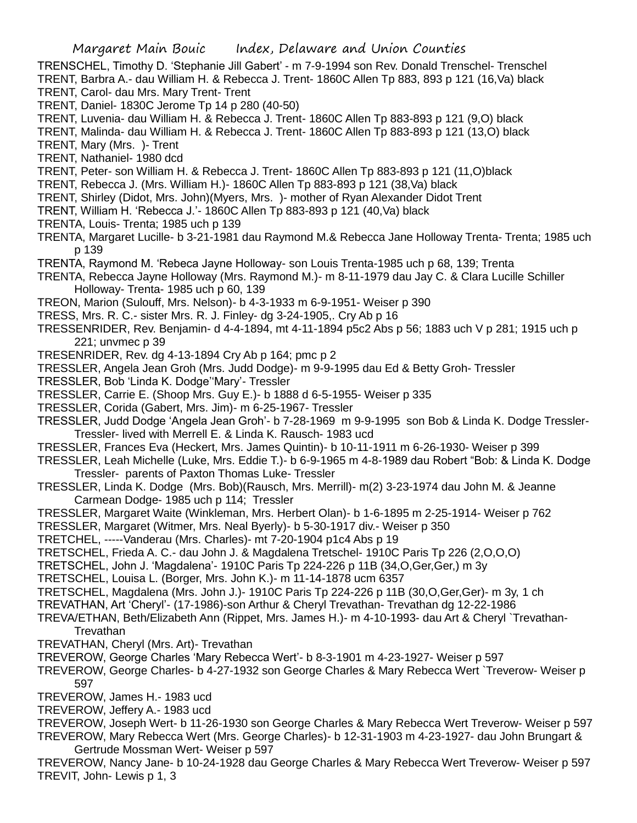TRENSCHEL, Timothy D. 'Stephanie Jill Gabert' - m 7-9-1994 son Rev. Donald Trenschel- Trenschel TRENT, Barbra A.- dau William H. & Rebecca J. Trent- 1860C Allen Tp 883, 893 p 121 (16,Va) black TRENT, Carol- dau Mrs. Mary Trent- Trent

TRENT, Daniel- 1830C Jerome Tp 14 p 280 (40-50)

TRENT, Luvenia- dau William H. & Rebecca J. Trent- 1860C Allen Tp 883-893 p 121 (9,O) black

TRENT, Malinda- dau William H. & Rebecca J. Trent- 1860C Allen Tp 883-893 p 121 (13,O) black

TRENT, Mary (Mrs. )- Trent

TRENT, Nathaniel- 1980 dcd

TRENT, Peter- son William H. & Rebecca J. Trent- 1860C Allen Tp 883-893 p 121 (11,O)black

TRENT, Rebecca J. (Mrs. William H.)- 1860C Allen Tp 883-893 p 121 (38,Va) black

TRENT, Shirley (Didot, Mrs. John)(Myers, Mrs. )- mother of Ryan Alexander Didot Trent

- TRENT, William H. 'Rebecca J.'- 1860C Allen Tp 883-893 p 121 (40,Va) black
- TRENTA, Louis- Trenta; 1985 uch p 139

TRENTA, Margaret Lucille- b 3-21-1981 dau Raymond M.& Rebecca Jane Holloway Trenta- Trenta; 1985 uch p 139

TRENTA, Raymond M. 'Rebeca Jayne Holloway- son Louis Trenta-1985 uch p 68, 139; Trenta

TRENTA, Rebecca Jayne Holloway (Mrs. Raymond M.)- m 8-11-1979 dau Jay C. & Clara Lucille Schiller Holloway- Trenta- 1985 uch p 60, 139

TREON, Marion (Sulouff, Mrs. Nelson)- b 4-3-1933 m 6-9-1951- Weiser p 390

TRESS, Mrs. R. C.- sister Mrs. R. J. Finley- dg 3-24-1905,. Cry Ab p 16

TRESSENRIDER, Rev. Benjamin- d 4-4-1894, mt 4-11-1894 p5c2 Abs p 56; 1883 uch V p 281; 1915 uch p 221; unvmec p 39

TRESENRIDER, Rev. dg 4-13-1894 Cry Ab p 164; pmc p 2

TRESSLER, Angela Jean Groh (Mrs. Judd Dodge)- m 9-9-1995 dau Ed & Betty Groh- Tressler

TRESSLER, Bob 'Linda K. Dodge''Mary'- Tressler

TRESSLER, Carrie E. (Shoop Mrs. Guy E.)- b 1888 d 6-5-1955- Weiser p 335

TRESSLER, Corida (Gabert, Mrs. Jim)- m 6-25-1967- Tressler

TRESSLER, Judd Dodge 'Angela Jean Groh'- b 7-28-1969 m 9-9-1995 son Bob & Linda K. Dodge Tressler-Tressler- lived with Merrell E. & Linda K. Rausch- 1983 ucd

TRESSLER, Frances Eva (Heckert, Mrs. James Quintin)- b 10-11-1911 m 6-26-1930- Weiser p 399

TRESSLER, Leah Michelle (Luke, Mrs. Eddie T.)- b 6-9-1965 m 4-8-1989 dau Robert "Bob: & Linda K. Dodge Tressler- parents of Paxton Thomas Luke- Tressler

TRESSLER, Linda K. Dodge (Mrs. Bob)(Rausch, Mrs. Merrill)- m(2) 3-23-1974 dau John M. & Jeanne Carmean Dodge- 1985 uch p 114; Tressler

TRESSLER, Margaret Waite (Winkleman, Mrs. Herbert Olan)- b 1-6-1895 m 2-25-1914- Weiser p 762

TRESSLER, Margaret (Witmer, Mrs. Neal Byerly)- b 5-30-1917 div.- Weiser p 350

TRETCHEL, -----Vanderau (Mrs. Charles)- mt 7-20-1904 p1c4 Abs p 19

TRETSCHEL, Frieda A. C.- dau John J. & Magdalena Tretschel- 1910C Paris Tp 226 (2,O,O,O)

TRETSCHEL, John J. 'Magdalena'- 1910C Paris Tp 224-226 p 11B (34,O,Ger,Ger,) m 3y

TRETSCHEL, Louisa L. (Borger, Mrs. John K.)- m 11-14-1878 ucm 6357

TRETSCHEL, Magdalena (Mrs. John J.)- 1910C Paris Tp 224-226 p 11B (30,O,Ger,Ger)- m 3y, 1 ch

TREVATHAN, Art 'Cheryl'- (17-1986)-son Arthur & Cheryl Trevathan- Trevathan dg 12-22-1986

TREVA/ETHAN, Beth/Elizabeth Ann (Rippet, Mrs. James H.)- m 4-10-1993- dau Art & Cheryl `Trevathan-Trevathan

- TREVATHAN, Cheryl (Mrs. Art)- Trevathan
- TREVEROW, George Charles 'Mary Rebecca Wert'- b 8-3-1901 m 4-23-1927- Weiser p 597
- TREVEROW, George Charles- b 4-27-1932 son George Charles & Mary Rebecca Wert `Treverow- Weiser p 597

TREVEROW, James H.- 1983 ucd

TREVEROW, Jeffery A.- 1983 ucd

TREVEROW, Joseph Wert- b 11-26-1930 son George Charles & Mary Rebecca Wert Treverow- Weiser p 597

TREVEROW, Mary Rebecca Wert (Mrs. George Charles)- b 12-31-1903 m 4-23-1927- dau John Brungart & Gertrude Mossman Wert- Weiser p 597

TREVEROW, Nancy Jane- b 10-24-1928 dau George Charles & Mary Rebecca Wert Treverow- Weiser p 597 TREVIT, John- Lewis p 1, 3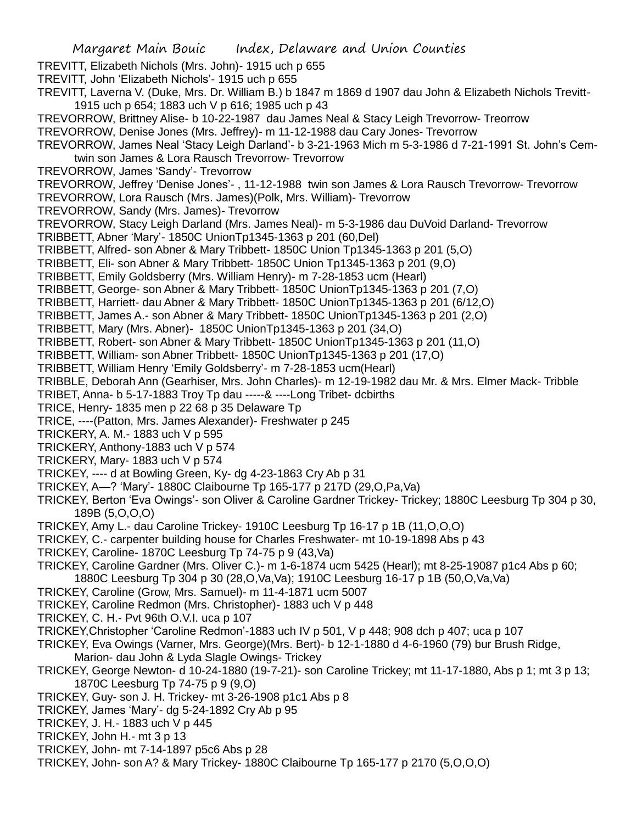- TREVITT, Elizabeth Nichols (Mrs. John)- 1915 uch p 655
- TREVITT, John 'Elizabeth Nichols'- 1915 uch p 655
- TREVITT, Laverna V. (Duke, Mrs. Dr. William B.) b 1847 m 1869 d 1907 dau John & Elizabeth Nichols Trevitt-1915 uch p 654; 1883 uch V p 616; 1985 uch p 43
- TREVORROW, Brittney Alise- b 10-22-1987 dau James Neal & Stacy Leigh Trevorrow- Treorrow
- TREVORROW, Denise Jones (Mrs. Jeffrey)- m 11-12-1988 dau Cary Jones- Trevorrow
- TREVORROW, James Neal 'Stacy Leigh Darland'- b 3-21-1963 Mich m 5-3-1986 d 7-21-1991 St. John's Cemtwin son James & Lora Rausch Trevorrow- Trevorrow
- TREVORROW, James 'Sandy'- Trevorrow
- TREVORROW, Jeffrey 'Denise Jones'- , 11-12-1988 twin son James & Lora Rausch Trevorrow- Trevorrow
- TREVORROW, Lora Rausch (Mrs. James)(Polk, Mrs. William)- Trevorrow
- TREVORROW, Sandy (Mrs. James)- Trevorrow
- TREVORROW, Stacy Leigh Darland (Mrs. James Neal)- m 5-3-1986 dau DuVoid Darland- Trevorrow
- TRIBBETT, Abner 'Mary'- 1850C UnionTp1345-1363 p 201 (60,Del)
- TRIBBETT, Alfred- son Abner & Mary Tribbett- 1850C Union Tp1345-1363 p 201 (5,O)
- TRIBBETT, Eli- son Abner & Mary Tribbett- 1850C Union Tp1345-1363 p 201 (9,O)
- TRIBBETT, Emily Goldsberry (Mrs. William Henry)- m 7-28-1853 ucm (Hearl)
- TRIBBETT, George- son Abner & Mary Tribbett- 1850C UnionTp1345-1363 p 201 (7,O)
- TRIBBETT, Harriett- dau Abner & Mary Tribbett- 1850C UnionTp1345-1363 p 201 (6/12,O)
- TRIBBETT, James A.- son Abner & Mary Tribbett- 1850C UnionTp1345-1363 p 201 (2,O)
- TRIBBETT, Mary (Mrs. Abner)- 1850C UnionTp1345-1363 p 201 (34,O)
- TRIBBETT, Robert- son Abner & Mary Tribbett- 1850C UnionTp1345-1363 p 201 (11,O)
- TRIBBETT, William- son Abner Tribbett- 1850C UnionTp1345-1363 p 201 (17,O)
- TRIBBETT, William Henry 'Emily Goldsberry'- m 7-28-1853 ucm(Hearl)
- TRIBBLE, Deborah Ann (Gearhiser, Mrs. John Charles)- m 12-19-1982 dau Mr. & Mrs. Elmer Mack- Tribble
- TRIBET, Anna- b 5-17-1883 Troy Tp dau -----& ----Long Tribet- dcbirths
- TRICE, Henry- 1835 men p 22 68 p 35 Delaware Tp
- TRICE, ----(Patton, Mrs. James Alexander)- Freshwater p 245
- TRICKERY, A. M.- 1883 uch V p 595
- TRICKERY, Anthony-1883 uch V p 574
- TRICKERY, Mary- 1883 uch V p 574
- TRICKEY, ---- d at Bowling Green, Ky- dg 4-23-1863 Cry Ab p 31
- TRICKEY, A—? 'Mary'- 1880C Claibourne Tp 165-177 p 217D (29,O,Pa,Va)
- TRICKEY, Berton 'Eva Owings'- son Oliver & Caroline Gardner Trickey- Trickey; 1880C Leesburg Tp 304 p 30, 189B (5,O,O,O)
- TRICKEY, Amy L.- dau Caroline Trickey- 1910C Leesburg Tp 16-17 p 1B (11,O,O,O)
- TRICKEY, C.- carpenter building house for Charles Freshwater- mt 10-19-1898 Abs p 43
- TRICKEY, Caroline- 1870C Leesburg Tp 74-75 p 9 (43,Va)
- TRICKEY, Caroline Gardner (Mrs. Oliver C.)- m 1-6-1874 ucm 5425 (Hearl); mt 8-25-19087 p1c4 Abs p 60; 1880C Leesburg Tp 304 p 30 (28,O,Va,Va); 1910C Leesburg 16-17 p 1B (50,O,Va,Va)
- TRICKEY, Caroline (Grow, Mrs. Samuel)- m 11-4-1871 ucm 5007
- TRICKEY, Caroline Redmon (Mrs. Christopher)- 1883 uch V p 448
- TRICKEY, C. H.- Pvt 96th O.V.I. uca p 107
- TRICKEY,Christopher 'Caroline Redmon'-1883 uch IV p 501, V p 448; 908 dch p 407; uca p 107
- TRICKEY, Eva Owings (Varner, Mrs. George)(Mrs. Bert)- b 12-1-1880 d 4-6-1960 (79) bur Brush Ridge, Marion- dau John & Lyda Slagle Owings- Trickey
- TRICKEY, George Newton- d 10-24-1880 (19-7-21)- son Caroline Trickey; mt 11-17-1880, Abs p 1; mt 3 p 13; 1870C Leesburg Tp 74-75 p 9 (9,O)
- TRICKEY, Guy- son J. H. Trickey- mt 3-26-1908 p1c1 Abs p 8
- TRICKEY, James 'Mary'- dg 5-24-1892 Cry Ab p 95
- TRICKEY, J. H.- 1883 uch V p 445
- TRICKEY, John H.- mt 3 p 13
- TRICKEY, John- mt 7-14-1897 p5c6 Abs p 28
- TRICKEY, John- son A? & Mary Trickey- 1880C Claibourne Tp 165-177 p 2170 (5,O,O,O)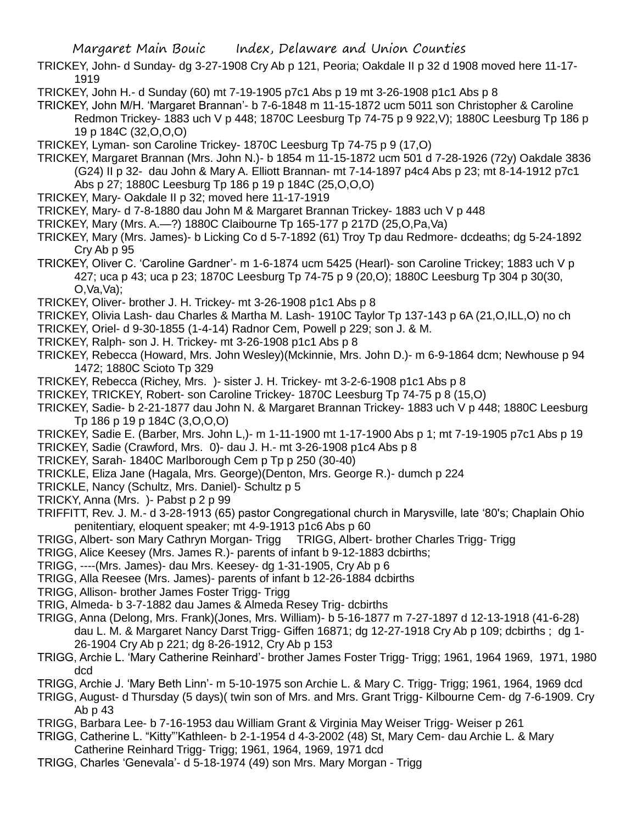- TRICKEY, John- d Sunday- dg 3-27-1908 Cry Ab p 121, Peoria; Oakdale II p 32 d 1908 moved here 11-17- 1919
- TRICKEY, John H.- d Sunday (60) mt 7-19-1905 p7c1 Abs p 19 mt 3-26-1908 p1c1 Abs p 8
- TRICKEY, John M/H. 'Margaret Brannan'- b 7-6-1848 m 11-15-1872 ucm 5011 son Christopher & Caroline Redmon Trickey- 1883 uch V p 448; 1870C Leesburg Tp 74-75 p 9 922,V); 1880C Leesburg Tp 186 p 19 p 184C (32,O,O,O)
- TRICKEY, Lyman- son Caroline Trickey- 1870C Leesburg Tp 74-75 p 9 (17,O)
- TRICKEY, Margaret Brannan (Mrs. John N.)- b 1854 m 11-15-1872 ucm 501 d 7-28-1926 (72y) Oakdale 3836 (G24) II p 32- dau John & Mary A. Elliott Brannan- mt 7-14-1897 p4c4 Abs p 23; mt 8-14-1912 p7c1 Abs p 27; 1880C Leesburg Tp 186 p 19 p 184C (25,O,O,O)
- TRICKEY, Mary- Oakdale II p 32; moved here 11-17-1919
- TRICKEY, Mary- d 7-8-1880 dau John M & Margaret Brannan Trickey- 1883 uch V p 448
- TRICKEY, Mary (Mrs. A.—?) 1880C Claibourne Tp 165-177 p 217D (25,O,Pa,Va)
- TRICKEY, Mary (Mrs. James)- b Licking Co d 5-7-1892 (61) Troy Tp dau Redmore- dcdeaths; dg 5-24-1892 Cry Ab p 95
- TRICKEY, Oliver C. 'Caroline Gardner'- m 1-6-1874 ucm 5425 (Hearl)- son Caroline Trickey; 1883 uch V p 427; uca p 43; uca p 23; 1870C Leesburg Tp 74-75 p 9 (20,O); 1880C Leesburg Tp 304 p 30(30,  $O$ , Va, Va $)$ ;
- TRICKEY, Oliver- brother J. H. Trickey- mt 3-26-1908 p1c1 Abs p 8
- TRICKEY, Olivia Lash- dau Charles & Martha M. Lash- 1910C Taylor Tp 137-143 p 6A (21,O,ILL,O) no ch
- TRICKEY, Oriel- d 9-30-1855 (1-4-14) Radnor Cem, Powell p 229; son J. & M.
- TRICKEY, Ralph- son J. H. Trickey- mt 3-26-1908 p1c1 Abs p 8
- TRICKEY, Rebecca (Howard, Mrs. John Wesley)(Mckinnie, Mrs. John D.)- m 6-9-1864 dcm; Newhouse p 94 1472; 1880C Scioto Tp 329
- TRICKEY, Rebecca (Richey, Mrs. )- sister J. H. Trickey- mt 3-2-6-1908 p1c1 Abs p 8
- TRICKEY, TRICKEY, Robert- son Caroline Trickey- 1870C Leesburg Tp 74-75 p 8 (15,O)
- TRICKEY, Sadie- b 2-21-1877 dau John N. & Margaret Brannan Trickey- 1883 uch V p 448; 1880C Leesburg Tp 186 p 19 p 184C (3,O,O,O)
- TRICKEY, Sadie E. (Barber, Mrs. John L,)- m 1-11-1900 mt 1-17-1900 Abs p 1; mt 7-19-1905 p7c1 Abs p 19
- TRICKEY, Sadie (Crawford, Mrs. 0)- dau J. H.- mt 3-26-1908 p1c4 Abs p 8
- TRICKEY, Sarah- 1840C Marlborough Cem p Tp p 250 (30-40)
- TRICKLE, Eliza Jane (Hagala, Mrs. George)(Denton, Mrs. George R.)- dumch p 224
- TRICKLE, Nancy (Schultz, Mrs. Daniel)- Schultz p 5
- TRICKY, Anna (Mrs. )- Pabst p 2 p 99
- TRIFFITT, Rev. J. M.- d 3-28-1913 (65) pastor Congregational church in Marysville, late '80's; Chaplain Ohio penitentiary, eloquent speaker; mt 4-9-1913 p1c6 Abs p 60
- TRIGG, Albert- son Mary Cathryn Morgan- Trigg
- TRIGG, Alice Keesey (Mrs. James R.)- parents of infant b 9-12-1883 dcbirths;
- TRIGG, ----(Mrs. James)- dau Mrs. Keesey- dg 1-31-1905, Cry Ab p 6
- TRIGG, Alla Reesee (Mrs. James)- parents of infant b 12-26-1884 dcbirths
- TRIGG, Allison- brother James Foster Trigg- Trigg
- TRIG, Almeda- b 3-7-1882 dau James & Almeda Resey Trig- dcbirths
- TRIGG, Anna (Delong, Mrs. Frank)(Jones, Mrs. William)- b 5-16-1877 m 7-27-1897 d 12-13-1918 (41-6-28) dau L. M. & Margaret Nancy Darst Trigg- Giffen 16871; dg 12-27-1918 Cry Ab p 109; dcbirths ; dg 1- 26-1904 Cry Ab p 221; dg 8-26-1912, Cry Ab p 153
- TRIGG, Archie L. 'Mary Catherine Reinhard'- brother James Foster Trigg- Trigg; 1961, 1964 1969, 1971, 1980 dcd
- TRIGG, Archie J. 'Mary Beth Linn'- m 5-10-1975 son Archie L. & Mary C. Trigg- Trigg; 1961, 1964, 1969 dcd
- TRIGG, August- d Thursday (5 days)( twin son of Mrs. and Mrs. Grant Trigg- Kilbourne Cem- dg 7-6-1909. Cry Ab p 43
- TRIGG, Barbara Lee- b 7-16-1953 dau William Grant & Virginia May Weiser Trigg- Weiser p 261
- TRIGG, Catherine L. "Kitty"'Kathleen- b 2-1-1954 d 4-3-2002 (48) St, Mary Cem- dau Archie L. & Mary Catherine Reinhard Trigg- Trigg; 1961, 1964, 1969, 1971 dcd
- TRIGG, Charles 'Genevala'- d 5-18-1974 (49) son Mrs. Mary Morgan Trigg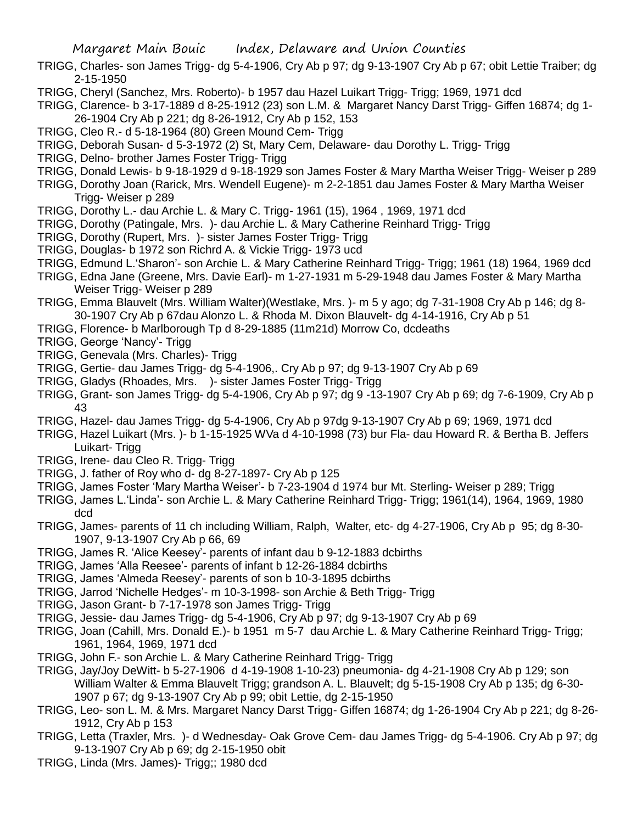- TRIGG, Charles- son James Trigg- dg 5-4-1906, Cry Ab p 97; dg 9-13-1907 Cry Ab p 67; obit Lettie Traiber; dg 2-15-1950
- TRIGG, Cheryl (Sanchez, Mrs. Roberto)- b 1957 dau Hazel Luikart Trigg- Trigg; 1969, 1971 dcd

TRIGG, Clarence- b 3-17-1889 d 8-25-1912 (23) son L.M. & Margaret Nancy Darst Trigg- Giffen 16874; dg 1- 26-1904 Cry Ab p 221; dg 8-26-1912, Cry Ab p 152, 153

- TRIGG, Cleo R.- d 5-18-1964 (80) Green Mound Cem- Trigg
- TRIGG, Deborah Susan- d 5-3-1972 (2) St, Mary Cem, Delaware- dau Dorothy L. Trigg- Trigg
- TRIGG, Delno- brother James Foster Trigg- Trigg
- TRIGG, Donald Lewis- b 9-18-1929 d 9-18-1929 son James Foster & Mary Martha Weiser Trigg- Weiser p 289
- TRIGG, Dorothy Joan (Rarick, Mrs. Wendell Eugene)- m 2-2-1851 dau James Foster & Mary Martha Weiser Trigg- Weiser p 289
- TRIGG, Dorothy L.- dau Archie L. & Mary C. Trigg- 1961 (15), 1964 , 1969, 1971 dcd
- TRIGG, Dorothy (Patingale, Mrs. )- dau Archie L. & Mary Catherine Reinhard Trigg- Trigg
- TRIGG, Dorothy (Rupert, Mrs. )- sister James Foster Trigg- Trigg
- TRIGG, Douglas- b 1972 son Richrd A. & Vickie Trigg- 1973 ucd
- TRIGG, Edmund L.'Sharon'- son Archie L. & Mary Catherine Reinhard Trigg- Trigg; 1961 (18) 1964, 1969 dcd
- TRIGG, Edna Jane (Greene, Mrs. Davie Earl)- m 1-27-1931 m 5-29-1948 dau James Foster & Mary Martha Weiser Trigg- Weiser p 289
- TRIGG, Emma Blauvelt (Mrs. William Walter)(Westlake, Mrs. )- m 5 y ago; dg 7-31-1908 Cry Ab p 146; dg 8- 30-1907 Cry Ab p 67dau Alonzo L. & Rhoda M. Dixon Blauvelt- dg 4-14-1916, Cry Ab p 51
- TRIGG, Florence- b Marlborough Tp d 8-29-1885 (11m21d) Morrow Co, dcdeaths
- TRIGG, George 'Nancy'- Trigg
- TRIGG, Genevala (Mrs. Charles)- Trigg
- TRIGG, Gertie- dau James Trigg- dg 5-4-1906,. Cry Ab p 97; dg 9-13-1907 Cry Ab p 69
- TRIGG, Gladys (Rhoades, Mrs. )- sister James Foster Trigg- Trigg
- TRIGG, Grant- son James Trigg- dg 5-4-1906, Cry Ab p 97; dg 9 -13-1907 Cry Ab p 69; dg 7-6-1909, Cry Ab p 43
- TRIGG, Hazel- dau James Trigg- dg 5-4-1906, Cry Ab p 97dg 9-13-1907 Cry Ab p 69; 1969, 1971 dcd
- TRIGG, Hazel Luikart (Mrs. )- b 1-15-1925 WVa d 4-10-1998 (73) bur Fla- dau Howard R. & Bertha B. Jeffers Luikart- Trigg
- TRIGG, Irene- dau Cleo R. Trigg- Trigg
- TRIGG, J. father of Roy who d- dg 8-27-1897- Cry Ab p 125
- TRIGG, James Foster 'Mary Martha Weiser'- b 7-23-1904 d 1974 bur Mt. Sterling- Weiser p 289; Trigg
- TRIGG, James L.'Linda'- son Archie L. & Mary Catherine Reinhard Trigg- Trigg; 1961(14), 1964, 1969, 1980 dcd
- TRIGG, James- parents of 11 ch including William, Ralph, Walter, etc- dg 4-27-1906, Cry Ab p 95; dg 8-30- 1907, 9-13-1907 Cry Ab p 66, 69
- TRIGG, James R. 'Alice Keesey'- parents of infant dau b 9-12-1883 dcbirths
- TRIGG, James 'Alla Reesee'- parents of infant b 12-26-1884 dcbirths
- TRIGG, James 'Almeda Reesey'- parents of son b 10-3-1895 dcbirths
- TRIGG, Jarrod 'Nichelle Hedges'- m 10-3-1998- son Archie & Beth Trigg- Trigg
- TRIGG, Jason Grant- b 7-17-1978 son James Trigg- Trigg
- TRIGG, Jessie- dau James Trigg- dg 5-4-1906, Cry Ab p 97; dg 9-13-1907 Cry Ab p 69
- TRIGG, Joan (Cahill, Mrs. Donald E.)- b 1951 m 5-7 dau Archie L. & Mary Catherine Reinhard Trigg- Trigg; 1961, 1964, 1969, 1971 dcd
- TRIGG, John F.- son Archie L. & Mary Catherine Reinhard Trigg- Trigg
- TRIGG, Jay/Joy DeWitt- b 5-27-1906 d 4-19-1908 1-10-23) pneumonia- dg 4-21-1908 Cry Ab p 129; son William Walter & Emma Blauvelt Trigg; grandson A. L. Blauvelt; dg 5-15-1908 Cry Ab p 135; dg 6-30- 1907 p 67; dg 9-13-1907 Cry Ab p 99; obit Lettie, dg 2-15-1950
- TRIGG, Leo- son L. M. & Mrs. Margaret Nancy Darst Trigg- Giffen 16874; dg 1-26-1904 Cry Ab p 221; dg 8-26- 1912, Cry Ab p 153
- TRIGG, Letta (Traxler, Mrs. )- d Wednesday- Oak Grove Cem- dau James Trigg- dg 5-4-1906. Cry Ab p 97; dg 9-13-1907 Cry Ab p 69; dg 2-15-1950 obit
- TRIGG, Linda (Mrs. James)- Trigg;; 1980 dcd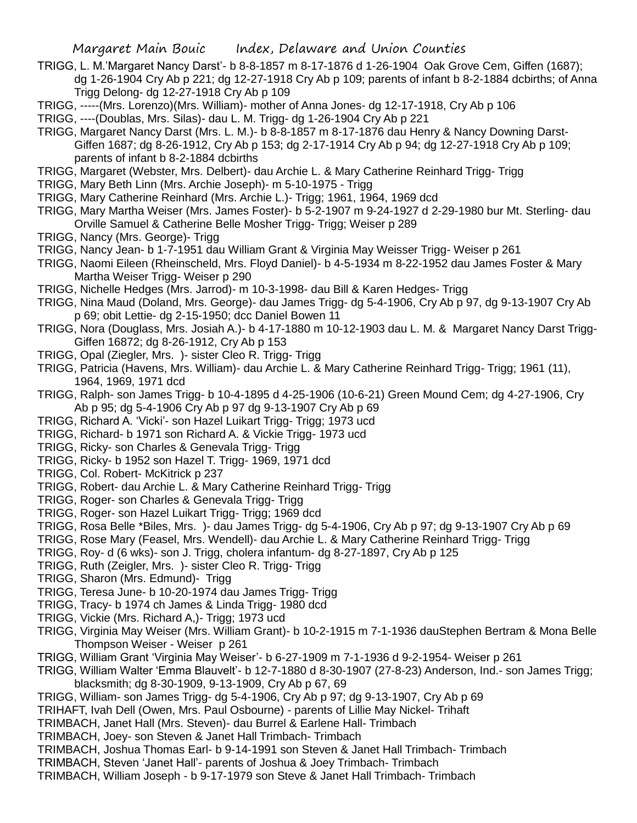- TRIGG, L. M.'Margaret Nancy Darst'- b 8-8-1857 m 8-17-1876 d 1-26-1904 Oak Grove Cem, Giffen (1687); dg 1-26-1904 Cry Ab p 221; dg 12-27-1918 Cry Ab p 109; parents of infant b 8-2-1884 dcbirths; of Anna Trigg Delong- dg 12-27-1918 Cry Ab p 109
- TRIGG, -----(Mrs. Lorenzo)(Mrs. William)- mother of Anna Jones- dg 12-17-1918, Cry Ab p 106
- TRIGG, ----(Doublas, Mrs. Silas)- dau L. M. Trigg- dg 1-26-1904 Cry Ab p 221
- TRIGG, Margaret Nancy Darst (Mrs. L. M.)- b 8-8-1857 m 8-17-1876 dau Henry & Nancy Downing Darst-Giffen 1687; dg 8-26-1912, Cry Ab p 153; dg 2-17-1914 Cry Ab p 94; dg 12-27-1918 Cry Ab p 109; parents of infant b 8-2-1884 dcbirths
- TRIGG, Margaret (Webster, Mrs. Delbert)- dau Archie L. & Mary Catherine Reinhard Trigg- Trigg
- TRIGG, Mary Beth Linn (Mrs. Archie Joseph)- m 5-10-1975 Trigg
- TRIGG, Mary Catherine Reinhard (Mrs. Archie L.)- Trigg; 1961, 1964, 1969 dcd
- TRIGG, Mary Martha Weiser (Mrs. James Foster)- b 5-2-1907 m 9-24-1927 d 2-29-1980 bur Mt. Sterling- dau Orville Samuel & Catherine Belle Mosher Trigg- Trigg; Weiser p 289
- TRIGG, Nancy (Mrs. George)- Trigg
- TRIGG, Nancy Jean- b 1-7-1951 dau William Grant & Virginia May Weisser Trigg- Weiser p 261
- TRIGG, Naomi Eileen (Rheinscheld, Mrs. Floyd Daniel)- b 4-5-1934 m 8-22-1952 dau James Foster & Mary Martha Weiser Trigg- Weiser p 290
- TRIGG, Nichelle Hedges (Mrs. Jarrod)- m 10-3-1998- dau Bill & Karen Hedges- Trigg
- TRIGG, Nina Maud (Doland, Mrs. George)- dau James Trigg- dg 5-4-1906, Cry Ab p 97, dg 9-13-1907 Cry Ab p 69; obit Lettie- dg 2-15-1950; dcc Daniel Bowen 11
- TRIGG, Nora (Douglass, Mrs. Josiah A.)- b 4-17-1880 m 10-12-1903 dau L. M. & Margaret Nancy Darst Trigg-Giffen 16872; dg 8-26-1912, Cry Ab p 153
- TRIGG, Opal (Ziegler, Mrs. )- sister Cleo R. Trigg- Trigg
- TRIGG, Patricia (Havens, Mrs. William)- dau Archie L. & Mary Catherine Reinhard Trigg- Trigg; 1961 (11), 1964, 1969, 1971 dcd
- TRIGG, Ralph- son James Trigg- b 10-4-1895 d 4-25-1906 (10-6-21) Green Mound Cem; dg 4-27-1906, Cry Ab p 95; dg 5-4-1906 Cry Ab p 97 dg 9-13-1907 Cry Ab p 69
- TRIGG, Richard A. 'Vicki'- son Hazel Luikart Trigg- Trigg; 1973 ucd
- TRIGG, Richard- b 1971 son Richard A. & Vickie Trigg- 1973 ucd
- TRIGG, Ricky- son Charles & Genevala Trigg- Trigg
- TRIGG, Ricky- b 1952 son Hazel T. Trigg- 1969, 1971 dcd
- TRIGG, Col. Robert- McKitrick p 237
- TRIGG, Robert- dau Archie L. & Mary Catherine Reinhard Trigg- Trigg
- TRIGG, Roger- son Charles & Genevala Trigg- Trigg
- TRIGG, Roger- son Hazel Luikart Trigg- Trigg; 1969 dcd
- TRIGG, Rosa Belle \*Biles, Mrs. )- dau James Trigg- dg 5-4-1906, Cry Ab p 97; dg 9-13-1907 Cry Ab p 69
- TRIGG, Rose Mary (Feasel, Mrs. Wendell)- dau Archie L. & Mary Catherine Reinhard Trigg- Trigg
- TRIGG, Roy- d (6 wks)- son J. Trigg, cholera infantum- dg 8-27-1897, Cry Ab p 125
- TRIGG, Ruth (Zeigler, Mrs. )- sister Cleo R. Trigg- Trigg
- TRIGG, Sharon (Mrs. Edmund)- Trigg
- TRIGG, Teresa June- b 10-20-1974 dau James Trigg- Trigg
- TRIGG, Tracy- b 1974 ch James & Linda Trigg- 1980 dcd
- TRIGG, Vickie (Mrs. Richard A,)- Trigg; 1973 ucd
- TRIGG, Virginia May Weiser (Mrs. William Grant)- b 10-2-1915 m 7-1-1936 dauStephen Bertram & Mona Belle Thompson Weiser - Weiser p 261
- TRIGG, William Grant 'Virginia May Weiser'- b 6-27-1909 m 7-1-1936 d 9-2-1954- Weiser p 261
- TRIGG, William Walter 'Emma Blauvelt'- b 12-7-1880 d 8-30-1907 (27-8-23) Anderson, Ind.- son James Trigg; blacksmith; dg 8-30-1909, 9-13-1909, Cry Ab p 67, 69
- TRIGG, William- son James Trigg- dg 5-4-1906, Cry Ab p 97; dg 9-13-1907, Cry Ab p 69
- TRIHAFT, Ivah Dell (Owen, Mrs. Paul Osbourne) parents of Lillie May Nickel- Trihaft
- TRIMBACH, Janet Hall (Mrs. Steven)- dau Burrel & Earlene Hall- Trimbach
- TRIMBACH, Joey- son Steven & Janet Hall Trimbach- Trimbach
- TRIMBACH, Joshua Thomas Earl- b 9-14-1991 son Steven & Janet Hall Trimbach- Trimbach
- TRIMBACH, Steven 'Janet Hall'- parents of Joshua & Joey Trimbach- Trimbach
- TRIMBACH, William Joseph b 9-17-1979 son Steve & Janet Hall Trimbach- Trimbach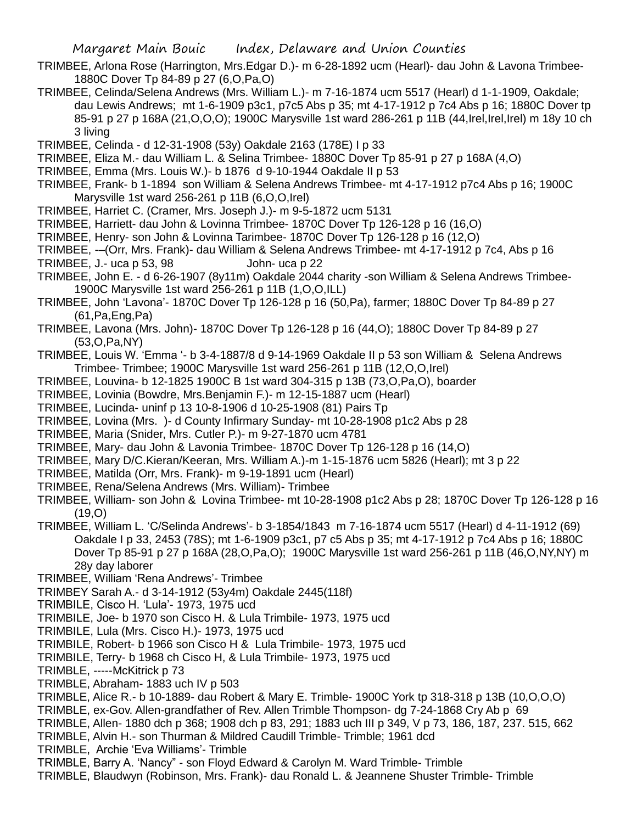- TRIMBEE, Arlona Rose (Harrington, Mrs.Edgar D.)- m 6-28-1892 ucm (Hearl)- dau John & Lavona Trimbee-1880C Dover Tp 84-89 p 27 (6,O,Pa,O)
- TRIMBEE, Celinda/Selena Andrews (Mrs. William L.)- m 7-16-1874 ucm 5517 (Hearl) d 1-1-1909, Oakdale; dau Lewis Andrews; mt 1-6-1909 p3c1, p7c5 Abs p 35; mt 4-17-1912 p 7c4 Abs p 16; 1880C Dover tp 85-91 p 27 p 168A (21,O,O,O); 1900C Marysville 1st ward 286-261 p 11B (44,Irel,Irel,Irel) m 18y 10 ch 3 living
- TRIMBEE, Celinda d 12-31-1908 (53y) Oakdale 2163 (178E) I p 33
- TRIMBEE, Eliza M.- dau William L. & Selina Trimbee- 1880C Dover Tp 85-91 p 27 p 168A (4,O)
- TRIMBEE, Emma (Mrs. Louis W.)- b 1876 d 9-10-1944 Oakdale II p 53
- TRIMBEE, Frank- b 1-1894 son William & Selena Andrews Trimbee- mt 4-17-1912 p7c4 Abs p 16; 1900C Marysville 1st ward 256-261 p 11B (6,O,O,Irel)
- TRIMBEE, Harriet C. (Cramer, Mrs. Joseph J.)- m 9-5-1872 ucm 5131
- TRIMBEE, Harriett- dau John & Lovinna Trimbee- 1870C Dover Tp 126-128 p 16 (16,O)
- TRIMBEE, Henry- son John & Lovinna Tarimbee- 1870C Dover Tp 126-128 p 16 (12,O)
- TRIMBEE, -–(Orr, Mrs. Frank)- dau William & Selena Andrews Trimbee- mt 4-17-1912 p 7c4, Abs p 16 TRIMBEE, J.- uca p 53, 98 John- uca p 22
- TRIMBEE, John E. d 6-26-1907 (8y11m) Oakdale 2044 charity -son William & Selena Andrews Trimbee-1900C Marysville 1st ward 256-261 p 11B (1,O,O,ILL)
- TRIMBEE, John 'Lavona'- 1870C Dover Tp 126-128 p 16 (50,Pa), farmer; 1880C Dover Tp 84-89 p 27 (61,Pa,Eng,Pa)
- TRIMBEE, Lavona (Mrs. John)- 1870C Dover Tp 126-128 p 16 (44,O); 1880C Dover Tp 84-89 p 27 (53,O,Pa,NY)
- TRIMBEE, Louis W. 'Emma '- b 3-4-1887/8 d 9-14-1969 Oakdale II p 53 son William & Selena Andrews Trimbee- Trimbee; 1900C Marysville 1st ward 256-261 p 11B (12,O,O,Irel)
- TRIMBEE, Louvina- b 12-1825 1900C B 1st ward 304-315 p 13B (73,O,Pa,O), boarder
- TRIMBEE, Lovinia (Bowdre, Mrs.Benjamin F.)- m 12-15-1887 ucm (Hearl)
- TRIMBEE, Lucinda- uninf p 13 10-8-1906 d 10-25-1908 (81) Pairs Tp
- TRIMBEE, Lovina (Mrs. )- d County Infirmary Sunday- mt 10-28-1908 p1c2 Abs p 28
- TRIMBEE, Maria (Snider, Mrs. Cutler P.)- m 9-27-1870 ucm 4781
- TRIMBEE, Mary- dau John & Lavonia Trimbee- 1870C Dover Tp 126-128 p 16 (14,O)
- TRIMBEE, Mary D/C.Kieran/Keeran, Mrs. William A.)-m 1-15-1876 ucm 5826 (Hearl); mt 3 p 22
- TRIMBEE, Matilda (Orr, Mrs. Frank)- m 9-19-1891 ucm (Hearl)
- TRIMBEE, Rena/Selena Andrews (Mrs. William)- Trimbee
- TRIMBEE, William- son John & Lovina Trimbee- mt 10-28-1908 p1c2 Abs p 28; 1870C Dover Tp 126-128 p 16  $(19,0)$
- TRIMBEE, William L. 'C/Selinda Andrews'- b 3-1854/1843 m 7-16-1874 ucm 5517 (Hearl) d 4-11-1912 (69) Oakdale I p 33, 2453 (78S); mt 1-6-1909 p3c1, p7 c5 Abs p 35; mt 4-17-1912 p 7c4 Abs p 16; 1880C Dover Tp 85-91 p 27 p 168A (28,O,Pa,O); 1900C Marysville 1st ward 256-261 p 11B (46,O,NY,NY) m 28y day laborer
- TRIMBEE, William 'Rena Andrews'- Trimbee
- TRIMBEY Sarah A.- d 3-14-1912 (53y4m) Oakdale 2445(118f)
- TRIMBILE, Cisco H. 'Lula'- 1973, 1975 ucd
- TRIMBILE, Joe- b 1970 son Cisco H. & Lula Trimbile- 1973, 1975 ucd
- TRIMBILE, Lula (Mrs. Cisco H.)- 1973, 1975 ucd
- TRIMBILE, Robert- b 1966 son Cisco H & Lula Trimbile- 1973, 1975 ucd
- TRIMBILE, Terry- b 1968 ch Cisco H, & Lula Trimbile- 1973, 1975 ucd
- TRIMBLE, -----McKitrick p 73
- TRIMBLE, Abraham- 1883 uch IV p 503
- TRIMBLE, Alice R.- b 10-1889- dau Robert & Mary E. Trimble- 1900C York tp 318-318 p 13B (10,O,O,O)
- TRIMBLE, ex-Gov. Allen-grandfather of Rev. Allen Trimble Thompson- dg 7-24-1868 Cry Ab p 69
- TRIMBLE, Allen- 1880 dch p 368; 1908 dch p 83, 291; 1883 uch III p 349, V p 73, 186, 187, 237. 515, 662
- TRIMBLE, Alvin H.- son Thurman & Mildred Caudill Trimble- Trimble; 1961 dcd
- TRIMBLE, Archie 'Eva Williams'- Trimble
- TRIMBLE, Barry A. 'Nancy" son Floyd Edward & Carolyn M. Ward Trimble- Trimble
- TRIMBLE, Blaudwyn (Robinson, Mrs. Frank)- dau Ronald L. & Jeannene Shuster Trimble- Trimble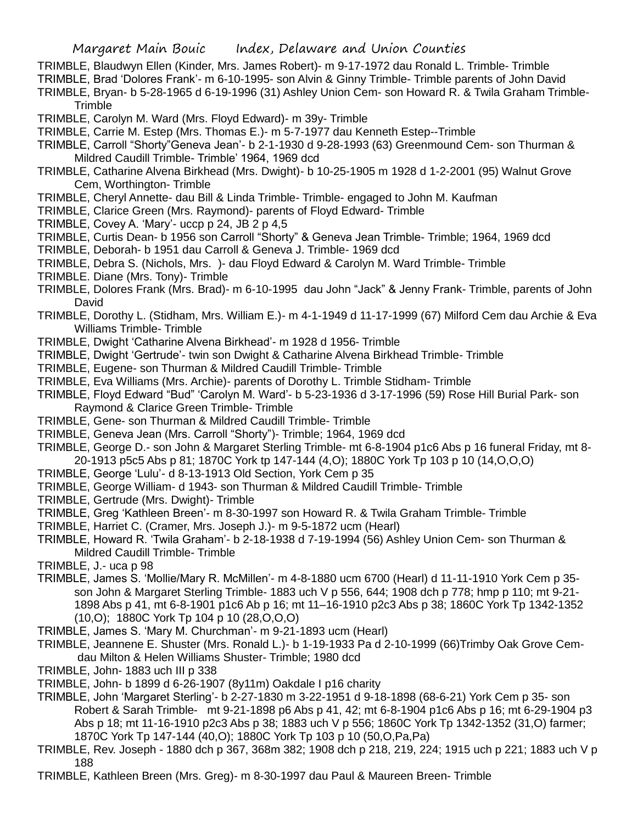- TRIMBLE, Blaudwyn Ellen (Kinder, Mrs. James Robert)- m 9-17-1972 dau Ronald L. Trimble- Trimble
- TRIMBLE, Brad 'Dolores Frank'- m 6-10-1995- son Alvin & Ginny Trimble- Trimble parents of John David
- TRIMBLE, Bryan- b 5-28-1965 d 6-19-1996 (31) Ashley Union Cem- son Howard R. & Twila Graham Trimble-Trimble
- TRIMBLE, Carolyn M. Ward (Mrs. Floyd Edward)- m 39y- Trimble
- TRIMBLE, Carrie M. Estep (Mrs. Thomas E.)- m 5-7-1977 dau Kenneth Estep--Trimble
- TRIMBLE, Carroll "Shorty"Geneva Jean'- b 2-1-1930 d 9-28-1993 (63) Greenmound Cem- son Thurman & Mildred Caudill Trimble- Trimble' 1964, 1969 dcd
- TRIMBLE, Catharine Alvena Birkhead (Mrs. Dwight)- b 10-25-1905 m 1928 d 1-2-2001 (95) Walnut Grove Cem, Worthington- Trimble
- TRIMBLE, Cheryl Annette- dau Bill & Linda Trimble- Trimble- engaged to John M. Kaufman
- TRIMBLE, Clarice Green (Mrs. Raymond)- parents of Floyd Edward- Trimble
- TRIMBLE, Covey A. 'Mary'- uccp p 24, JB 2 p 4,5
- TRIMBLE, Curtis Dean- b 1956 son Carroll "Shorty" & Geneva Jean Trimble- Trimble; 1964, 1969 dcd
- TRIMBLE, Deborah- b 1951 dau Carroll & Geneva J. Trimble- 1969 dcd
- TRIMBLE, Debra S. (Nichols, Mrs. )- dau Floyd Edward & Carolyn M. Ward Trimble- Trimble
- TRIMBLE. Diane (Mrs. Tony)- Trimble
- TRIMBLE, Dolores Frank (Mrs. Brad)- m 6-10-1995 dau John "Jack" & Jenny Frank- Trimble, parents of John David
- TRIMBLE, Dorothy L. (Stidham, Mrs. William E.)- m 4-1-1949 d 11-17-1999 (67) Milford Cem dau Archie & Eva Williams Trimble- Trimble
- TRIMBLE, Dwight 'Catharine Alvena Birkhead'- m 1928 d 1956- Trimble
- TRIMBLE, Dwight 'Gertrude'- twin son Dwight & Catharine Alvena Birkhead Trimble- Trimble
- TRIMBLE, Eugene- son Thurman & Mildred Caudill Trimble- Trimble
- TRIMBLE, Eva Williams (Mrs. Archie)- parents of Dorothy L. Trimble Stidham- Trimble
- TRIMBLE, Floyd Edward "Bud" 'Carolyn M. Ward'- b 5-23-1936 d 3-17-1996 (59) Rose Hill Burial Park- son Raymond & Clarice Green Trimble- Trimble
- TRIMBLE, Gene- son Thurman & Mildred Caudill Trimble- Trimble
- TRIMBLE, Geneva Jean (Mrs. Carroll "Shorty")- Trimble; 1964, 1969 dcd
- TRIMBLE, George D.- son John & Margaret Sterling Trimble- mt 6-8-1904 p1c6 Abs p 16 funeral Friday, mt 8- 20-1913 p5c5 Abs p 81; 1870C York tp 147-144 (4,O); 1880C York Tp 103 p 10 (14,O,O,O)
- TRIMBLE, George 'Lulu'- d 8-13-1913 Old Section, York Cem p 35
- TRIMBLE, George William- d 1943- son Thurman & Mildred Caudill Trimble- Trimble
- TRIMBLE, Gertrude (Mrs. Dwight)- Trimble
- TRIMBLE, Greg 'Kathleen Breen'- m 8-30-1997 son Howard R. & Twila Graham Trimble- Trimble
- TRIMBLE, Harriet C. (Cramer, Mrs. Joseph J.)- m 9-5-1872 ucm (Hearl)
- TRIMBLE, Howard R. 'Twila Graham'- b 2-18-1938 d 7-19-1994 (56) Ashley Union Cem- son Thurman & Mildred Caudill Trimble- Trimble
- TRIMBLE, J.- uca p 98
- TRIMBLE, James S. 'Mollie/Mary R. McMillen'- m 4-8-1880 ucm 6700 (Hearl) d 11-11-1910 York Cem p 35 son John & Margaret Sterling Trimble- 1883 uch V p 556, 644; 1908 dch p 778; hmp p 110; mt 9-21- 1898 Abs p 41, mt 6-8-1901 p1c6 Ab p 16; mt 11–16-1910 p2c3 Abs p 38; 1860C York Tp 1342-1352 (10,O); 1880C York Tp 104 p 10 (28,O,O,O)
- TRIMBLE, James S. 'Mary M. Churchman'- m 9-21-1893 ucm (Hearl)
- TRIMBLE, Jeannene E. Shuster (Mrs. Ronald L.)- b 1-19-1933 Pa d 2-10-1999 (66)Trimby Oak Grove Cemdau Milton & Helen Williams Shuster- Trimble; 1980 dcd
- TRIMBLE, John- 1883 uch III p 338
- TRIMBLE, John- b 1899 d 6-26-1907 (8y11m) Oakdale I p16 charity
- TRIMBLE, John 'Margaret Sterling'- b 2-27-1830 m 3-22-1951 d 9-18-1898 (68-6-21) York Cem p 35- son Robert & Sarah Trimble- mt 9-21-1898 p6 Abs p 41, 42; mt 6-8-1904 p1c6 Abs p 16; mt 6-29-1904 p3 Abs p 18; mt 11-16-1910 p2c3 Abs p 38; 1883 uch V p 556; 1860C York Tp 1342-1352 (31,O) farmer; 1870C York Tp 147-144 (40,O); 1880C York Tp 103 p 10 (50,O,Pa,Pa)
- TRIMBLE, Rev. Joseph 1880 dch p 367, 368m 382; 1908 dch p 218, 219, 224; 1915 uch p 221; 1883 uch V p 188
- TRIMBLE, Kathleen Breen (Mrs. Greg)- m 8-30-1997 dau Paul & Maureen Breen- Trimble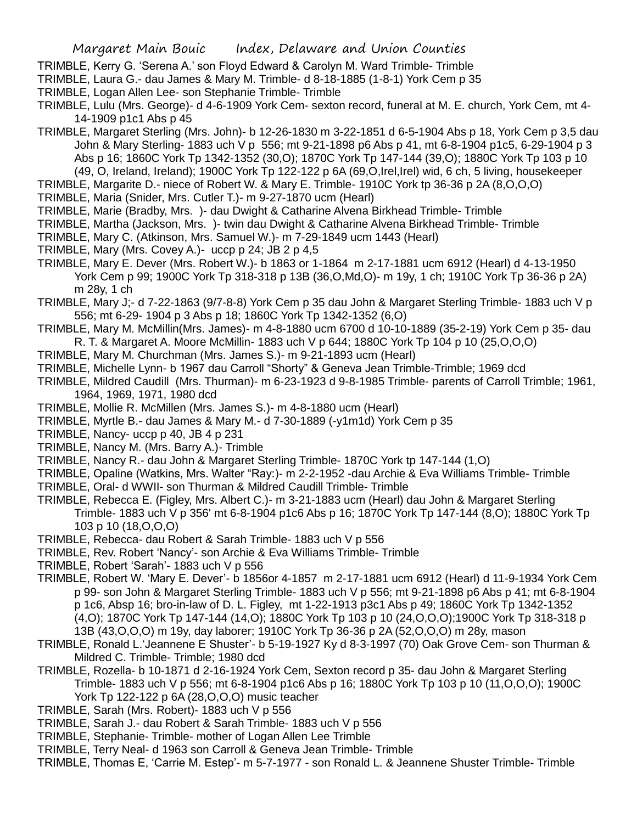- TRIMBLE, Kerry G. 'Serena A.' son Floyd Edward & Carolyn M. Ward Trimble- Trimble
- TRIMBLE, Laura G.- dau James & Mary M. Trimble- d 8-18-1885 (1-8-1) York Cem p 35
- TRIMBLE, Logan Allen Lee- son Stephanie Trimble- Trimble
- TRIMBLE, Lulu (Mrs. George)- d 4-6-1909 York Cem- sexton record, funeral at M. E. church, York Cem, mt 4- 14-1909 p1c1 Abs p 45
- TRIMBLE, Margaret Sterling (Mrs. John)- b 12-26-1830 m 3-22-1851 d 6-5-1904 Abs p 18, York Cem p 3,5 dau John & Mary Sterling- 1883 uch V p 556; mt 9-21-1898 p6 Abs p 41, mt 6-8-1904 p1c5, 6-29-1904 p 3 Abs p 16; 1860C York Tp 1342-1352 (30,O); 1870C York Tp 147-144 (39,O); 1880C York Tp 103 p 10 (49, O, Ireland, Ireland); 1900C York Tp 122-122 p 6A (69,O,Irel,Irel) wid, 6 ch, 5 living, housekeeper
- TRIMBLE, Margarite D.- niece of Robert W. & Mary E. Trimble- 1910C York tp 36-36 p 2A (8,O,O,O)
- TRIMBLE, Maria (Snider, Mrs. Cutler T.)- m 9-27-1870 ucm (Hearl)
- TRIMBLE, Marie (Bradby, Mrs. )- dau Dwight & Catharine Alvena Birkhead Trimble- Trimble
- TRIMBLE, Martha (Jackson, Mrs. )- twin dau Dwight & Catharine Alvena Birkhead Trimble- Trimble
- TRIMBLE, Mary C. (Atkinson, Mrs. Samuel W.)- m 7-29-1849 ucm 1443 (Hearl)
- TRIMBLE, Mary (Mrs. Covey A.)- uccp p 24; JB 2 p 4,5
- TRIMBLE, Mary E. Dever (Mrs. Robert W.)- b 1863 or 1-1864 m 2-17-1881 ucm 6912 (Hearl) d 4-13-1950 York Cem p 99; 1900C York Tp 318-318 p 13B (36,O,Md,O)- m 19y, 1 ch; 1910C York Tp 36-36 p 2A) m 28y, 1 ch
- TRIMBLE, Mary J;- d 7-22-1863 (9/7-8-8) York Cem p 35 dau John & Margaret Sterling Trimble- 1883 uch V p 556; mt 6-29- 1904 p 3 Abs p 18; 1860C York Tp 1342-1352 (6,O)
- TRIMBLE, Mary M. McMillin(Mrs. James)- m 4-8-1880 ucm 6700 d 10-10-1889 (35-2-19) York Cem p 35- dau R. T. & Margaret A. Moore McMillin- 1883 uch V p 644; 1880C York Tp 104 p 10 (25,O,O,O)
- TRIMBLE, Mary M. Churchman (Mrs. James S.)- m 9-21-1893 ucm (Hearl)
- TRIMBLE, Michelle Lynn- b 1967 dau Carroll "Shorty" & Geneva Jean Trimble-Trimble; 1969 dcd
- TRIMBLE, Mildred Caudill (Mrs. Thurman)- m 6-23-1923 d 9-8-1985 Trimble- parents of Carroll Trimble; 1961, 1964, 1969, 1971, 1980 dcd
- TRIMBLE, Mollie R. McMillen (Mrs. James S.)- m 4-8-1880 ucm (Hearl)
- TRIMBLE, Myrtle B.- dau James & Mary M.- d 7-30-1889 (-y1m1d) York Cem p 35
- TRIMBLE, Nancy- uccp p 40, JB 4 p 231
- TRIMBLE, Nancy M. (Mrs. Barry A.)- Trimble
- TRIMBLE, Nancy R.- dau John & Margaret Sterling Trimble- 1870C York tp 147-144 (1,O)
- TRIMBLE, Opaline (Watkins, Mrs. Walter "Ray:)- m 2-2-1952 -dau Archie & Eva Williams Trimble- Trimble
- TRIMBLE, Oral- d WWII- son Thurman & Mildred Caudill Trimble- Trimble
- TRIMBLE, Rebecca E. (Figley, Mrs. Albert C.)- m 3-21-1883 ucm (Hearl) dau John & Margaret Sterling Trimble- 1883 uch V p 356' mt 6-8-1904 p1c6 Abs p 16; 1870C York Tp 147-144 (8,O); 1880C York Tp 103 p 10 (18,O,O,O)
- TRIMBLE, Rebecca- dau Robert & Sarah Trimble- 1883 uch V p 556
- TRIMBLE, Rev. Robert 'Nancy'- son Archie & Eva Williams Trimble- Trimble
- TRIMBLE, Robert 'Sarah'- 1883 uch V p 556
- TRIMBLE, Robert W. 'Mary E. Dever'- b 1856or 4-1857 m 2-17-1881 ucm 6912 (Hearl) d 11-9-1934 York Cem p 99- son John & Margaret Sterling Trimble- 1883 uch V p 556; mt 9-21-1898 p6 Abs p 41; mt 6-8-1904 p 1c6, Absp 16; bro-in-law of D. L. Figley, mt 1-22-1913 p3c1 Abs p 49; 1860C York Tp 1342-1352 (4,O); 1870C York Tp 147-144 (14,O); 1880C York Tp 103 p 10 (24,O,O,O);1900C York Tp 318-318 p 13B (43,O,O,O) m 19y, day laborer; 1910C York Tp 36-36 p 2A (52,O,O,O) m 28y, mason
- TRIMBLE, Ronald L.'Jeannene E Shuster'- b 5-19-1927 Ky d 8-3-1997 (70) Oak Grove Cem- son Thurman & Mildred C. Trimble- Trimble; 1980 dcd
- TRIMBLE, Rozella- b 10-1871 d 2-16-1924 York Cem, Sexton record p 35- dau John & Margaret Sterling Trimble- 1883 uch V p 556; mt 6-8-1904 p1c6 Abs p 16; 1880C York Tp 103 p 10 (11,O,O,O); 1900C York Tp 122-122 p 6A (28,O,O,O) music teacher
- TRIMBLE, Sarah (Mrs. Robert)- 1883 uch V p 556
- TRIMBLE, Sarah J.- dau Robert & Sarah Trimble- 1883 uch V p 556
- TRIMBLE, Stephanie- Trimble- mother of Logan Allen Lee Trimble
- TRIMBLE, Terry Neal- d 1963 son Carroll & Geneva Jean Trimble- Trimble
- TRIMBLE, Thomas E, 'Carrie M. Estep'- m 5-7-1977 son Ronald L. & Jeannene Shuster Trimble- Trimble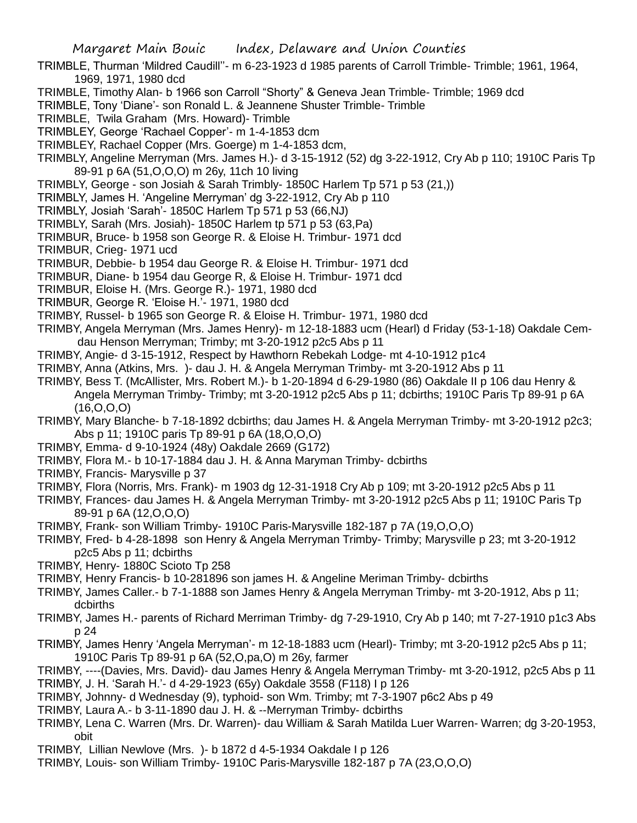- TRIMBLE, Thurman 'Mildred Caudill''- m 6-23-1923 d 1985 parents of Carroll Trimble- Trimble; 1961, 1964, 1969, 1971, 1980 dcd
- TRIMBLE, Timothy Alan- b 1966 son Carroll "Shorty" & Geneva Jean Trimble- Trimble; 1969 dcd
- TRIMBLE, Tony 'Diane'- son Ronald L. & Jeannene Shuster Trimble- Trimble
- TRIMBLE, Twila Graham (Mrs. Howard)- Trimble
- TRIMBLEY, George 'Rachael Copper'- m 1-4-1853 dcm
- TRIMBLEY, Rachael Copper (Mrs. Goerge) m 1-4-1853 dcm,
- TRIMBLY, Angeline Merryman (Mrs. James H.)- d 3-15-1912 (52) dg 3-22-1912, Cry Ab p 110; 1910C Paris Tp 89-91 p 6A (51,O,O,O) m 26y, 11ch 10 living
- TRIMBLY, George son Josiah & Sarah Trimbly- 1850C Harlem Tp 571 p 53 (21,))
- TRIMBLY, James H. 'Angeline Merryman' dg 3-22-1912, Cry Ab p 110
- TRIMBLY, Josiah 'Sarah'- 1850C Harlem Tp 571 p 53 (66,NJ)
- TRIMBLY, Sarah (Mrs. Josiah)- 1850C Harlem tp 571 p 53 (63,Pa)
- TRIMBUR, Bruce- b 1958 son George R. & Eloise H. Trimbur- 1971 dcd
- TRIMBUR, Crieg- 1971 ucd
- TRIMBUR, Debbie- b 1954 dau George R. & Eloise H. Trimbur- 1971 dcd
- TRIMBUR, Diane- b 1954 dau George R, & Eloise H. Trimbur- 1971 dcd
- TRIMBUR, Eloise H. (Mrs. George R.)- 1971, 1980 dcd
- TRIMBUR, George R. 'Eloise H.'- 1971, 1980 dcd
- TRIMBY, Russel- b 1965 son George R. & Eloise H. Trimbur- 1971, 1980 dcd
- TRIMBY, Angela Merryman (Mrs. James Henry)- m 12-18-1883 ucm (Hearl) d Friday (53-1-18) Oakdale Cemdau Henson Merryman; Trimby; mt 3-20-1912 p2c5 Abs p 11
- TRIMBY, Angie- d 3-15-1912, Respect by Hawthorn Rebekah Lodge- mt 4-10-1912 p1c4
- TRIMBY, Anna (Atkins, Mrs. )- dau J. H. & Angela Merryman Trimby- mt 3-20-1912 Abs p 11
- TRIMBY, Bess T. (McAllister, Mrs. Robert M.)- b 1-20-1894 d 6-29-1980 (86) Oakdale II p 106 dau Henry & Angela Merryman Trimby- Trimby; mt 3-20-1912 p2c5 Abs p 11; dcbirths; 1910C Paris Tp 89-91 p 6A (16,O,O,O)
- TRIMBY, Mary Blanche- b 7-18-1892 dcbirths; dau James H. & Angela Merryman Trimby- mt 3-20-1912 p2c3; Abs p 11; 1910C paris Tp 89-91 p 6A (18,O,O,O)
- TRIMBY, Emma- d 9-10-1924 (48y) Oakdale 2669 (G172)
- TRIMBY, Flora M.- b 10-17-1884 dau J. H. & Anna Maryman Trimby- dcbirths
- TRIMBY, Francis- Marysville p 37
- TRIMBY, Flora (Norris, Mrs. Frank)- m 1903 dg 12-31-1918 Cry Ab p 109; mt 3-20-1912 p2c5 Abs p 11
- TRIMBY, Frances- dau James H. & Angela Merryman Trimby- mt 3-20-1912 p2c5 Abs p 11; 1910C Paris Tp 89-91 p 6A (12,O,O,O)
- TRIMBY, Frank- son William Trimby- 1910C Paris-Marysville 182-187 p 7A (19,O,O,O)
- TRIMBY, Fred- b 4-28-1898 son Henry & Angela Merryman Trimby- Trimby; Marysville p 23; mt 3-20-1912 p2c5 Abs p 11; dcbirths
- TRIMBY, Henry- 1880C Scioto Tp 258
- TRIMBY, Henry Francis- b 10-281896 son james H. & Angeline Meriman Trimby- dcbirths
- TRIMBY, James Caller.- b 7-1-1888 son James Henry & Angela Merryman Trimby- mt 3-20-1912, Abs p 11; dcbirths
- TRIMBY, James H.- parents of Richard Merriman Trimby- dg 7-29-1910, Cry Ab p 140; mt 7-27-1910 p1c3 Abs p 24
- TRIMBY, James Henry 'Angela Merryman'- m 12-18-1883 ucm (Hearl)- Trimby; mt 3-20-1912 p2c5 Abs p 11; 1910C Paris Tp 89-91 p 6A (52,O,pa,O) m 26y, farmer
- TRIMBY, ----(Davies, Mrs. David)- dau James Henry & Angela Merryman Trimby- mt 3-20-1912, p2c5 Abs p 11
- TRIMBY, J. H. 'Sarah H.'- d 4-29-1923 (65y) Oakdale 3558 (F118) I p 126
- TRIMBY, Johnny- d Wednesday (9), typhoid- son Wm. Trimby; mt 7-3-1907 p6c2 Abs p 49
- TRIMBY, Laura A.- b 3-11-1890 dau J. H. & --Merryman Trimby- dcbirths
- TRIMBY, Lena C. Warren (Mrs. Dr. Warren)- dau William & Sarah Matilda Luer Warren- Warren; dg 3-20-1953, obit
- TRIMBY, Lillian Newlove (Mrs. )- b 1872 d 4-5-1934 Oakdale I p 126
- TRIMBY, Louis- son William Trimby- 1910C Paris-Marysville 182-187 p 7A (23,O,O,O)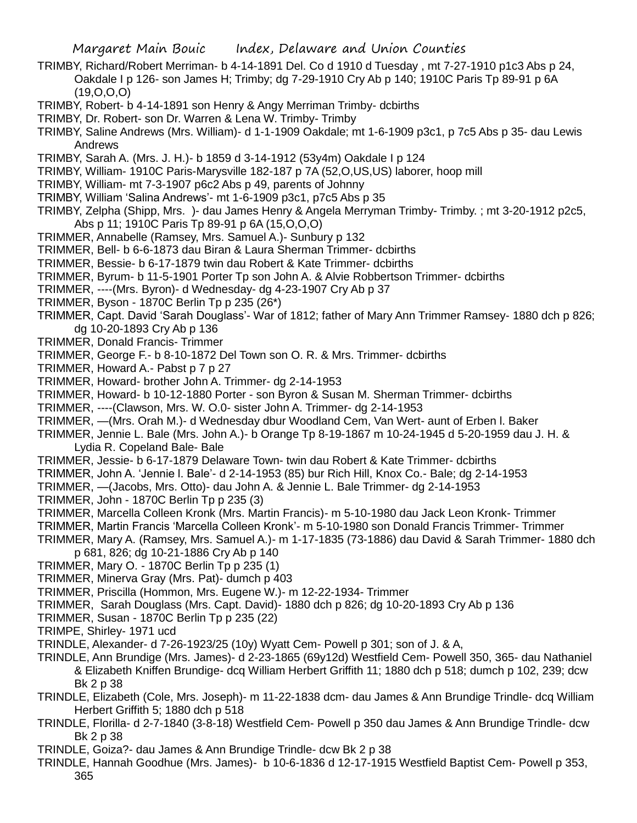- TRIMBY, Richard/Robert Merriman- b 4-14-1891 Del. Co d 1910 d Tuesday , mt 7-27-1910 p1c3 Abs p 24, Oakdale I p 126- son James H; Trimby; dg 7-29-1910 Cry Ab p 140; 1910C Paris Tp 89-91 p 6A (19,O,O,O)
- TRIMBY, Robert- b 4-14-1891 son Henry & Angy Merriman Trimby- dcbirths
- TRIMBY, Dr. Robert- son Dr. Warren & Lena W. Trimby- Trimby
- TRIMBY, Saline Andrews (Mrs. William)- d 1-1-1909 Oakdale; mt 1-6-1909 p3c1, p 7c5 Abs p 35- dau Lewis Andrews
- TRIMBY, Sarah A. (Mrs. J. H.)- b 1859 d 3-14-1912 (53y4m) Oakdale I p 124
- TRIMBY, William- 1910C Paris-Marysville 182-187 p 7A (52,O,US,US) laborer, hoop mill
- TRIMBY, William- mt 7-3-1907 p6c2 Abs p 49, parents of Johnny
- TRIMBY, William 'Salina Andrews'- mt 1-6-1909 p3c1, p7c5 Abs p 35
- TRIMBY, Zelpha (Shipp, Mrs. )- dau James Henry & Angela Merryman Trimby- Trimby. ; mt 3-20-1912 p2c5, Abs p 11; 1910C Paris Tp 89-91 p 6A (15,O,O,O)
- TRIMMER, Annabelle (Ramsey, Mrs. Samuel A.)- Sunbury p 132
- TRIMMER, Bell- b 6-6-1873 dau Biran & Laura Sherman Trimmer- dcbirths
- TRIMMER, Bessie- b 6-17-1879 twin dau Robert & Kate Trimmer- dcbirths
- TRIMMER, Byrum- b 11-5-1901 Porter Tp son John A. & Alvie Robbertson Trimmer- dcbirths
- TRIMMER, ----(Mrs. Byron)- d Wednesday- dg 4-23-1907 Cry Ab p 37
- TRIMMER, Byson 1870C Berlin Tp p 235 (26\*)
- TRIMMER, Capt. David 'Sarah Douglass'- War of 1812; father of Mary Ann Trimmer Ramsey- 1880 dch p 826; dg 10-20-1893 Cry Ab p 136
- TRIMMER, Donald Francis- Trimmer
- TRIMMER, George F.- b 8-10-1872 Del Town son O. R. & Mrs. Trimmer- dcbirths
- TRIMMER, Howard A.- Pabst p 7 p 27
- TRIMMER, Howard- brother John A. Trimmer- dg 2-14-1953
- TRIMMER, Howard- b 10-12-1880 Porter son Byron & Susan M. Sherman Trimmer- dcbirths
- TRIMMER, ----(Clawson, Mrs. W. O.0- sister John A. Trimmer- dg 2-14-1953
- TRIMMER, —(Mrs. Orah M.)- d Wednesday dbur Woodland Cem, Van Wert- aunt of Erben l. Baker
- TRIMMER, Jennie L. Bale (Mrs. John A.)- b Orange Tp 8-19-1867 m 10-24-1945 d 5-20-1959 dau J. H. & Lydia R. Copeland Bale- Bale
- TRIMMER, Jessie- b 6-17-1879 Delaware Town- twin dau Robert & Kate Trimmer- dcbirths
- TRIMMER, John A. 'Jennie l. Bale'- d 2-14-1953 (85) bur Rich Hill, Knox Co.- Bale; dg 2-14-1953
- TRIMMER, —(Jacobs, Mrs. Otto)- dau John A. & Jennie L. Bale Trimmer- dg 2-14-1953
- TRIMMER, John 1870C Berlin Tp p 235 (3)
- TRIMMER, Marcella Colleen Kronk (Mrs. Martin Francis)- m 5-10-1980 dau Jack Leon Kronk- Trimmer
- TRIMMER, Martin Francis 'Marcella Colleen Kronk'- m 5-10-1980 son Donald Francis Trimmer- Trimmer
- TRIMMER, Mary A. (Ramsey, Mrs. Samuel A.)- m 1-17-1835 (73-1886) dau David & Sarah Trimmer- 1880 dch p 681, 826; dg 10-21-1886 Cry Ab p 140
- TRIMMER, Mary O. 1870C Berlin Tp p 235 (1)
- TRIMMER, Minerva Gray (Mrs. Pat)- dumch p 403
- TRIMMER, Priscilla (Hommon, Mrs. Eugene W.)- m 12-22-1934- Trimmer
- TRIMMER, Sarah Douglass (Mrs. Capt. David)- 1880 dch p 826; dg 10-20-1893 Cry Ab p 136
- TRIMMER, Susan 1870C Berlin Tp p 235 (22)
- TRIMPE, Shirley- 1971 ucd
- TRINDLE, Alexander- d 7-26-1923/25 (10y) Wyatt Cem- Powell p 301; son of J. & A,
- TRINDLE, Ann Brundige (Mrs. James)- d 2-23-1865 (69y12d) Westfield Cem- Powell 350, 365- dau Nathaniel & Elizabeth Kniffen Brundige- dcq William Herbert Griffith 11; 1880 dch p 518; dumch p 102, 239; dcw Bk 2 p 38
- TRINDLE, Elizabeth (Cole, Mrs. Joseph)- m 11-22-1838 dcm- dau James & Ann Brundige Trindle- dcq William Herbert Griffith 5; 1880 dch p 518
- TRINDLE, Florilla- d 2-7-1840 (3-8-18) Westfield Cem- Powell p 350 dau James & Ann Brundige Trindle- dcw Bk 2 p 38
- TRINDLE, Goiza?- dau James & Ann Brundige Trindle- dcw Bk 2 p 38
- TRINDLE, Hannah Goodhue (Mrs. James)- b 10-6-1836 d 12-17-1915 Westfield Baptist Cem- Powell p 353, 365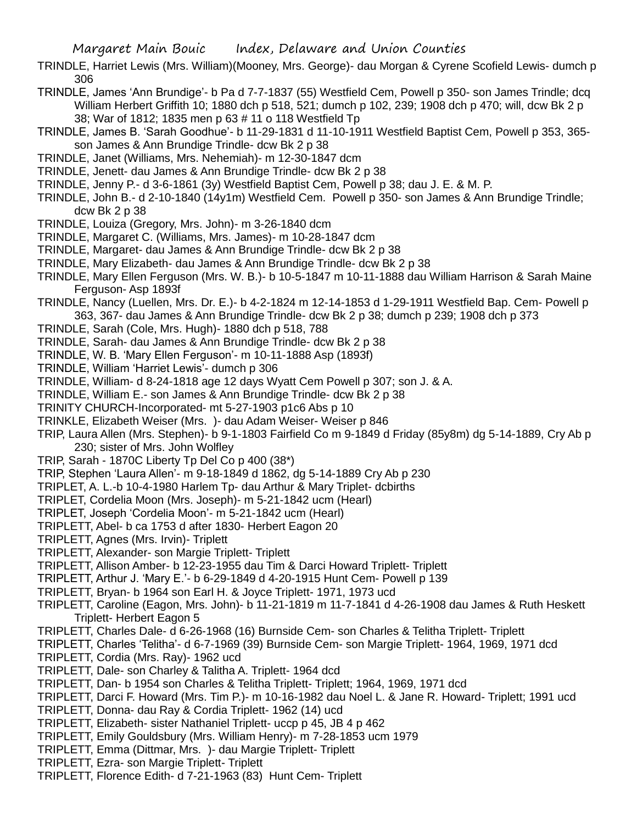- TRINDLE, Harriet Lewis (Mrs. William)(Mooney, Mrs. George)- dau Morgan & Cyrene Scofield Lewis- dumch p 306
- TRINDLE, James 'Ann Brundige'- b Pa d 7-7-1837 (55) Westfield Cem, Powell p 350- son James Trindle; dcq William Herbert Griffith 10; 1880 dch p 518, 521; dumch p 102, 239; 1908 dch p 470; will, dcw Bk 2 p 38; War of 1812; 1835 men p 63 # 11 o 118 Westfield Tp
- TRINDLE, James B. 'Sarah Goodhue'- b 11-29-1831 d 11-10-1911 Westfield Baptist Cem, Powell p 353, 365 son James & Ann Brundige Trindle- dcw Bk 2 p 38
- TRINDLE, Janet (Williams, Mrs. Nehemiah)- m 12-30-1847 dcm
- TRINDLE, Jenett- dau James & Ann Brundige Trindle- dcw Bk 2 p 38
- TRINDLE, Jenny P.- d 3-6-1861 (3y) Westfield Baptist Cem, Powell p 38; dau J. E. & M. P.
- TRINDLE, John B.- d 2-10-1840 (14y1m) Westfield Cem. Powell p 350- son James & Ann Brundige Trindle; dcw Bk 2 p 38
- TRINDLE, Louiza (Gregory, Mrs. John)- m 3-26-1840 dcm
- TRINDLE, Margaret C. (Williams, Mrs. James)- m 10-28-1847 dcm
- TRINDLE, Margaret- dau James & Ann Brundige Trindle- dcw Bk 2 p 38
- TRINDLE, Mary Elizabeth- dau James & Ann Brundige Trindle- dcw Bk 2 p 38
- TRINDLE, Mary Ellen Ferguson (Mrs. W. B.)- b 10-5-1847 m 10-11-1888 dau William Harrison & Sarah Maine Ferguson- Asp 1893f
- TRINDLE, Nancy (Luellen, Mrs. Dr. E.)- b 4-2-1824 m 12-14-1853 d 1-29-1911 Westfield Bap. Cem- Powell p 363, 367- dau James & Ann Brundige Trindle- dcw Bk 2 p 38; dumch p 239; 1908 dch p 373
- TRINDLE, Sarah (Cole, Mrs. Hugh)- 1880 dch p 518, 788
- TRINDLE, Sarah- dau James & Ann Brundige Trindle- dcw Bk 2 p 38
- TRINDLE, W. B. 'Mary Ellen Ferguson'- m 10-11-1888 Asp (1893f)
- TRINDLE, William 'Harriet Lewis'- dumch p 306
- TRINDLE, William- d 8-24-1818 age 12 days Wyatt Cem Powell p 307; son J. & A.
- TRINDLE, William E.- son James & Ann Brundige Trindle- dcw Bk 2 p 38
- TRINITY CHURCH-Incorporated- mt 5-27-1903 p1c6 Abs p 10
- TRINKLE, Elizabeth Weiser (Mrs. )- dau Adam Weiser- Weiser p 846
- TRIP, Laura Allen (Mrs. Stephen)- b 9-1-1803 Fairfield Co m 9-1849 d Friday (85y8m) dg 5-14-1889, Cry Ab p 230; sister of Mrs. John Wolfley
- TRIP, Sarah 1870C Liberty Tp Del Co p 400 (38\*)
- TRIP, Stephen 'Laura Allen'- m 9-18-1849 d 1862, dg 5-14-1889 Cry Ab p 230
- TRIPLET, A. L.-b 10-4-1980 Harlem Tp- dau Arthur & Mary Triplet- dcbirths
- TRIPLET, Cordelia Moon (Mrs. Joseph)- m 5-21-1842 ucm (Hearl)
- TRIPLET, Joseph 'Cordelia Moon'- m 5-21-1842 ucm (Hearl)
- TRIPLETT, Abel- b ca 1753 d after 1830- Herbert Eagon 20
- TRIPLETT, Agnes (Mrs. Irvin)- Triplett
- TRIPLETT, Alexander- son Margie Triplett- Triplett
- TRIPLETT, Allison Amber- b 12-23-1955 dau Tim & Darci Howard Triplett- Triplett
- TRIPLETT, Arthur J. 'Mary E.'- b 6-29-1849 d 4-20-1915 Hunt Cem- Powell p 139
- TRIPLETT, Bryan- b 1964 son Earl H. & Joyce Triplett- 1971, 1973 ucd
- TRIPLETT, Caroline (Eagon, Mrs. John)- b 11-21-1819 m 11-7-1841 d 4-26-1908 dau James & Ruth Heskett Triplett- Herbert Eagon 5
- TRIPLETT, Charles Dale- d 6-26-1968 (16) Burnside Cem- son Charles & Telitha Triplett- Triplett
- TRIPLETT, Charles 'Telitha'- d 6-7-1969 (39) Burnside Cem- son Margie Triplett- 1964, 1969, 1971 dcd TRIPLETT, Cordia (Mrs. Ray)- 1962 ucd
- TRIPLETT, Dale- son Charley & Talitha A. Triplett- 1964 dcd
- TRIPLETT, Dan- b 1954 son Charles & Telitha Triplett- Triplett; 1964, 1969, 1971 dcd
- TRIPLETT, Darci F. Howard (Mrs. Tim P.)- m 10-16-1982 dau Noel L. & Jane R. Howard- Triplett; 1991 ucd
- TRIPLETT, Donna- dau Ray & Cordia Triplett- 1962 (14) ucd
- TRIPLETT, Elizabeth- sister Nathaniel Triplett- uccp p 45, JB 4 p 462
- TRIPLETT, Emily Gouldsbury (Mrs. William Henry)- m 7-28-1853 ucm 1979
- TRIPLETT, Emma (Dittmar, Mrs. )- dau Margie Triplett- Triplett
- TRIPLETT, Ezra- son Margie Triplett- Triplett
- TRIPLETT, Florence Edith- d 7-21-1963 (83) Hunt Cem- Triplett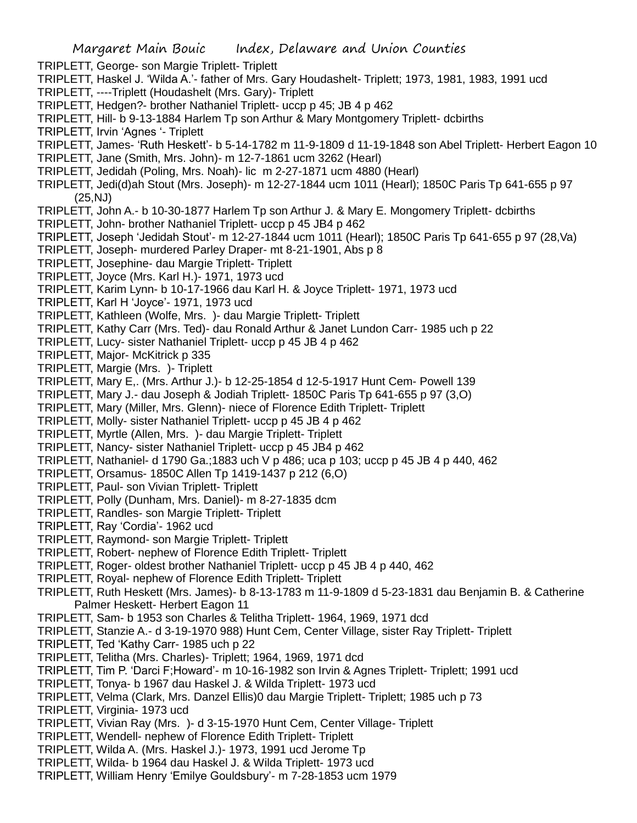- TRIPLETT, George- son Margie Triplett- Triplett
- TRIPLETT, Haskel J. 'Wilda A.'- father of Mrs. Gary Houdashelt- Triplett; 1973, 1981, 1983, 1991 ucd
- TRIPLETT, ----Triplett (Houdashelt (Mrs. Gary)- Triplett
- TRIPLETT, Hedgen?- brother Nathaniel Triplett- uccp p 45; JB 4 p 462
- TRIPLETT, Hill- b 9-13-1884 Harlem Tp son Arthur & Mary Montgomery Triplett- dcbirths
- TRIPLETT, Irvin 'Agnes '- Triplett
- TRIPLETT, James- 'Ruth Heskett'- b 5-14-1782 m 11-9-1809 d 11-19-1848 son Abel Triplett- Herbert Eagon 10
- TRIPLETT, Jane (Smith, Mrs. John)- m 12-7-1861 ucm 3262 (Hearl)
- TRIPLETT, Jedidah (Poling, Mrs. Noah)- lic m 2-27-1871 ucm 4880 (Hearl)
- TRIPLETT, Jedi(d)ah Stout (Mrs. Joseph)- m 12-27-1844 ucm 1011 (Hearl); 1850C Paris Tp 641-655 p 97 (25,NJ)
- TRIPLETT, John A.- b 10-30-1877 Harlem Tp son Arthur J. & Mary E. Mongomery Triplett- dcbirths
- TRIPLETT, John- brother Nathaniel Triplett- uccp p 45 JB4 p 462
- TRIPLETT, Joseph 'Jedidah Stout'- m 12-27-1844 ucm 1011 (Hearl); 1850C Paris Tp 641-655 p 97 (28,Va)
- TRIPLETT, Joseph- murdered Parley Draper- mt 8-21-1901, Abs p 8
- TRIPLETT, Josephine- dau Margie Triplett- Triplett
- TRIPLETT, Joyce (Mrs. Karl H.)- 1971, 1973 ucd
- TRIPLETT, Karim Lynn- b 10-17-1966 dau Karl H. & Joyce Triplett- 1971, 1973 ucd
- TRIPLETT, Karl H 'Joyce'- 1971, 1973 ucd
- TRIPLETT, Kathleen (Wolfe, Mrs. )- dau Margie Triplett- Triplett
- TRIPLETT, Kathy Carr (Mrs. Ted)- dau Ronald Arthur & Janet Lundon Carr- 1985 uch p 22
- TRIPLETT, Lucy- sister Nathaniel Triplett- uccp p 45 JB 4 p 462
- TRIPLETT, Major- McKitrick p 335
- TRIPLETT, Margie (Mrs. )- Triplett
- TRIPLETT, Mary E,. (Mrs. Arthur J.)- b 12-25-1854 d 12-5-1917 Hunt Cem- Powell 139
- TRIPLETT, Mary J.- dau Joseph & Jodiah Triplett- 1850C Paris Tp 641-655 p 97 (3,O)
- TRIPLETT, Mary (Miller, Mrs. Glenn)- niece of Florence Edith Triplett- Triplett
- TRIPLETT, Molly- sister Nathaniel Triplett- uccp p 45 JB 4 p 462
- TRIPLETT, Myrtle (Allen, Mrs. )- dau Margie Triplett- Triplett
- TRIPLETT, Nancy- sister Nathaniel Triplett- uccp p 45 JB4 p 462
- TRIPLETT, Nathaniel- d 1790 Ga.;1883 uch V p 486; uca p 103; uccp p 45 JB 4 p 440, 462
- TRIPLETT, Orsamus- 1850C Allen Tp 1419-1437 p 212 (6,O)
- TRIPLETT, Paul- son Vivian Triplett- Triplett
- TRIPLETT, Polly (Dunham, Mrs. Daniel)- m 8-27-1835 dcm
- TRIPLETT, Randles- son Margie Triplett- Triplett
- TRIPLETT, Ray 'Cordia'- 1962 ucd
- TRIPLETT, Raymond- son Margie Triplett- Triplett
- TRIPLETT, Robert- nephew of Florence Edith Triplett- Triplett
- TRIPLETT, Roger- oldest brother Nathaniel Triplett- uccp p 45 JB 4 p 440, 462
- TRIPLETT, Royal- nephew of Florence Edith Triplett- Triplett
- TRIPLETT, Ruth Heskett (Mrs. James)- b 8-13-1783 m 11-9-1809 d 5-23-1831 dau Benjamin B. & Catherine Palmer Heskett- Herbert Eagon 11
- TRIPLETT, Sam- b 1953 son Charles & Telitha Triplett- 1964, 1969, 1971 dcd
- TRIPLETT, Stanzie A.- d 3-19-1970 988) Hunt Cem, Center Village, sister Ray Triplett- Triplett
- TRIPLETT, Ted 'Kathy Carr- 1985 uch p 22
- TRIPLETT, Telitha (Mrs. Charles)- Triplett; 1964, 1969, 1971 dcd
- TRIPLETT, Tim P. 'Darci F;Howard'- m 10-16-1982 son Irvin & Agnes Triplett- Triplett; 1991 ucd
- TRIPLETT, Tonya- b 1967 dau Haskel J. & Wilda Triplett- 1973 ucd
- TRIPLETT, Velma (Clark, Mrs. Danzel Ellis)0 dau Margie Triplett- Triplett; 1985 uch p 73
- TRIPLETT, Virginia- 1973 ucd
- TRIPLETT, Vivian Ray (Mrs. )- d 3-15-1970 Hunt Cem, Center Village- Triplett
- TRIPLETT, Wendell- nephew of Florence Edith Triplett- Triplett
- TRIPLETT, Wilda A. (Mrs. Haskel J.)- 1973, 1991 ucd Jerome Tp
- TRIPLETT, Wilda- b 1964 dau Haskel J. & Wilda Triplett- 1973 ucd
- TRIPLETT, William Henry 'Emilye Gouldsbury'- m 7-28-1853 ucm 1979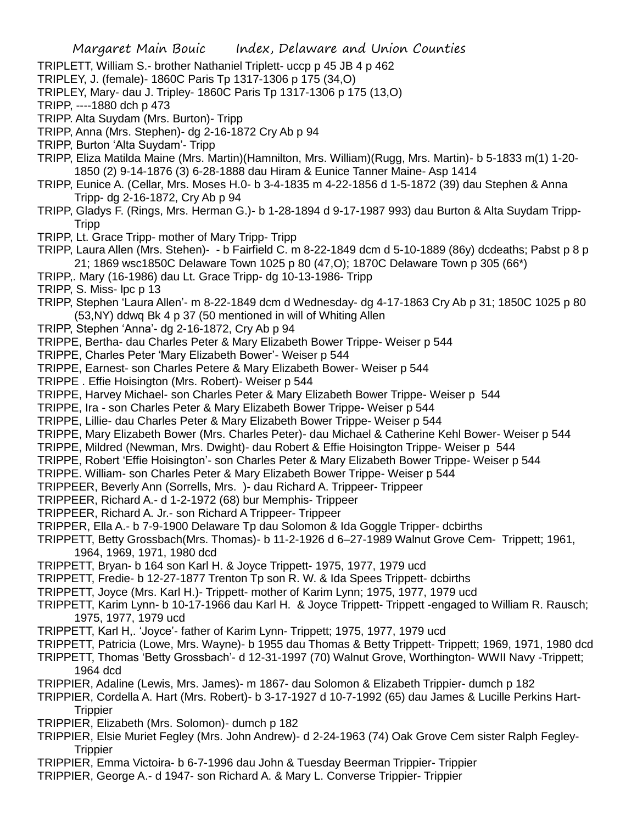Margaret Main Bouic Index, Delaware and Union Counties TRIPLETT, William S.- brother Nathaniel Triplett- uccp p 45 JB 4 p 462 TRIPLEY, J. (female)- 1860C Paris Tp 1317-1306 p 175 (34,O) TRIPLEY, Mary- dau J. Tripley- 1860C Paris Tp 1317-1306 p 175 (13,O) TRIPP, ----1880 dch p 473 TRIPP. Alta Suydam (Mrs. Burton)- Tripp TRIPP, Anna (Mrs. Stephen)- dg 2-16-1872 Cry Ab p 94 TRIPP, Burton 'Alta Suydam'- Tripp TRIPP, Eliza Matilda Maine (Mrs. Martin)(Hamnilton, Mrs. William)(Rugg, Mrs. Martin)- b 5-1833 m(1) 1-20- 1850 (2) 9-14-1876 (3) 6-28-1888 dau Hiram & Eunice Tanner Maine- Asp 1414 TRIPP, Eunice A. (Cellar, Mrs. Moses H.0- b 3-4-1835 m 4-22-1856 d 1-5-1872 (39) dau Stephen & Anna Tripp- dg 2-16-1872, Cry Ab p 94 TRIPP, Gladys F. (Rings, Mrs. Herman G.)- b 1-28-1894 d 9-17-1987 993) dau Burton & Alta Suydam Tripp-Tripp TRIPP, Lt. Grace Tripp- mother of Mary Tripp- Tripp TRIPP, Laura Allen (Mrs. Stehen)- - b Fairfield C. m 8-22-1849 dcm d 5-10-1889 (86y) dcdeaths; Pabst p 8 p 21; 1869 wsc1850C Delaware Town 1025 p 80 (47,O); 1870C Delaware Town p 305 (66\*) TRIPP,. Mary (16-1986) dau Lt. Grace Tripp- dg 10-13-1986- Tripp TRIPP, S. Miss- lpc p 13 TRIPP, Stephen 'Laura Allen'- m 8-22-1849 dcm d Wednesday- dg 4-17-1863 Cry Ab p 31; 1850C 1025 p 80 (53,NY) ddwq Bk 4 p 37 (50 mentioned in will of Whiting Allen TRIPP, Stephen 'Anna'- dg 2-16-1872, Cry Ab p 94 TRIPPE, Bertha- dau Charles Peter & Mary Elizabeth Bower Trippe- Weiser p 544 TRIPPE, Charles Peter 'Mary Elizabeth Bower'- Weiser p 544 TRIPPE, Earnest- son Charles Petere & Mary Elizabeth Bower- Weiser p 544 TRIPPE . Effie Hoisington (Mrs. Robert)- Weiser p 544 TRIPPE, Harvey Michael- son Charles Peter & Mary Elizabeth Bower Trippe- Weiser p 544 TRIPPE, Ira - son Charles Peter & Mary Elizabeth Bower Trippe- Weiser p 544 TRIPPE, Lillie- dau Charles Peter & Mary Elizabeth Bower Trippe- Weiser p 544 TRIPPE, Mary Elizabeth Bower (Mrs. Charles Peter)- dau Michael & Catherine Kehl Bower- Weiser p 544 TRIPPE, Mildred (Newman, Mrs. Dwight)- dau Robert & Effie Hoisington Trippe- Weiser p 544 TRIPPE, Robert 'Effie Hoisington'- son Charles Peter & Mary Elizabeth Bower Trippe- Weiser p 544 TRIPPE. William- son Charles Peter & Mary Elizabeth Bower Trippe- Weiser p 544 TRIPPEER, Beverly Ann (Sorrells, Mrs. )- dau Richard A. Trippeer- Trippeer TRIPPEER, Richard A.- d 1-2-1972 (68) bur Memphis- Trippeer TRIPPEER, Richard A. Jr.- son Richard A Trippeer- Trippeer TRIPPER, Ella A.- b 7-9-1900 Delaware Tp dau Solomon & Ida Goggle Tripper- dcbirths TRIPPETT, Betty Grossbach(Mrs. Thomas)- b 11-2-1926 d 6–27-1989 Walnut Grove Cem- Trippett; 1961, 1964, 1969, 1971, 1980 dcd TRIPPETT, Bryan- b 164 son Karl H. & Joyce Trippett- 1975, 1977, 1979 ucd TRIPPETT, Fredie- b 12-27-1877 Trenton Tp son R. W. & Ida Spees Trippett- dcbirths TRIPPETT, Joyce (Mrs. Karl H.)- Trippett- mother of Karim Lynn; 1975, 1977, 1979 ucd TRIPPETT, Karim Lynn- b 10-17-1966 dau Karl H. & Joyce Trippett- Trippett -engaged to William R. Rausch; 1975, 1977, 1979 ucd TRIPPETT, Karl H,. 'Joyce'- father of Karim Lynn- Trippett; 1975, 1977, 1979 ucd TRIPPETT, Patricia (Lowe, Mrs. Wayne)- b 1955 dau Thomas & Betty Trippett- Trippett; 1969, 1971, 1980 dcd TRIPPETT, Thomas 'Betty Grossbach'- d 12-31-1997 (70) Walnut Grove, Worthington- WWII Navy -Trippett; 1964 dcd TRIPPIER, Adaline (Lewis, Mrs. James)- m 1867- dau Solomon & Elizabeth Trippier- dumch p 182 TRIPPIER, Cordella A. Hart (Mrs. Robert)- b 3-17-1927 d 10-7-1992 (65) dau James & Lucille Perkins Hart-**Trippier** TRIPPIER, Elizabeth (Mrs. Solomon)- dumch p 182 TRIPPIER, Elsie Muriet Fegley (Mrs. John Andrew)- d 2-24-1963 (74) Oak Grove Cem sister Ralph Fegley-**Trippier** TRIPPIER, Emma Victoira- b 6-7-1996 dau John & Tuesday Beerman Trippier- Trippier

TRIPPIER, George A.- d 1947- son Richard A. & Mary L. Converse Trippier- Trippier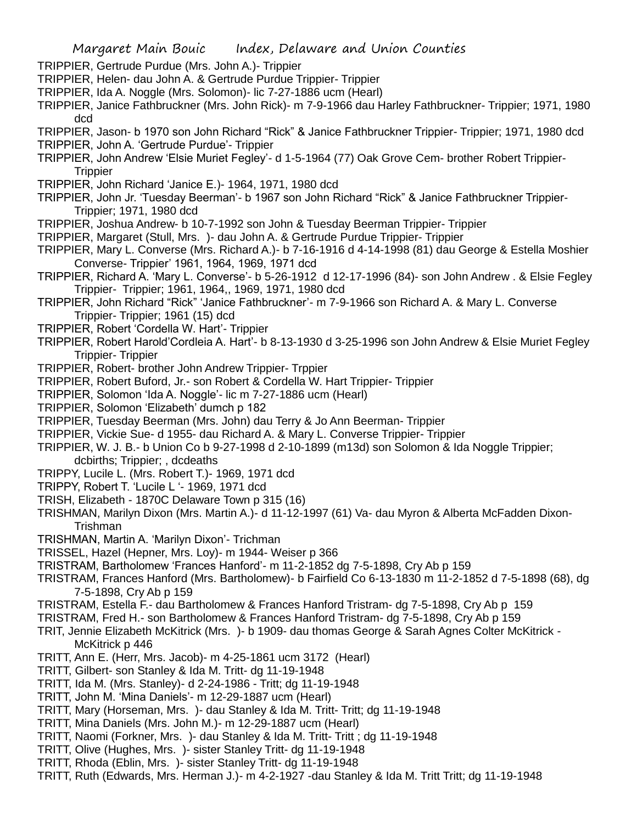- TRIPPIER, Gertrude Purdue (Mrs. John A.)- Trippier
- TRIPPIER, Helen- dau John A. & Gertrude Purdue Trippier- Trippier
- TRIPPIER, Ida A. Noggle (Mrs. Solomon)- lic 7-27-1886 ucm (Hearl)
- TRIPPIER, Janice Fathbruckner (Mrs. John Rick)- m 7-9-1966 dau Harley Fathbruckner- Trippier; 1971, 1980 dcd
- TRIPPIER, Jason- b 1970 son John Richard "Rick" & Janice Fathbruckner Trippier- Trippier; 1971, 1980 dcd TRIPPIER, John A. 'Gertrude Purdue'- Trippier
- TRIPPIER, John Andrew 'Elsie Muriet Fegley'- d 1-5-1964 (77) Oak Grove Cem- brother Robert Trippier-**Trippier**
- TRIPPIER, John Richard 'Janice E.)- 1964, 1971, 1980 dcd
- TRIPPIER, John Jr. 'Tuesday Beerman'- b 1967 son John Richard "Rick" & Janice Fathbruckner Trippier-Trippier; 1971, 1980 dcd
- TRIPPIER, Joshua Andrew- b 10-7-1992 son John & Tuesday Beerman Trippier- Trippier
- TRIPPIER, Margaret (Stull, Mrs. )- dau John A. & Gertrude Purdue Trippier- Trippier
- TRIPPIER, Mary L. Converse (Mrs. Richard A.)- b 7-16-1916 d 4-14-1998 (81) dau George & Estella Moshier Converse- Trippier' 1961, 1964, 1969, 1971 dcd
- TRIPPIER, Richard A. 'Mary L. Converse'- b 5-26-1912 d 12-17-1996 (84)- son John Andrew . & Elsie Fegley Trippier- Trippier; 1961, 1964,, 1969, 1971, 1980 dcd
- TRIPPIER, John Richard "Rick" 'Janice Fathbruckner'- m 7-9-1966 son Richard A. & Mary L. Converse Trippier- Trippier; 1961 (15) dcd
- TRIPPIER, Robert 'Cordella W. Hart'- Trippier
- TRIPPIER, Robert Harold'Cordleia A. Hart'- b 8-13-1930 d 3-25-1996 son John Andrew & Elsie Muriet Fegley Trippier- Trippier
- TRIPPIER, Robert- brother John Andrew Trippier- Trppier
- TRIPPIER, Robert Buford, Jr.- son Robert & Cordella W. Hart Trippier- Trippier
- TRIPPIER, Solomon 'Ida A. Noggle'- lic m 7-27-1886 ucm (Hearl)
- TRIPPIER, Solomon 'Elizabeth' dumch p 182
- TRIPPIER, Tuesday Beerman (Mrs. John) dau Terry & Jo Ann Beerman- Trippier
- TRIPPIER, Vickie Sue- d 1955- dau Richard A. & Mary L. Converse Trippier- Trippier
- TRIPPIER, W. J. B.- b Union Co b 9-27-1998 d 2-10-1899 (m13d) son Solomon & Ida Noggle Trippier; dcbirths; Trippier; , dcdeaths
- TRIPPY, Lucile L. (Mrs. Robert T.)- 1969, 1971 dcd
- TRIPPY, Robert T. 'Lucile L '- 1969, 1971 dcd
- TRISH, Elizabeth 1870C Delaware Town p 315 (16)
- TRISHMAN, Marilyn Dixon (Mrs. Martin A.)- d 11-12-1997 (61) Va- dau Myron & Alberta McFadden Dixon-Trishman
- TRISHMAN, Martin A. 'Marilyn Dixon'- Trichman
- TRISSEL, Hazel (Hepner, Mrs. Loy)- m 1944- Weiser p 366
- TRISTRAM, Bartholomew 'Frances Hanford'- m 11-2-1852 dg 7-5-1898, Cry Ab p 159
- TRISTRAM, Frances Hanford (Mrs. Bartholomew)- b Fairfield Co 6-13-1830 m 11-2-1852 d 7-5-1898 (68), dg 7-5-1898, Cry Ab p 159
- TRISTRAM, Estella F.- dau Bartholomew & Frances Hanford Tristram- dg 7-5-1898, Cry Ab p 159
- TRISTRAM, Fred H.- son Bartholomew & Frances Hanford Tristram- dg 7-5-1898, Cry Ab p 159
- TRIT, Jennie Elizabeth McKitrick (Mrs. )- b 1909- dau thomas George & Sarah Agnes Colter McKitrick McKitrick p 446
- TRITT, Ann E. (Herr, Mrs. Jacob)- m 4-25-1861 ucm 3172 (Hearl)
- TRITT, Gilbert- son Stanley & Ida M. Tritt- dg 11-19-1948
- TRITT, Ida M. (Mrs. Stanley)- d 2-24-1986 Tritt; dg 11-19-1948
- TRITT, John M. 'Mina Daniels'- m 12-29-1887 ucm (Hearl)
- TRITT, Mary (Horseman, Mrs. )- dau Stanley & Ida M. Tritt- Tritt; dg 11-19-1948
- TRITT, Mina Daniels (Mrs. John M.)- m 12-29-1887 ucm (Hearl)
- TRITT, Naomi (Forkner, Mrs. )- dau Stanley & Ida M. Tritt- Tritt ; dg 11-19-1948
- TRITT, Olive (Hughes, Mrs. )- sister Stanley Tritt- dg 11-19-1948
- TRITT, Rhoda (Eblin, Mrs. )- sister Stanley Tritt- dg 11-19-1948
- TRITT, Ruth (Edwards, Mrs. Herman J.)- m 4-2-1927 -dau Stanley & Ida M. Tritt Tritt; dg 11-19-1948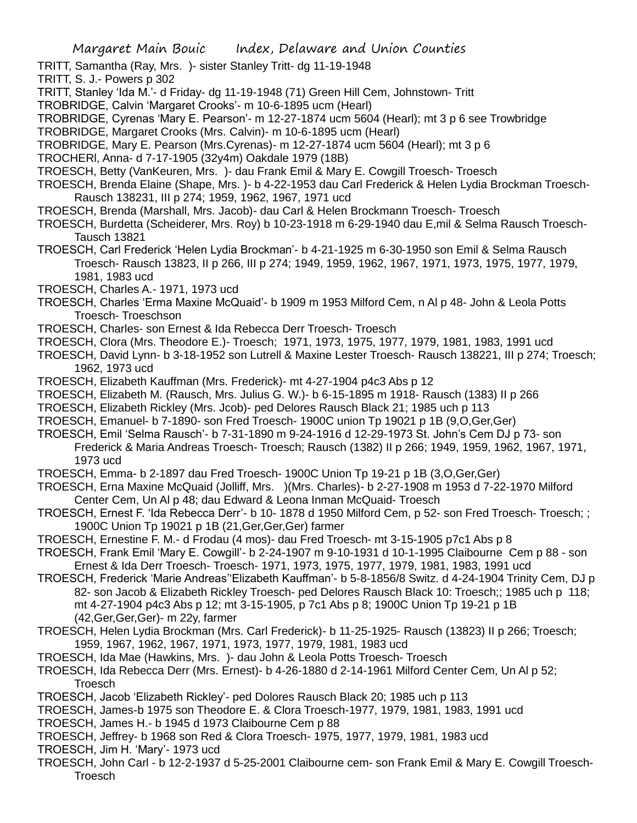- TRITT, Samantha (Ray, Mrs. )- sister Stanley Tritt- dg 11-19-1948
- TRITT, S. J.- Powers p 302
- TRITT, Stanley 'Ida M.'- d Friday- dg 11-19-1948 (71) Green Hill Cem, Johnstown- Tritt
- TROBRIDGE, Calvin 'Margaret Crooks'- m 10-6-1895 ucm (Hearl)
- TROBRIDGE, Cyrenas 'Mary E. Pearson'- m 12-27-1874 ucm 5604 (Hearl); mt 3 p 6 see Trowbridge
- TROBRIDGE, Margaret Crooks (Mrs. Calvin)- m 10-6-1895 ucm (Hearl)
- TROBRIDGE, Mary E. Pearson (Mrs.Cyrenas)- m 12-27-1874 ucm 5604 (Hearl); mt 3 p 6
- TROCHERl, Anna- d 7-17-1905 (32y4m) Oakdale 1979 (18B)
- TROESCH, Betty (VanKeuren, Mrs. )- dau Frank Emil & Mary E. Cowgill Troesch- Troesch
- TROESCH, Brenda Elaine (Shape, Mrs. )- b 4-22-1953 dau Carl Frederick & Helen Lydia Brockman Troesch-Rausch 138231, III p 274; 1959, 1962, 1967, 1971 ucd
- TROESCH, Brenda (Marshall, Mrs. Jacob)- dau Carl & Helen Brockmann Troesch- Troesch
- TROESCH, Burdetta (Scheiderer, Mrs. Roy) b 10-23-1918 m 6-29-1940 dau E,mil & Selma Rausch Troesch-Tausch 13821
- TROESCH, Carl Frederick 'Helen Lydia Brockman'- b 4-21-1925 m 6-30-1950 son Emil & Selma Rausch Troesch- Rausch 13823, II p 266, III p 274; 1949, 1959, 1962, 1967, 1971, 1973, 1975, 1977, 1979, 1981, 1983 ucd
- TROESCH, Charles A.- 1971, 1973 ucd
- TROESCH, Charles 'Erma Maxine McQuaid'- b 1909 m 1953 Milford Cem, n Al p 48- John & Leola Potts Troesch- Troeschson
- TROESCH, Charles- son Ernest & Ida Rebecca Derr Troesch- Troesch
- TROESCH, Clora (Mrs. Theodore E.)- Troesch; 1971, 1973, 1975, 1977, 1979, 1981, 1983, 1991 ucd
- TROESCH, David Lynn- b 3-18-1952 son Lutrell & Maxine Lester Troesch- Rausch 138221, III p 274; Troesch; 1962, 1973 ucd
- TROESCH, Elizabeth Kauffman (Mrs. Frederick)- mt 4-27-1904 p4c3 Abs p 12
- TROESCH, Elizabeth M. (Rausch, Mrs. Julius G. W.)- b 6-15-1895 m 1918- Rausch (1383) II p 266
- TROESCH, Elizabeth Rickley (Mrs. Jcob)- ped Delores Rausch Black 21; 1985 uch p 113
- TROESCH, Emanuel- b 7-1890- son Fred Troesch- 1900C union Tp 19021 p 1B (9,O,Ger,Ger)
- TROESCH, Emil 'Selma Rausch'- b 7-31-1890 m 9-24-1916 d 12-29-1973 St. John's Cem DJ p 73- son Frederick & Maria Andreas Troesch- Troesch; Rausch (1382) II p 266; 1949, 1959, 1962, 1967, 1971, 1973 ucd
- TROESCH, Emma- b 2-1897 dau Fred Troesch- 1900C Union Tp 19-21 p 1B (3,O,Ger,Ger)
- TROESCH, Erna Maxine McQuaid (Jolliff, Mrs. )(Mrs. Charles)- b 2-27-1908 m 1953 d 7-22-1970 Milford Center Cem, Un Al p 48; dau Edward & Leona Inman McQuaid- Troesch
- TROESCH, Ernest F. 'Ida Rebecca Derr'- b 10- 1878 d 1950 Milford Cem, p 52- son Fred Troesch- Troesch; ; 1900C Union Tp 19021 p 1B (21,Ger,Ger,Ger) farmer
- TROESCH, Ernestine F. M.- d Frodau (4 mos)- dau Fred Troesch- mt 3-15-1905 p7c1 Abs p 8
- TROESCH, Frank Emil 'Mary E. Cowgill'- b 2-24-1907 m 9-10-1931 d 10-1-1995 Claibourne Cem p 88 son Ernest & Ida Derr Troesch- Troesch- 1971, 1973, 1975, 1977, 1979, 1981, 1983, 1991 ucd
- TROESCH, Frederick 'Marie Andreas''Elizabeth Kauffman'- b 5-8-1856/8 Switz. d 4-24-1904 Trinity Cem, DJ p 82- son Jacob & Elizabeth Rickley Troesch- ped Delores Rausch Black 10: Troesch;; 1985 uch p 118; mt 4-27-1904 p4c3 Abs p 12; mt 3-15-1905, p 7c1 Abs p 8; 1900C Union Tp 19-21 p 1B (42,Ger,Ger,Ger)- m 22y, farmer
- TROESCH, Helen Lydia Brockman (Mrs. Carl Frederick)- b 11-25-1925- Rausch (13823) II p 266; Troesch; 1959, 1967, 1962, 1967, 1971, 1973, 1977, 1979, 1981, 1983 ucd
- TROESCH, Ida Mae (Hawkins, Mrs. )- dau John & Leola Potts Troesch- Troesch
- TROESCH, Ida Rebecca Derr (Mrs. Ernest)- b 4-26-1880 d 2-14-1961 Milford Center Cem, Un Al p 52; Troesch
- TROESCH, Jacob 'Elizabeth Rickley'- ped Dolores Rausch Black 20; 1985 uch p 113
- TROESCH, James-b 1975 son Theodore E. & Clora Troesch-1977, 1979, 1981, 1983, 1991 ucd
- TROESCH, James H.- b 1945 d 1973 Claibourne Cem p 88
- TROESCH, Jeffrey- b 1968 son Red & Clora Troesch- 1975, 1977, 1979, 1981, 1983 ucd
- TROESCH, Jim H. 'Mary'- 1973 ucd
- TROESCH, John Carl b 12-2-1937 d 5-25-2001 Claibourne cem- son Frank Emil & Mary E. Cowgill Troesch-**Troesch**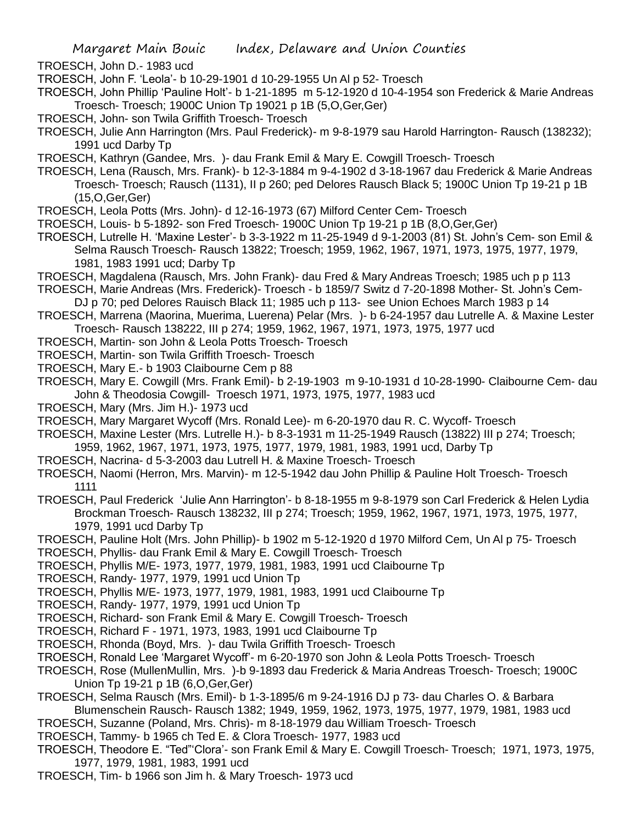TROESCH, John D.- 1983 ucd

TROESCH, John F. 'Leola'- b 10-29-1901 d 10-29-1955 Un Al p 52- Troesch

TROESCH, John Phillip 'Pauline Holt'- b 1-21-1895 m 5-12-1920 d 10-4-1954 son Frederick & Marie Andreas Troesch- Troesch; 1900C Union Tp 19021 p 1B (5,O,Ger,Ger)

TROESCH, John- son Twila Griffith Troesch- Troesch

TROESCH, Julie Ann Harrington (Mrs. Paul Frederick)- m 9-8-1979 sau Harold Harrington- Rausch (138232); 1991 ucd Darby Tp

TROESCH, Kathryn (Gandee, Mrs. )- dau Frank Emil & Mary E. Cowgill Troesch- Troesch

TROESCH, Lena (Rausch, Mrs. Frank)- b 12-3-1884 m 9-4-1902 d 3-18-1967 dau Frederick & Marie Andreas Troesch- Troesch; Rausch (1131), II p 260; ped Delores Rausch Black 5; 1900C Union Tp 19-21 p 1B (15,O,Ger,Ger)

TROESCH, Leola Potts (Mrs. John)- d 12-16-1973 (67) Milford Center Cem- Troesch

TROESCH, Louis- b 5-1892- son Fred Troesch- 1900C Union Tp 19-21 p 1B (8,O,Ger,Ger)

- TROESCH, Lutrelle H. 'Maxine Lester'- b 3-3-1922 m 11-25-1949 d 9-1-2003 (81) St. John's Cem- son Emil & Selma Rausch Troesch- Rausch 13822; Troesch; 1959, 1962, 1967, 1971, 1973, 1975, 1977, 1979, 1981, 1983 1991 ucd; Darby Tp
- TROESCH, Magdalena (Rausch, Mrs. John Frank)- dau Fred & Mary Andreas Troesch; 1985 uch p p 113
- TROESCH, Marie Andreas (Mrs. Frederick)- Troesch b 1859/7 Switz d 7-20-1898 Mother- St. John's Cem-
- DJ p 70; ped Delores Rauisch Black 11; 1985 uch p 113- see Union Echoes March 1983 p 14
- TROESCH, Marrena (Maorina, Muerima, Luerena) Pelar (Mrs. )- b 6-24-1957 dau Lutrelle A. & Maxine Lester Troesch- Rausch 138222, III p 274; 1959, 1962, 1967, 1971, 1973, 1975, 1977 ucd
- TROESCH, Martin- son John & Leola Potts Troesch- Troesch
- TROESCH, Martin- son Twila Griffith Troesch- Troesch
- TROESCH, Mary E.- b 1903 Claibourne Cem p 88
- TROESCH, Mary E. Cowgill (Mrs. Frank Emil)- b 2-19-1903 m 9-10-1931 d 10-28-1990- Claibourne Cem- dau John & Theodosia Cowgill- Troesch 1971, 1973, 1975, 1977, 1983 ucd
- TROESCH, Mary (Mrs. Jim H.)- 1973 ucd
- TROESCH, Mary Margaret Wycoff (Mrs. Ronald Lee)- m 6-20-1970 dau R. C. Wycoff- Troesch
- TROESCH, Maxine Lester (Mrs. Lutrelle H.)- b 8-3-1931 m 11-25-1949 Rausch (13822) III p 274; Troesch; 1959, 1962, 1967, 1971, 1973, 1975, 1977, 1979, 1981, 1983, 1991 ucd, Darby Tp
- TROESCH, Nacrina- d 5-3-2003 dau Lutrell H. & Maxine Troesch- Troesch
- TROESCH, Naomi (Herron, Mrs. Marvin)- m 12-5-1942 dau John Phillip & Pauline Holt Troesch- Troesch 1111
- TROESCH, Paul Frederick 'Julie Ann Harrington'- b 8-18-1955 m 9-8-1979 son Carl Frederick & Helen Lydia Brockman Troesch- Rausch 138232, III p 274; Troesch; 1959, 1962, 1967, 1971, 1973, 1975, 1977, 1979, 1991 ucd Darby Tp
- TROESCH, Pauline Holt (Mrs. John Phillip)- b 1902 m 5-12-1920 d 1970 Milford Cem, Un Al p 75- Troesch
- TROESCH, Phyllis- dau Frank Emil & Mary E. Cowgill Troesch- Troesch
- TROESCH, Phyllis M/E- 1973, 1977, 1979, 1981, 1983, 1991 ucd Claibourne Tp
- TROESCH, Randy- 1977, 1979, 1991 ucd Union Tp
- TROESCH, Phyllis M/E- 1973, 1977, 1979, 1981, 1983, 1991 ucd Claibourne Tp
- TROESCH, Randy- 1977, 1979, 1991 ucd Union Tp
- TROESCH, Richard- son Frank Emil & Mary E. Cowgill Troesch- Troesch
- TROESCH, Richard F 1971, 1973, 1983, 1991 ucd Claibourne Tp
- TROESCH, Rhonda (Boyd, Mrs. )- dau Twila Griffith Troesch- Troesch
- TROESCH, Ronald Lee 'Margaret Wycoff'- m 6-20-1970 son John & Leola Potts Troesch- Troesch
- TROESCH, Rose (MullenMullin, Mrs. )-b 9-1893 dau Frederick & Maria Andreas Troesch- Troesch; 1900C Union Tp 19-21 p 1B (6,O,Ger,Ger)
- TROESCH, Selma Rausch (Mrs. Emil)- b 1-3-1895/6 m 9-24-1916 DJ p 73- dau Charles O. & Barbara Blumenschein Rausch- Rausch 1382; 1949, 1959, 1962, 1973, 1975, 1977, 1979, 1981, 1983 ucd
- TROESCH, Suzanne (Poland, Mrs. Chris)- m 8-18-1979 dau William Troesch- Troesch
- TROESCH, Tammy- b 1965 ch Ted E. & Clora Troesch- 1977, 1983 ucd
- TROESCH, Theodore E. "Ted"'Clora'- son Frank Emil & Mary E. Cowgill Troesch- Troesch; 1971, 1973, 1975, 1977, 1979, 1981, 1983, 1991 ucd
- TROESCH, Tim- b 1966 son Jim h. & Mary Troesch- 1973 ucd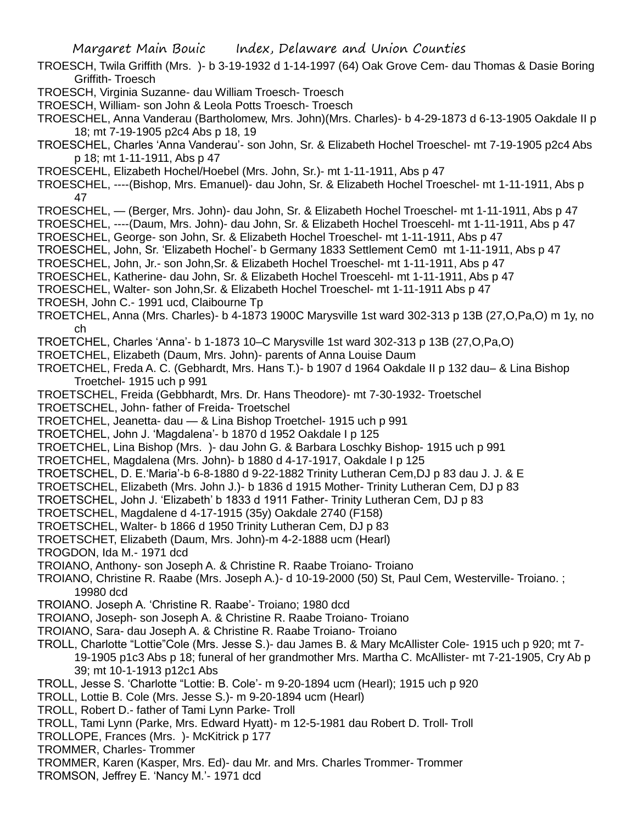TROESCH, Twila Griffith (Mrs. )- b 3-19-1932 d 1-14-1997 (64) Oak Grove Cem- dau Thomas & Dasie Boring Griffith- Troesch

TROESCH, Virginia Suzanne- dau William Troesch- Troesch

TROESCH, William- son John & Leola Potts Troesch- Troesch

TROESCHEL, Anna Vanderau (Bartholomew, Mrs. John)(Mrs. Charles)- b 4-29-1873 d 6-13-1905 Oakdale II p 18; mt 7-19-1905 p2c4 Abs p 18, 19

TROESCHEL, Charles 'Anna Vanderau'- son John, Sr. & Elizabeth Hochel Troeschel- mt 7-19-1905 p2c4 Abs p 18; mt 1-11-1911, Abs p 47

TROESCEHL, Elizabeth Hochel/Hoebel (Mrs. John, Sr.)- mt 1-11-1911, Abs p 47

TROESCHEL, ----(Bishop, Mrs. Emanuel)- dau John, Sr. & Elizabeth Hochel Troeschel- mt 1-11-1911, Abs p 47

TROESCHEL, — (Berger, Mrs. John)- dau John, Sr. & Elizabeth Hochel Troeschel- mt 1-11-1911, Abs p 47

TROESCHEL, ----(Daum, Mrs. John)- dau John, Sr. & Elizabeth Hochel Troescehl- mt 1-11-1911, Abs p 47

TROESCHEL, George- son John, Sr. & Elizabeth Hochel Troeschel- mt 1-11-1911, Abs p 47

TROESCHEL, John, Sr. 'Elizabeth Hochel'- b Germany 1833 Settlement Cem0 mt 1-11-1911, Abs p 47

TROESCHEL, John, Jr.- son John,Sr. & Elizabeth Hochel Troeschel- mt 1-11-1911, Abs p 47

TROESCHEL, Katherine- dau John, Sr. & Elizabeth Hochel Troescehl- mt 1-11-1911, Abs p 47

TROESCHEL, Walter- son John,Sr. & Elizabeth Hochel Troeschel- mt 1-11-1911 Abs p 47

TROESH, John C.- 1991 ucd, Claibourne Tp

TROETCHEL, Anna (Mrs. Charles)- b 4-1873 1900C Marysville 1st ward 302-313 p 13B (27,O,Pa,O) m 1y, no ch

TROETCHEL, Charles 'Anna'- b 1-1873 10–C Marysville 1st ward 302-313 p 13B (27,O,Pa,O)

TROETCHEL, Elizabeth (Daum, Mrs. John)- parents of Anna Louise Daum

TROETCHEL, Freda A. C. (Gebhardt, Mrs. Hans T.)- b 1907 d 1964 Oakdale II p 132 dau– & Lina Bishop Troetchel- 1915 uch p 991

TROETSCHEL, Freida (Gebbhardt, Mrs. Dr. Hans Theodore)- mt 7-30-1932- Troetschel

TROETSCHEL, John- father of Freida- Troetschel

TROETCHEL, Jeanetta- dau — & Lina Bishop Troetchel- 1915 uch p 991

TROETCHEL, John J. 'Magdalena'- b 1870 d 1952 Oakdale I p 125

TROETCHEL, Lina Bishop (Mrs. )- dau John G. & Barbara Loschky Bishop- 1915 uch p 991

TROETCHEL, Magdalena (Mrs. John)- b 1880 d 4-17-1917, Oakdale I p 125

TROETSCHEL, D. E.'Maria'-b 6-8-1880 d 9-22-1882 Trinity Lutheran Cem,DJ p 83 dau J. J. & E

TROETSCHEL, Elizabeth (Mrs. John J.)- b 1836 d 1915 Mother- Trinity Lutheran Cem, DJ p 83

TROETSCHEL, John J. 'Elizabeth' b 1833 d 1911 Father- Trinity Lutheran Cem, DJ p 83

TROETSCHEL, Magdalene d 4-17-1915 (35y) Oakdale 2740 (F158)

TROETSCHEL, Walter- b 1866 d 1950 Trinity Lutheran Cem, DJ p 83

TROETSCHET, Elizabeth (Daum, Mrs. John)-m 4-2-1888 ucm (Hearl)

TROGDON, Ida M.- 1971 dcd

TROIANO, Anthony- son Joseph A. & Christine R. Raabe Troiano- Troiano

TROIANO, Christine R. Raabe (Mrs. Joseph A.)- d 10-19-2000 (50) St, Paul Cem, Westerville- Troiano. ; 19980 dcd

TROIANO. Joseph A. 'Christine R. Raabe'- Troiano; 1980 dcd

TROIANO, Joseph- son Joseph A. & Christine R. Raabe Troiano- Troiano

TROIANO, Sara- dau Joseph A. & Christine R. Raabe Troiano- Troiano

TROLL, Charlotte "Lottie"Cole (Mrs. Jesse S.)- dau James B. & Mary McAllister Cole- 1915 uch p 920; mt 7- 19-1905 p1c3 Abs p 18; funeral of her grandmother Mrs. Martha C. McAllister- mt 7-21-1905, Cry Ab p 39; mt 10-1-1913 p12c1 Abs

TROLL, Jesse S. 'Charlotte "Lottie: B. Cole'- m 9-20-1894 ucm (Hearl); 1915 uch p 920

TROLL, Lottie B. Cole (Mrs. Jesse S.)- m 9-20-1894 ucm (Hearl)

TROLL, Robert D.- father of Tami Lynn Parke- Troll

TROLL, Tami Lynn (Parke, Mrs. Edward Hyatt)- m 12-5-1981 dau Robert D. Troll- Troll

TROLLOPE, Frances (Mrs. )- McKitrick p 177

TROMMER, Charles- Trommer

TROMMER, Karen (Kasper, Mrs. Ed)- dau Mr. and Mrs. Charles Trommer- Trommer

TROMSON, Jeffrey E. 'Nancy M.'- 1971 dcd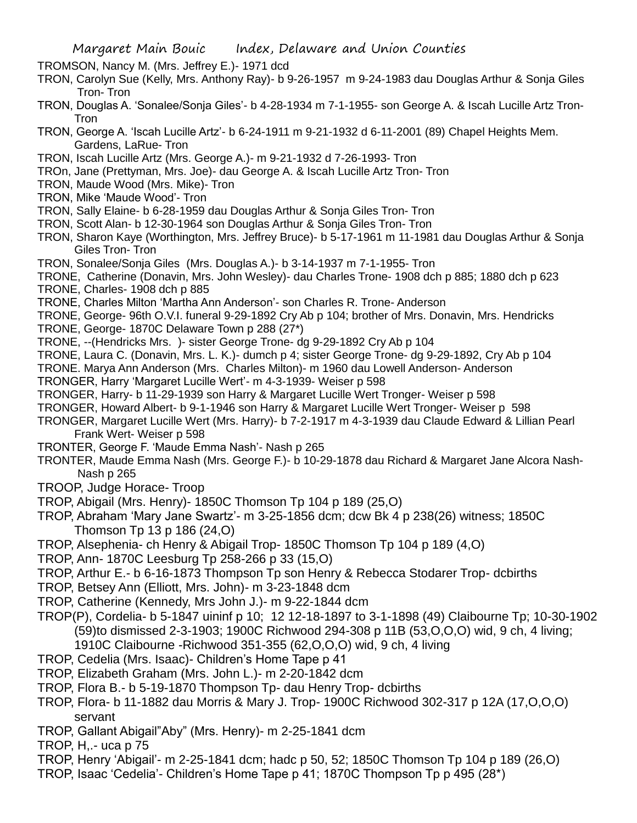TROMSON, Nancy M. (Mrs. Jeffrey E.)- 1971 dcd

- TRON, Carolyn Sue (Kelly, Mrs. Anthony Ray)- b 9-26-1957 m 9-24-1983 dau Douglas Arthur & Sonja Giles Tron- Tron
- TRON, Douglas A. 'Sonalee/Sonja Giles'- b 4-28-1934 m 7-1-1955- son George A. & Iscah Lucille Artz Tron-**Tron**
- TRON, George A. 'Iscah Lucille Artz'- b 6-24-1911 m 9-21-1932 d 6-11-2001 (89) Chapel Heights Mem. Gardens, LaRue- Tron
- TRON, Iscah Lucille Artz (Mrs. George A.)- m 9-21-1932 d 7-26-1993- Tron
- TROn, Jane (Prettyman, Mrs. Joe)- dau George A. & Iscah Lucille Artz Tron- Tron
- TRON, Maude Wood (Mrs. Mike)- Tron
- TRON, Mike 'Maude Wood'- Tron
- TRON, Sally Elaine- b 6-28-1959 dau Douglas Arthur & Sonja Giles Tron- Tron
- TRON, Scott Alan- b 12-30-1964 son Douglas Arthur & Sonja Giles Tron- Tron
- TRON, Sharon Kaye (Worthington, Mrs. Jeffrey Bruce)- b 5-17-1961 m 11-1981 dau Douglas Arthur & Sonja Giles Tron- Tron
- TRON, Sonalee/Sonja Giles (Mrs. Douglas A.)- b 3-14-1937 m 7-1-1955- Tron
- TRONE, Catherine (Donavin, Mrs. John Wesley)- dau Charles Trone- 1908 dch p 885; 1880 dch p 623
- TRONE, Charles- 1908 dch p 885
- TRONE, Charles Milton 'Martha Ann Anderson'- son Charles R. Trone- Anderson
- TRONE, George- 96th O.V.I. funeral 9-29-1892 Cry Ab p 104; brother of Mrs. Donavin, Mrs. Hendricks
- TRONE, George- 1870C Delaware Town p 288 (27\*)
- TRONE, --(Hendricks Mrs. )- sister George Trone- dg 9-29-1892 Cry Ab p 104
- TRONE, Laura C. (Donavin, Mrs. L. K.)- dumch p 4; sister George Trone- dg 9-29-1892, Cry Ab p 104
- TRONE. Marya Ann Anderson (Mrs. Charles Milton)- m 1960 dau Lowell Anderson- Anderson
- TRONGER, Harry 'Margaret Lucille Wert'- m 4-3-1939- Weiser p 598
- TRONGER, Harry- b 11-29-1939 son Harry & Margaret Lucille Wert Tronger- Weiser p 598
- TRONGER, Howard Albert- b 9-1-1946 son Harry & Margaret Lucille Wert Tronger- Weiser p 598
- TRONGER, Margaret Lucille Wert (Mrs. Harry)- b 7-2-1917 m 4-3-1939 dau Claude Edward & Lillian Pearl Frank Wert- Weiser p 598
- TRONTER, George F. 'Maude Emma Nash'- Nash p 265
- TRONTER, Maude Emma Nash (Mrs. George F.)- b 10-29-1878 dau Richard & Margaret Jane Alcora Nash-Nash p 265
- TROOP, Judge Horace- Troop
- TROP, Abigail (Mrs. Henry)- 1850C Thomson Tp 104 p 189 (25,O)
- TROP, Abraham 'Mary Jane Swartz'- m 3-25-1856 dcm; dcw Bk 4 p 238(26) witness; 1850C Thomson Tp 13 p 186 (24,O)
- TROP, Alsephenia- ch Henry & Abigail Trop- 1850C Thomson Tp 104 p 189 (4,O)
- TROP, Ann- 1870C Leesburg Tp 258-266 p 33 (15,O)
- TROP, Arthur E.- b 6-16-1873 Thompson Tp son Henry & Rebecca Stodarer Trop- dcbirths
- TROP, Betsey Ann (Elliott, Mrs. John)- m 3-23-1848 dcm
- TROP, Catherine (Kennedy, Mrs John J.)- m 9-22-1844 dcm
- TROP(P), Cordelia- b 5-1847 uininf p 10; 12 12-18-1897 to 3-1-1898 (49) Claibourne Tp; 10-30-1902 (59)to dismissed 2-3-1903; 1900C Richwood 294-308 p 11B (53,O,O,O) wid, 9 ch, 4 living; 1910C Claibourne -Richwood 351-355 (62,O,O,O) wid, 9 ch, 4 living
- TROP, Cedelia (Mrs. Isaac)- Children's Home Tape p 41
- TROP, Elizabeth Graham (Mrs. John L.)- m 2-20-1842 dcm
- TROP, Flora B.- b 5-19-1870 Thompson Tp- dau Henry Trop- dcbirths
- TROP, Flora- b 11-1882 dau Morris & Mary J. Trop- 1900C Richwood 302-317 p 12A (17,O,O,O) servant
- TROP, Gallant Abigail"Aby" (Mrs. Henry)- m 2-25-1841 dcm
- TROP, H,.- uca p 75
- TROP, Henry 'Abigail'- m 2-25-1841 dcm; hadc p 50, 52; 1850C Thomson Tp 104 p 189 (26,O)
- TROP, Isaac 'Cedelia'- Children's Home Tape p 41; 1870C Thompson Tp p 495 (28\*)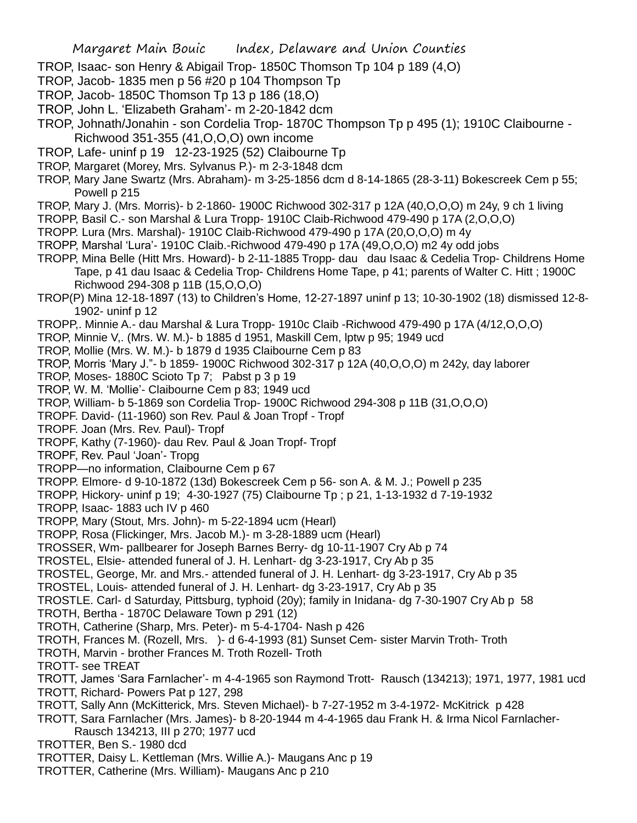- TROP, Isaac- son Henry & Abigail Trop- 1850C Thomson Tp 104 p 189 (4,O)
- TROP, Jacob- 1835 men p 56 #20 p 104 Thompson Tp
- TROP, Jacob- 1850C Thomson Tp 13 p 186 (18,O)
- TROP, John L. 'Elizabeth Graham'- m 2-20-1842 dcm
- TROP, Johnath/Jonahin son Cordelia Trop- 1870C Thompson Tp p 495 (1); 1910C Claibourne Richwood 351-355 (41,O,O,O) own income
- TROP, Lafe- uninf p 19 12-23-1925 (52) Claibourne Tp
- TROP, Margaret (Morey, Mrs. Sylvanus P.)- m 2-3-1848 dcm
- TROP, Mary Jane Swartz (Mrs. Abraham)- m 3-25-1856 dcm d 8-14-1865 (28-3-11) Bokescreek Cem p 55; Powell p 215
- TROP, Mary J. (Mrs. Morris)- b 2-1860- 1900C Richwood 302-317 p 12A (40,O,O,O) m 24y, 9 ch 1 living
- TROPP, Basil C.- son Marshal & Lura Tropp- 1910C Claib-Richwood 479-490 p 17A (2,O,O,O)
- TROPP. Lura (Mrs. Marshal)- 1910C Claib-Richwood 479-490 p 17A (20,O,O,O) m 4y
- TROPP, Marshal 'Lura'- 1910C Claib.-Richwood 479-490 p 17A (49,O,O,O) m2 4y odd jobs
- TROPP, Mina Belle (Hitt Mrs. Howard)- b 2-11-1885 Tropp- dau dau Isaac & Cedelia Trop- Childrens Home Tape, p 41 dau Isaac & Cedelia Trop- Childrens Home Tape, p 41; parents of Walter C. Hitt ; 1900C Richwood 294-308 p 11B (15,O,O,O)
- TROP(P) Mina 12-18-1897 (13) to Children's Home, 12-27-1897 uninf p 13; 10-30-1902 (18) dismissed 12-8- 1902- uninf p 12
- TROPP,. Minnie A.- dau Marshal & Lura Tropp- 1910c Claib -Richwood 479-490 p 17A (4/12,O,O,O)
- TROP, Minnie V,. (Mrs. W. M.)- b 1885 d 1951, Maskill Cem, lptw p 95; 1949 ucd
- TROP, Mollie (Mrs. W. M.)- b 1879 d 1935 Claibourne Cem p 83
- TROP, Morris 'Mary J."- b 1859- 1900C Richwood 302-317 p 12A (40,O,O,O) m 242y, day laborer
- TROP, Moses- 1880C Scioto Tp 7; Pabst p 3 p 19
- TROP, W. M. 'Mollie'- Claibourne Cem p 83; 1949 ucd
- TROP, William- b 5-1869 son Cordelia Trop- 1900C Richwood 294-308 p 11B (31,O,O,O)
- TROPF. David- (11-1960) son Rev. Paul & Joan Tropf Tropf
- TROPF. Joan (Mrs. Rev. Paul)- Tropf
- TROPF, Kathy (7-1960)- dau Rev. Paul & Joan Tropf- Tropf
- TROPF, Rev. Paul 'Joan'- Tropg
- TROPP—no information, Claibourne Cem p 67
- TROPP. Elmore- d 9-10-1872 (13d) Bokescreek Cem p 56- son A. & M. J.; Powell p 235
- TROPP, Hickory- uninf p 19; 4-30-1927 (75) Claibourne Tp ; p 21, 1-13-1932 d 7-19-1932
- TROPP, Isaac- 1883 uch IV p 460
- TROPP, Mary (Stout, Mrs. John)- m 5-22-1894 ucm (Hearl)
- TROPP, Rosa (Flickinger, Mrs. Jacob M.)- m 3-28-1889 ucm (Hearl)
- TROSSER, Wm- pallbearer for Joseph Barnes Berry- dg 10-11-1907 Cry Ab p 74
- TROSTEL, Elsie- attended funeral of J. H. Lenhart- dg 3-23-1917, Cry Ab p 35
- TROSTEL, George, Mr. and Mrs.- attended funeral of J. H. Lenhart- dg 3-23-1917, Cry Ab p 35
- TROSTEL, Louis- attended funeral of J. H. Lenhart- dg 3-23-1917, Cry Ab p 35
- TROSTLE. Carl- d Saturday, Pittsburg, typhoid (20y); family in Inidana- dg 7-30-1907 Cry Ab p 58
- TROTH, Bertha 1870C Delaware Town p 291 (12)
- TROTH, Catherine (Sharp, Mrs. Peter)- m 5-4-1704- Nash p 426
- TROTH, Frances M. (Rozell, Mrs. )- d 6-4-1993 (81) Sunset Cem- sister Marvin Troth- Troth
- TROTH, Marvin brother Frances M. Troth Rozell- Troth
- TROTT- see TREAT
- TROTT, James 'Sara Farnlacher'- m 4-4-1965 son Raymond Trott- Rausch (134213); 1971, 1977, 1981 ucd
- TROTT, Richard- Powers Pat p 127, 298
- TROTT, Sally Ann (McKitterick, Mrs. Steven Michael)- b 7-27-1952 m 3-4-1972- McKitrick p 428
- TROTT, Sara Farnlacher (Mrs. James)- b 8-20-1944 m 4-4-1965 dau Frank H. & Irma Nicol Farnlacher-Rausch 134213, III p 270; 1977 ucd
- TROTTER, Ben S.- 1980 dcd
- TROTTER, Daisy L. Kettleman (Mrs. Willie A.)- Maugans Anc p 19
- TROTTER, Catherine (Mrs. William)- Maugans Anc p 210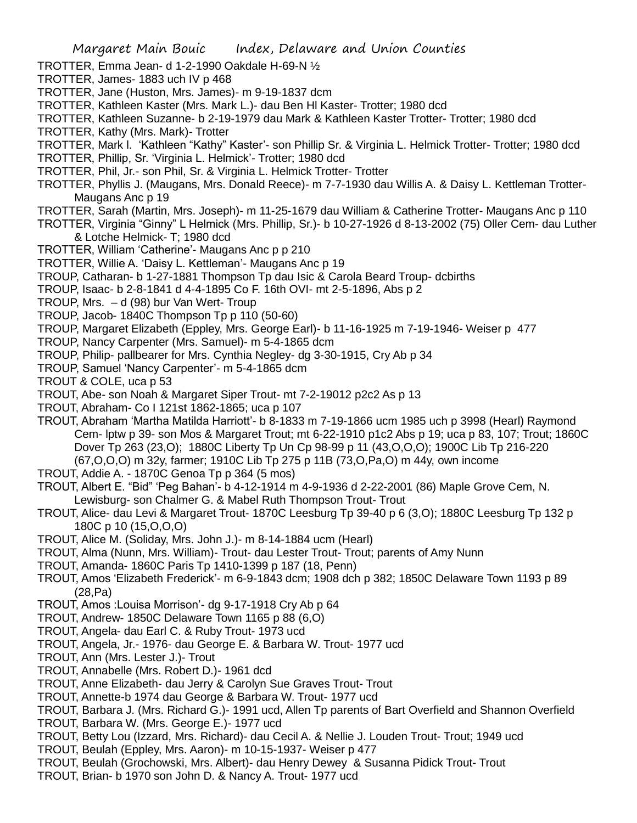- TROTTER, Emma Jean- d 1-2-1990 Oakdale H-69-N ½
- TROTTER, James- 1883 uch IV p 468
- TROTTER, Jane (Huston, Mrs. James)- m 9-19-1837 dcm
- TROTTER, Kathleen Kaster (Mrs. Mark L.)- dau Ben Hl Kaster- Trotter; 1980 dcd
- TROTTER, Kathleen Suzanne- b 2-19-1979 dau Mark & Kathleen Kaster Trotter- Trotter; 1980 dcd
- TROTTER, Kathy (Mrs. Mark)- Trotter
- TROTTER, Mark l. 'Kathleen "Kathy" Kaster'- son Phillip Sr. & Virginia L. Helmick Trotter- Trotter; 1980 dcd
- TROTTER, Phillip, Sr. 'Virginia L. Helmick'- Trotter; 1980 dcd
- TROTTER, Phil, Jr.- son Phil, Sr. & Virginia L. Helmick Trotter- Trotter
- TROTTER, Phyllis J. (Maugans, Mrs. Donald Reece)- m 7-7-1930 dau Willis A. & Daisy L. Kettleman Trotter-Maugans Anc p 19
- TROTTER, Sarah (Martin, Mrs. Joseph)- m 11-25-1679 dau William & Catherine Trotter- Maugans Anc p 110
- TROTTER, Virginia "Ginny" L Helmick (Mrs. Phillip, Sr.)- b 10-27-1926 d 8-13-2002 (75) Oller Cem- dau Luther & Lotche Helmick- T; 1980 dcd
- TROTTER, William 'Catherine'- Maugans Anc p p 210
- TROTTER, Willie A. 'Daisy L. Kettleman'- Maugans Anc p 19
- TROUP, Catharan- b 1-27-1881 Thompson Tp dau Isic & Carola Beard Troup- dcbirths
- TROUP, Isaac- b 2-8-1841 d 4-4-1895 Co F. 16th OVI- mt 2-5-1896, Abs p 2
- TROUP, Mrs. d (98) bur Van Wert- Troup
- TROUP, Jacob- 1840C Thompson Tp p 110 (50-60)
- TROUP, Margaret Elizabeth (Eppley, Mrs. George Earl)- b 11-16-1925 m 7-19-1946- Weiser p 477
- TROUP, Nancy Carpenter (Mrs. Samuel)- m 5-4-1865 dcm
- TROUP, Philip- pallbearer for Mrs. Cynthia Negley- dg 3-30-1915, Cry Ab p 34
- TROUP, Samuel 'Nancy Carpenter'- m 5-4-1865 dcm
- TROUT & COLE, uca p 53
- TROUT, Abe- son Noah & Margaret Siper Trout- mt 7-2-19012 p2c2 As p 13
- TROUT, Abraham- Co I 121st 1862-1865; uca p 107
- TROUT, Abraham 'Martha Matilda Harriott'- b 8-1833 m 7-19-1866 ucm 1985 uch p 3998 (Hearl) Raymond Cem- lptw p 39- son Mos & Margaret Trout; mt 6-22-1910 p1c2 Abs p 19; uca p 83, 107; Trout; 1860C Dover Tp 263 (23,O); 1880C Liberty Tp Un Cp 98-99 p 11 (43,O,O,O); 1900C Lib Tp 216-220 (67,O,O,O) m 32y, farmer; 1910C Lib Tp 275 p 11B (73,O,Pa,O) m 44y, own income
- TROUT, Addie A. 1870C Genoa Tp p 364 (5 mos)
- TROUT, Albert E. "Bid" 'Peg Bahan'- b 4-12-1914 m 4-9-1936 d 2-22-2001 (86) Maple Grove Cem, N. Lewisburg- son Chalmer G. & Mabel Ruth Thompson Trout- Trout
- TROUT, Alice- dau Levi & Margaret Trout- 1870C Leesburg Tp 39-40 p 6 (3,O); 1880C Leesburg Tp 132 p 180C p 10 (15,O,O,O)
- TROUT, Alice M. (Soliday, Mrs. John J.)- m 8-14-1884 ucm (Hearl)
- TROUT, Alma (Nunn, Mrs. William)- Trout- dau Lester Trout- Trout; parents of Amy Nunn
- TROUT, Amanda- 1860C Paris Tp 1410-1399 p 187 (18, Penn)
- TROUT, Amos 'Elizabeth Frederick'- m 6-9-1843 dcm; 1908 dch p 382; 1850C Delaware Town 1193 p 89 (28,Pa)
- TROUT, Amos :Louisa Morrison'- dg 9-17-1918 Cry Ab p 64
- TROUT, Andrew- 1850C Delaware Town 1165 p 88 (6,O)
- TROUT, Angela- dau Earl C. & Ruby Trout- 1973 ucd
- TROUT, Angela, Jr.- 1976- dau George E. & Barbara W. Trout- 1977 ucd
- TROUT, Ann (Mrs. Lester J.)- Trout
- TROUT, Annabelle (Mrs. Robert D.)- 1961 dcd
- TROUT, Anne Elizabeth- dau Jerry & Carolyn Sue Graves Trout- Trout
- TROUT, Annette-b 1974 dau George & Barbara W. Trout- 1977 ucd
- TROUT, Barbara J. (Mrs. Richard G.)- 1991 ucd, Allen Tp parents of Bart Overfield and Shannon Overfield
- TROUT, Barbara W. (Mrs. George E.)- 1977 ucd
- TROUT, Betty Lou (Izzard, Mrs. Richard)- dau Cecil A. & Nellie J. Louden Trout- Trout; 1949 ucd
- TROUT, Beulah (Eppley, Mrs. Aaron)- m 10-15-1937- Weiser p 477
- TROUT, Beulah (Grochowski, Mrs. Albert)- dau Henry Dewey & Susanna Pidick Trout- Trout
- TROUT, Brian- b 1970 son John D. & Nancy A. Trout- 1977 ucd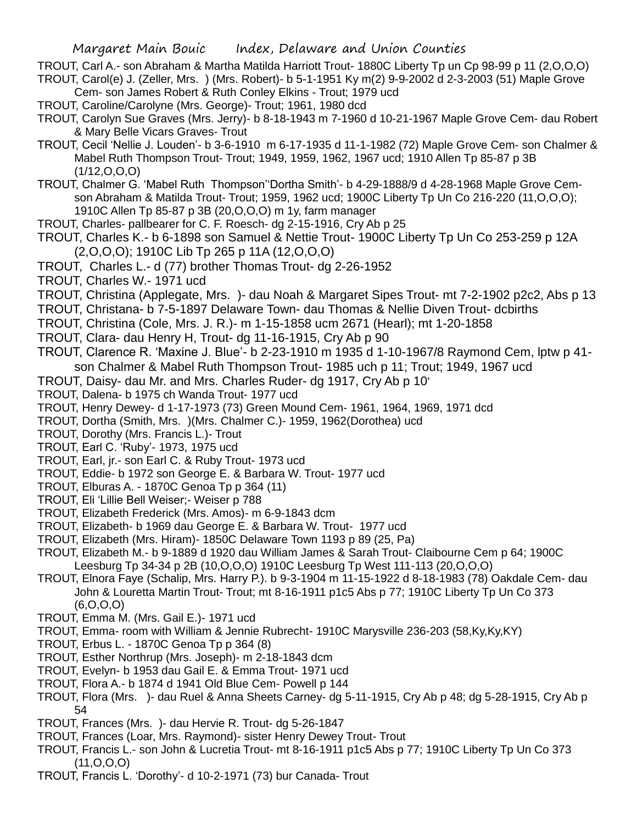TROUT, Carl A.- son Abraham & Martha Matilda Harriott Trout- 1880C Liberty Tp un Cp 98-99 p 11 (2,O,O,O) TROUT, Carol(e) J. (Zeller, Mrs. ) (Mrs. Robert)- b 5-1-1951 Ky m(2) 9-9-2002 d 2-3-2003 (51) Maple Grove

Cem- son James Robert & Ruth Conley Elkins - Trout; 1979 ucd

- TROUT, Caroline/Carolyne (Mrs. George)- Trout; 1961, 1980 dcd
- TROUT, Carolyn Sue Graves (Mrs. Jerry)- b 8-18-1943 m 7-1960 d 10-21-1967 Maple Grove Cem- dau Robert & Mary Belle Vicars Graves- Trout
- TROUT, Cecil 'Nellie J. Louden'- b 3-6-1910 m 6-17-1935 d 11-1-1982 (72) Maple Grove Cem- son Chalmer & Mabel Ruth Thompson Trout- Trout; 1949, 1959, 1962, 1967 ucd; 1910 Allen Tp 85-87 p 3B (1/12,O,O,O)
- TROUT, Chalmer G. 'Mabel Ruth Thompson''Dortha Smith'- b 4-29-1888/9 d 4-28-1968 Maple Grove Cemson Abraham & Matilda Trout- Trout; 1959, 1962 ucd; 1900C Liberty Tp Un Co 216-220 (11,O,O,O); 1910C Allen Tp 85-87 p 3B (20,O,O,O) m 1y, farm manager
- TROUT, Charles- pallbearer for C. F. Roesch- dg 2-15-1916, Cry Ab p 25
- TROUT, Charles K.- b 6-1898 son Samuel & Nettie Trout- 1900C Liberty Tp Un Co 253-259 p 12A (2,O,O,O); 1910C Lib Tp 265 p 11A (12,O,O,O)
- TROUT, Charles L.- d (77) brother Thomas Trout- dg 2-26-1952
- TROUT, Charles W.- 1971 ucd
- TROUT, Christina (Applegate, Mrs. )- dau Noah & Margaret Sipes Trout- mt 7-2-1902 p2c2, Abs p 13
- TROUT, Christana- b 7-5-1897 Delaware Town- dau Thomas & Nellie Diven Trout- dcbirths
- TROUT, Christina (Cole, Mrs. J. R.)- m 1-15-1858 ucm 2671 (Hearl); mt 1-20-1858
- TROUT, Clara- dau Henry H, Trout- dg 11-16-1915, Cry Ab p 90
- TROUT, Clarence R. 'Maxine J. Blue'- b 2-23-1910 m 1935 d 1-10-1967/8 Raymond Cem, lptw p 41 son Chalmer & Mabel Ruth Thompson Trout- 1985 uch p 11; Trout; 1949, 1967 ucd
- TROUT, Daisy- dau Mr. and Mrs. Charles Ruder- dg 1917, Cry Ab p 10'
- TROUT, Dalena- b 1975 ch Wanda Trout- 1977 ucd
- TROUT, Henry Dewey- d 1-17-1973 (73) Green Mound Cem- 1961, 1964, 1969, 1971 dcd
- TROUT, Dortha (Smith, Mrs. )(Mrs. Chalmer C.)- 1959, 1962(Dorothea) ucd
- TROUT, Dorothy (Mrs. Francis L.)- Trout
- TROUT, Earl C. 'Ruby'- 1973, 1975 ucd
- TROUT, Earl, jr.- son Earl C. & Ruby Trout- 1973 ucd
- TROUT, Eddie- b 1972 son George E. & Barbara W. Trout- 1977 ucd
- TROUT, Elburas A. 1870C Genoa Tp p 364 (11)
- TROUT, Eli 'Lillie Bell Weiser;- Weiser p 788
- TROUT, Elizabeth Frederick (Mrs. Amos)- m 6-9-1843 dcm
- TROUT, Elizabeth- b 1969 dau George E. & Barbara W. Trout- 1977 ucd
- TROUT, Elizabeth (Mrs. Hiram)- 1850C Delaware Town 1193 p 89 (25, Pa)
- TROUT, Elizabeth M.- b 9-1889 d 1920 dau William James & Sarah Trout- Claibourne Cem p 64; 1900C Leesburg Tp 34-34 p 2B (10,O,O,O) 1910C Leesburg Tp West 111-113 (20,O,O,O)
- TROUT, Elnora Faye (Schalip, Mrs. Harry P.). b 9-3-1904 m 11-15-1922 d 8-18-1983 (78) Oakdale Cem- dau John & Louretta Martin Trout- Trout; mt 8-16-1911 p1c5 Abs p 77; 1910C Liberty Tp Un Co 373 (6,O,O,O)
- TROUT, Emma M. (Mrs. Gail E.)- 1971 ucd
- TROUT, Emma- room with William & Jennie Rubrecht- 1910C Marysville 236-203 (58,Ky,Ky,KY)
- TROUT, Erbus L. 1870C Genoa Tp p 364 (8)
- TROUT, Esther Northrup (Mrs. Joseph)- m 2-18-1843 dcm
- TROUT, Evelyn- b 1953 dau Gail E. & Emma Trout- 1971 ucd
- TROUT, Flora A.- b 1874 d 1941 Old Blue Cem- Powell p 144
- TROUT, Flora (Mrs. )- dau Ruel & Anna Sheets Carney- dg 5-11-1915, Cry Ab p 48; dg 5-28-1915, Cry Ab p 54
- TROUT, Frances (Mrs. )- dau Hervie R. Trout- dg 5-26-1847
- TROUT, Frances (Loar, Mrs. Raymond)- sister Henry Dewey Trout- Trout
- TROUT, Francis L.- son John & Lucretia Trout- mt 8-16-1911 p1c5 Abs p 77; 1910C Liberty Tp Un Co 373  $(11, 0, 0, 0)$
- TROUT, Francis L. 'Dorothy'- d 10-2-1971 (73) bur Canada- Trout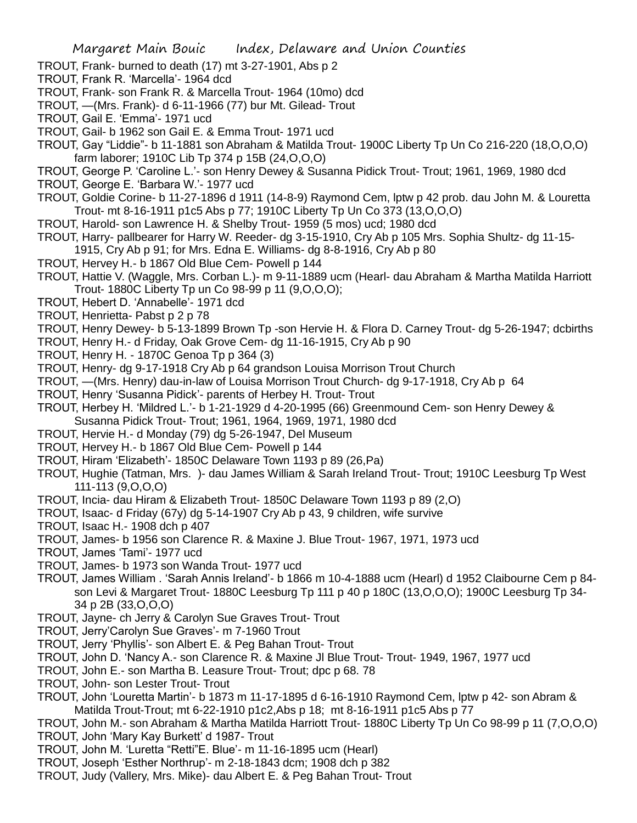- TROUT, Frank- burned to death (17) mt 3-27-1901, Abs p 2
- TROUT, Frank R. 'Marcella'- 1964 dcd
- TROUT, Frank- son Frank R. & Marcella Trout- 1964 (10mo) dcd
- TROUT, —(Mrs. Frank)- d 6-11-1966 (77) bur Mt. Gilead- Trout
- TROUT, Gail E. 'Emma'- 1971 ucd
- TROUT, Gail- b 1962 son Gail E. & Emma Trout- 1971 ucd
- TROUT, Gay "Liddie"- b 11-1881 son Abraham & Matilda Trout- 1900C Liberty Tp Un Co 216-220 (18,O,O,O) farm laborer; 1910C Lib Tp 374 p 15B (24,O,O,O)
- TROUT, George P. 'Caroline L.'- son Henry Dewey & Susanna Pidick Trout- Trout; 1961, 1969, 1980 dcd
- TROUT, George E. 'Barbara W.'- 1977 ucd
- TROUT, Goldie Corine- b 11-27-1896 d 1911 (14-8-9) Raymond Cem, lptw p 42 prob. dau John M. & Louretta Trout- mt 8-16-1911 p1c5 Abs p 77; 1910C Liberty Tp Un Co 373 (13,O,O,O)
- TROUT, Harold- son Lawrence H. & Shelby Trout- 1959 (5 mos) ucd; 1980 dcd
- TROUT, Harry- pallbearer for Harry W. Reeder- dg 3-15-1910, Cry Ab p 105 Mrs. Sophia Shultz- dg 11-15- 1915, Cry Ab p 91; for Mrs. Edna E. Williams- dg 8-8-1916, Cry Ab p 80
- TROUT, Hervey H.- b 1867 Old Blue Cem- Powell p 144
- TROUT, Hattie V. (Waggle, Mrs. Corban L.)- m 9-11-1889 ucm (Hearl- dau Abraham & Martha Matilda Harriott Trout- 1880C Liberty Tp un Co 98-99 p 11 (9,O,O,O);
- TROUT, Hebert D. 'Annabelle'- 1971 dcd
- TROUT, Henrietta- Pabst p 2 p 78
- TROUT, Henry Dewey- b 5-13-1899 Brown Tp -son Hervie H. & Flora D. Carney Trout- dg 5-26-1947; dcbirths
- TROUT, Henry H.- d Friday, Oak Grove Cem- dg 11-16-1915, Cry Ab p 90
- TROUT, Henry H. 1870C Genoa Tp p 364 (3)
- TROUT, Henry- dg 9-17-1918 Cry Ab p 64 grandson Louisa Morrison Trout Church
- TROUT, —(Mrs. Henry) dau-in-law of Louisa Morrison Trout Church- dg 9-17-1918, Cry Ab p 64
- TROUT, Henry 'Susanna Pidick'- parents of Herbey H. Trout- Trout
- TROUT, Herbey H. 'Mildred L.'- b 1-21-1929 d 4-20-1995 (66) Greenmound Cem- son Henry Dewey &
- Susanna Pidick Trout- Trout; 1961, 1964, 1969, 1971, 1980 dcd
- TROUT, Hervie H.- d Monday (79) dg 5-26-1947, Del Museum
- TROUT, Hervey H.- b 1867 Old Blue Cem- Powell p 144
- TROUT, Hiram 'Elizabeth'- 1850C Delaware Town 1193 p 89 (26,Pa)
- TROUT, Hughie (Tatman, Mrs. )- dau James William & Sarah Ireland Trout- Trout; 1910C Leesburg Tp West 111-113 (9,O,O,O)
- TROUT, Incia- dau Hiram & Elizabeth Trout- 1850C Delaware Town 1193 p 89 (2,O)
- TROUT, Isaac- d Friday (67y) dg 5-14-1907 Cry Ab p 43, 9 children, wife survive
- TROUT, Isaac H.- 1908 dch p 407
- TROUT, James- b 1956 son Clarence R. & Maxine J. Blue Trout- 1967, 1971, 1973 ucd
- TROUT, James 'Tami'- 1977 ucd
- TROUT, James- b 1973 son Wanda Trout- 1977 ucd
- TROUT, James William . 'Sarah Annis Ireland'- b 1866 m 10-4-1888 ucm (Hearl) d 1952 Claibourne Cem p 84 son Levi & Margaret Trout- 1880C Leesburg Tp 111 p 40 p 180C (13,O,O,O); 1900C Leesburg Tp 34- 34 p 2B (33,O,O,O)
- TROUT, Jayne- ch Jerry & Carolyn Sue Graves Trout- Trout
- TROUT, Jerry'Carolyn Sue Graves'- m 7-1960 Trout
- TROUT, Jerry 'Phyllis'- son Albert E. & Peg Bahan Trout- Trout
- TROUT, John D. 'Nancy A.- son Clarence R. & Maxine Jl Blue Trout- Trout- 1949, 1967, 1977 ucd
- TROUT, John E.- son Martha B. Leasure Trout- Trout; dpc p 68. 78
- TROUT, John- son Lester Trout- Trout
- TROUT, John 'Louretta Martin'- b 1873 m 11-17-1895 d 6-16-1910 Raymond Cem, lptw p 42- son Abram & Matilda Trout-Trout; mt 6-22-1910 p1c2,Abs p 18; mt 8-16-1911 p1c5 Abs p 77
- TROUT, John M.- son Abraham & Martha Matilda Harriott Trout- 1880C Liberty Tp Un Co 98-99 p 11 (7,O,O,O) TROUT, John 'Mary Kay Burkett' d 1987- Trout
- TROUT, John M. 'Luretta "Retti"E. Blue'- m 11-16-1895 ucm (Hearl)
- TROUT, Joseph 'Esther Northrup'- m 2-18-1843 dcm; 1908 dch p 382
- TROUT, Judy (Vallery, Mrs. Mike)- dau Albert E. & Peg Bahan Trout- Trout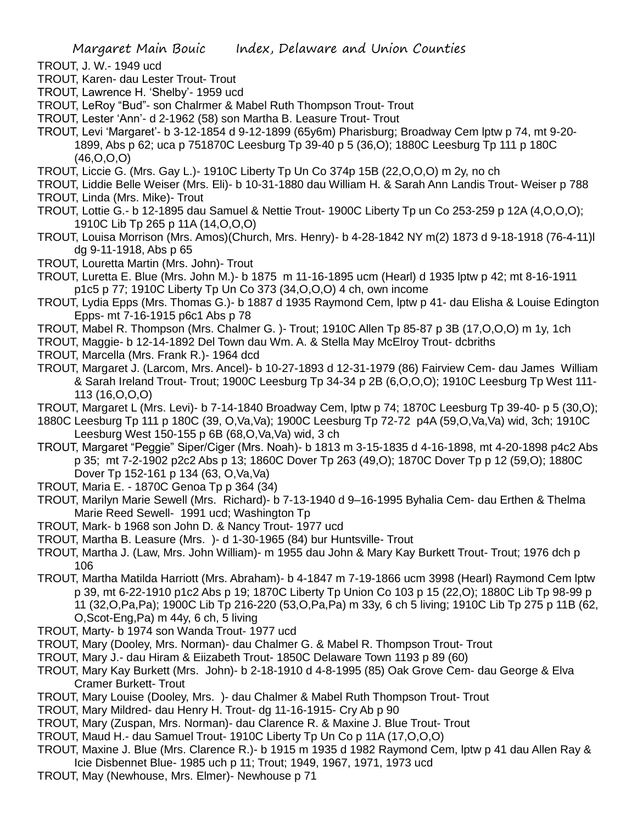- TROUT, J. W.- 1949 ucd
- TROUT, Karen- dau Lester Trout- Trout
- TROUT, Lawrence H. 'Shelby'- 1959 ucd
- TROUT, LeRoy "Bud"- son Chalrmer & Mabel Ruth Thompson Trout- Trout
- TROUT, Lester 'Ann'- d 2-1962 (58) son Martha B. Leasure Trout- Trout
- TROUT, Levi 'Margaret'- b 3-12-1854 d 9-12-1899 (65y6m) Pharisburg; Broadway Cem lptw p 74, mt 9-20- 1899, Abs p 62; uca p 751870C Leesburg Tp 39-40 p 5 (36,O); 1880C Leesburg Tp 111 p 180C (46,O,O,O)
- TROUT, Liccie G. (Mrs. Gay L.)- 1910C Liberty Tp Un Co 374p 15B (22,O,O,O) m 2y, no ch
- TROUT, Liddie Belle Weiser (Mrs. Eli)- b 10-31-1880 dau William H. & Sarah Ann Landis Trout- Weiser p 788 TROUT, Linda (Mrs. Mike)- Trout
- TROUT, Lottie G.- b 12-1895 dau Samuel & Nettie Trout- 1900C Liberty Tp un Co 253-259 p 12A (4,O,O,O); 1910C Lib Tp 265 p 11A (14,O,O,O)
- TROUT, Louisa Morrison (Mrs. Amos)(Church, Mrs. Henry)- b 4-28-1842 NY m(2) 1873 d 9-18-1918 (76-4-11)l dg 9-11-1918, Abs p 65
- TROUT, Louretta Martin (Mrs. John)- Trout
- TROUT, Luretta E. Blue (Mrs. John M.)- b 1875 m 11-16-1895 ucm (Hearl) d 1935 lptw p 42; mt 8-16-1911 p1c5 p 77; 1910C Liberty Tp Un Co 373 (34,O,O,O) 4 ch, own income
- TROUT, Lydia Epps (Mrs. Thomas G.)- b 1887 d 1935 Raymond Cem, lptw p 41- dau Elisha & Louise Edington Epps- mt 7-16-1915 p6c1 Abs p 78
- TROUT, Mabel R. Thompson (Mrs. Chalmer G. )- Trout; 1910C Allen Tp 85-87 p 3B (17,O,O,O) m 1y, 1ch
- TROUT, Maggie- b 12-14-1892 Del Town dau Wm. A. & Stella May McElroy Trout- dcbriths
- TROUT, Marcella (Mrs. Frank R.)- 1964 dcd
- TROUT, Margaret J. (Larcom, Mrs. Ancel)- b 10-27-1893 d 12-31-1979 (86) Fairview Cem- dau James William & Sarah Ireland Trout- Trout; 1900C Leesburg Tp 34-34 p 2B (6,O,O,O); 1910C Leesburg Tp West 111- 113 (16,O,O,O)
- TROUT, Margaret L (Mrs. Levi)- b 7-14-1840 Broadway Cem, lptw p 74; 1870C Leesburg Tp 39-40- p 5 (30,O);
- 1880C Leesburg Tp 111 p 180C (39, O,Va,Va); 1900C Leesburg Tp 72-72 p4A (59,O,Va,Va) wid, 3ch; 1910C Leesburg West 150-155 p 6B (68,O,Va,Va) wid, 3 ch
- TROUT, Margaret "Peggie" Siper/Ciger (Mrs. Noah)- b 1813 m 3-15-1835 d 4-16-1898, mt 4-20-1898 p4c2 Abs p 35; mt 7-2-1902 p2c2 Abs p 13; 1860C Dover Tp 263 (49,O); 1870C Dover Tp p 12 (59,O); 1880C Dover Tp 152-161 p 134 (63, O,Va,Va)
- TROUT, Maria E. 1870C Genoa Tp p 364 (34)
- TROUT, Marilyn Marie Sewell (Mrs. Richard)- b 7-13-1940 d 9–16-1995 Byhalia Cem- dau Erthen & Thelma Marie Reed Sewell- 1991 ucd; Washington Tp
- TROUT, Mark- b 1968 son John D. & Nancy Trout- 1977 ucd
- TROUT, Martha B. Leasure (Mrs. )- d 1-30-1965 (84) bur Huntsville- Trout
- TROUT, Martha J. (Law, Mrs. John William)- m 1955 dau John & Mary Kay Burkett Trout- Trout; 1976 dch p 106
- TROUT, Martha Matilda Harriott (Mrs. Abraham)- b 4-1847 m 7-19-1866 ucm 3998 (Hearl) Raymond Cem lptw p 39, mt 6-22-1910 p1c2 Abs p 19; 1870C Liberty Tp Union Co 103 p 15 (22,O); 1880C Lib Tp 98-99 p 11 (32,O,Pa,Pa); 1900C Lib Tp 216-220 (53,O,Pa,Pa) m 33y, 6 ch 5 living; 1910C Lib Tp 275 p 11B (62, O,Scot-Eng,Pa) m 44y, 6 ch, 5 living
- TROUT, Marty- b 1974 son Wanda Trout- 1977 ucd
- TROUT, Mary (Dooley, Mrs. Norman)- dau Chalmer G. & Mabel R. Thompson Trout- Trout
- TROUT, Mary J.- dau Hiram & Eiizabeth Trout- 1850C Delaware Town 1193 p 89 (60)
- TROUT, Mary Kay Burkett (Mrs. John)- b 2-18-1910 d 4-8-1995 (85) Oak Grove Cem- dau George & Elva Cramer Burkett- Trout
- TROUT, Mary Louise (Dooley, Mrs. )- dau Chalmer & Mabel Ruth Thompson Trout- Trout
- TROUT, Mary Mildred- dau Henry H. Trout- dg 11-16-1915- Cry Ab p 90
- TROUT, Mary (Zuspan, Mrs. Norman)- dau Clarence R. & Maxine J. Blue Trout- Trout
- TROUT, Maud H.- dau Samuel Trout- 1910C Liberty Tp Un Co p 11A (17,O,O,O)
- TROUT, Maxine J. Blue (Mrs. Clarence R.)- b 1915 m 1935 d 1982 Raymond Cem, lptw p 41 dau Allen Ray & Icie Disbennet Blue- 1985 uch p 11; Trout; 1949, 1967, 1971, 1973 ucd
- TROUT, May (Newhouse, Mrs. Elmer)- Newhouse p 71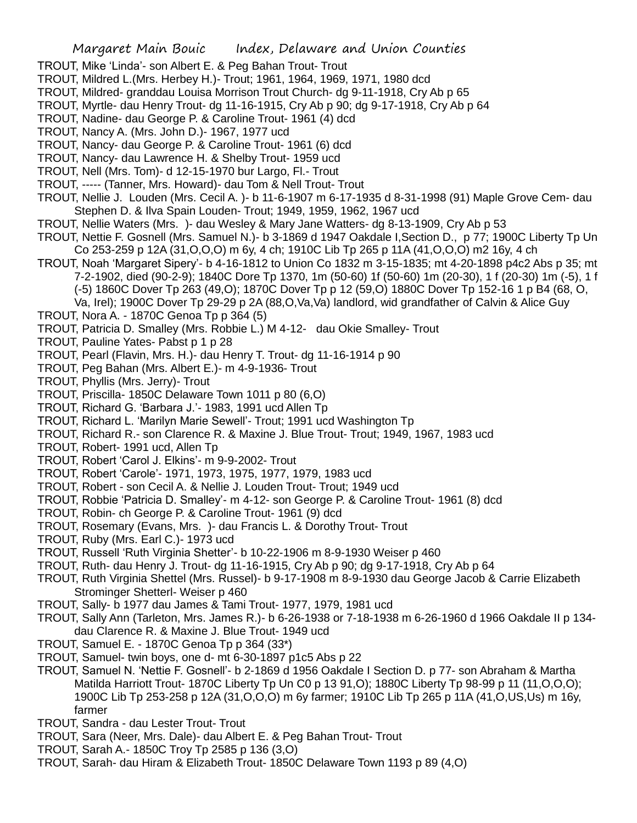- TROUT, Mike 'Linda'- son Albert E. & Peg Bahan Trout- Trout
- TROUT, Mildred L.(Mrs. Herbey H.)- Trout; 1961, 1964, 1969, 1971, 1980 dcd
- TROUT, Mildred- granddau Louisa Morrison Trout Church- dg 9-11-1918, Cry Ab p 65
- TROUT, Myrtle- dau Henry Trout- dg 11-16-1915, Cry Ab p 90; dg 9-17-1918, Cry Ab p 64
- TROUT, Nadine- dau George P. & Caroline Trout- 1961 (4) dcd
- TROUT, Nancy A. (Mrs. John D.)- 1967, 1977 ucd
- TROUT, Nancy- dau George P. & Caroline Trout- 1961 (6) dcd
- TROUT, Nancy- dau Lawrence H. & Shelby Trout- 1959 ucd
- TROUT, Nell (Mrs. Tom)- d 12-15-1970 bur Largo, Fl.- Trout
- TROUT, ----- (Tanner, Mrs. Howard)- dau Tom & Nell Trout- Trout
- TROUT, Nellie J. Louden (Mrs. Cecil A. )- b 11-6-1907 m 6-17-1935 d 8-31-1998 (91) Maple Grove Cem- dau Stephen D. & Ilva Spain Louden- Trout; 1949, 1959, 1962, 1967 ucd
- TROUT, Nellie Waters (Mrs. )- dau Wesley & Mary Jane Watters- dg 8-13-1909, Cry Ab p 53
- TROUT, Nettie F. Gosnell (Mrs. Samuel N.)- b 3-1869 d 1947 Oakdale I,Section D., p 77; 1900C Liberty Tp Un Co 253-259 p 12A (31,O,O,O) m 6y, 4 ch; 1910C Lib Tp 265 p 11A (41,O,O,O) m2 16y, 4 ch
- TROUT, Noah 'Margaret Sipery'- b 4-16-1812 to Union Co 1832 m 3-15-1835; mt 4-20-1898 p4c2 Abs p 35; mt 7-2-1902, died (90-2-9); 1840C Dore Tp 1370, 1m (50-60) 1f (50-60) 1m (20-30), 1 f (20-30) 1m (-5), 1 f (-5) 1860C Dover Tp 263 (49,O); 1870C Dover Tp p 12 (59,O) 1880C Dover Tp 152-16 1 p B4 (68, O,
	- Va, Irel); 1900C Dover Tp 29-29 p 2A (88,O,Va,Va) landlord, wid grandfather of Calvin & Alice Guy
- TROUT, Nora A. 1870C Genoa Tp p 364 (5)
- TROUT, Patricia D. Smalley (Mrs. Robbie L.) M 4-12- dau Okie Smalley- Trout
- TROUT, Pauline Yates- Pabst p 1 p 28
- TROUT, Pearl (Flavin, Mrs. H.)- dau Henry T. Trout- dg 11-16-1914 p 90
- TROUT, Peg Bahan (Mrs. Albert E.)- m 4-9-1936- Trout
- TROUT, Phyllis (Mrs. Jerry)- Trout
- TROUT, Priscilla- 1850C Delaware Town 1011 p 80 (6,O)
- TROUT, Richard G. 'Barbara J.'- 1983, 1991 ucd Allen Tp
- TROUT, Richard L. 'Marilyn Marie Sewell'- Trout; 1991 ucd Washington Tp
- TROUT, Richard R.- son Clarence R. & Maxine J. Blue Trout- Trout; 1949, 1967, 1983 ucd
- TROUT, Robert- 1991 ucd, Allen Tp
- TROUT, Robert 'Carol J. Elkins'- m 9-9-2002- Trout
- TROUT, Robert 'Carole'- 1971, 1973, 1975, 1977, 1979, 1983 ucd
- TROUT, Robert son Cecil A. & Nellie J. Louden Trout- Trout; 1949 ucd
- TROUT, Robbie 'Patricia D. Smalley'- m 4-12- son George P. & Caroline Trout- 1961 (8) dcd
- TROUT, Robin- ch George P. & Caroline Trout- 1961 (9) dcd
- TROUT, Rosemary (Evans, Mrs. )- dau Francis L. & Dorothy Trout- Trout
- TROUT, Ruby (Mrs. Earl C.)- 1973 ucd
- TROUT, Russell 'Ruth Virginia Shetter'- b 10-22-1906 m 8-9-1930 Weiser p 460
- TROUT, Ruth- dau Henry J. Trout- dg 11-16-1915, Cry Ab p 90; dg 9-17-1918, Cry Ab p 64
- TROUT, Ruth Virginia Shettel (Mrs. Russel)- b 9-17-1908 m 8-9-1930 dau George Jacob & Carrie Elizabeth Strominger Shetterl- Weiser p 460
- TROUT, Sally- b 1977 dau James & Tami Trout- 1977, 1979, 1981 ucd
- TROUT, Sally Ann (Tarleton, Mrs. James R.)- b 6-26-1938 or 7-18-1938 m 6-26-1960 d 1966 Oakdale II p 134 dau Clarence R. & Maxine J. Blue Trout- 1949 ucd
- TROUT, Samuel E. 1870C Genoa Tp p 364 (33\*)
- TROUT, Samuel- twin boys, one d- mt 6-30-1897 p1c5 Abs p 22
- TROUT, Samuel N. 'Nettie F. Gosnell'- b 2-1869 d 1956 Oakdale I Section D. p 77- son Abraham & Martha Matilda Harriott Trout- 1870C Liberty Tp Un C0 p 13 91,O); 1880C Liberty Tp 98-99 p 11 (11,O,O,O); 1900C Lib Tp 253-258 p 12A (31,O,O,O) m 6y farmer; 1910C Lib Tp 265 p 11A (41,O,US,Us) m 16y, farmer
- TROUT, Sandra dau Lester Trout- Trout
- TROUT, Sara (Neer, Mrs. Dale)- dau Albert E. & Peg Bahan Trout- Trout
- TROUT, Sarah A.- 1850C Troy Tp 2585 p 136 (3,O)
- TROUT, Sarah- dau Hiram & Elizabeth Trout- 1850C Delaware Town 1193 p 89 (4,O)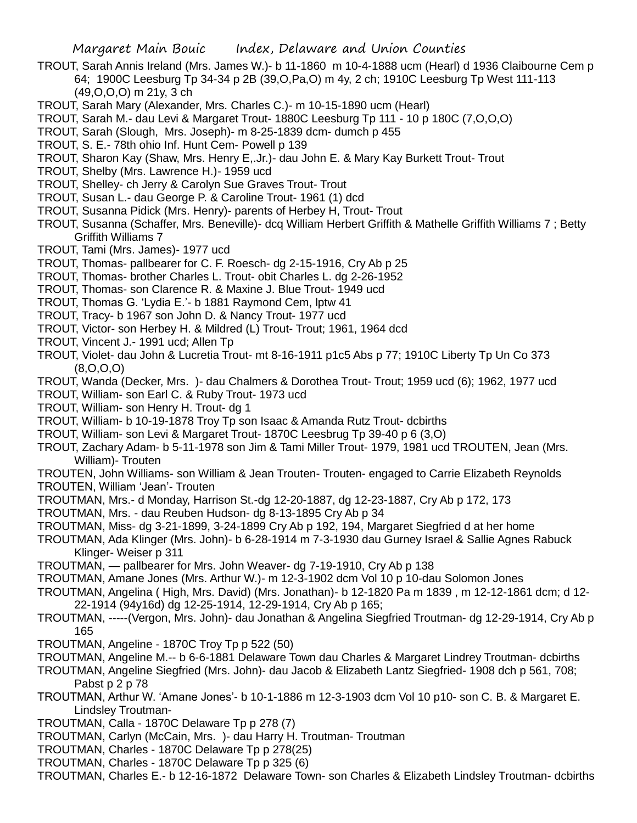- TROUT, Sarah Annis Ireland (Mrs. James W.)- b 11-1860 m 10-4-1888 ucm (Hearl) d 1936 Claibourne Cem p 64; 1900C Leesburg Tp 34-34 p 2B (39,O,Pa,O) m 4y, 2 ch; 1910C Leesburg Tp West 111-113 (49,O,O,O) m 21y, 3 ch
- TROUT, Sarah Mary (Alexander, Mrs. Charles C.)- m 10-15-1890 ucm (Hearl)
- TROUT, Sarah M.- dau Levi & Margaret Trout- 1880C Leesburg Tp 111 10 p 180C (7,O,O,O)
- TROUT, Sarah (Slough, Mrs. Joseph)- m 8-25-1839 dcm- dumch p 455
- TROUT, S. E.- 78th ohio Inf. Hunt Cem- Powell p 139
- TROUT, Sharon Kay (Shaw, Mrs. Henry E,.Jr.)- dau John E. & Mary Kay Burkett Trout- Trout
- TROUT, Shelby (Mrs. Lawrence H.)- 1959 ucd
- TROUT, Shelley- ch Jerry & Carolyn Sue Graves Trout- Trout
- TROUT, Susan L.- dau George P. & Caroline Trout- 1961 (1) dcd
- TROUT, Susanna Pidick (Mrs. Henry)- parents of Herbey H, Trout- Trout
- TROUT, Susanna (Schaffer, Mrs. Beneville)- dcq William Herbert Griffith & Mathelle Griffith Williams 7 ; Betty Griffith Williams 7
- TROUT, Tami (Mrs. James)- 1977 ucd
- TROUT, Thomas- pallbearer for C. F. Roesch- dg 2-15-1916, Cry Ab p 25
- TROUT, Thomas- brother Charles L. Trout- obit Charles L. dg 2-26-1952
- TROUT, Thomas- son Clarence R. & Maxine J. Blue Trout- 1949 ucd
- TROUT, Thomas G. 'Lydia E.'- b 1881 Raymond Cem, lptw 41
- TROUT, Tracy- b 1967 son John D. & Nancy Trout- 1977 ucd
- TROUT, Victor- son Herbey H. & Mildred (L) Trout- Trout; 1961, 1964 dcd
- TROUT, Vincent J.- 1991 ucd; Allen Tp
- TROUT, Violet- dau John & Lucretia Trout- mt 8-16-1911 p1c5 Abs p 77; 1910C Liberty Tp Un Co 373  $(8, 0, 0, 0)$
- TROUT, Wanda (Decker, Mrs. )- dau Chalmers & Dorothea Trout- Trout; 1959 ucd (6); 1962, 1977 ucd
- TROUT, William- son Earl C. & Ruby Trout- 1973 ucd
- TROUT, William- son Henry H. Trout- dg 1
- TROUT, William- b 10-19-1878 Troy Tp son Isaac & Amanda Rutz Trout- dcbirths
- TROUT, William- son Levi & Margaret Trout- 1870C Leesbrug Tp 39-40 p 6 (3,O)
- TROUT, Zachary Adam- b 5-11-1978 son Jim & Tami Miller Trout- 1979, 1981 ucd TROUTEN, Jean (Mrs. William)- Trouten
- TROUTEN, John Williams- son William & Jean Trouten- Trouten- engaged to Carrie Elizabeth Reynolds TROUTEN, William 'Jean'- Trouten
- TROUTMAN, Mrs.- d Monday, Harrison St.-dg 12-20-1887, dg 12-23-1887, Cry Ab p 172, 173
- TROUTMAN, Mrs. dau Reuben Hudson- dg 8-13-1895 Cry Ab p 34
- TROUTMAN, Miss- dg 3-21-1899, 3-24-1899 Cry Ab p 192, 194, Margaret Siegfried d at her home
- TROUTMAN, Ada Klinger (Mrs. John)- b 6-28-1914 m 7-3-1930 dau Gurney Israel & Sallie Agnes Rabuck Klinger- Weiser p 311
- TROUTMAN, pallbearer for Mrs. John Weaver- dg 7-19-1910, Cry Ab p 138
- TROUTMAN, Amane Jones (Mrs. Arthur W.)- m 12-3-1902 dcm Vol 10 p 10-dau Solomon Jones
- TROUTMAN, Angelina ( High, Mrs. David) (Mrs. Jonathan)- b 12-1820 Pa m 1839 , m 12-12-1861 dcm; d 12- 22-1914 (94y16d) dg 12-25-1914, 12-29-1914, Cry Ab p 165;
- TROUTMAN, -----(Vergon, Mrs. John)- dau Jonathan & Angelina Siegfried Troutman- dg 12-29-1914, Cry Ab p 165
- TROUTMAN, Angeline 1870C Troy Tp p 522 (50)
- TROUTMAN, Angeline M.-- b 6-6-1881 Delaware Town dau Charles & Margaret Lindrey Troutman- dcbirths
- TROUTMAN, Angeline Siegfried (Mrs. John)- dau Jacob & Elizabeth Lantz Siegfried- 1908 dch p 561, 708; Pabst p 2 p 78
- TROUTMAN, Arthur W. 'Amane Jones'- b 10-1-1886 m 12-3-1903 dcm Vol 10 p10- son C. B. & Margaret E. Lindsley Troutman-
- TROUTMAN, Calla 1870C Delaware Tp p 278 (7)
- TROUTMAN, Carlyn (McCain, Mrs. )- dau Harry H. Troutman- Troutman
- TROUTMAN, Charles 1870C Delaware Tp p 278(25)
- TROUTMAN, Charles 1870C Delaware Tp p 325 (6)

TROUTMAN, Charles E.- b 12-16-1872 Delaware Town- son Charles & Elizabeth Lindsley Troutman- dcbirths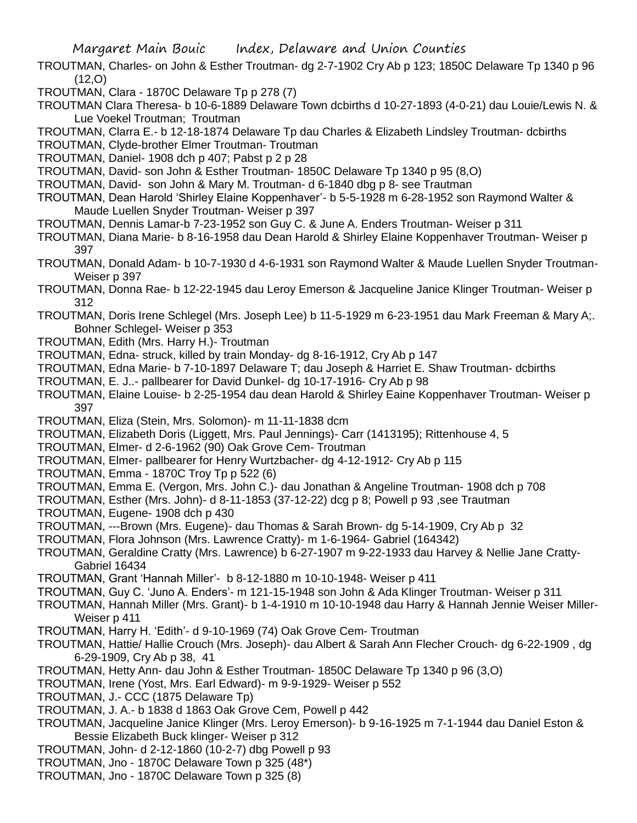- TROUTMAN, Charles- on John & Esther Troutman- dg 2-7-1902 Cry Ab p 123; 1850C Delaware Tp 1340 p 96 (12,O)
- TROUTMAN, Clara 1870C Delaware Tp p 278 (7)
- TROUTMAN Clara Theresa- b 10-6-1889 Delaware Town dcbirths d 10-27-1893 (4-0-21) dau Louie/Lewis N. & Lue Voekel Troutman; Troutman
- TROUTMAN, Clarra E.- b 12-18-1874 Delaware Tp dau Charles & Elizabeth Lindsley Troutman- dcbirths
- TROUTMAN, Clyde-brother Elmer Troutman- Troutman
- TROUTMAN, Daniel- 1908 dch p 407; Pabst p 2 p 28
- TROUTMAN, David- son John & Esther Troutman- 1850C Delaware Tp 1340 p 95 (8,O)
- TROUTMAN, David- son John & Mary M. Troutman- d 6-1840 dbg p 8- see Trautman
- TROUTMAN, Dean Harold 'Shirley Elaine Koppenhaver'- b 5-5-1928 m 6-28-1952 son Raymond Walter & Maude Luellen Snyder Troutman- Weiser p 397
- TROUTMAN, Dennis Lamar-b 7-23-1952 son Guy C. & June A. Enders Troutman- Weiser p 311
- TROUTMAN, Diana Marie- b 8-16-1958 dau Dean Harold & Shirley Elaine Koppenhaver Troutman- Weiser p 397
- TROUTMAN, Donald Adam- b 10-7-1930 d 4-6-1931 son Raymond Walter & Maude Luellen Snyder Troutman-Weiser p 397
- TROUTMAN, Donna Rae- b 12-22-1945 dau Leroy Emerson & Jacqueline Janice Klinger Troutman- Weiser p 312
- TROUTMAN, Doris Irene Schlegel (Mrs. Joseph Lee) b 11-5-1929 m 6-23-1951 dau Mark Freeman & Mary A;. Bohner Schlegel- Weiser p 353
- TROUTMAN, Edith (Mrs. Harry H.)- Troutman
- TROUTMAN, Edna- struck, killed by train Monday- dg 8-16-1912, Cry Ab p 147
- TROUTMAN, Edna Marie- b 7-10-1897 Delaware T; dau Joseph & Harriet E. Shaw Troutman- dcbirths
- TROUTMAN, E. J..- pallbearer for David Dunkel- dg 10-17-1916- Cry Ab p 98
- TROUTMAN, Elaine Louise- b 2-25-1954 dau dean Harold & Shirley Eaine Koppenhaver Troutman- Weiser p 397
- TROUTMAN, Eliza (Stein, Mrs. Solomon)- m 11-11-1838 dcm
- TROUTMAN, Elizabeth Doris (Liggett, Mrs. Paul Jennings)- Carr (1413195); Rittenhouse 4, 5
- TROUTMAN, Elmer- d 2-6-1962 (90) Oak Grove Cem- Troutman
- TROUTMAN, Elmer- pallbearer for Henry Wurtzbacher- dg 4-12-1912- Cry Ab p 115
- TROUTMAN, Emma 1870C Troy Tp p 522 (6)
- TROUTMAN, Emma E. (Vergon, Mrs. John C.)- dau Jonathan & Angeline Troutman- 1908 dch p 708
- TROUTMAN, Esther (Mrs. John)- d 8-11-1853 (37-12-22) dcg p 8; Powell p 93 ,see Trautman
- TROUTMAN, Eugene- 1908 dch p 430
- TROUTMAN, ---Brown (Mrs. Eugene)- dau Thomas & Sarah Brown- dg 5-14-1909, Cry Ab p 32
- TROUTMAN, Flora Johnson (Mrs. Lawrence Cratty)- m 1-6-1964- Gabriel (164342)
- TROUTMAN, Geraldine Cratty (Mrs. Lawrence) b 6-27-1907 m 9-22-1933 dau Harvey & Nellie Jane Cratty-Gabriel 16434
- TROUTMAN, Grant 'Hannah Miller'- b 8-12-1880 m 10-10-1948- Weiser p 411
- TROUTMAN, Guy C. 'Juno A. Enders'- m 121-15-1948 son John & Ada Klinger Troutman- Weiser p 311
- TROUTMAN, Hannah Miller (Mrs. Grant)- b 1-4-1910 m 10-10-1948 dau Harry & Hannah Jennie Weiser Miller-Weiser p 411
- TROUTMAN, Harry H. 'Edith'- d 9-10-1969 (74) Oak Grove Cem- Troutman
- TROUTMAN, Hattie/ Hallie Crouch (Mrs. Joseph)- dau Albert & Sarah Ann Flecher Crouch- dg 6-22-1909 , dg 6-29-1909, Cry Ab p 38, 41
- TROUTMAN, Hetty Ann- dau John & Esther Troutman- 1850C Delaware Tp 1340 p 96 (3,O)
- TROUTMAN, Irene (Yost, Mrs. Earl Edward)- m 9-9-1929- Weiser p 552
- TROUTMAN, J.- CCC (1875 Delaware Tp)
- TROUTMAN, J. A.- b 1838 d 1863 Oak Grove Cem, Powell p 442
- TROUTMAN, Jacqueline Janice Klinger (Mrs. Leroy Emerson)- b 9-16-1925 m 7-1-1944 dau Daniel Eston & Bessie Elizabeth Buck klinger- Weiser p 312
- TROUTMAN, John- d 2-12-1860 (10-2-7) dbg Powell p 93
- TROUTMAN, Jno 1870C Delaware Town p 325 (48\*)
- TROUTMAN, Jno 1870C Delaware Town p 325 (8)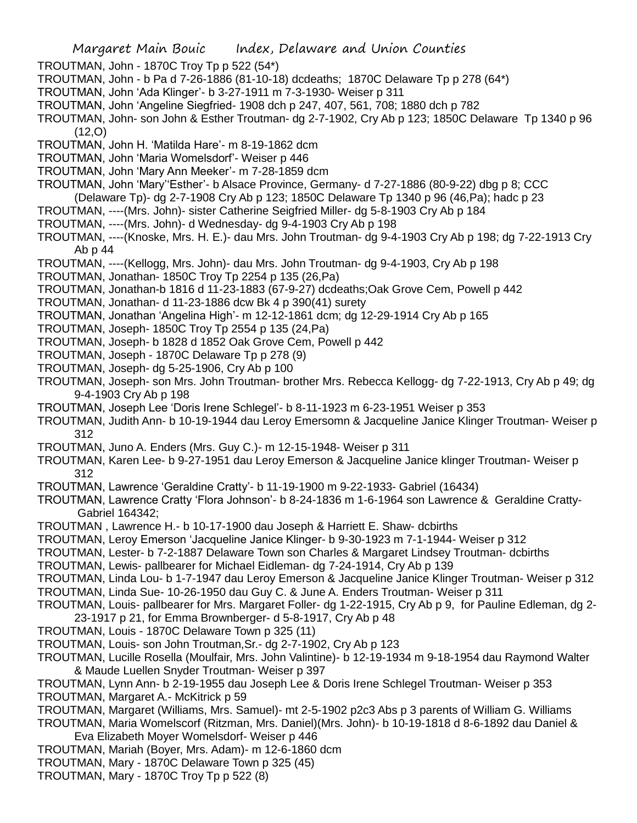- TROUTMAN, John 1870C Troy Tp p 522 (54\*)
- TROUTMAN, John b Pa d 7-26-1886 (81-10-18) dcdeaths; 1870C Delaware Tp p 278 (64\*)
- TROUTMAN, John 'Ada Klinger'- b 3-27-1911 m 7-3-1930- Weiser p 311
- TROUTMAN, John 'Angeline Siegfried- 1908 dch p 247, 407, 561, 708; 1880 dch p 782

TROUTMAN, John- son John & Esther Troutman- dg 2-7-1902, Cry Ab p 123; 1850C Delaware Tp 1340 p 96  $(12,0)$ 

- TROUTMAN, John H. 'Matilda Hare'- m 8-19-1862 dcm
- TROUTMAN, John 'Maria Womelsdorf'- Weiser p 446
- TROUTMAN, John 'Mary Ann Meeker'- m 7-28-1859 dcm
- TROUTMAN, John 'Mary''Esther'- b Alsace Province, Germany- d 7-27-1886 (80-9-22) dbg p 8; CCC (Delaware Tp)- dg 2-7-1908 Cry Ab p 123; 1850C Delaware Tp 1340 p 96 (46,Pa); hadc p 23
- TROUTMAN, ----(Mrs. John)- sister Catherine Seigfried Miller- dg 5-8-1903 Cry Ab p 184
- TROUTMAN, ----(Mrs. John)- d Wednesday- dg 9-4-1903 Cry Ab p 198
- TROUTMAN, ----(Knoske, Mrs. H. E.)- dau Mrs. John Troutman- dg 9-4-1903 Cry Ab p 198; dg 7-22-1913 Cry Ab p 44
- TROUTMAN, ----(Kellogg, Mrs. John)- dau Mrs. John Troutman- dg 9-4-1903, Cry Ab p 198
- TROUTMAN, Jonathan- 1850C Troy Tp 2254 p 135 (26,Pa)
- TROUTMAN, Jonathan-b 1816 d 11-23-1883 (67-9-27) dcdeaths;Oak Grove Cem, Powell p 442
- TROUTMAN, Jonathan- d 11-23-1886 dcw Bk 4 p 390(41) surety
- TROUTMAN, Jonathan 'Angelina High'- m 12-12-1861 dcm; dg 12-29-1914 Cry Ab p 165
- TROUTMAN, Joseph- 1850C Troy Tp 2554 p 135 (24,Pa)
- TROUTMAN, Joseph- b 1828 d 1852 Oak Grove Cem, Powell p 442
- TROUTMAN, Joseph 1870C Delaware Tp p 278 (9)
- TROUTMAN, Joseph- dg 5-25-1906, Cry Ab p 100
- TROUTMAN, Joseph- son Mrs. John Troutman- brother Mrs. Rebecca Kellogg- dg 7-22-1913, Cry Ab p 49; dg 9-4-1903 Cry Ab p 198
- TROUTMAN, Joseph Lee 'Doris Irene Schlegel'- b 8-11-1923 m 6-23-1951 Weiser p 353
- TROUTMAN, Judith Ann- b 10-19-1944 dau Leroy Emersomn & Jacqueline Janice Klinger Troutman- Weiser p 312
- TROUTMAN, Juno A. Enders (Mrs. Guy C.)- m 12-15-1948- Weiser p 311
- TROUTMAN, Karen Lee- b 9-27-1951 dau Leroy Emerson & Jacqueline Janice klinger Troutman- Weiser p 312
- TROUTMAN, Lawrence 'Geraldine Cratty'- b 11-19-1900 m 9-22-1933- Gabriel (16434)
- TROUTMAN, Lawrence Cratty 'Flora Johnson'- b 8-24-1836 m 1-6-1964 son Lawrence & Geraldine Cratty-Gabriel 164342;
- TROUTMAN , Lawrence H.- b 10-17-1900 dau Joseph & Harriett E. Shaw- dcbirths
- TROUTMAN, Leroy Emerson 'Jacqueline Janice Klinger- b 9-30-1923 m 7-1-1944- Weiser p 312
- TROUTMAN, Lester- b 7-2-1887 Delaware Town son Charles & Margaret Lindsey Troutman- dcbirths
- TROUTMAN, Lewis- pallbearer for Michael Eidleman- dg 7-24-1914, Cry Ab p 139
- TROUTMAN, Linda Lou- b 1-7-1947 dau Leroy Emerson & Jacqueline Janice Klinger Troutman- Weiser p 312
- TROUTMAN, Linda Sue- 10-26-1950 dau Guy C. & June A. Enders Troutman- Weiser p 311
- TROUTMAN, Louis- pallbearer for Mrs. Margaret Foller- dg 1-22-1915, Cry Ab p 9, for Pauline Edleman, dg 2- 23-1917 p 21, for Emma Brownberger- d 5-8-1917, Cry Ab p 48
- TROUTMAN, Louis 1870C Delaware Town p 325 (11)
- TROUTMAN, Louis- son John Troutman,Sr.- dg 2-7-1902, Cry Ab p 123
- TROUTMAN, Lucille Rosella (Moulfair, Mrs. John Valintine)- b 12-19-1934 m 9-18-1954 dau Raymond Walter & Maude Luellen Snyder Troutman- Weiser p 397
- TROUTMAN, Lynn Ann- b 2-19-1955 dau Joseph Lee & Doris Irene Schlegel Troutman- Weiser p 353
- TROUTMAN, Margaret A.- McKitrick p 59
- TROUTMAN, Margaret (Williams, Mrs. Samuel)- mt 2-5-1902 p2c3 Abs p 3 parents of William G. Williams
- TROUTMAN, Maria Womelscorf (Ritzman, Mrs. Daniel)(Mrs. John)- b 10-19-1818 d 8-6-1892 dau Daniel & Eva Elizabeth Moyer Womelsdorf- Weiser p 446
- TROUTMAN, Mariah (Boyer, Mrs. Adam)- m 12-6-1860 dcm
- TROUTMAN, Mary 1870C Delaware Town p 325 (45)
- TROUTMAN, Mary 1870C Troy Tp p 522 (8)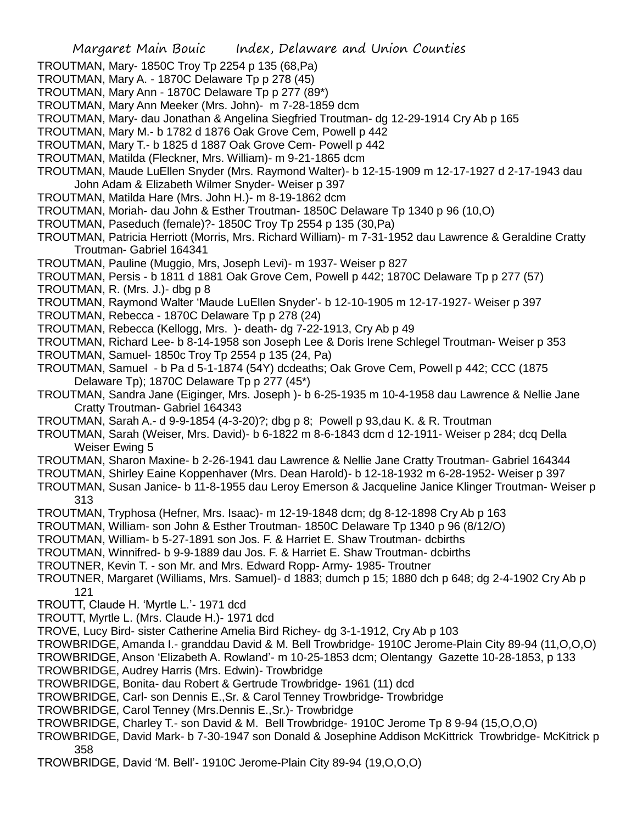- TROUTMAN, Mary- 1850C Troy Tp 2254 p 135 (68,Pa)
- TROUTMAN, Mary A. 1870C Delaware Tp p 278 (45)
- TROUTMAN, Mary Ann 1870C Delaware Tp p 277 (89\*)
- TROUTMAN, Mary Ann Meeker (Mrs. John)- m 7-28-1859 dcm
- TROUTMAN, Mary- dau Jonathan & Angelina Siegfried Troutman- dg 12-29-1914 Cry Ab p 165
- TROUTMAN, Mary M.- b 1782 d 1876 Oak Grove Cem, Powell p 442
- TROUTMAN, Mary T.- b 1825 d 1887 Oak Grove Cem- Powell p 442
- TROUTMAN, Matilda (Fleckner, Mrs. William)- m 9-21-1865 dcm
- TROUTMAN, Maude LuEllen Snyder (Mrs. Raymond Walter)- b 12-15-1909 m 12-17-1927 d 2-17-1943 dau John Adam & Elizabeth Wilmer Snyder- Weiser p 397
- TROUTMAN, Matilda Hare (Mrs. John H.)- m 8-19-1862 dcm
- TROUTMAN, Moriah- dau John & Esther Troutman- 1850C Delaware Tp 1340 p 96 (10,O)
- TROUTMAN, Paseduch (female)?- 1850C Troy Tp 2554 p 135 (30,Pa)
- TROUTMAN, Patricia Herriott (Morris, Mrs. Richard William)- m 7-31-1952 dau Lawrence & Geraldine Cratty Troutman- Gabriel 164341
- TROUTMAN, Pauline (Muggio, Mrs, Joseph Levi)- m 1937- Weiser p 827
- TROUTMAN, Persis b 1811 d 1881 Oak Grove Cem, Powell p 442; 1870C Delaware Tp p 277 (57)
- TROUTMAN, R. (Mrs. J.)- dbg p 8
- TROUTMAN, Raymond Walter 'Maude LuEllen Snyder'- b 12-10-1905 m 12-17-1927- Weiser p 397
- TROUTMAN, Rebecca 1870C Delaware Tp p 278 (24)
- TROUTMAN, Rebecca (Kellogg, Mrs. )- death- dg 7-22-1913, Cry Ab p 49
- TROUTMAN, Richard Lee- b 8-14-1958 son Joseph Lee & Doris Irene Schlegel Troutman- Weiser p 353
- TROUTMAN, Samuel- 1850c Troy Tp 2554 p 135 (24, Pa)
- TROUTMAN, Samuel b Pa d 5-1-1874 (54Y) dcdeaths; Oak Grove Cem, Powell p 442; CCC (1875 Delaware Tp); 1870C Delaware Tp p 277 (45\*)
- TROUTMAN, Sandra Jane (Eiginger, Mrs. Joseph )- b 6-25-1935 m 10-4-1958 dau Lawrence & Nellie Jane Cratty Troutman- Gabriel 164343
- TROUTMAN, Sarah A.- d 9-9-1854 (4-3-20)?; dbg p 8; Powell p 93,dau K. & R. Troutman
- TROUTMAN, Sarah (Weiser, Mrs. David)- b 6-1822 m 8-6-1843 dcm d 12-1911- Weiser p 284; dcq Della Weiser Ewing 5
- TROUTMAN, Sharon Maxine- b 2-26-1941 dau Lawrence & Nellie Jane Cratty Troutman- Gabriel 164344
- TROUTMAN, Shirley Eaine Koppenhaver (Mrs. Dean Harold)- b 12-18-1932 m 6-28-1952- Weiser p 397
- TROUTMAN, Susan Janice- b 11-8-1955 dau Leroy Emerson & Jacqueline Janice Klinger Troutman- Weiser p 313
- TROUTMAN, Tryphosa (Hefner, Mrs. Isaac)- m 12-19-1848 dcm; dg 8-12-1898 Cry Ab p 163
- TROUTMAN, William- son John & Esther Troutman- 1850C Delaware Tp 1340 p 96 (8/12/O)
- TROUTMAN, William- b 5-27-1891 son Jos. F. & Harriet E. Shaw Troutman- dcbirths
- TROUTMAN, Winnifred- b 9-9-1889 dau Jos. F. & Harriet E. Shaw Troutman- dcbirths
- TROUTNER, Kevin T. son Mr. and Mrs. Edward Ropp- Army- 1985- Troutner
- TROUTNER, Margaret (Williams, Mrs. Samuel)- d 1883; dumch p 15; 1880 dch p 648; dg 2-4-1902 Cry Ab p 121
- TROUTT, Claude H. 'Myrtle L.'- 1971 dcd
- TROUTT, Myrtle L. (Mrs. Claude H.)- 1971 dcd
- TROVE, Lucy Bird- sister Catherine Amelia Bird Richey- dg 3-1-1912, Cry Ab p 103
- TROWBRIDGE, Amanda I.- granddau David & M. Bell Trowbridge- 1910C Jerome-Plain City 89-94 (11,O,O,O)
- TROWBRIDGE, Anson 'Elizabeth A. Rowland'- m 10-25-1853 dcm; Olentangy Gazette 10-28-1853, p 133
- TROWBRIDGE, Audrey Harris (Mrs. Edwin)- Trowbridge
- TROWBRIDGE, Bonita- dau Robert & Gertrude Trowbridge- 1961 (11) dcd
- TROWBRIDGE, Carl- son Dennis E.,Sr. & Carol Tenney Trowbridge- Trowbridge
- TROWBRIDGE, Carol Tenney (Mrs.Dennis E.,Sr.)- Trowbridge
- TROWBRIDGE, Charley T.- son David & M. Bell Trowbridge- 1910C Jerome Tp 8 9-94 (15,O,O,O)
- TROWBRIDGE, David Mark- b 7-30-1947 son Donald & Josephine Addison McKittrick Trowbridge- McKitrick p 358
- TROWBRIDGE, David 'M. Bell'- 1910C Jerome-Plain City 89-94 (19,O,O,O)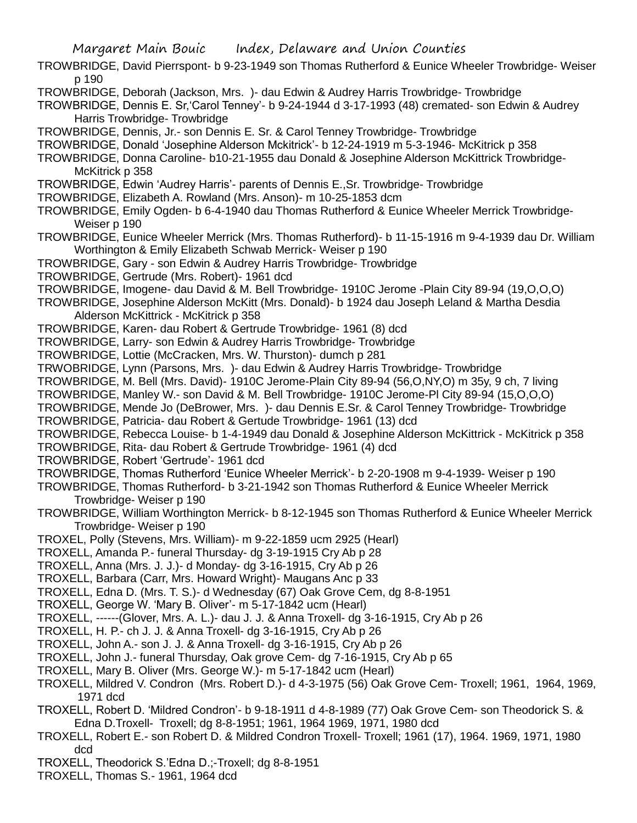- TROWBRIDGE, David Pierrspont- b 9-23-1949 son Thomas Rutherford & Eunice Wheeler Trowbridge- Weiser p 190
- TROWBRIDGE, Deborah (Jackson, Mrs. )- dau Edwin & Audrey Harris Trowbridge- Trowbridge
- TROWBRIDGE, Dennis E. Sr,'Carol Tenney'- b 9-24-1944 d 3-17-1993 (48) cremated- son Edwin & Audrey Harris Trowbridge- Trowbridge
- TROWBRIDGE, Dennis, Jr.- son Dennis E. Sr. & Carol Tenney Trowbridge- Trowbridge
- TROWBRIDGE, Donald 'Josephine Alderson Mckitrick'- b 12-24-1919 m 5-3-1946- McKitrick p 358
- TROWBRIDGE, Donna Caroline- b10-21-1955 dau Donald & Josephine Alderson McKittrick Trowbridge-McKitrick p 358
- TROWBRIDGE, Edwin 'Audrey Harris'- parents of Dennis E.,Sr. Trowbridge- Trowbridge
- TROWBRIDGE, Elizabeth A. Rowland (Mrs. Anson)- m 10-25-1853 dcm
- TROWBRIDGE, Emily Ogden- b 6-4-1940 dau Thomas Rutherford & Eunice Wheeler Merrick Trowbridge-Weiser p 190
- TROWBRIDGE, Eunice Wheeler Merrick (Mrs. Thomas Rutherford)- b 11-15-1916 m 9-4-1939 dau Dr. William Worthington & Emily Elizabeth Schwab Merrick- Weiser p 190
- TROWBRIDGE, Gary son Edwin & Audrey Harris Trowbridge- Trowbridge
- TROWBRIDGE, Gertrude (Mrs. Robert)- 1961 dcd
- TROWBRIDGE, Imogene- dau David & M. Bell Trowbridge- 1910C Jerome -Plain City 89-94 (19,O,O,O)
- TROWBRIDGE, Josephine Alderson McKitt (Mrs. Donald)- b 1924 dau Joseph Leland & Martha Desdia Alderson McKittrick - McKitrick p 358
- TROWBRIDGE, Karen- dau Robert & Gertrude Trowbridge- 1961 (8) dcd
- TROWBRIDGE, Larry- son Edwin & Audrey Harris Trowbridge- Trowbridge
- TROWBRIDGE, Lottie (McCracken, Mrs. W. Thurston)- dumch p 281
- TRWOBRIDGE, Lynn (Parsons, Mrs. )- dau Edwin & Audrey Harris Trowbridge- Trowbridge
- TROWBRIDGE, M. Bell (Mrs. David)- 1910C Jerome-Plain City 89-94 (56,O,NY,O) m 35y, 9 ch, 7 living
- TROWBRIDGE, Manley W.- son David & M. Bell Trowbridge- 1910C Jerome-Pl City 89-94 (15,O,O,O)
- TROWBRIDGE, Mende Jo (DeBrower, Mrs. )- dau Dennis E.Sr. & Carol Tenney Trowbridge- Trowbridge
- TROWBRIDGE, Patricia- dau Robert & Gertude Trowbridge- 1961 (13) dcd
- TROWBRIDGE, Rebecca Louise- b 1-4-1949 dau Donald & Josephine Alderson McKittrick McKitrick p 358
- TROWBRIDGE, Rita- dau Robert & Gertrude Trowbridge- 1961 (4) dcd
- TROWBRIDGE, Robert 'Gertrude'- 1961 dcd
- TROWBRIDGE, Thomas Rutherford 'Eunice Wheeler Merrick'- b 2-20-1908 m 9-4-1939- Weiser p 190
- TROWBRIDGE, Thomas Rutherford- b 3-21-1942 son Thomas Rutherford & Eunice Wheeler Merrick Trowbridge- Weiser p 190
- TROWBRIDGE, William Worthington Merrick- b 8-12-1945 son Thomas Rutherford & Eunice Wheeler Merrick Trowbridge- Weiser p 190
- TROXEL, Polly (Stevens, Mrs. William)- m 9-22-1859 ucm 2925 (Hearl)
- TROXELL, Amanda P.- funeral Thursday- dg 3-19-1915 Cry Ab p 28
- TROXELL, Anna (Mrs. J. J.)- d Monday- dg 3-16-1915, Cry Ab p 26
- TROXELL, Barbara (Carr, Mrs. Howard Wright)- Maugans Anc p 33
- TROXELL, Edna D. (Mrs. T. S.)- d Wednesday (67) Oak Grove Cem, dg 8-8-1951
- TROXELL, George W. 'Mary B. Oliver'- m 5-17-1842 ucm (Hearl)
- TROXELL, ------(Glover, Mrs. A. L.)- dau J. J. & Anna Troxell- dg 3-16-1915, Cry Ab p 26
- TROXELL, H. P.- ch J. J. & Anna Troxell- dg 3-16-1915, Cry Ab p 26
- TROXELL, John A.- son J. J. & Anna Troxell- dg 3-16-1915, Cry Ab p 26
- TROXELL, John J.- funeral Thursday, Oak grove Cem- dg 7-16-1915, Cry Ab p 65
- TROXELL, Mary B. Oliver (Mrs. George W.)- m 5-17-1842 ucm (Hearl)
- TROXELL, Mildred V. Condron (Mrs. Robert D.)- d 4-3-1975 (56) Oak Grove Cem- Troxell; 1961, 1964, 1969, 1971 dcd
- TROXELL, Robert D. 'Mildred Condron'- b 9-18-1911 d 4-8-1989 (77) Oak Grove Cem- son Theodorick S. & Edna D.Troxell- Troxell; dg 8-8-1951; 1961, 1964 1969, 1971, 1980 dcd
- TROXELL, Robert E.- son Robert D. & Mildred Condron Troxell- Troxell; 1961 (17), 1964. 1969, 1971, 1980 dcd
- TROXELL, Theodorick S.'Edna D.;-Troxell; dg 8-8-1951
- TROXELL, Thomas S.- 1961, 1964 dcd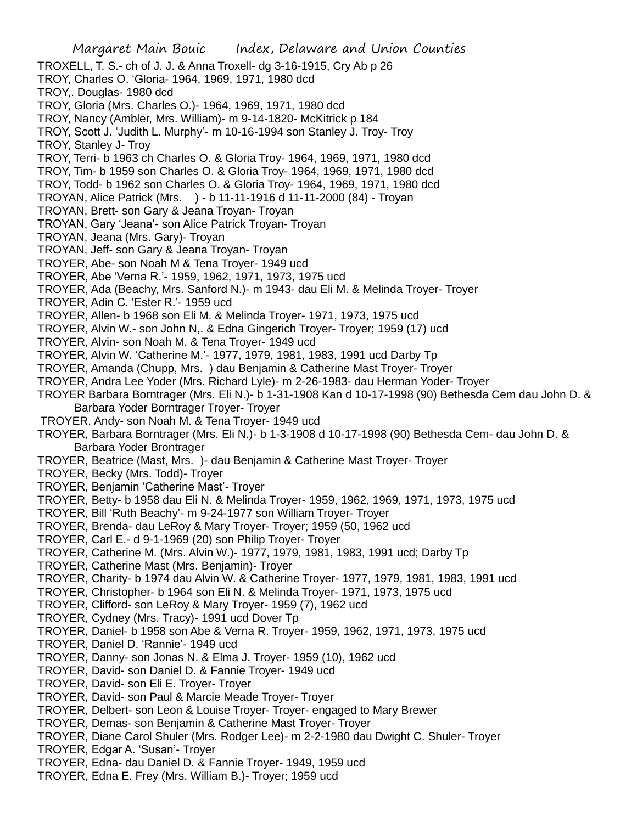Margaret Main Bouic Index, Delaware and Union Counties TROXELL, T. S.- ch of J. J. & Anna Troxell- dg 3-16-1915, Cry Ab p 26 TROY, Charles O. 'Gloria- 1964, 1969, 1971, 1980 dcd TROY,. Douglas- 1980 dcd TROY, Gloria (Mrs. Charles O.)- 1964, 1969, 1971, 1980 dcd TROY, Nancy (Ambler, Mrs. William)- m 9-14-1820- McKitrick p 184 TROY, Scott J. 'Judith L. Murphy'- m 10-16-1994 son Stanley J. Troy- Troy TROY, Stanley J- Troy TROY, Terri- b 1963 ch Charles O. & Gloria Troy- 1964, 1969, 1971, 1980 dcd TROY, Tim- b 1959 son Charles O. & Gloria Troy- 1964, 1969, 1971, 1980 dcd TROY, Todd- b 1962 son Charles O. & Gloria Troy- 1964, 1969, 1971, 1980 dcd TROYAN, Alice Patrick (Mrs. ) - b 11-11-1916 d 11-11-2000 (84) - Troyan TROYAN, Brett- son Gary & Jeana Troyan- Troyan TROYAN, Gary 'Jeana'- son Alice Patrick Troyan- Troyan TROYAN, Jeana (Mrs. Gary)- Troyan TROYAN, Jeff- son Gary & Jeana Troyan- Troyan TROYER, Abe- son Noah M & Tena Troyer- 1949 ucd TROYER, Abe 'Verna R.'- 1959, 1962, 1971, 1973, 1975 ucd TROYER, Ada (Beachy, Mrs. Sanford N.)- m 1943- dau Eli M. & Melinda Troyer- Troyer TROYER, Adin C. 'Ester R.'- 1959 ucd TROYER, Allen- b 1968 son Eli M. & Melinda Troyer- 1971, 1973, 1975 ucd TROYER, Alvin W.- son John N,. & Edna Gingerich Troyer- Troyer; 1959 (17) ucd TROYER, Alvin- son Noah M. & Tena Troyer- 1949 ucd TROYER, Alvin W. 'Catherine M.'- 1977, 1979, 1981, 1983, 1991 ucd Darby Tp TROYER, Amanda (Chupp, Mrs. ) dau Benjamin & Catherine Mast Troyer- Troyer TROYER, Andra Lee Yoder (Mrs. Richard Lyle)- m 2-26-1983- dau Herman Yoder- Troyer TROYER Barbara Borntrager (Mrs. Eli N.)- b 1-31-1908 Kan d 10-17-1998 (90) Bethesda Cem dau John D. & Barbara Yoder Borntrager Troyer- Troyer TROYER, Andy- son Noah M. & Tena Troyer- 1949 ucd TROYER, Barbara Borntrager (Mrs. Eli N.)- b 1-3-1908 d 10-17-1998 (90) Bethesda Cem- dau John D. & Barbara Yoder Brontrager TROYER, Beatrice (Mast, Mrs. )- dau Benjamin & Catherine Mast Troyer- Troyer TROYER, Becky (Mrs. Todd)- Troyer TROYER, Benjamin 'Catherine Mast'- Troyer TROYER, Betty- b 1958 dau Eli N. & Melinda Troyer- 1959, 1962, 1969, 1971, 1973, 1975 ucd TROYER, Bill 'Ruth Beachy'- m 9-24-1977 son William Troyer- Troyer TROYER, Brenda- dau LeRoy & Mary Troyer- Troyer; 1959 (50, 1962 ucd TROYER, Carl E.- d 9-1-1969 (20) son Philip Troyer- Troyer TROYER, Catherine M. (Mrs. Alvin W.)- 1977, 1979, 1981, 1983, 1991 ucd; Darby Tp TROYER, Catherine Mast (Mrs. Benjamin)- Troyer TROYER, Charity- b 1974 dau Alvin W. & Catherine Troyer- 1977, 1979, 1981, 1983, 1991 ucd TROYER, Christopher- b 1964 son Eli N. & Melinda Troyer- 1971, 1973, 1975 ucd TROYER, Clifford- son LeRoy & Mary Troyer- 1959 (7), 1962 ucd TROYER, Cydney (Mrs. Tracy)- 1991 ucd Dover Tp TROYER, Daniel- b 1958 son Abe & Verna R. Troyer- 1959, 1962, 1971, 1973, 1975 ucd TROYER, Daniel D. 'Rannie'- 1949 ucd TROYER, Danny- son Jonas N. & Elma J. Troyer- 1959 (10), 1962 ucd TROYER, David- son Daniel D. & Fannie Troyer- 1949 ucd TROYER, David- son Eli E. Troyer- Troyer TROYER, David- son Paul & Marcie Meade Troyer- Troyer TROYER, Delbert- son Leon & Louise Troyer- Troyer- engaged to Mary Brewer TROYER, Demas- son Benjamin & Catherine Mast Troyer- Troyer TROYER, Diane Carol Shuler (Mrs. Rodger Lee)- m 2-2-1980 dau Dwight C. Shuler- Troyer TROYER, Edgar A. 'Susan'- Troyer

- TROYER, Edna- dau Daniel D. & Fannie Troyer- 1949, 1959 ucd
- TROYER, Edna E. Frey (Mrs. William B.)- Troyer; 1959 ucd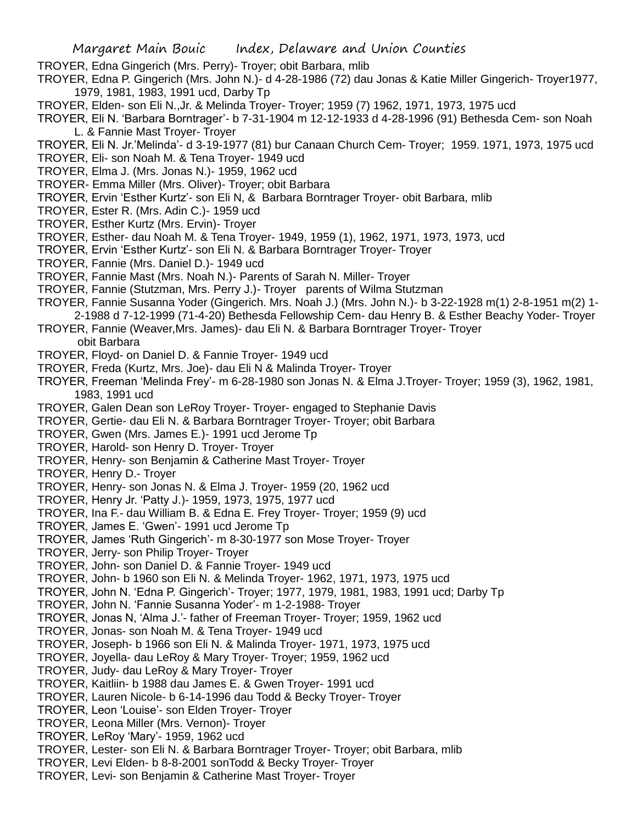- TROYER, Edna Gingerich (Mrs. Perry)- Troyer; obit Barbara, mlib
- TROYER, Edna P. Gingerich (Mrs. John N.)- d 4-28-1986 (72) dau Jonas & Katie Miller Gingerich- Troyer1977, 1979, 1981, 1983, 1991 ucd, Darby Tp
- TROYER, Elden- son Eli N.,Jr. & Melinda Troyer- Troyer; 1959 (7) 1962, 1971, 1973, 1975 ucd
- TROYER, Eli N. 'Barbara Borntrager'- b 7-31-1904 m 12-12-1933 d 4-28-1996 (91) Bethesda Cem- son Noah L. & Fannie Mast Troyer- Troyer
- TROYER, Eli N. Jr.'Melinda'- d 3-19-1977 (81) bur Canaan Church Cem- Troyer; 1959. 1971, 1973, 1975 ucd
- TROYER, Eli- son Noah M. & Tena Troyer- 1949 ucd
- TROYER, Elma J. (Mrs. Jonas N.)- 1959, 1962 ucd
- TROYER- Emma Miller (Mrs. Oliver)- Troyer; obit Barbara
- TROYER, Ervin 'Esther Kurtz'- son Eli N, & Barbara Borntrager Troyer- obit Barbara, mlib
- TROYER, Ester R. (Mrs. Adin C.)- 1959 ucd
- TROYER, Esther Kurtz (Mrs. Ervin)- Troyer
- TROYER, Esther- dau Noah M. & Tena Troyer- 1949, 1959 (1), 1962, 1971, 1973, 1973, ucd
- TROYER, Ervin 'Esther Kurtz'- son Eli N. & Barbara Borntrager Troyer- Troyer
- TROYER, Fannie (Mrs. Daniel D.)- 1949 ucd
- TROYER, Fannie Mast (Mrs. Noah N.)- Parents of Sarah N. Miller- Troyer
- TROYER, Fannie (Stutzman, Mrs. Perry J.)- Troyer parents of Wilma Stutzman
- TROYER, Fannie Susanna Yoder (Gingerich. Mrs. Noah J.) (Mrs. John N.)- b 3-22-1928 m(1) 2-8-1951 m(2) 1-
- 2-1988 d 7-12-1999 (71-4-20) Bethesda Fellowship Cem- dau Henry B. & Esther Beachy Yoder- Troyer
- TROYER, Fannie (Weaver,Mrs. James)- dau Eli N. & Barbara Borntrager Troyer- Troyer obit Barbara
- TROYER, Floyd- on Daniel D. & Fannie Troyer- 1949 ucd
- TROYER, Freda (Kurtz, Mrs. Joe)- dau Eli N & Malinda Troyer- Troyer
- TROYER, Freeman 'Melinda Frey'- m 6-28-1980 son Jonas N. & Elma J.Troyer- Troyer; 1959 (3), 1962, 1981, 1983, 1991 ucd
- TROYER, Galen Dean son LeRoy Troyer- Troyer- engaged to Stephanie Davis
- TROYER, Gertie- dau Eli N. & Barbara Borntrager Troyer- Troyer; obit Barbara
- TROYER, Gwen (Mrs. James E.)- 1991 ucd Jerome Tp
- TROYER, Harold- son Henry D. Troyer- Troyer
- TROYER, Henry- son Benjamin & Catherine Mast Troyer- Troyer
- TROYER, Henry D.- Troyer
- TROYER, Henry- son Jonas N. & Elma J. Troyer- 1959 (20, 1962 ucd
- TROYER, Henry Jr. 'Patty J.)- 1959, 1973, 1975, 1977 ucd
- TROYER, Ina F.- dau William B. & Edna E. Frey Troyer- Troyer; 1959 (9) ucd
- TROYER, James E. 'Gwen'- 1991 ucd Jerome Tp
- TROYER, James 'Ruth Gingerich'- m 8-30-1977 son Mose Troyer- Troyer
- TROYER, Jerry- son Philip Troyer- Troyer
- TROYER, John- son Daniel D. & Fannie Troyer- 1949 ucd
- TROYER, John- b 1960 son Eli N. & Melinda Troyer- 1962, 1971, 1973, 1975 ucd
- TROYER, John N. 'Edna P. Gingerich'- Troyer; 1977, 1979, 1981, 1983, 1991 ucd; Darby Tp
- TROYER, John N. 'Fannie Susanna Yoder'- m 1-2-1988- Troyer
- TROYER, Jonas N, 'Alma J.'- father of Freeman Troyer- Troyer; 1959, 1962 ucd
- TROYER, Jonas- son Noah M. & Tena Troyer- 1949 ucd
- TROYER, Joseph- b 1966 son Eli N. & Malinda Troyer- 1971, 1973, 1975 ucd
- TROYER, Joyella- dau LeRoy & Mary Troyer- Troyer; 1959, 1962 ucd
- TROYER, Judy- dau LeRoy & Mary Troyer- Troyer
- TROYER, Kaitliin- b 1988 dau James E. & Gwen Troyer- 1991 ucd
- TROYER, Lauren Nicole- b 6-14-1996 dau Todd & Becky Troyer- Troyer
- TROYER, Leon 'Louise'- son Elden Troyer- Troyer
- TROYER, Leona Miller (Mrs. Vernon)- Troyer
- TROYER, LeRoy 'Mary'- 1959, 1962 ucd
- TROYER, Lester- son Eli N. & Barbara Borntrager Troyer- Troyer; obit Barbara, mlib
- TROYER, Levi Elden- b 8-8-2001 sonTodd & Becky Troyer- Troyer
- TROYER, Levi- son Benjamin & Catherine Mast Troyer- Troyer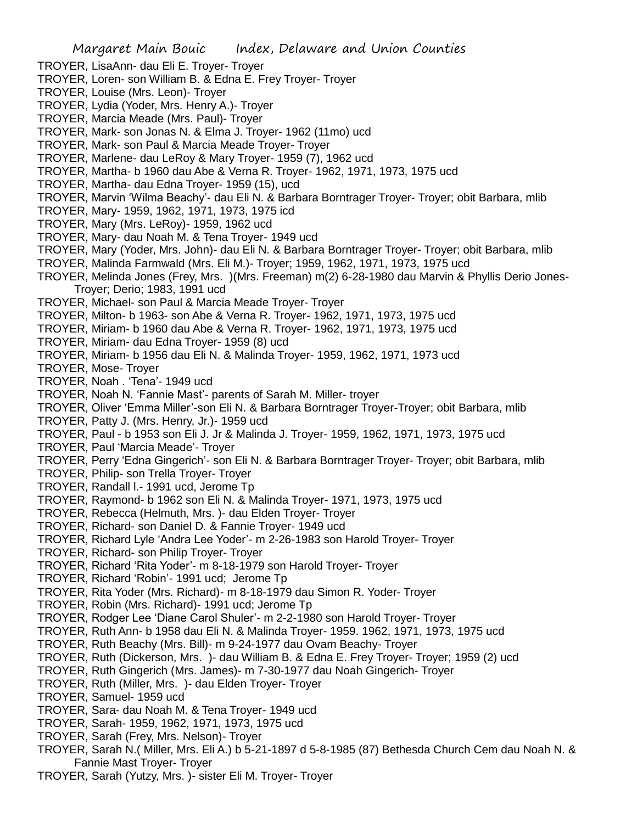- TROYER, LisaAnn- dau Eli E. Troyer- Troyer
- TROYER, Loren- son William B. & Edna E. Frey Troyer- Troyer
- TROYER, Louise (Mrs. Leon)- Troyer
- TROYER, Lydia (Yoder, Mrs. Henry A.)- Troyer
- TROYER, Marcia Meade (Mrs. Paul)- Troyer
- TROYER, Mark- son Jonas N. & Elma J. Troyer- 1962 (11mo) ucd
- TROYER, Mark- son Paul & Marcia Meade Troyer- Troyer
- TROYER, Marlene- dau LeRoy & Mary Troyer- 1959 (7), 1962 ucd
- TROYER, Martha- b 1960 dau Abe & Verna R. Troyer- 1962, 1971, 1973, 1975 ucd
- TROYER, Martha- dau Edna Troyer- 1959 (15), ucd
- TROYER, Marvin 'Wilma Beachy'- dau Eli N. & Barbara Borntrager Troyer- Troyer; obit Barbara, mlib
- TROYER, Mary- 1959, 1962, 1971, 1973, 1975 icd
- TROYER, Mary (Mrs. LeRoy)- 1959, 1962 ucd
- TROYER, Mary- dau Noah M. & Tena Troyer- 1949 ucd
- TROYER, Mary (Yoder, Mrs. John)- dau Eli N. & Barbara Borntrager Troyer- Troyer; obit Barbara, mlib
- TROYER, Malinda Farmwald (Mrs. Eli M.)- Troyer; 1959, 1962, 1971, 1973, 1975 ucd
- TROYER, Melinda Jones (Frey, Mrs. )(Mrs. Freeman) m(2) 6-28-1980 dau Marvin & Phyllis Derio Jones-Troyer; Derio; 1983, 1991 ucd
- TROYER, Michael- son Paul & Marcia Meade Troyer- Troyer
- TROYER, Milton- b 1963- son Abe & Verna R. Troyer- 1962, 1971, 1973, 1975 ucd
- TROYER, Miriam- b 1960 dau Abe & Verna R. Troyer- 1962, 1971, 1973, 1975 ucd
- TROYER, Miriam- dau Edna Troyer- 1959 (8) ucd
- TROYER, Miriam- b 1956 dau Eli N. & Malinda Troyer- 1959, 1962, 1971, 1973 ucd
- TROYER, Mose- Troyer
- TROYER, Noah . 'Tena'- 1949 ucd
- TROYER, Noah N. 'Fannie Mast'- parents of Sarah M. Miller- troyer
- TROYER, Oliver 'Emma Miller'-son Eli N. & Barbara Borntrager Troyer-Troyer; obit Barbara, mlib
- TROYER, Patty J. (Mrs. Henry, Jr.)- 1959 ucd
- TROYER, Paul b 1953 son Eli J. Jr & Malinda J. Troyer- 1959, 1962, 1971, 1973, 1975 ucd
- TROYER, Paul 'Marcia Meade'- Troyer
- TROYER, Perry 'Edna Gingerich'- son Eli N. & Barbara Borntrager Troyer- Troyer; obit Barbara, mlib
- TROYER, Philip- son Trella Troyer- Troyer
- TROYER, Randall l.- 1991 ucd, Jerome Tp
- TROYER, Raymond- b 1962 son Eli N. & Malinda Troyer- 1971, 1973, 1975 ucd
- TROYER, Rebecca (Helmuth, Mrs. )- dau Elden Troyer- Troyer
- TROYER, Richard- son Daniel D. & Fannie Troyer- 1949 ucd
- TROYER, Richard Lyle 'Andra Lee Yoder'- m 2-26-1983 son Harold Troyer- Troyer
- TROYER, Richard- son Philip Troyer- Troyer
- TROYER, Richard 'Rita Yoder'- m 8-18-1979 son Harold Troyer- Troyer
- TROYER, Richard 'Robin'- 1991 ucd; Jerome Tp
- TROYER, Rita Yoder (Mrs. Richard)- m 8-18-1979 dau Simon R. Yoder- Troyer
- TROYER, Robin (Mrs. Richard)- 1991 ucd; Jerome Tp
- TROYER, Rodger Lee 'Diane Carol Shuler'- m 2-2-1980 son Harold Troyer- Troyer
- TROYER, Ruth Ann- b 1958 dau Eli N. & Malinda Troyer- 1959. 1962, 1971, 1973, 1975 ucd
- TROYER, Ruth Beachy (Mrs. Bill)- m 9-24-1977 dau Ovam Beachy- Troyer
- TROYER, Ruth (Dickerson, Mrs. )- dau William B. & Edna E. Frey Troyer- Troyer; 1959 (2) ucd
- TROYER, Ruth Gingerich (Mrs. James)- m 7-30-1977 dau Noah Gingerich- Troyer
- TROYER, Ruth (Miller, Mrs. )- dau Elden Troyer- Troyer
- TROYER, Samuel- 1959 ucd
- TROYER, Sara- dau Noah M. & Tena Troyer- 1949 ucd
- TROYER, Sarah- 1959, 1962, 1971, 1973, 1975 ucd
- TROYER, Sarah (Frey, Mrs. Nelson)- Troyer
- TROYER, Sarah N.( Miller, Mrs. Eli A.) b 5-21-1897 d 5-8-1985 (87) Bethesda Church Cem dau Noah N. & Fannie Mast Troyer- Troyer
- TROYER, Sarah (Yutzy, Mrs. )- sister Eli M. Troyer- Troyer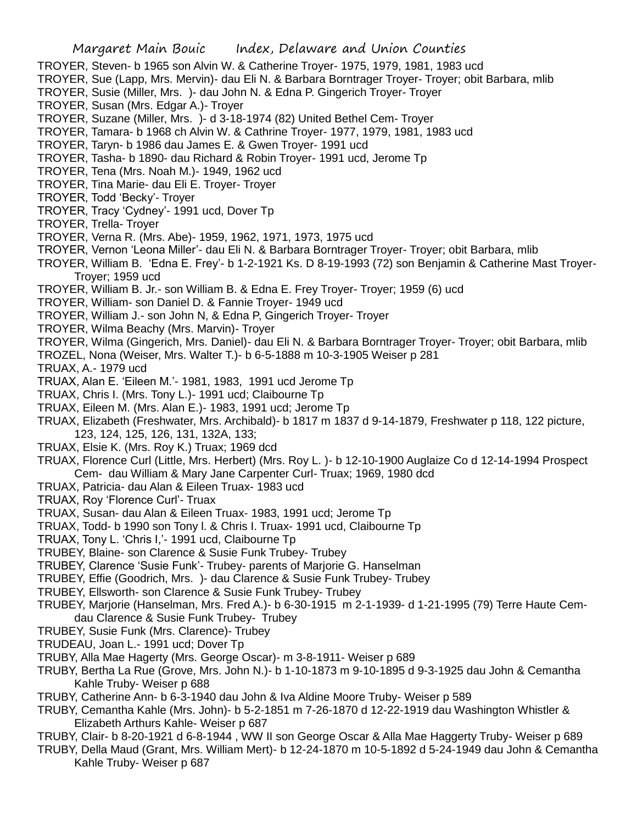- TROYER, Steven- b 1965 son Alvin W. & Catherine Troyer- 1975, 1979, 1981, 1983 ucd
- TROYER, Sue (Lapp, Mrs. Mervin)- dau Eli N. & Barbara Borntrager Troyer- Troyer; obit Barbara, mlib
- TROYER, Susie (Miller, Mrs. )- dau John N. & Edna P. Gingerich Troyer- Troyer
- TROYER, Susan (Mrs. Edgar A.)- Troyer
- TROYER, Suzane (Miller, Mrs. )- d 3-18-1974 (82) United Bethel Cem- Troyer
- TROYER, Tamara- b 1968 ch Alvin W. & Cathrine Troyer- 1977, 1979, 1981, 1983 ucd
- TROYER, Taryn- b 1986 dau James E. & Gwen Troyer- 1991 ucd
- TROYER, Tasha- b 1890- dau Richard & Robin Troyer- 1991 ucd, Jerome Tp
- TROYER, Tena (Mrs. Noah M.)- 1949, 1962 ucd
- TROYER, Tina Marie- dau Eli E. Troyer- Troyer
- TROYER, Todd 'Becky'- Troyer
- TROYER, Tracy 'Cydney'- 1991 ucd, Dover Tp
- TROYER, Trella- Troyer
- TROYER, Verna R. (Mrs. Abe)- 1959, 1962, 1971, 1973, 1975 ucd
- TROYER, Vernon 'Leona Miller'- dau Eli N. & Barbara Borntrager Troyer- Troyer; obit Barbara, mlib
- TROYER, William B. 'Edna E. Frey'- b 1-2-1921 Ks. D 8-19-1993 (72) son Benjamin & Catherine Mast Troyer-Troyer; 1959 ucd
- TROYER, William B. Jr.- son William B. & Edna E. Frey Troyer- Troyer; 1959 (6) ucd
- TROYER, William- son Daniel D. & Fannie Troyer- 1949 ucd
- TROYER, William J.- son John N, & Edna P, Gingerich Troyer- Troyer
- TROYER, Wilma Beachy (Mrs. Marvin)- Troyer
- TROYER, Wilma (Gingerich, Mrs. Daniel)- dau Eli N. & Barbara Borntrager Troyer- Troyer; obit Barbara, mlib
- TROZEL, Nona (Weiser, Mrs. Walter T.)- b 6-5-1888 m 10-3-1905 Weiser p 281
- TRUAX, A.- 1979 ucd
- TRUAX, Alan E. 'Eileen M.'- 1981, 1983, 1991 ucd Jerome Tp
- TRUAX, Chris I. (Mrs. Tony L.)- 1991 ucd; Claibourne Tp
- TRUAX, Eileen M. (Mrs. Alan E.)- 1983, 1991 ucd; Jerome Tp
- TRUAX, Elizabeth (Freshwater, Mrs. Archibald)- b 1817 m 1837 d 9-14-1879, Freshwater p 118, 122 picture, 123, 124, 125, 126, 131, 132A, 133;
- TRUAX, Elsie K. (Mrs. Roy K.) Truax; 1969 dcd
- TRUAX, Florence Curl (Little, Mrs. Herbert) (Mrs. Roy L. )- b 12-10-1900 Auglaize Co d 12-14-1994 Prospect Cem- dau William & Mary Jane Carpenter Curl- Truax; 1969, 1980 dcd
- TRUAX, Patricia- dau Alan & Eileen Truax- 1983 ucd
- TRUAX, Roy 'Florence Curl'- Truax
- TRUAX, Susan- dau Alan & Eileen Truax- 1983, 1991 ucd; Jerome Tp
- TRUAX, Todd- b 1990 son Tony l. & Chris I. Truax- 1991 ucd, Claibourne Tp
- TRUAX, Tony L. 'Chris I,'- 1991 ucd, Claibourne Tp
- TRUBEY, Blaine- son Clarence & Susie Funk Trubey- Trubey
- TRUBEY, Clarence 'Susie Funk'- Trubey- parents of Marjorie G. Hanselman
- TRUBEY, Effie (Goodrich, Mrs. )- dau Clarence & Susie Funk Trubey- Trubey
- TRUBEY, Ellsworth- son Clarence & Susie Funk Trubey- Trubey
- TRUBEY, Marjorie (Hanselman, Mrs. Fred A.)- b 6-30-1915 m 2-1-1939- d 1-21-1995 (79) Terre Haute Cemdau Clarence & Susie Funk Trubey- Trubey
- TRUBEY, Susie Funk (Mrs. Clarence)- Trubey
- TRUDEAU, Joan L.- 1991 ucd; Dover Tp
- TRUBY, Alla Mae Hagerty (Mrs. George Oscar)- m 3-8-1911- Weiser p 689
- TRUBY, Bertha La Rue (Grove, Mrs. John N.)- b 1-10-1873 m 9-10-1895 d 9-3-1925 dau John & Cemantha Kahle Truby- Weiser p 688
- TRUBY, Catherine Ann- b 6-3-1940 dau John & Iva Aldine Moore Truby- Weiser p 589
- TRUBY, Cemantha Kahle (Mrs. John)- b 5-2-1851 m 7-26-1870 d 12-22-1919 dau Washington Whistler & Elizabeth Arthurs Kahle- Weiser p 687
- TRUBY, Clair- b 8-20-1921 d 6-8-1944 , WW II son George Oscar & Alla Mae Haggerty Truby- Weiser p 689
- TRUBY, Della Maud (Grant, Mrs. William Mert)- b 12-24-1870 m 10-5-1892 d 5-24-1949 dau John & Cemantha Kahle Truby- Weiser p 687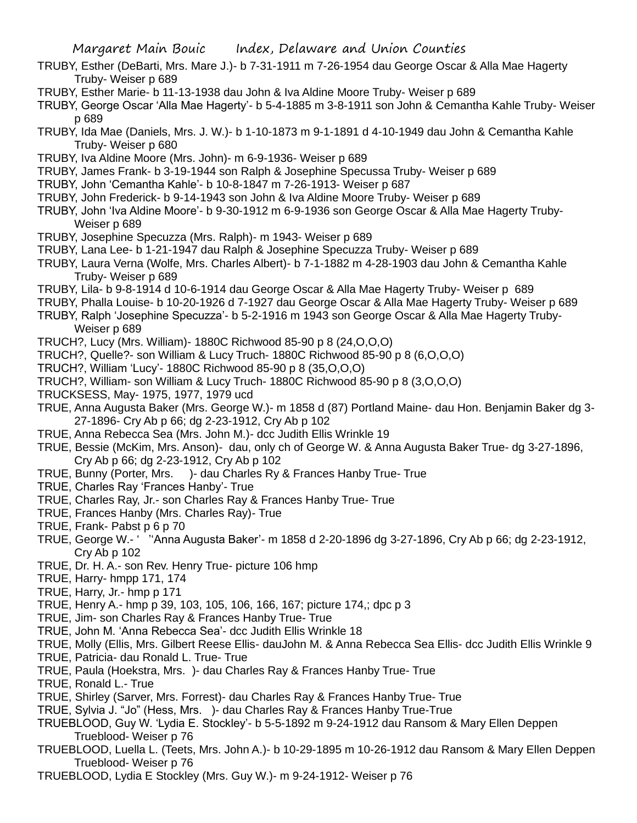- TRUBY, Esther (DeBarti, Mrs. Mare J.)- b 7-31-1911 m 7-26-1954 dau George Oscar & Alla Mae Hagerty Truby- Weiser p 689
- TRUBY, Esther Marie- b 11-13-1938 dau John & Iva Aldine Moore Truby- Weiser p 689
- TRUBY, George Oscar 'Alla Mae Hagerty'- b 5-4-1885 m 3-8-1911 son John & Cemantha Kahle Truby- Weiser p 689
- TRUBY, Ida Mae (Daniels, Mrs. J. W.)- b 1-10-1873 m 9-1-1891 d 4-10-1949 dau John & Cemantha Kahle Truby- Weiser p 680
- TRUBY, Iva Aldine Moore (Mrs. John)- m 6-9-1936- Weiser p 689
- TRUBY, James Frank- b 3-19-1944 son Ralph & Josephine Specussa Truby- Weiser p 689
- TRUBY, John 'Cemantha Kahle'- b 10-8-1847 m 7-26-1913- Weiser p 687
- TRUBY, John Frederick- b 9-14-1943 son John & Iva Aldine Moore Truby- Weiser p 689
- TRUBY, John 'Iva Aldine Moore'- b 9-30-1912 m 6-9-1936 son George Oscar & Alla Mae Hagerty Truby-Weiser p 689
- TRUBY, Josephine Specuzza (Mrs. Ralph)- m 1943- Weiser p 689
- TRUBY, Lana Lee- b 1-21-1947 dau Ralph & Josephine Specuzza Truby- Weiser p 689
- TRUBY, Laura Verna (Wolfe, Mrs. Charles Albert)- b 7-1-1882 m 4-28-1903 dau John & Cemantha Kahle Truby- Weiser p 689
- TRUBY, Lila- b 9-8-1914 d 10-6-1914 dau George Oscar & Alla Mae Hagerty Truby- Weiser p 689
- TRUBY, Phalla Louise- b 10-20-1926 d 7-1927 dau George Oscar & Alla Mae Hagerty Truby- Weiser p 689
- TRUBY, Ralph 'Josephine Specuzza'- b 5-2-1916 m 1943 son George Oscar & Alla Mae Hagerty Truby-Weiser p 689
- TRUCH?, Lucy (Mrs. William)- 1880C Richwood 85-90 p 8 (24,O,O,O)
- TRUCH?, Quelle?- son William & Lucy Truch- 1880C Richwood 85-90 p 8 (6,O,O,O)
- TRUCH?, William 'Lucy'- 1880C Richwood 85-90 p 8 (35,O,O,O)
- TRUCH?, William- son William & Lucy Truch- 1880C Richwood 85-90 p 8 (3,O,O,O)
- TRUCKSESS, May- 1975, 1977, 1979 ucd
- TRUE, Anna Augusta Baker (Mrs. George W.)- m 1858 d (87) Portland Maine- dau Hon. Benjamin Baker dg 3- 27-1896- Cry Ab p 66; dg 2-23-1912, Cry Ab p 102
- TRUE, Anna Rebecca Sea (Mrs. John M.)- dcc Judith Ellis Wrinkle 19
- TRUE, Bessie (McKim, Mrs. Anson)- dau, only ch of George W. & Anna Augusta Baker True- dg 3-27-1896, Cry Ab p 66; dg 2-23-1912, Cry Ab p 102
- TRUE, Bunny (Porter, Mrs. )- dau Charles Ry & Frances Hanby True- True
- TRUE, Charles Ray 'Frances Hanby'- True
- TRUE, Charles Ray, Jr.- son Charles Ray & Frances Hanby True- True
- TRUE, Frances Hanby (Mrs. Charles Ray)- True
- TRUE, Frank- Pabst p 6 p 70
- TRUE, George W.- ' ''Anna Augusta Baker'- m 1858 d 2-20-1896 dg 3-27-1896, Cry Ab p 66; dg 2-23-1912, Cry Ab p 102
- TRUE, Dr. H. A.- son Rev. Henry True- picture 106 hmp
- TRUE, Harry- hmpp 171, 174
- TRUE, Harry, Jr.- hmp p 171
- TRUE, Henry A.- hmp p 39, 103, 105, 106, 166, 167; picture 174,; dpc p 3
- TRUE, Jim- son Charles Ray & Frances Hanby True- True
- TRUE, John M. 'Anna Rebecca Sea'- dcc Judith Ellis Wrinkle 18
- TRUE, Molly (Ellis, Mrs. Gilbert Reese Ellis- dauJohn M. & Anna Rebecca Sea Ellis- dcc Judith Ellis Wrinkle 9
- TRUE, Patricia- dau Ronald L. True- True
- TRUE, Paula (Hoekstra, Mrs. )- dau Charles Ray & Frances Hanby True- True
- TRUE, Ronald L.- True
- TRUE, Shirley (Sarver, Mrs. Forrest)- dau Charles Ray & Frances Hanby True- True
- TRUE, Sylvia J. "Jo" (Hess, Mrs. )- dau Charles Ray & Frances Hanby True-True
- TRUEBLOOD, Guy W. 'Lydia E. Stockley'- b 5-5-1892 m 9-24-1912 dau Ransom & Mary Ellen Deppen Trueblood- Weiser p 76
- TRUEBLOOD, Luella L. (Teets, Mrs. John A.)- b 10-29-1895 m 10-26-1912 dau Ransom & Mary Ellen Deppen Trueblood- Weiser p 76
- TRUEBLOOD, Lydia E Stockley (Mrs. Guy W.)- m 9-24-1912- Weiser p 76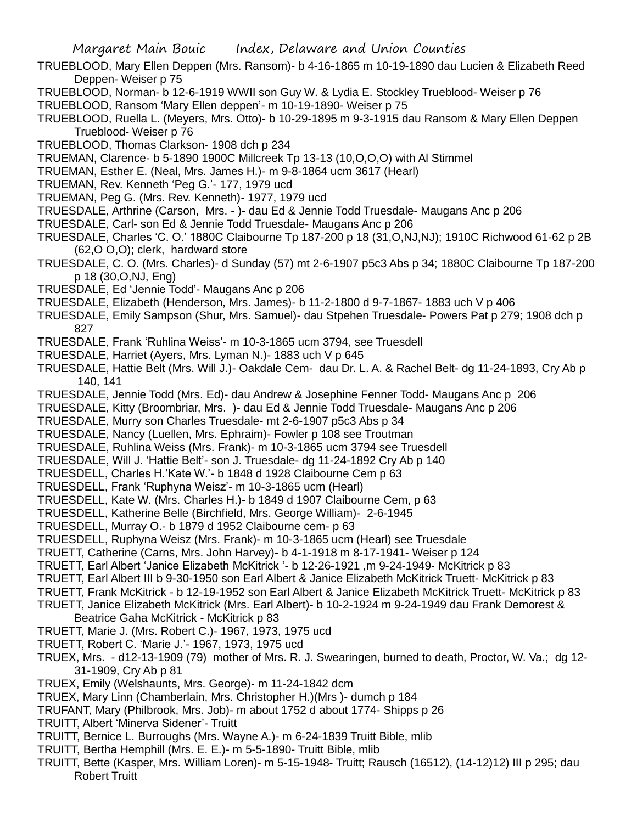- TRUEBLOOD, Mary Ellen Deppen (Mrs. Ransom)- b 4-16-1865 m 10-19-1890 dau Lucien & Elizabeth Reed Deppen- Weiser p 75
- TRUEBLOOD, Norman- b 12-6-1919 WWII son Guy W. & Lydia E. Stockley Trueblood- Weiser p 76
- TRUEBLOOD, Ransom 'Mary Ellen deppen'- m 10-19-1890- Weiser p 75
- TRUEBLOOD, Ruella L. (Meyers, Mrs. Otto)- b 10-29-1895 m 9-3-1915 dau Ransom & Mary Ellen Deppen Trueblood- Weiser p 76
- TRUEBLOOD, Thomas Clarkson- 1908 dch p 234
- TRUEMAN, Clarence- b 5-1890 1900C Millcreek Tp 13-13 (10,O,O,O) with Al Stimmel
- TRUEMAN, Esther E. (Neal, Mrs. James H.)- m 9-8-1864 ucm 3617 (Hearl)
- TRUEMAN, Rev. Kenneth 'Peg G.'- 177, 1979 ucd
- TRUEMAN, Peg G. (Mrs. Rev. Kenneth)- 1977, 1979 ucd
- TRUESDALE, Arthrine (Carson, Mrs. )- dau Ed & Jennie Todd Truesdale- Maugans Anc p 206
- TRUESDALE, Carl- son Ed & Jennie Todd Truesdale- Maugans Anc p 206
- TRUESDALE, Charles 'C. O.' 1880C Claibourne Tp 187-200 p 18 (31,O,NJ,NJ); 1910C Richwood 61-62 p 2B (62,O O,O); clerk, hardward store
- TRUESDALE, C. O. (Mrs. Charles)- d Sunday (57) mt 2-6-1907 p5c3 Abs p 34; 1880C Claibourne Tp 187-200 p 18 (30,O,NJ, Eng)
- TRUESDALE, Ed 'Jennie Todd'- Maugans Anc p 206
- TRUESDALE, Elizabeth (Henderson, Mrs. James)- b 11-2-1800 d 9-7-1867- 1883 uch V p 406
- TRUESDALE, Emily Sampson (Shur, Mrs. Samuel)- dau Stpehen Truesdale- Powers Pat p 279; 1908 dch p 827
- TRUESDALE, Frank 'Ruhlina Weiss'- m 10-3-1865 ucm 3794, see Truesdell
- TRUESDALE, Harriet (Ayers, Mrs. Lyman N.)- 1883 uch V p 645
- TRUESDALE, Hattie Belt (Mrs. Will J.)- Oakdale Cem- dau Dr. L. A. & Rachel Belt- dg 11-24-1893, Cry Ab p 140, 141
- TRUESDALE, Jennie Todd (Mrs. Ed)- dau Andrew & Josephine Fenner Todd- Maugans Anc p 206
- TRUESDALE, Kitty (Broombriar, Mrs. )- dau Ed & Jennie Todd Truesdale- Maugans Anc p 206
- TRUESDALE, Murry son Charles Truesdale- mt 2-6-1907 p5c3 Abs p 34
- TRUESDALE, Nancy (Luellen, Mrs. Ephraim)- Fowler p 108 see Troutman
- TRUESDALE, Ruhlina Weiss (Mrs. Frank)- m 10-3-1865 ucm 3794 see Truesdell
- TRUESDALE, Will J. 'Hattie Belt'- son J. Truesdale- dg 11-24-1892 Cry Ab p 140
- TRUESDELL, Charles H.'Kate W.'- b 1848 d 1928 Claibourne Cem p 63
- TRUESDELL, Frank 'Ruphyna Weisz'- m 10-3-1865 ucm (Hearl)
- TRUESDELL, Kate W. (Mrs. Charles H.)- b 1849 d 1907 Claibourne Cem, p 63
- TRUESDELL, Katherine Belle (Birchfield, Mrs. George William)- 2-6-1945
- TRUESDELL, Murray O.- b 1879 d 1952 Claibourne cem- p 63
- TRUESDELL, Ruphyna Weisz (Mrs. Frank)- m 10-3-1865 ucm (Hearl) see Truesdale
- TRUETT, Catherine (Carns, Mrs. John Harvey)- b 4-1-1918 m 8-17-1941- Weiser p 124
- TRUETT, Earl Albert 'Janice Elizabeth McKitrick '- b 12-26-1921 ,m 9-24-1949- McKitrick p 83
- TRUETT, Earl Albert III b 9-30-1950 son Earl Albert & Janice Elizabeth McKitrick Truett- McKitrick p 83
- TRUETT, Frank McKitrick b 12-19-1952 son Earl Albert & Janice Elizabeth McKitrick Truett- McKitrick p 83
- TRUETT, Janice Elizabeth McKitrick (Mrs. Earl Albert)- b 10-2-1924 m 9-24-1949 dau Frank Demorest &
	- Beatrice Gaha McKitrick McKitrick p 83
- TRUETT, Marie J. (Mrs. Robert C.)- 1967, 1973, 1975 ucd
- TRUETT, Robert C. 'Marie J.'- 1967, 1973, 1975 ucd
- TRUEX, Mrs. d12-13-1909 (79) mother of Mrs. R. J. Swearingen, burned to death, Proctor, W. Va.; dg 12- 31-1909, Cry Ab p 81
- TRUEX, Emily (Welshaunts, Mrs. George)- m 11-24-1842 dcm
- TRUEX, Mary Linn (Chamberlain, Mrs. Christopher H.)(Mrs )- dumch p 184
- TRUFANT, Mary (Philbrook, Mrs. Job)- m about 1752 d about 1774- Shipps p 26
- TRUITT, Albert 'Minerva Sidener'- Truitt
- TRUITT, Bernice L. Burroughs (Mrs. Wayne A.)- m 6-24-1839 Truitt Bible, mlib
- TRUITT, Bertha Hemphill (Mrs. E. E.)- m 5-5-1890- Truitt Bible, mlib
- TRUITT, Bette (Kasper, Mrs. William Loren)- m 5-15-1948- Truitt; Rausch (16512), (14-12)12) III p 295; dau Robert Truitt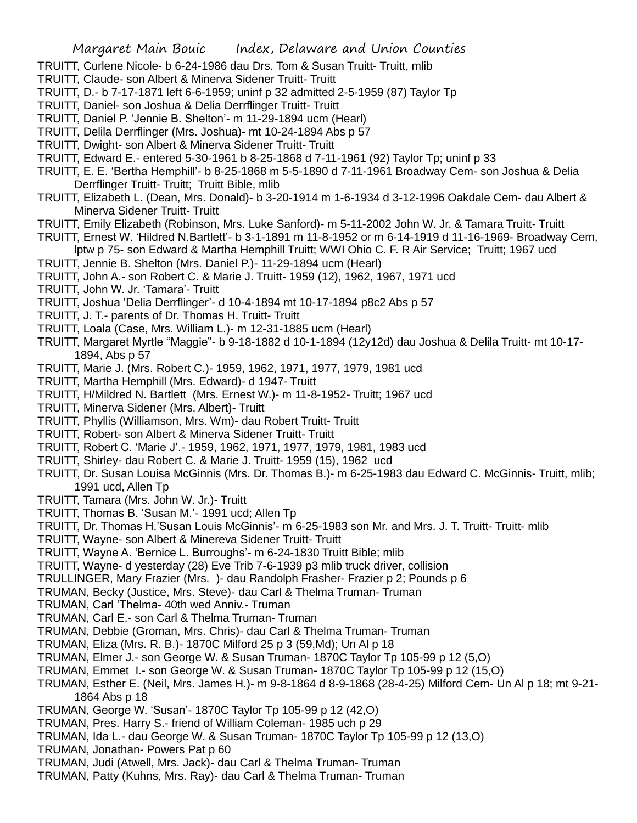- TRUITT, Curlene Nicole- b 6-24-1986 dau Drs. Tom & Susan Truitt- Truitt, mlib
- TRUITT, Claude- son Albert & Minerva Sidener Truitt- Truitt
- TRUITT, D.- b 7-17-1871 left 6-6-1959; uninf p 32 admitted 2-5-1959 (87) Taylor Tp
- TRUITT, Daniel- son Joshua & Delia Derrflinger Truitt- Truitt
- TRUITT, Daniel P. 'Jennie B. Shelton'- m 11-29-1894 ucm (Hearl)
- TRUITT, Delila Derrflinger (Mrs. Joshua)- mt 10-24-1894 Abs p 57
- TRUITT, Dwight- son Albert & Minerva Sidener Truitt- Truitt
- TRUITT, Edward E.- entered 5-30-1961 b 8-25-1868 d 7-11-1961 (92) Taylor Tp; uninf p 33
- TRUITT, E. E. 'Bertha Hemphill'- b 8-25-1868 m 5-5-1890 d 7-11-1961 Broadway Cem- son Joshua & Delia Derrflinger Truitt- Truitt; Truitt Bible, mlib
- TRUITT, Elizabeth L. (Dean, Mrs. Donald)- b 3-20-1914 m 1-6-1934 d 3-12-1996 Oakdale Cem- dau Albert & Minerva Sidener Truitt- Truitt
- TRUITT, Emily Elizabeth (Robinson, Mrs. Luke Sanford)- m 5-11-2002 John W. Jr. & Tamara Truitt- Truitt
- TRUITT, Ernest W. 'Hildred N.Bartlett'- b 3-1-1891 m 11-8-1952 or m 6-14-1919 d 11-16-1969- Broadway Cem, lptw p 75- son Edward & Martha Hemphill Truitt; WWI Ohio C. F. R Air Service; Truitt; 1967 ucd
- TRUITT, Jennie B. Shelton (Mrs. Daniel P.)- 11-29-1894 ucm (Hearl)
- TRUITT, John A.- son Robert C. & Marie J. Truitt- 1959 (12), 1962, 1967, 1971 ucd
- TRUITT, John W. Jr. 'Tamara'- Truitt
- TRUITT, Joshua 'Delia Derrflinger'- d 10-4-1894 mt 10-17-1894 p8c2 Abs p 57
- TRUITT, J. T.- parents of Dr. Thomas H. Truitt- Truitt
- TRUITT, Loala (Case, Mrs. William L.)- m 12-31-1885 ucm (Hearl)
- TRUITT, Margaret Myrtle "Maggie"- b 9-18-1882 d 10-1-1894 (12y12d) dau Joshua & Delila Truitt- mt 10-17- 1894, Abs p 57
- TRUITT, Marie J. (Mrs. Robert C.)- 1959, 1962, 1971, 1977, 1979, 1981 ucd
- TRUITT, Martha Hemphill (Mrs. Edward)- d 1947- Truitt
- TRUITT, H/Mildred N. Bartlett (Mrs. Ernest W.)- m 11-8-1952- Truitt; 1967 ucd
- TRUITT, Minerva Sidener (Mrs. Albert)- Truitt
- TRUITT, Phyllis (Williamson, Mrs. Wm)- dau Robert Truitt- Truitt
- TRUITT, Robert- son Albert & Minerva Sidener Truitt- Truitt
- TRUITT, Robert C. 'Marie J'.- 1959, 1962, 1971, 1977, 1979, 1981, 1983 ucd
- TRUITT, Shirley- dau Robert C. & Marie J. Truitt- 1959 (15), 1962 ucd
- TRUITT, Dr. Susan Louisa McGinnis (Mrs. Dr. Thomas B.)- m 6-25-1983 dau Edward C. McGinnis- Truitt, mlib; 1991 ucd, Allen Tp
- TRUITT, Tamara (Mrs. John W. Jr.)- Truitt
- TRUITT, Thomas B. 'Susan M.'- 1991 ucd; Allen Tp
- TRUITT, Dr. Thomas H.'Susan Louis McGinnis'- m 6-25-1983 son Mr. and Mrs. J. T. Truitt- Truitt- mlib
- TRUITT, Wayne- son Albert & Minereva Sidener Truitt- Truitt
- TRUITT, Wayne A. 'Bernice L. Burroughs'- m 6-24-1830 Truitt Bible; mlib
- TRUITT, Wayne- d yesterday (28) Eve Trib 7-6-1939 p3 mlib truck driver, collision
- TRULLINGER, Mary Frazier (Mrs. )- dau Randolph Frasher- Frazier p 2; Pounds p 6
- TRUMAN, Becky (Justice, Mrs. Steve)- dau Carl & Thelma Truman- Truman
- TRUMAN, Carl 'Thelma- 40th wed Anniv.- Truman
- TRUMAN, Carl E.- son Carl & Thelma Truman- Truman
- TRUMAN, Debbie (Groman, Mrs. Chris)- dau Carl & Thelma Truman- Truman
- TRUMAN, Eliza (Mrs. R. B.)- 1870C Milford 25 p 3 (59,Md); Un Al p 18
- TRUMAN, Elmer J.- son George W. & Susan Truman- 1870C Taylor Tp 105-99 p 12 (5,O)
- TRUMAN, Emmet I.- son George W. & Susan Truman- 1870C Taylor Tp 105-99 p 12 (15,O)
- TRUMAN, Esther E. (Neil, Mrs. James H.)- m 9-8-1864 d 8-9-1868 (28-4-25) Milford Cem- Un Al p 18; mt 9-21- 1864 Abs p 18
- TRUMAN, George W. 'Susan'- 1870C Taylor Tp 105-99 p 12 (42,O)
- TRUMAN, Pres. Harry S.- friend of William Coleman- 1985 uch p 29
- TRUMAN, Ida L.- dau George W. & Susan Truman- 1870C Taylor Tp 105-99 p 12 (13,O)
- TRUMAN, Jonathan- Powers Pat p 60
- TRUMAN, Judi (Atwell, Mrs. Jack)- dau Carl & Thelma Truman- Truman
- TRUMAN, Patty (Kuhns, Mrs. Ray)- dau Carl & Thelma Truman- Truman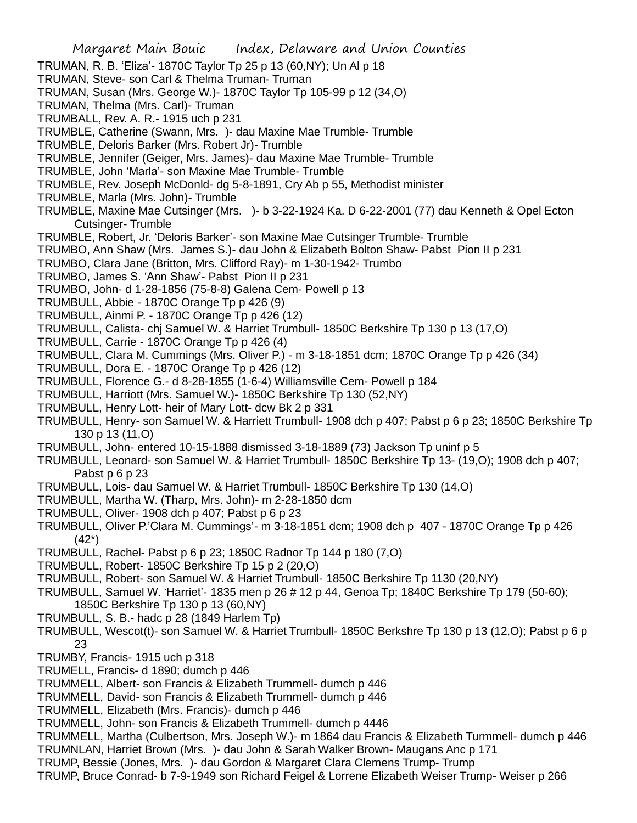- Margaret Main Bouic Index, Delaware and Union Counties TRUMAN, R. B. 'Eliza'- 1870C Taylor Tp 25 p 13 (60,NY); Un Al p 18 TRUMAN, Steve- son Carl & Thelma Truman- Truman TRUMAN, Susan (Mrs. George W.)- 1870C Taylor Tp 105-99 p 12 (34,O) TRUMAN, Thelma (Mrs. Carl)- Truman TRUMBALL, Rev. A. R.- 1915 uch p 231 TRUMBLE, Catherine (Swann, Mrs. )- dau Maxine Mae Trumble- Trumble TRUMBLE, Deloris Barker (Mrs. Robert Jr)- Trumble TRUMBLE, Jennifer (Geiger, Mrs. James)- dau Maxine Mae Trumble- Trumble TRUMBLE, John 'Marla'- son Maxine Mae Trumble- Trumble TRUMBLE, Rev. Joseph McDonld- dg 5-8-1891, Cry Ab p 55, Methodist minister TRUMBLE, Marla (Mrs. John)- Trumble TRUMBLE, Maxine Mae Cutsinger (Mrs. )- b 3-22-1924 Ka. D 6-22-2001 (77) dau Kenneth & Opel Ecton Cutsinger- Trumble TRUMBLE, Robert, Jr. 'Deloris Barker'- son Maxine Mae Cutsinger Trumble- Trumble TRUMBO, Ann Shaw (Mrs. James S.)- dau John & Elizabeth Bolton Shaw- Pabst Pion II p 231 TRUMBO, Clara Jane (Britton, Mrs. Clifford Ray)- m 1-30-1942- Trumbo TRUMBO, James S. 'Ann Shaw'- Pabst Pion II p 231 TRUMBO, John- d 1-28-1856 (75-8-8) Galena Cem- Powell p 13 TRUMBULL, Abbie - 1870C Orange Tp p 426 (9) TRUMBULL, Ainmi P. - 1870C Orange Tp p 426 (12) TRUMBULL, Calista- chj Samuel W. & Harriet Trumbull- 1850C Berkshire Tp 130 p 13 (17,O) TRUMBULL, Carrie - 1870C Orange Tp p 426 (4) TRUMBULL, Clara M. Cummings (Mrs. Oliver P.) - m 3-18-1851 dcm; 1870C Orange Tp p 426 (34) TRUMBULL, Dora E. - 1870C Orange Tp p 426 (12) TRUMBULL, Florence G.- d 8-28-1855 (1-6-4) Williamsville Cem- Powell p 184 TRUMBULL, Harriott (Mrs. Samuel W.)- 1850C Berkshire Tp 130 (52,NY) TRUMBULL, Henry Lott- heir of Mary Lott- dcw Bk 2 p 331 TRUMBULL, Henry- son Samuel W. & Harriett Trumbull- 1908 dch p 407; Pabst p 6 p 23; 1850C Berkshire Tp 130 p 13 (11,O) TRUMBULL, John- entered 10-15-1888 dismissed 3-18-1889 (73) Jackson Tp uninf p 5 TRUMBULL, Leonard- son Samuel W. & Harriet Trumbull- 1850C Berkshire Tp 13- (19,O); 1908 dch p 407; Pabst p 6 p 23 TRUMBULL, Lois- dau Samuel W. & Harriet Trumbull- 1850C Berkshire Tp 130 (14,O) TRUMBULL, Martha W. (Tharp, Mrs. John)- m 2-28-1850 dcm TRUMBULL, Oliver- 1908 dch p 407; Pabst p 6 p 23 TRUMBULL, Oliver P.'Clara M. Cummings'- m 3-18-1851 dcm; 1908 dch p 407 - 1870C Orange Tp p 426 (42\*) TRUMBULL, Rachel- Pabst p 6 p 23; 1850C Radnor Tp 144 p 180 (7,O) TRUMBULL, Robert- 1850C Berkshire Tp 15 p 2 (20,O) TRUMBULL, Robert- son Samuel W. & Harriet Trumbull- 1850C Berkshire Tp 1130 (20,NY) TRUMBULL, Samuel W. 'Harriet'- 1835 men p 26 # 12 p 44, Genoa Tp; 1840C Berkshire Tp 179 (50-60); 1850C Berkshire Tp 130 p 13 (60,NY) TRUMBULL, S. B.- hadc p 28 (1849 Harlem Tp) TRUMBULL, Wescot(t)- son Samuel W. & Harriet Trumbull- 1850C Berkshre Tp 130 p 13 (12,O); Pabst p 6 p 23 TRUMBY, Francis- 1915 uch p 318 TRUMELL, Francis- d 1890; dumch p 446 TRUMMELL, Albert- son Francis & Elizabeth Trummell- dumch p 446 TRUMMELL, David- son Francis & Elizabeth Trummell- dumch p 446 TRUMMELL, Elizabeth (Mrs. Francis)- dumch p 446
	- TRUMMELL, John- son Francis & Elizabeth Trummell- dumch p 4446
	- TRUMMELL, Martha (Culbertson, Mrs. Joseph W.)- m 1864 dau Francis & Elizabeth Turmmell- dumch p 446
	- TRUMNLAN, Harriet Brown (Mrs. )- dau John & Sarah Walker Brown- Maugans Anc p 171
	- TRUMP, Bessie (Jones, Mrs. )- dau Gordon & Margaret Clara Clemens Trump- Trump
	- TRUMP, Bruce Conrad- b 7-9-1949 son Richard Feigel & Lorrene Elizabeth Weiser Trump- Weiser p 266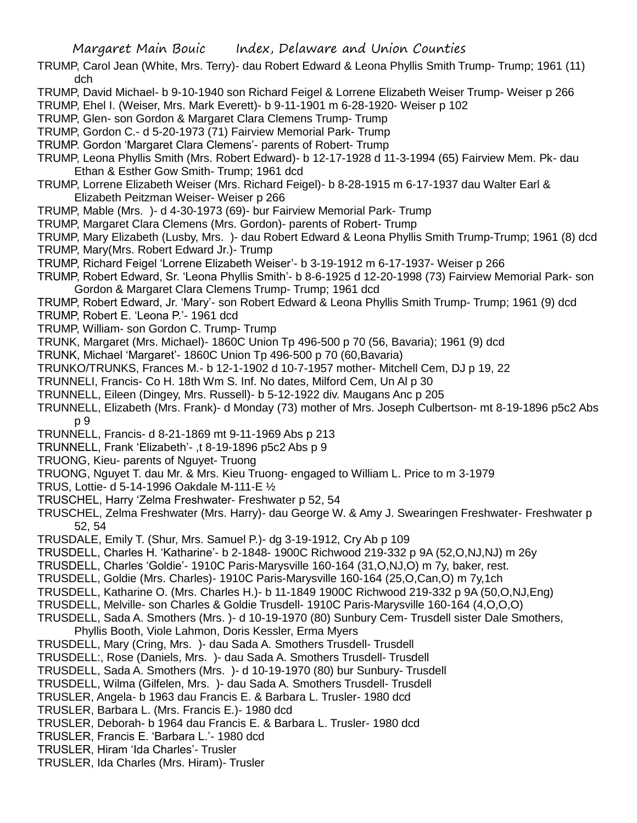- TRUMP, Carol Jean (White, Mrs. Terry)- dau Robert Edward & Leona Phyllis Smith Trump- Trump; 1961 (11) dch
- TRUMP, David Michael- b 9-10-1940 son Richard Feigel & Lorrene Elizabeth Weiser Trump- Weiser p 266
- TRUMP, Ehel I. (Weiser, Mrs. Mark Everett)- b 9-11-1901 m 6-28-1920- Weiser p 102
- TRUMP, Glen- son Gordon & Margaret Clara Clemens Trump- Trump
- TRUMP, Gordon C.- d 5-20-1973 (71) Fairview Memorial Park- Trump
- TRUMP. Gordon 'Margaret Clara Clemens'- parents of Robert- Trump
- TRUMP, Leona Phyllis Smith (Mrs. Robert Edward)- b 12-17-1928 d 11-3-1994 (65) Fairview Mem. Pk- dau Ethan & Esther Gow Smith- Trump; 1961 dcd
- TRUMP, Lorrene Elizabeth Weiser (Mrs. Richard Feigel)- b 8-28-1915 m 6-17-1937 dau Walter Earl & Elizabeth Peitzman Weiser- Weiser p 266
- TRUMP, Mable (Mrs. )- d 4-30-1973 (69)- bur Fairview Memorial Park- Trump
- TRUMP, Margaret Clara Clemens (Mrs. Gordon)- parents of Robert- Trump
- TRUMP, Mary Elizabeth (Lusby, Mrs. )- dau Robert Edward & Leona Phyllis Smith Trump-Trump; 1961 (8) dcd
- TRUMP, Mary(Mrs. Robert Edward Jr.)- Trump
- TRUMP, Richard Feigel 'Lorrene Elizabeth Weiser'- b 3-19-1912 m 6-17-1937- Weiser p 266
- TRUMP, Robert Edward, Sr. 'Leona Phyllis Smith'- b 8-6-1925 d 12-20-1998 (73) Fairview Memorial Park- son Gordon & Margaret Clara Clemens Trump- Trump; 1961 dcd
- TRUMP, Robert Edward, Jr. 'Mary'- son Robert Edward & Leona Phyllis Smith Trump- Trump; 1961 (9) dcd TRUMP, Robert E. 'Leona P.'- 1961 dcd
- TRUMP, William- son Gordon C. Trump- Trump
- TRUNK, Margaret (Mrs. Michael)- 1860C Union Tp 496-500 p 70 (56, Bavaria); 1961 (9) dcd
- TRUNK, Michael 'Margaret'- 1860C Union Tp 496-500 p 70 (60,Bavaria)
- TRUNKO/TRUNKS, Frances M.- b 12-1-1902 d 10-7-1957 mother- Mitchell Cem, DJ p 19, 22
- TRUNNELI, Francis- Co H. 18th Wm S. Inf. No dates, Milford Cem, Un Al p 30
- TRUNNELL, Eileen (Dingey, Mrs. Russell)- b 5-12-1922 div. Maugans Anc p 205
- TRUNNELL, Elizabeth (Mrs. Frank)- d Monday (73) mother of Mrs. Joseph Culbertson- mt 8-19-1896 p5c2 Abs p 9
- TRUNNELL, Francis- d 8-21-1869 mt 9-11-1969 Abs p 213
- TRUNNELL, Frank 'Elizabeth'- ,t 8-19-1896 p5c2 Abs p 9
- TRUONG, Kieu- parents of Nguyet- Truong
- TRUONG, Nguyet T. dau Mr. & Mrs. Kieu Truong- engaged to William L. Price to m 3-1979
- TRUS, Lottie- d 5-14-1996 Oakdale M-111-E ½
- TRUSCHEL, Harry 'Zelma Freshwater- Freshwater p 52, 54
- TRUSCHEL, Zelma Freshwater (Mrs. Harry)- dau George W. & Amy J. Swearingen Freshwater- Freshwater p 52, 54
- TRUSDALE, Emily T. (Shur, Mrs. Samuel P.)- dg 3-19-1912, Cry Ab p 109
- TRUSDELL, Charles H. 'Katharine'- b 2-1848- 1900C Richwood 219-332 p 9A (52,O,NJ,NJ) m 26y
- TRUSDELL, Charles 'Goldie'- 1910C Paris-Marysville 160-164 (31,O,NJ,O) m 7y, baker, rest.
- TRUSDELL, Goldie (Mrs. Charles)- 1910C Paris-Marysville 160-164 (25,O,Can,O) m 7y,1ch
- TRUSDELL, Katharine O. (Mrs. Charles H.)- b 11-1849 1900C Richwood 219-332 p 9A (50,O,NJ,Eng)
- TRUSDELL, Melville- son Charles & Goldie Trusdell- 1910C Paris-Marysville 160-164 (4,O,O,O)
- TRUSDELL, Sada A. Smothers (Mrs. )- d 10-19-1970 (80) Sunbury Cem- Trusdell sister Dale Smothers,
	- Phyllis Booth, Viole Lahmon, Doris Kessler, Erma Myers
- TRUSDELL, Mary (Cring, Mrs. )- dau Sada A. Smothers Trusdell- Trusdell
- TRUSDELL:, Rose (Daniels, Mrs. )- dau Sada A. Smothers Trusdell- Trusdell
- TRUSDELL, Sada A. Smothers (Mrs. )- d 10-19-1970 (80) bur Sunbury- Trusdell
- TRUSDELL, Wilma (Gilfelen, Mrs. )- dau Sada A. Smothers Trusdell- Trusdell
- TRUSLER, Angela- b 1963 dau Francis E. & Barbara L. Trusler- 1980 dcd
- TRUSLER, Barbara L. (Mrs. Francis E.)- 1980 dcd
- TRUSLER, Deborah- b 1964 dau Francis E. & Barbara L. Trusler- 1980 dcd
- TRUSLER, Francis E. 'Barbara L.'- 1980 dcd
- TRUSLER, Hiram 'Ida Charles'- Trusler
- TRUSLER, Ida Charles (Mrs. Hiram)- Trusler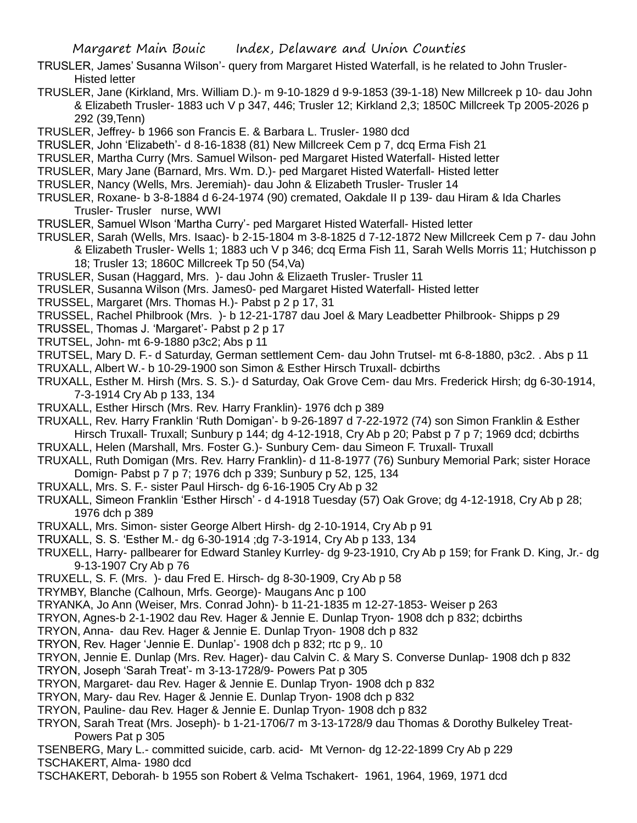- TRUSLER, James' Susanna Wilson'- query from Margaret Histed Waterfall, is he related to John Trusler-Histed letter
- TRUSLER, Jane (Kirkland, Mrs. William D.)- m 9-10-1829 d 9-9-1853 (39-1-18) New Millcreek p 10- dau John & Elizabeth Trusler- 1883 uch V p 347, 446; Trusler 12; Kirkland 2,3; 1850C Millcreek Tp 2005-2026 p 292 (39,Tenn)
- TRUSLER, Jeffrey- b 1966 son Francis E. & Barbara L. Trusler- 1980 dcd
- TRUSLER, John 'Elizabeth'- d 8-16-1838 (81) New Millcreek Cem p 7, dcq Erma Fish 21
- TRUSLER, Martha Curry (Mrs. Samuel Wilson- ped Margaret Histed Waterfall- Histed letter
- TRUSLER, Mary Jane (Barnard, Mrs. Wm. D.)- ped Margaret Histed Waterfall- Histed letter
- TRUSLER, Nancy (Wells, Mrs. Jeremiah)- dau John & Elizabeth Trusler- Trusler 14
- TRUSLER, Roxane- b 3-8-1884 d 6-24-1974 (90) cremated, Oakdale II p 139- dau Hiram & Ida Charles Trusler- Trusler nurse, WWI
- TRUSLER, Samuel Wlson 'Martha Curry'- ped Margaret Histed Waterfall- Histed letter
- TRUSLER, Sarah (Wells, Mrs. Isaac)- b 2-15-1804 m 3-8-1825 d 7-12-1872 New Millcreek Cem p 7- dau John & Elizabeth Trusler- Wells 1; 1883 uch V p 346; dcq Erma Fish 11, Sarah Wells Morris 11; Hutchisson p 18; Trusler 13; 1860C Millcreek Tp 50 (54,Va)
- TRUSLER, Susan (Haggard, Mrs. )- dau John & Elizaeth Trusler- Trusler 11
- TRUSLER, Susanna Wilson (Mrs. James0- ped Margaret Histed Waterfall- Histed letter
- TRUSSEL, Margaret (Mrs. Thomas H.)- Pabst p 2 p 17, 31
- TRUSSEL, Rachel Philbrook (Mrs. )- b 12-21-1787 dau Joel & Mary Leadbetter Philbrook- Shipps p 29
- TRUSSEL, Thomas J. 'Margaret'- Pabst p 2 p 17
- TRUTSEL, John- mt 6-9-1880 p3c2; Abs p 11
- TRUTSEL, Mary D. F.- d Saturday, German settlement Cem- dau John Trutsel- mt 6-8-1880, p3c2. . Abs p 11
- TRUXALL, Albert W.- b 10-29-1900 son Simon & Esther Hirsch Truxall- dcbirths
- TRUXALL, Esther M. Hirsh (Mrs. S. S.)- d Saturday, Oak Grove Cem- dau Mrs. Frederick Hirsh; dg 6-30-1914, 7-3-1914 Cry Ab p 133, 134
- TRUXALL, Esther Hirsch (Mrs. Rev. Harry Franklin)- 1976 dch p 389
- TRUXALL, Rev. Harry Franklin 'Ruth Domigan'- b 9-26-1897 d 7-22-1972 (74) son Simon Franklin & Esther Hirsch Truxall- Truxall; Sunbury p 144; dg 4-12-1918, Cry Ab p 20; Pabst p 7 p 7; 1969 dcd; dcbirths
- TRUXALL, Helen (Marshall, Mrs. Foster G.)- Sunbury Cem- dau Simeon F. Truxall- Truxall
- TRUXALL, Ruth Domigan (Mrs. Rev. Harry Franklin)- d 11-8-1977 (76) Sunbury Memorial Park; sister Horace Domign- Pabst p 7 p 7; 1976 dch p 339; Sunbury p 52, 125, 134
- TRUXALL, Mrs. S. F.- sister Paul Hirsch- dg 6-16-1905 Cry Ab p 32
- TRUXALL, Simeon Franklin 'Esther Hirsch' d 4-1918 Tuesday (57) Oak Grove; dg 4-12-1918, Cry Ab p 28; 1976 dch p 389
- TRUXALL, Mrs. Simon- sister George Albert Hirsh- dg 2-10-1914, Cry Ab p 91
- TRUXALL, S. S. 'Esther M.- dg 6-30-1914 ;dg 7-3-1914, Cry Ab p 133, 134
- TRUXELL, Harry- pallbearer for Edward Stanley Kurrley- dg 9-23-1910, Cry Ab p 159; for Frank D. King, Jr.- dg 9-13-1907 Cry Ab p 76
- TRUXELL, S. F. (Mrs. )- dau Fred E. Hirsch- dg 8-30-1909, Cry Ab p 58
- TRYMBY, Blanche (Calhoun, Mrfs. George)- Maugans Anc p 100
- TRYANKA, Jo Ann (Weiser, Mrs. Conrad John)- b 11-21-1835 m 12-27-1853- Weiser p 263
- TRYON, Agnes-b 2-1-1902 dau Rev. Hager & Jennie E. Dunlap Tryon- 1908 dch p 832; dcbirths
- TRYON, Anna- dau Rev. Hager & Jennie E. Dunlap Tryon- 1908 dch p 832
- TRYON, Rev. Hager 'Jennie E. Dunlap'- 1908 dch p 832; rtc p 9,. 10
- TRYON, Jennie E. Dunlap (Mrs. Rev. Hager)- dau Calvin C. & Mary S. Converse Dunlap- 1908 dch p 832
- TRYON, Joseph 'Sarah Treat'- m 3-13-1728/9- Powers Pat p 305
- TRYON, Margaret- dau Rev. Hager & Jennie E. Dunlap Tryon- 1908 dch p 832
- TRYON, Mary- dau Rev. Hager & Jennie E. Dunlap Tryon- 1908 dch p 832
- TRYON, Pauline- dau Rev. Hager & Jennie E. Dunlap Tryon- 1908 dch p 832
- TRYON, Sarah Treat (Mrs. Joseph)- b 1-21-1706/7 m 3-13-1728/9 dau Thomas & Dorothy Bulkeley Treat-Powers Pat p 305
- TSENBERG, Mary L.- committed suicide, carb. acid- Mt Vernon- dg 12-22-1899 Cry Ab p 229 TSCHAKERT, Alma- 1980 dcd
- TSCHAKERT, Deborah- b 1955 son Robert & Velma Tschakert- 1961, 1964, 1969, 1971 dcd